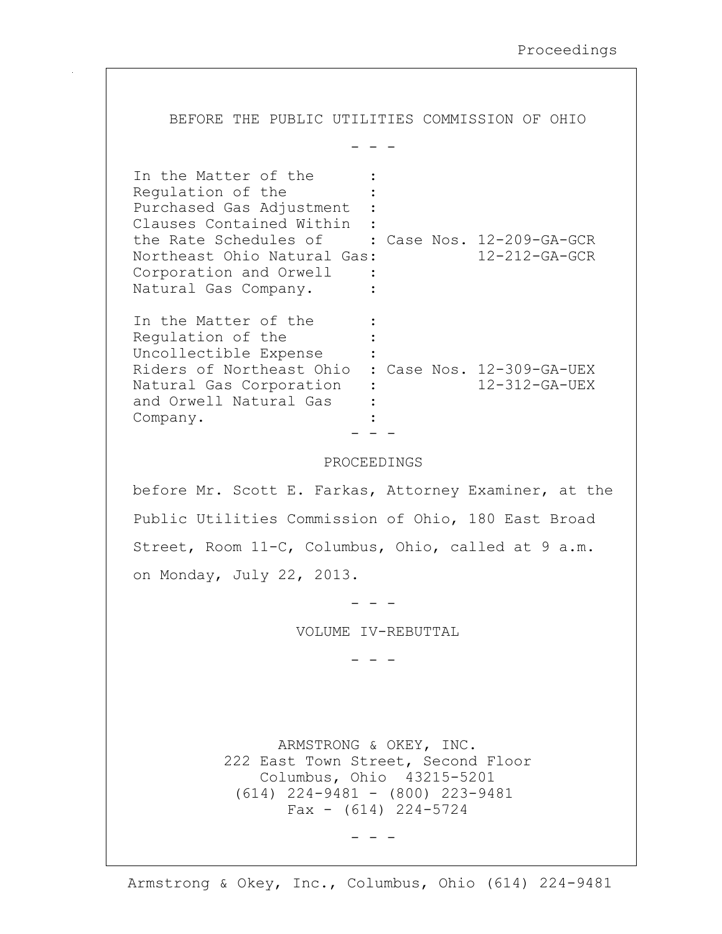BEFORE THE PUBLIC UTILITIES COMMISSION OF OHIO  $-$ In the Matter of the : Regulation of the Purchased Gas Adjustment : Clauses Contained Within : the Rate Schedules of : Case Nos. 12-209-GA-GCR Northeast Ohio Natural Gas: 12-212-GA-GCR Corporation and Orwell : Natural Gas Company. : In the Matter of the : Requlation of the : Uncollectible Expense : Riders of Northeast Ohio : Case Nos. 12-309-GA-UEX Natural Gas Corporation : 12-312-GA-UEX and Orwell Natural Gas : Company. - - - PROCEEDINGS before Mr. Scott E. Farkas, Attorney Examiner, at the Public Utilities Commission of Ohio, 180 East Broad Street, Room 11-C, Columbus, Ohio, called at 9 a.m. on Monday, July 22, 2013. - - - VOLUME IV-REBUTTAL - - - ARMSTRONG & OKEY, INC. 222 East Town Street, Second Floor Columbus, Ohio 43215-5201 (614) 224-9481 - (800) 223-9481 Fax  $-$  (614) 224-5724 - - -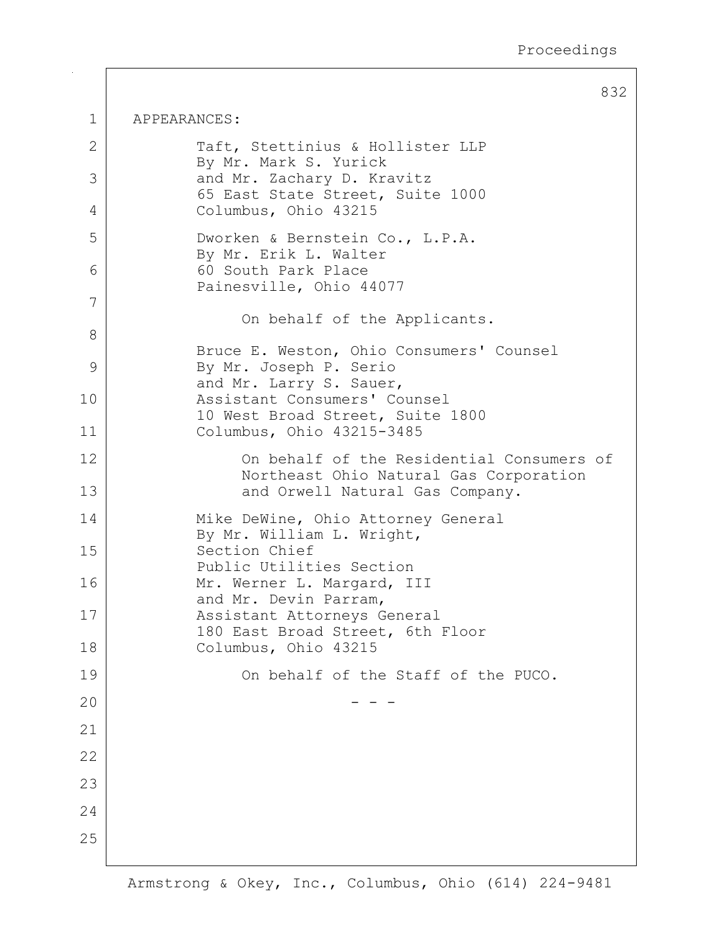832

| $\mathbf 1$  | APPEARANCES:                                                                                  |  |  |
|--------------|-----------------------------------------------------------------------------------------------|--|--|
| $\mathbf{2}$ | Taft, Stettinius & Hollister LLP<br>By Mr. Mark S. Yurick                                     |  |  |
| 3            | and Mr. Zachary D. Kravitz<br>65 East State Street, Suite 1000                                |  |  |
| 4            | Columbus, Ohio 43215                                                                          |  |  |
| 5            | Dworken & Bernstein Co., L.P.A.<br>By Mr. Erik L. Walter                                      |  |  |
| 6            | 60 South Park Place<br>Painesville, Ohio 44077                                                |  |  |
| 7            | On behalf of the Applicants.                                                                  |  |  |
| 8            |                                                                                               |  |  |
| 9            | Bruce E. Weston, Ohio Consumers' Counsel<br>By Mr. Joseph P. Serio<br>and Mr. Larry S. Sauer, |  |  |
| 10           | Assistant Consumers' Counsel<br>10 West Broad Street, Suite 1800                              |  |  |
| 11           | Columbus, Ohio 43215-3485                                                                     |  |  |
| 12           | On behalf of the Residential Consumers of<br>Northeast Ohio Natural Gas Corporation           |  |  |
| 13           | and Orwell Natural Gas Company.                                                               |  |  |
| 14           | Mike DeWine, Ohio Attorney General<br>By Mr. William L. Wright,                               |  |  |
| 15           | Section Chief<br>Public Utilities Section                                                     |  |  |
| 16           | Mr. Werner L. Margard, III<br>and Mr. Devin Parram,                                           |  |  |
| 17           | Assistant Attorneys General<br>180 East Broad Street, 6th Floor                               |  |  |
| 18           | Columbus, Ohio 43215                                                                          |  |  |
| 19           | On behalf of the Staff of the PUCO.                                                           |  |  |
| 20           |                                                                                               |  |  |
| 21           |                                                                                               |  |  |
| 22           |                                                                                               |  |  |
| 23           |                                                                                               |  |  |
| 24           |                                                                                               |  |  |
| 25           |                                                                                               |  |  |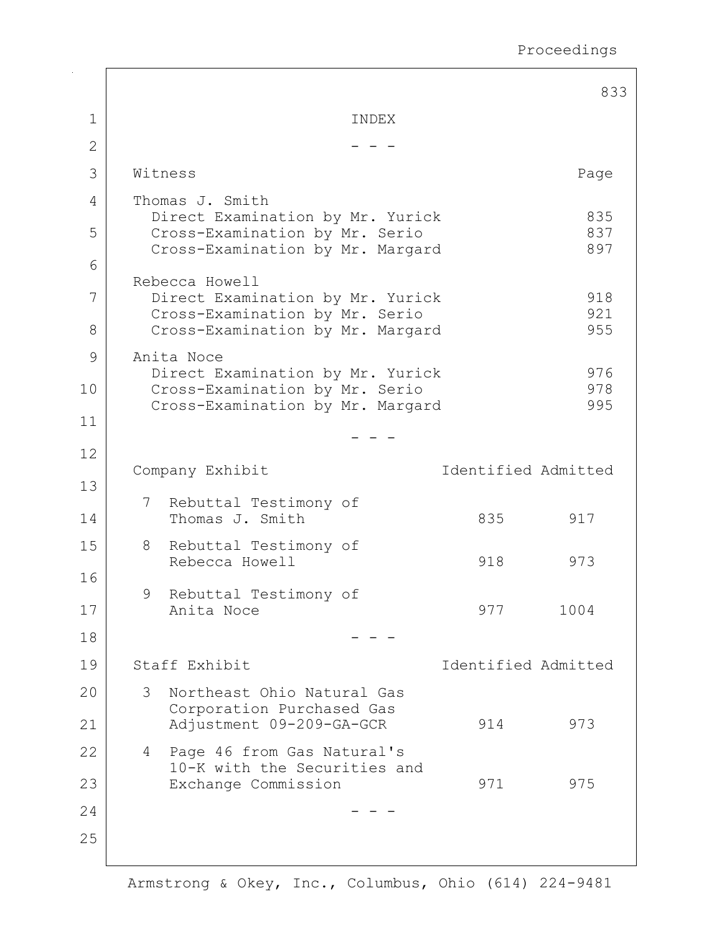|    |                                                                                                                             |                                                                    |                     | 833        |  |
|----|-----------------------------------------------------------------------------------------------------------------------------|--------------------------------------------------------------------|---------------------|------------|--|
| 1  | INDEX                                                                                                                       |                                                                    |                     |            |  |
| 2  |                                                                                                                             |                                                                    |                     |            |  |
| 3  | Witness                                                                                                                     |                                                                    |                     | Page       |  |
| 4  |                                                                                                                             | Thomas J. Smith                                                    |                     |            |  |
| 5  | 835<br>Direct Examination by Mr. Yurick<br>837<br>Cross-Examination by Mr. Serio<br>897<br>Cross-Examination by Mr. Margard |                                                                    |                     |            |  |
| 6  |                                                                                                                             | Rebecca Howell                                                     |                     |            |  |
| 7  |                                                                                                                             | Direct Examination by Mr. Yurick<br>Cross-Examination by Mr. Serio |                     | 918<br>921 |  |
| 8  |                                                                                                                             | Cross-Examination by Mr. Margard                                   |                     | 955        |  |
| 9  |                                                                                                                             | Anita Noce<br>Direct Examination by Mr. Yurick                     |                     | 976        |  |
| 10 |                                                                                                                             | Cross-Examination by Mr. Serio<br>Cross-Examination by Mr. Margard |                     | 978<br>995 |  |
| 11 |                                                                                                                             |                                                                    |                     |            |  |
| 12 |                                                                                                                             |                                                                    |                     |            |  |
| 13 |                                                                                                                             | Company Exhibit                                                    | Identified Admitted |            |  |
| 14 |                                                                                                                             | 7 Rebuttal Testimony of<br>Thomas J. Smith                         | 835                 | 917        |  |
| 15 | 8                                                                                                                           | Rebuttal Testimony of<br>Rebecca Howell                            | 918                 | 973        |  |
| 16 |                                                                                                                             | 9 Rebuttal Testimony of                                            |                     |            |  |
| 17 |                                                                                                                             | Anita Noce                                                         | 977                 | 1004       |  |
| 18 |                                                                                                                             |                                                                    |                     |            |  |
| 19 | Staff Exhibit<br>Identified Admitted                                                                                        |                                                                    |                     |            |  |
| 20 | 3                                                                                                                           | Northeast Ohio Natural Gas<br>Corporation Purchased Gas            |                     |            |  |
| 21 |                                                                                                                             | Adjustment 09-209-GA-GCR                                           | 914                 | 973        |  |
| 22 | $4\overline{ }$                                                                                                             | Page 46 from Gas Natural's<br>10-K with the Securities and         |                     |            |  |
| 23 |                                                                                                                             | Exchange Commission                                                | 971                 | 975        |  |
| 24 |                                                                                                                             |                                                                    |                     |            |  |
| 25 |                                                                                                                             |                                                                    |                     |            |  |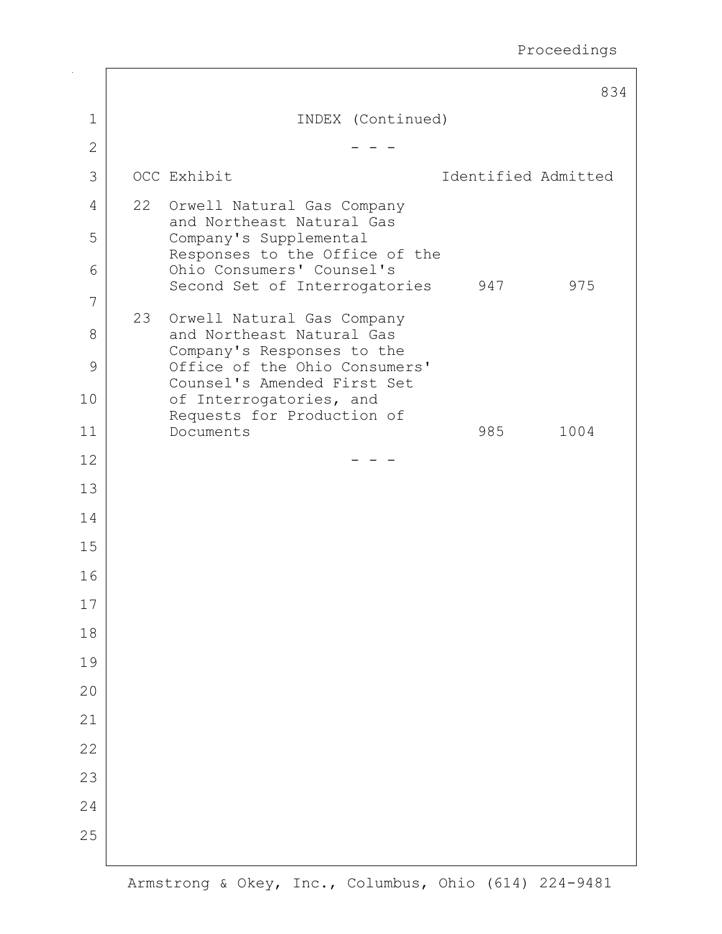|              |    |                                                             |                     | 834  |
|--------------|----|-------------------------------------------------------------|---------------------|------|
| 1            |    | INDEX (Continued)                                           |                     |      |
| $\mathbf{2}$ |    |                                                             |                     |      |
| 3            |    | OCC Exhibit                                                 | Identified Admitted |      |
| 4            |    | 22 Orwell Natural Gas Company<br>and Northeast Natural Gas  |                     |      |
| 5            |    | Company's Supplemental<br>Responses to the Office of the    |                     |      |
| 6            |    | Ohio Consumers' Counsel's                                   |                     |      |
| 7            |    | Second Set of Interrogatories                               | 947                 | 975  |
| 8            | 23 | Orwell Natural Gas Company<br>and Northeast Natural Gas     |                     |      |
| 9            |    | Company's Responses to the<br>Office of the Ohio Consumers' |                     |      |
| 10           |    | Counsel's Amended First Set<br>of Interrogatories, and      |                     |      |
| 11           |    | Requests for Production of<br>Documents                     | 985                 | 1004 |
| 12           |    |                                                             |                     |      |
| 13           |    |                                                             |                     |      |
| 14           |    |                                                             |                     |      |
| 15           |    |                                                             |                     |      |
| 16           |    |                                                             |                     |      |
| 17           |    |                                                             |                     |      |
| 18           |    |                                                             |                     |      |
| 19           |    |                                                             |                     |      |
| 20           |    |                                                             |                     |      |
| 21           |    |                                                             |                     |      |
| 22           |    |                                                             |                     |      |
| 23           |    |                                                             |                     |      |
| 24           |    |                                                             |                     |      |
| 25           |    |                                                             |                     |      |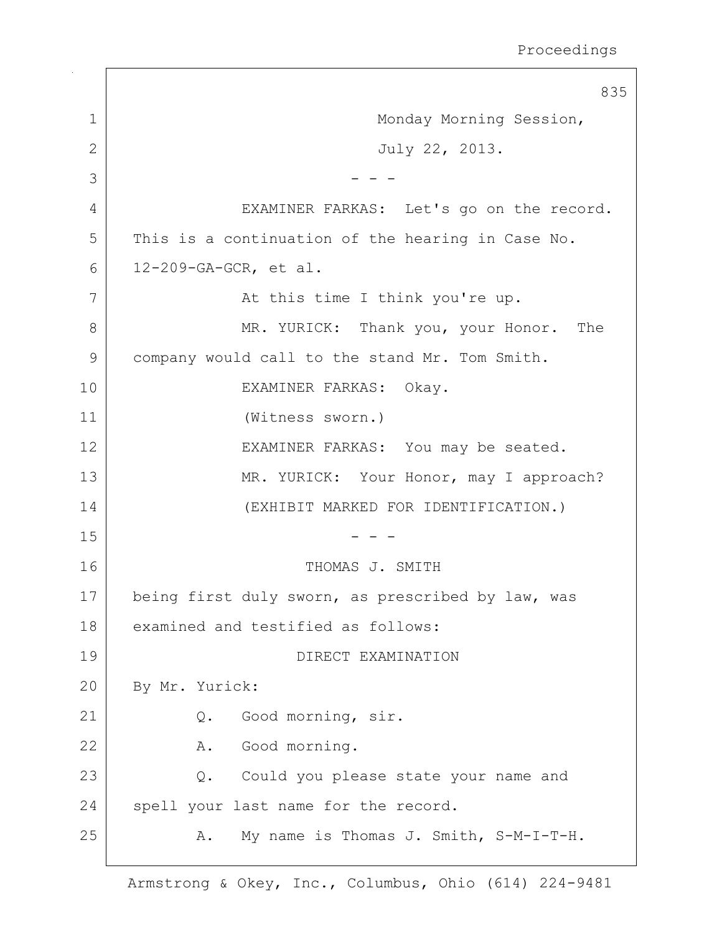835 1 | Monday Morning Session, 2 July 22, 2013.  $3 \mid$  - - -4 | EXAMINER FARKAS: Let's go on the record. 5 | This is a continuation of the hearing in Case No. 6 12-209-GA-GCR, et al. 7 | At this time I think you're up. 8 MR. YURICK: Thank you, your Honor. The 9 | company would call to the stand Mr. Tom Smith. 10 EXAMINER FARKAS: Okay. 11 (Witness sworn.) 12 | EXAMINER FARKAS: You may be seated. 13 MR. YURICK: Your Honor, may I approach? 14 (EXHIBIT MARKED FOR IDENTIFICATION.)  $15$  - - -16 THOMAS J. SMITH 17 being first duly sworn, as prescribed by law, was 18 examined and testified as follows: 19 DIRECT EXAMINATION 20 By Mr. Yurick: 21 Q. Good morning, sir. 22 A. Good morning. 23 Q. Could you please state your name and 24 spell your last name for the record. 25 | A. My name is Thomas J. Smith, S-M-I-T-H.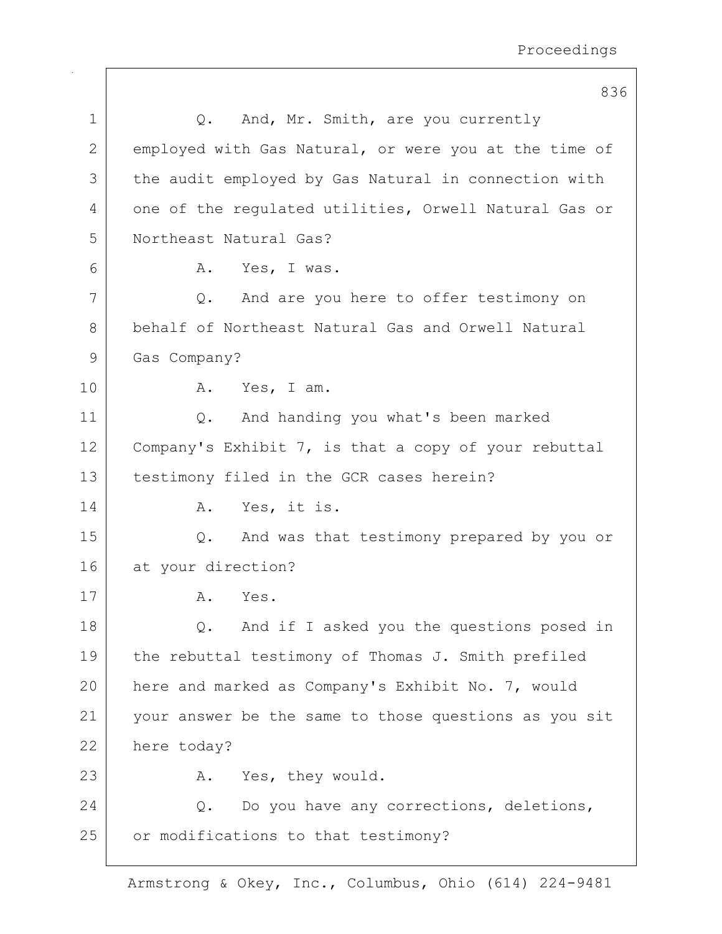|             | 836                                                   |
|-------------|-------------------------------------------------------|
| $\mathbf 1$ | And, Mr. Smith, are you currently<br>Q.               |
| 2           | employed with Gas Natural, or were you at the time of |
| 3           | the audit employed by Gas Natural in connection with  |
| 4           | one of the regulated utilities, Orwell Natural Gas or |
| 5           | Northeast Natural Gas?                                |
| 6           | A. Yes, I was.                                        |
| 7           | And are you here to offer testimony on<br>Q.          |
| 8           | behalf of Northeast Natural Gas and Orwell Natural    |
| 9           | Gas Company?                                          |
| 10          | A. Yes, I am.                                         |
| 11          | And handing you what's been marked<br>Q.              |
| 12          | Company's Exhibit 7, is that a copy of your rebuttal  |
| 13          | testimony filed in the GCR cases herein?              |
| 14          | Yes, it is.<br>Α.                                     |
| 15          | And was that testimony prepared by you or<br>Q.       |
| 16          | at your direction?                                    |
| 17          | Yes.<br>Α.                                            |
| 18          | And if I asked you the questions posed in<br>Q.       |
| 19          | the rebuttal testimony of Thomas J. Smith prefiled    |
| 20          | here and marked as Company's Exhibit No. 7, would     |
| 21          | your answer be the same to those questions as you sit |
| 22          | here today?                                           |
| 23          | Yes, they would.<br>Α.                                |
| 24          | Do you have any corrections, deletions,<br>Q.         |
| 25          | or modifications to that testimony?                   |
|             |                                                       |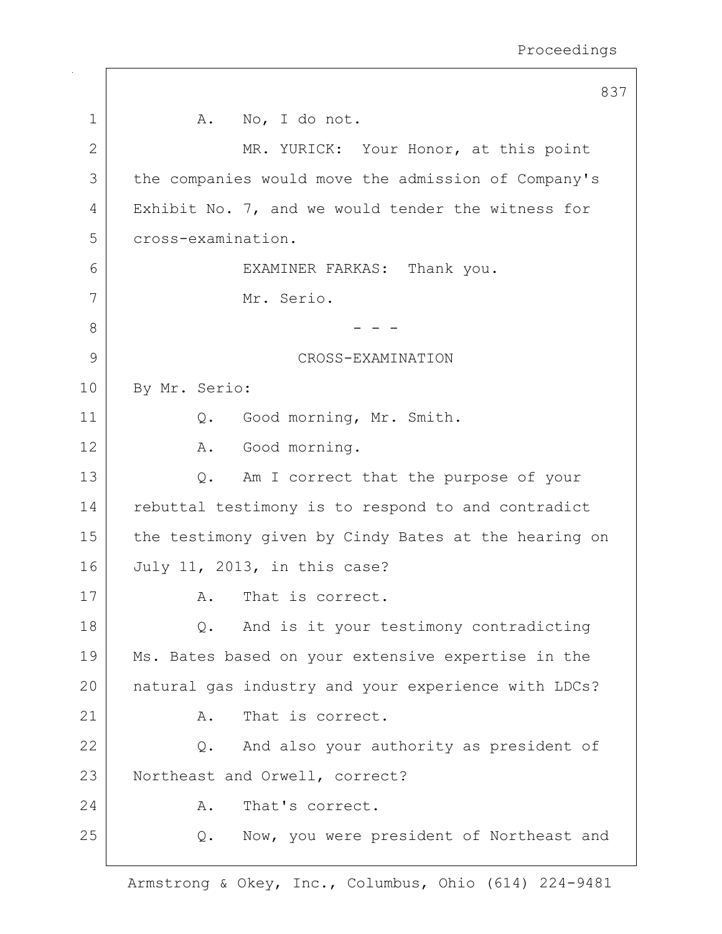837 1 | A. No, I do not. 2 MR. YURICK: Your Honor, at this point 3 the companies would move the admission of Company's 4 Exhibit No. 7, and we would tender the witness for 5 cross-examination. 6 EXAMINER FARKAS: Thank you. 7 Mr. Serio. 8 |  $- - -$ 9 CROSS-EXAMINATION 10 By Mr. Serio: 11 | Q. Good morning, Mr. Smith. 12 A. Good morning. 13 Q. Am I correct that the purpose of your 14 rebuttal testimony is to respond to and contradict 15 the testimony given by Cindy Bates at the hearing on 16 July 11, 2013, in this case? 17 A. That is correct. 18 Q. And is it your testimony contradicting 19 | Ms. Bates based on your extensive expertise in the 20 natural gas industry and your experience with LDCs? 21 A. That is correct. 22 Q. And also your authority as president of 23 Northeast and Orwell, correct? 24 A. That's correct. 25 | Q. Now, you were president of Northeast and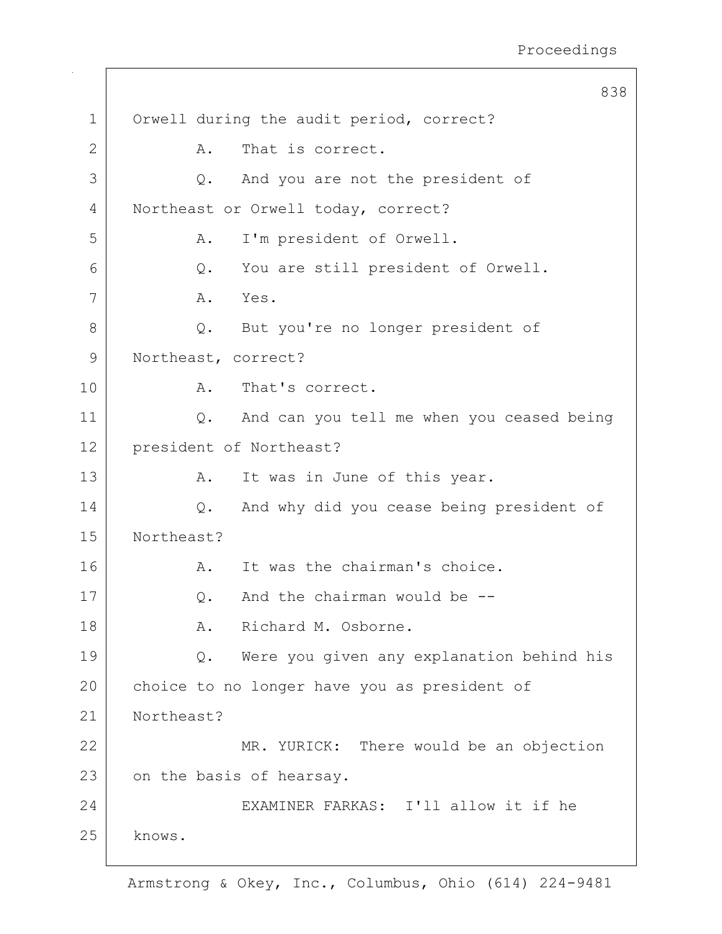|             | 838                                             |  |
|-------------|-------------------------------------------------|--|
| $\mathbf 1$ | Orwell during the audit period, correct?        |  |
| 2           | That is correct.<br>Α.                          |  |
| 3           | And you are not the president of<br>Q.          |  |
| 4           | Northeast or Orwell today, correct?             |  |
| 5           | I'm president of Orwell.<br>Α.                  |  |
| 6           | You are still president of Orwell.<br>$Q$ .     |  |
| 7           | Yes.<br>A.                                      |  |
| 8           | But you're no longer president of<br>$Q$ .      |  |
| 9           | Northeast, correct?                             |  |
| 10          | That's correct.<br>Α.                           |  |
| 11          | Q. And can you tell me when you ceased being    |  |
| 12          | president of Northeast?                         |  |
| 13          | Α.<br>It was in June of this year.              |  |
| 14          | And why did you cease being president of<br>Q.  |  |
| 15          | Northeast?                                      |  |
| 16          | It was the chairman's choice.<br>A.             |  |
| 17          | And the chairman would be --<br>Q.              |  |
| 18          | Richard M. Osborne.<br>Α.                       |  |
| 19          | Were you given any explanation behind his<br>Q. |  |
| 20          | choice to no longer have you as president of    |  |
| 21          | Northeast?                                      |  |
| 22          | MR. YURICK: There would be an objection         |  |
| 23          | on the basis of hearsay.                        |  |
| 24          | EXAMINER FARKAS: I'll allow it if he            |  |
| 25          | knows.                                          |  |
|             |                                                 |  |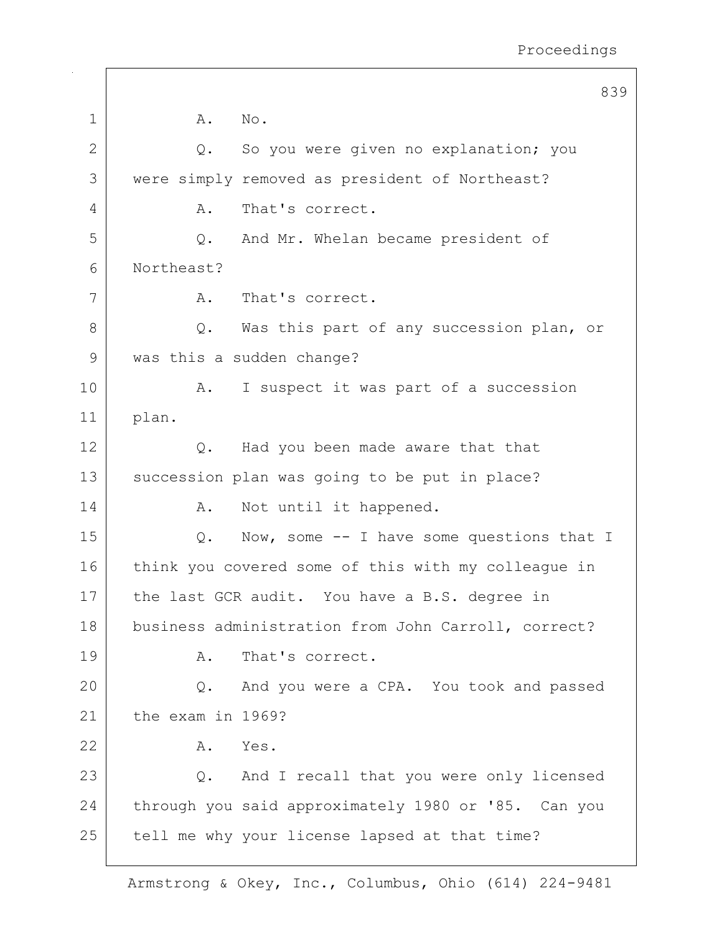|    | 839                                                 |  |  |
|----|-----------------------------------------------------|--|--|
| 1  | Α.<br>No.                                           |  |  |
| 2  | So you were given no explanation; you<br>Q.         |  |  |
| 3  | were simply removed as president of Northeast?      |  |  |
| 4  | That's correct.<br>Α.                               |  |  |
| 5  | And Mr. Whelan became president of<br>Q.            |  |  |
| 6  | Northeast?                                          |  |  |
| 7  | That's correct.<br>A.                               |  |  |
| 8  | Was this part of any succession plan, or<br>Q.      |  |  |
| 9  | was this a sudden change?                           |  |  |
| 10 | Α.<br>I suspect it was part of a succession         |  |  |
| 11 | plan.                                               |  |  |
| 12 | Had you been made aware that that<br>Q.             |  |  |
| 13 | succession plan was going to be put in place?       |  |  |
| 14 | Not until it happened.<br>A.                        |  |  |
| 15 | Now, some -- I have some questions that I<br>Q.     |  |  |
| 16 | think you covered some of this with my colleague in |  |  |
| 17 | the last GCR audit. You have a B.S. degree in       |  |  |
| 18 | business administration from John Carroll, correct? |  |  |
| 19 | That's correct.<br>Α.                               |  |  |
| 20 | And you were a CPA. You took and passed<br>Q.       |  |  |
| 21 | the exam in 1969?                                   |  |  |
| 22 | Α.<br>Yes.                                          |  |  |
| 23 | Q. And I recall that you were only licensed         |  |  |
| 24 | through you said approximately 1980 or '85. Can you |  |  |
| 25 | tell me why your license lapsed at that time?       |  |  |
|    |                                                     |  |  |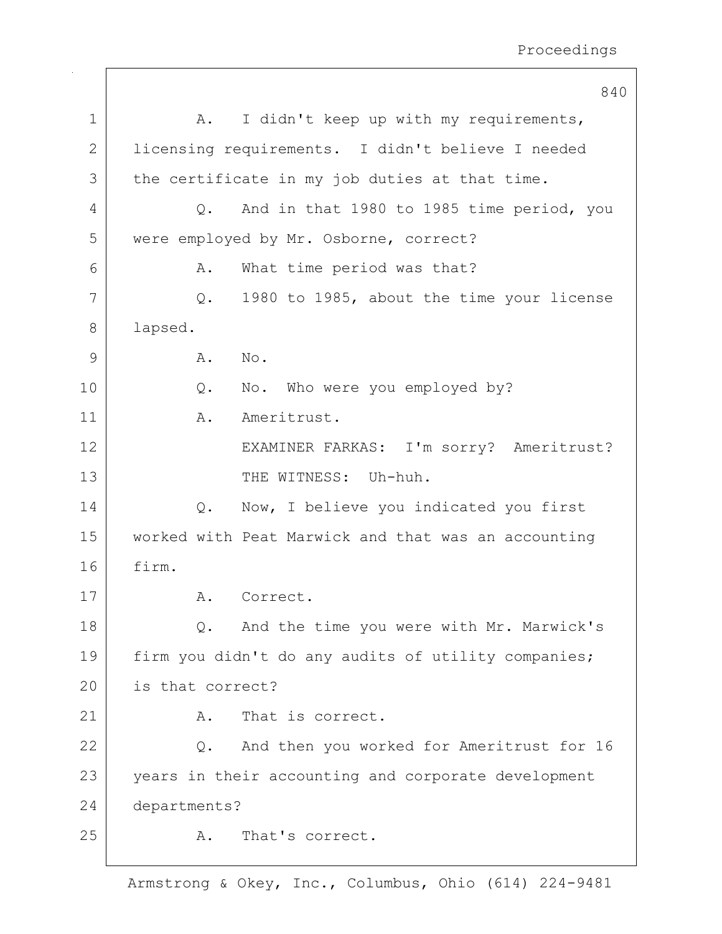|              | 840                                                        |  |  |
|--------------|------------------------------------------------------------|--|--|
| $\mathbf 1$  | I didn't keep up with my requirements,<br>A.               |  |  |
| $\mathbf{2}$ | licensing requirements. I didn't believe I needed          |  |  |
| 3            | the certificate in my job duties at that time.             |  |  |
| 4            | And in that 1980 to 1985 time period, you<br>$Q_{\bullet}$ |  |  |
| 5            | were employed by Mr. Osborne, correct?                     |  |  |
| 6            | What time period was that?<br>Α.                           |  |  |
| 7            | 1980 to 1985, about the time your license<br>Q.            |  |  |
| 8            | lapsed.                                                    |  |  |
| 9            | Α.<br>No.                                                  |  |  |
| 10           | No. Who were you employed by?<br>$Q$ .                     |  |  |
| 11           | Ameritrust.<br>Α.                                          |  |  |
| 12           | EXAMINER FARKAS: I'm sorry? Ameritrust?                    |  |  |
| 13           | THE WITNESS: Uh-huh.                                       |  |  |
| 14           | Now, I believe you indicated you first<br>$Q$ .            |  |  |
| 15           | worked with Peat Marwick and that was an accounting        |  |  |
| 16           | firm.                                                      |  |  |
| 17           | Correct.<br>Α.                                             |  |  |
| 18           | And the time you were with Mr. Marwick's<br>Q.             |  |  |
| 19           | firm you didn't do any audits of utility companies;        |  |  |
| 20           | is that correct?                                           |  |  |
| 21           | That is correct.<br>Α.                                     |  |  |
| 22           | And then you worked for Ameritrust for 16<br>Q.            |  |  |
| 23           | years in their accounting and corporate development        |  |  |
| 24           | departments?                                               |  |  |
| 25           | That's correct.<br>Α.                                      |  |  |
|              |                                                            |  |  |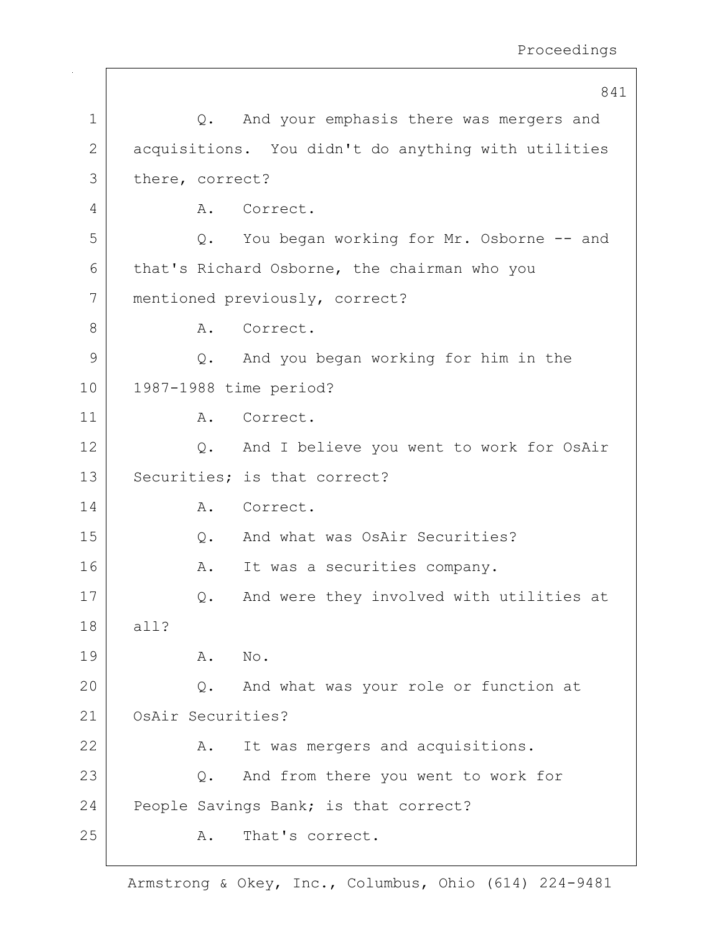|              | 841                                                   |  |  |
|--------------|-------------------------------------------------------|--|--|
| $\mathbf 1$  | And your emphasis there was mergers and<br>Q.         |  |  |
| $\mathbf{2}$ | acquisitions. You didn't do anything with utilities   |  |  |
| 3            | there, correct?                                       |  |  |
| 4            | Correct.<br>Α.                                        |  |  |
| 5            | Q. You began working for Mr. Osborne -- and           |  |  |
| 6            | that's Richard Osborne, the chairman who you          |  |  |
| 7            | mentioned previously, correct?                        |  |  |
| 8            | Correct.<br>Α.                                        |  |  |
| 9            | And you began working for him in the<br>Q.            |  |  |
| 10           | 1987-1988 time period?                                |  |  |
| 11           | Correct.<br>Α.                                        |  |  |
| 12           | And I believe you went to work for OsAir<br>$\circ$ . |  |  |
| 13           | Securities; is that correct?                          |  |  |
| 14           | Correct.<br>A.                                        |  |  |
| 15           | And what was OsAir Securities?<br>Q.                  |  |  |
| 16           | It was a securities company.<br>A.                    |  |  |
| 17           | And were they involved with utilities at<br>Q.        |  |  |
| 18           | all?                                                  |  |  |
| 19           | Α.<br>No.                                             |  |  |
| 20           | And what was your role or function at<br>Q.           |  |  |
| 21           | OsAir Securities?                                     |  |  |
| 22           | It was mergers and acquisitions.<br>Α.                |  |  |
| 23           | And from there you went to work for<br>$Q$ .          |  |  |
| 24           | People Savings Bank; is that correct?                 |  |  |
| 25           | That's correct.<br>Α.                                 |  |  |
|              |                                                       |  |  |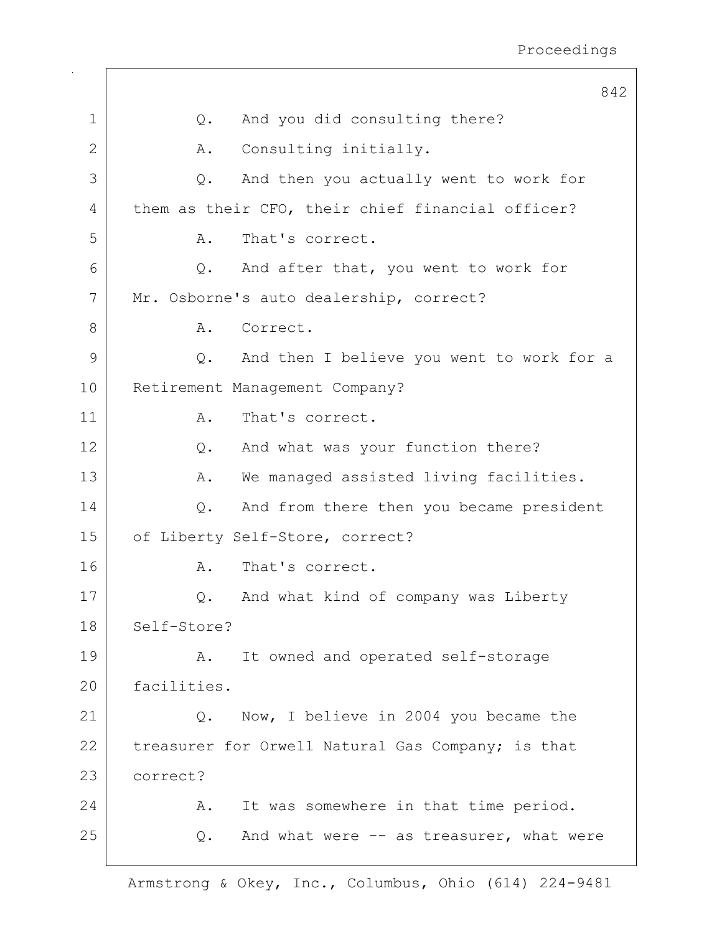|              | 842                                                |
|--------------|----------------------------------------------------|
| $\mathbf 1$  | And you did consulting there?<br>$Q$ .             |
| $\mathbf{2}$ | Consulting initially.<br>Α.                        |
| 3            | And then you actually went to work for<br>Q.       |
| 4            | them as their CFO, their chief financial officer?  |
| 5            | That's correct.<br>Α.                              |
| 6            | And after that, you went to work for<br>Q.         |
| 7            | Mr. Osborne's auto dealership, correct?            |
| 8            | Correct.<br>Α.                                     |
| 9            | And then I believe you went to work for a<br>$Q$ . |
| 10           | Retirement Management Company?                     |
| 11           | That's correct.<br>Α.                              |
| 12           | And what was your function there?<br>$Q$ .         |
| 13           | We managed assisted living facilities.<br>Α.       |
| 14           | And from there then you became president<br>Q.     |
| 15           | of Liberty Self-Store, correct?                    |
| 16           | That's correct.<br>Α.                              |
| 17           | And what kind of company was Liberty<br>Q.         |
| 18           | Self-Store?                                        |
| 19           | It owned and operated self-storage<br>Α.           |
| 20           | facilities.                                        |
| 21           | Now, I believe in 2004 you became the<br>$Q$ .     |
| 22           | treasurer for Orwell Natural Gas Company; is that  |
| 23           | correct?                                           |
| 24           | It was somewhere in that time period.<br>Α.        |
| 25           | And what were -- as treasurer, what were<br>Q.     |
|              |                                                    |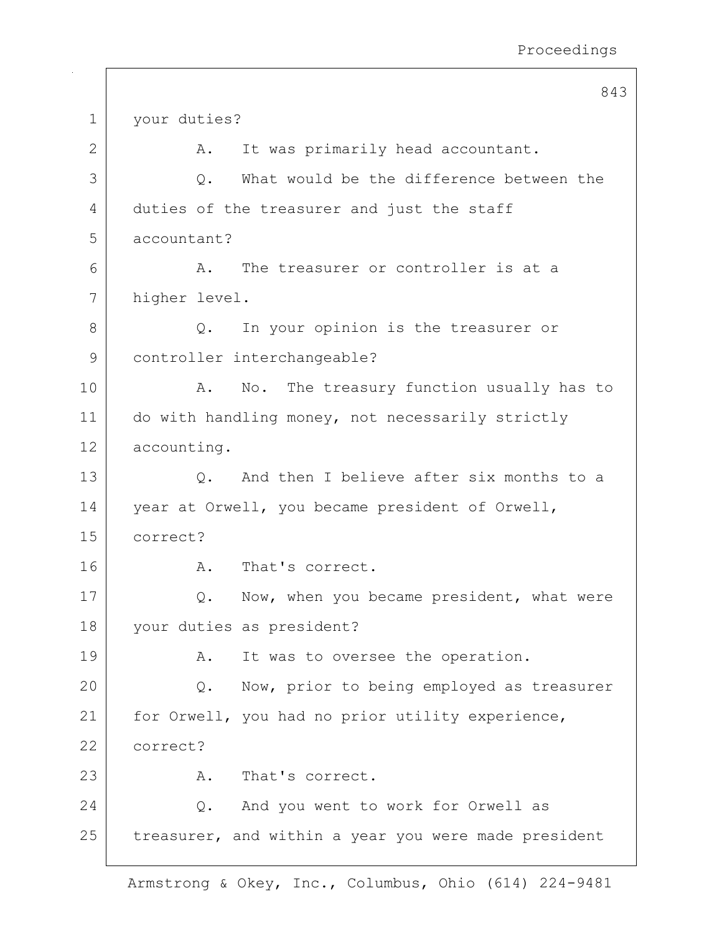843 1 your duties? 2 | A. It was primarily head accountant. 3 0. What would be the difference between the 4 duties of the treasurer and just the staff 5 accountant? 6 A. The treasurer or controller is at a 7 higher level. 8 Q. In your opinion is the treasurer or 9 | controller interchangeable? 10 | A. No. The treasury function usually has to 11 do with handling money, not necessarily strictly 12 accounting. 13 Q. And then I believe after six months to a 14 year at Orwell, you became president of Orwell, 15 correct? 16 A. That's correct. 17 Q. Now, when you became president, what were 18 your duties as president? 19 | A. It was to oversee the operation. 20 Q. Now, prior to being employed as treasurer 21 | for Orwell, you had no prior utility experience, 22 correct? 23 A. That's correct. 24 Q. And you went to work for Orwell as 25 treasurer, and within a year you were made president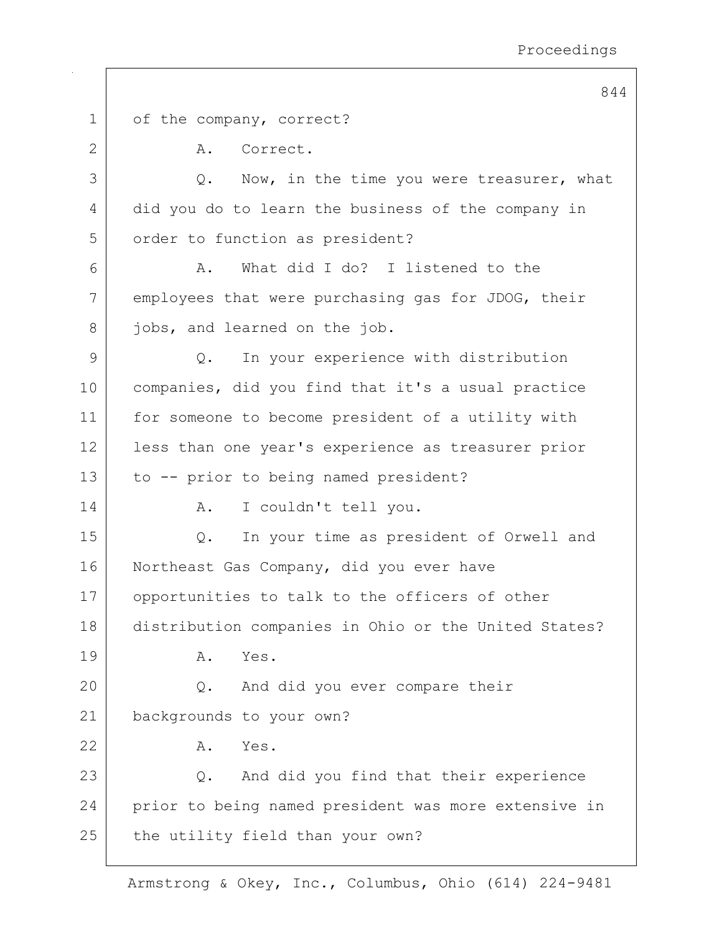844 1 of the company, correct? 2 A. Correct.  $3$  Q. Now, in the time you were treasurer, what 4 did you do to learn the business of the company in 5 order to function as president? 6 A. What did I do? I listened to the 7 employees that were purchasing gas for JDOG, their 8 jobs, and learned on the job. 9 Q. In your experience with distribution 10 companies, did you find that it's a usual practice 11 for someone to become president of a utility with 12 | less than one year's experience as treasurer prior 13 to -- prior to being named president? 14 | A. I couldn't tell you. 15 Q. In your time as president of Orwell and 16 Northeast Gas Company, did you ever have 17 opportunities to talk to the officers of other 18 distribution companies in Ohio or the United States? 19 A. Yes. 20 Q. And did you ever compare their 21 backgrounds to your own? 22 A. Yes. 23 Q. And did you find that their experience 24 prior to being named president was more extensive in  $25$  the utility field than your own?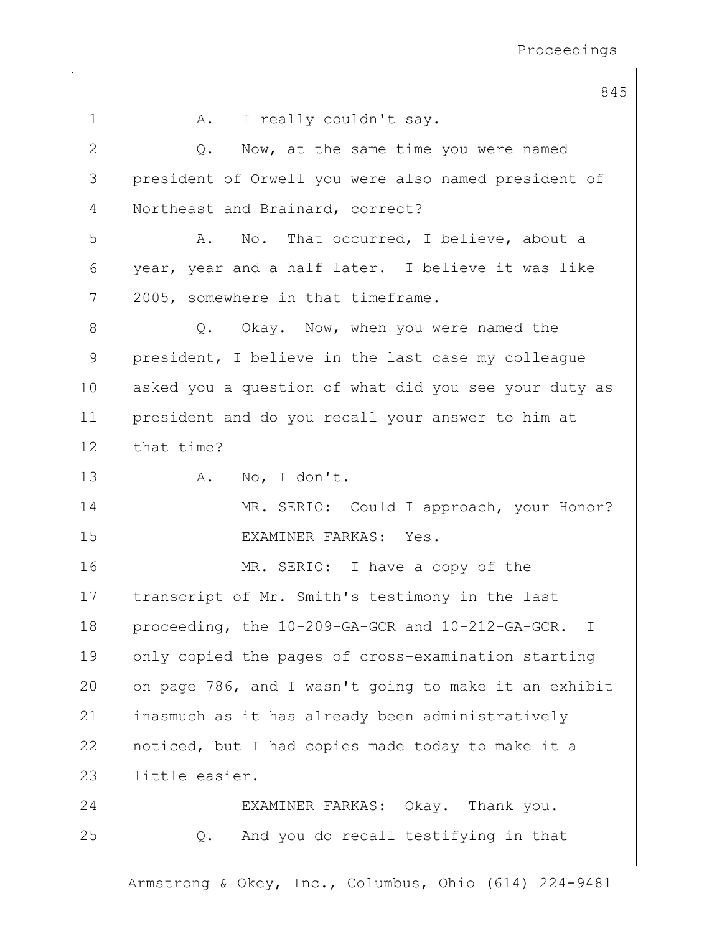|              | 845                                                   |
|--------------|-------------------------------------------------------|
| $\mathbf 1$  | I really couldn't say.<br>A.                          |
| $\mathbf{2}$ | Now, at the same time you were named<br>Q.            |
| 3            | president of Orwell you were also named president of  |
| 4            | Northeast and Brainard, correct?                      |
| 5            | No. That occurred, I believe, about a<br>Α.           |
| 6            | year, year and a half later. I believe it was like    |
| 7            | 2005, somewhere in that timeframe.                    |
| 8            | Q. Okay. Now, when you were named the                 |
| 9            | president, I believe in the last case my colleague    |
| 10           | asked you a question of what did you see your duty as |
| 11           | president and do you recall your answer to him at     |
| 12           | that time?                                            |
| 13           | No, I don't.<br>Α.                                    |
| 14           | MR. SERIO: Could I approach, your Honor?              |
| 15           | EXAMINER FARKAS: Yes.                                 |
| 16           | MR. SERIO: I have a copy of the                       |
| 17           | transcript of Mr. Smith's testimony in the last       |
| 18           | proceeding, the 10-209-GA-GCR and 10-212-GA-GCR. I    |
| 19           | only copied the pages of cross-examination starting   |
| 20           | on page 786, and I wasn't going to make it an exhibit |
| 21           | inasmuch as it has already been administratively      |
| 22           | noticed, but I had copies made today to make it a     |
| 23           | little easier.                                        |
| 24           | EXAMINER FARKAS: Okay. Thank you.                     |
| 25           | And you do recall testifying in that<br>Q.            |
|              |                                                       |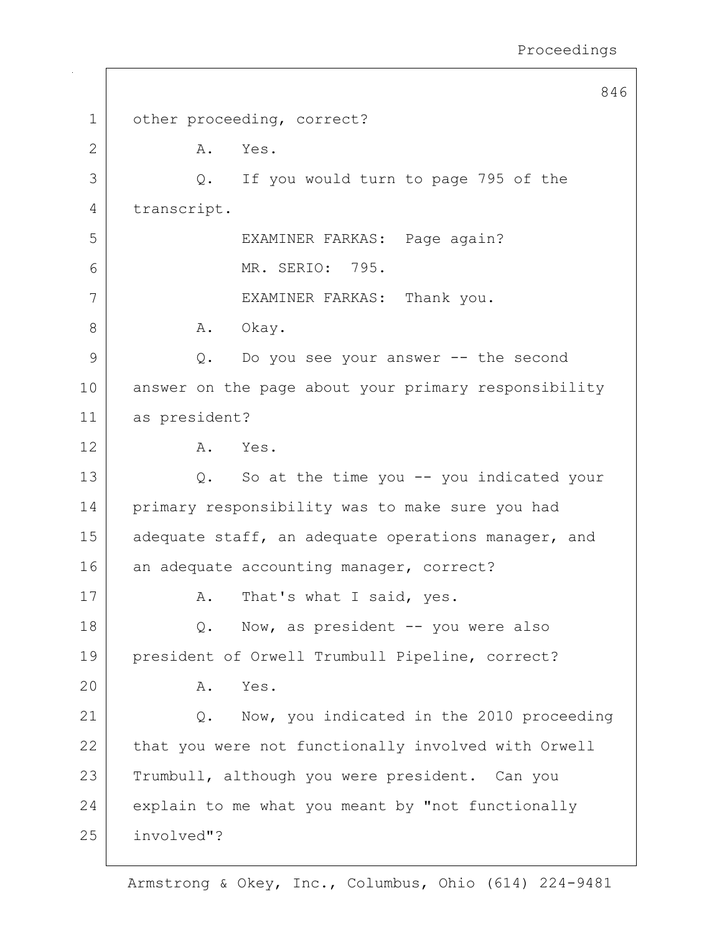846 1 other proceeding, correct? 2 A. Yes. 3 Q. If you would turn to page 795 of the 4 transcript. 5 EXAMINER FARKAS: Page again? 6 MR. SERIO: 795. 7 | EXAMINER FARKAS: Thank you. 8 | A. Okay. 9 Q. Do you see your answer -- the second 10 answer on the page about your primary responsibility 11 as president? 12 A. Yes. 13 Q. So at the time you -- you indicated your 14 primary responsibility was to make sure you had 15 adequate staff, an adequate operations manager, and 16 an adequate accounting manager, correct? 17 | A. That's what I said, yes. 18 Q. Now, as president -- you were also 19 president of Orwell Trumbull Pipeline, correct? 20 A. Yes. 21 Q. Now, you indicated in the 2010 proceeding 22 that you were not functionally involved with Orwell 23 Trumbull, although you were president. Can you 24 explain to me what you meant by "not functionally 25 involved"?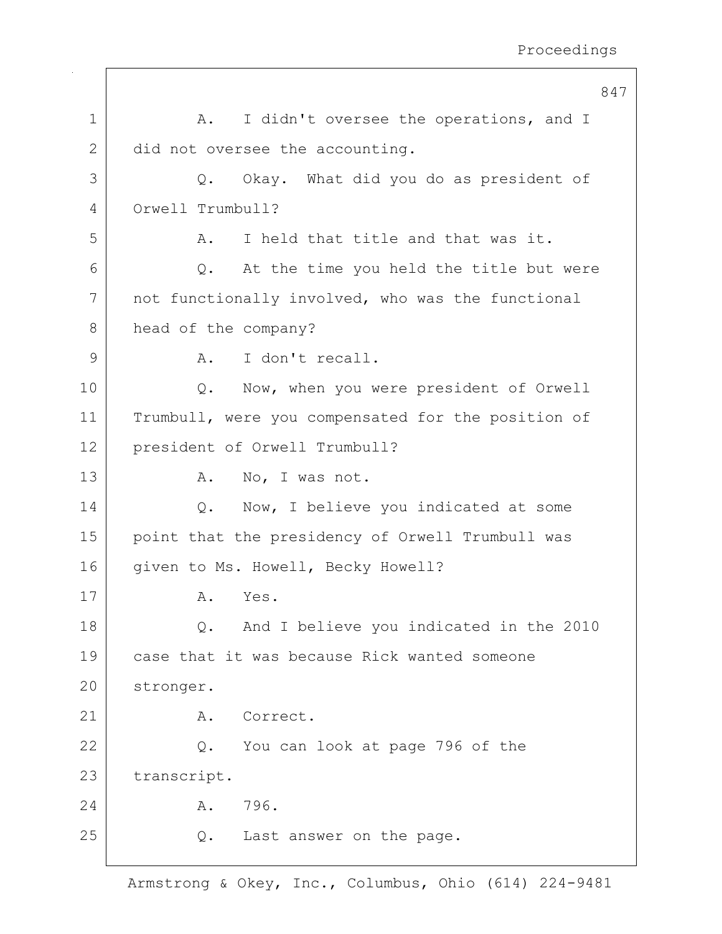|              | 847                                                |
|--------------|----------------------------------------------------|
| $\mathbf 1$  | I didn't oversee the operations, and I<br>A.       |
| $\mathbf{2}$ | did not oversee the accounting.                    |
| 3            | Okay. What did you do as president of<br>Q.        |
| 4            | Orwell Trumbull?                                   |
| 5            | I held that title and that was it.<br>Α.           |
| 6            | At the time you held the title but were<br>Q.      |
| 7            | not functionally involved, who was the functional  |
| 8            | head of the company?                               |
| 9            | I don't recall.<br>Α.                              |
| 10           | Now, when you were president of Orwell<br>Q.       |
| 11           | Trumbull, were you compensated for the position of |
| 12           | president of Orwell Trumbull?                      |
| 13           | No, I was not.<br>Α.                               |
| 14           | Now, I believe you indicated at some<br>Q.         |
| 15           | point that the presidency of Orwell Trumbull was   |
| 16           | given to Ms. Howell, Becky Howell?                 |
| 17           | Yes.<br>Α.                                         |
| 18           | And I believe you indicated in the 2010<br>Q.      |
| 19           | case that it was because Rick wanted someone       |
| 20           | stronger.                                          |
| 21           | Correct.<br>Α.                                     |
| 22           | You can look at page 796 of the<br>Q.              |
| 23           | transcript.                                        |
| 24           | 796.<br>A.                                         |
| 25           | Last answer on the page.<br>Q.                     |
|              |                                                    |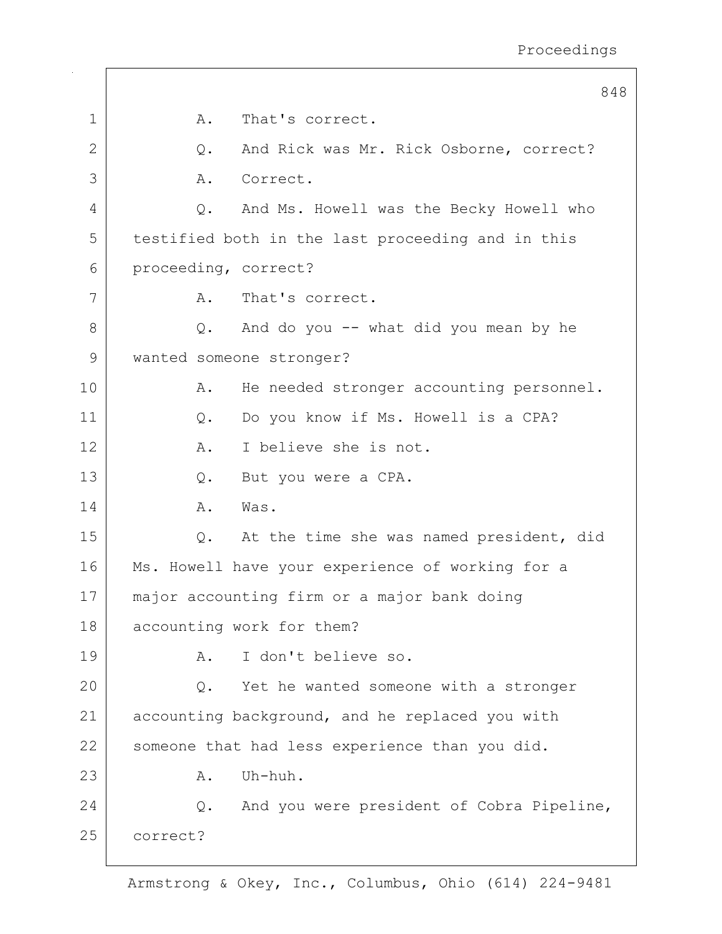|             |                      | 848                                               |
|-------------|----------------------|---------------------------------------------------|
| $\mathbf 1$ | Α.                   | That's correct.                                   |
| 2           | Q.                   | And Rick was Mr. Rick Osborne, correct?           |
| 3           | Α.                   | Correct.                                          |
| 4           | Q.                   | And Ms. Howell was the Becky Howell who           |
| 5           |                      | testified both in the last proceeding and in this |
| 6           | proceeding, correct? |                                                   |
| 7           | Α.                   | That's correct.                                   |
| 8           | Q.                   | And do you -- what did you mean by he             |
| 9           |                      | wanted someone stronger?                          |
| 10          | Α.                   | He needed stronger accounting personnel.          |
| 11          | Q.                   | Do you know if Ms. Howell is a CPA?               |
| 12          | A.                   | I believe she is not.                             |
| 13          | $Q$ .                | But you were a CPA.                               |
| 14          | Α.                   | Was.                                              |
| 15          | Q.                   | At the time she was named president, did          |
| 16          |                      | Ms. Howell have your experience of working for a  |
| 17          |                      | major accounting firm or a major bank doing       |
| 18          |                      | accounting work for them?                         |
| 19          | Α.                   | I don't believe so.                               |
| 20          | Q.                   | Yet he wanted someone with a stronger             |
| 21          |                      | accounting background, and he replaced you with   |
| 22          |                      | someone that had less experience than you did.    |
| 23          | Α.                   | Uh-huh.                                           |
| 24          | Q.                   | And you were president of Cobra Pipeline,         |
| 25          | correct?             |                                                   |
|             |                      |                                                   |

 $\Gamma$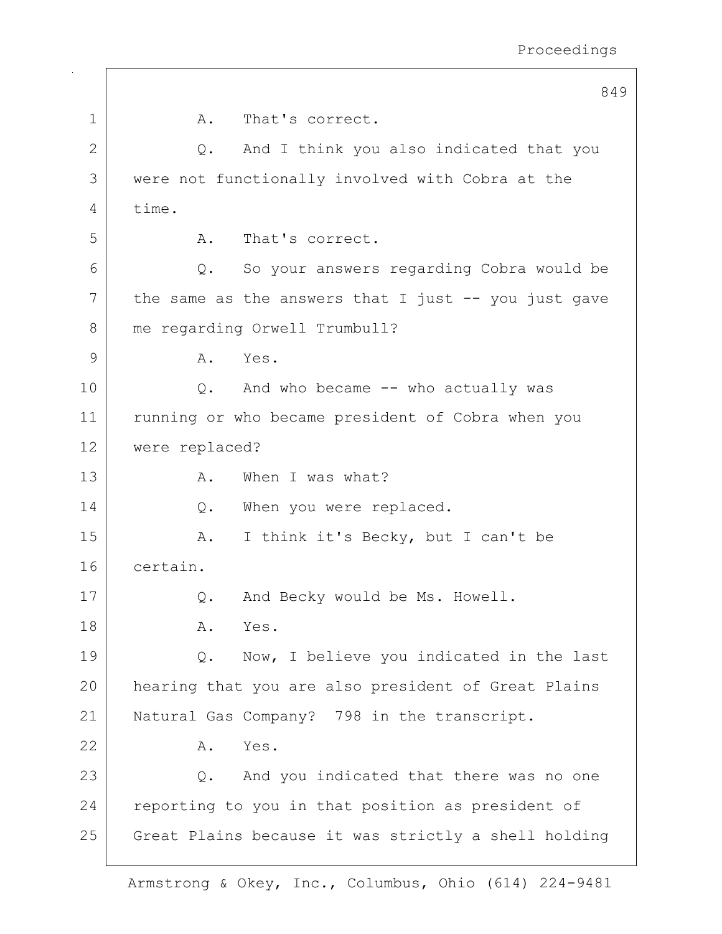|              | 849                                                     |
|--------------|---------------------------------------------------------|
| $\mathbf 1$  | That's correct.<br>Α.                                   |
| $\mathbf{2}$ | And I think you also indicated that you<br>Q.           |
| 3            | were not functionally involved with Cobra at the        |
| 4            | time.                                                   |
| 5            | That's correct.<br>Α.                                   |
| 6            | So your answers regarding Cobra would be<br>Q.          |
| 7            | the same as the answers that I just $-$ - you just gave |
| 8            | me regarding Orwell Trumbull?                           |
| 9            | Yes.<br>Α.                                              |
| 10           | Q. And who became -- who actually was                   |
| 11           | running or who became president of Cobra when you       |
| 12           | were replaced?                                          |
| 13           | When I was what?<br>Α.                                  |
| 14           | When you were replaced.<br>Q.                           |
| 15           | I think it's Becky, but I can't be<br>Α.                |
| 16           | certain.                                                |
| 17           | And Becky would be Ms. Howell.<br>Q.                    |
| 18           | Yes.<br>Α.                                              |
| 19           | Now, I believe you indicated in the last<br>Q.          |
| 20           | hearing that you are also president of Great Plains     |
| 21           | Natural Gas Company? 798 in the transcript.             |
| 22           | Yes.<br>Α.                                              |
| 23           | And you indicated that there was no one<br>$Q$ .        |
| 24           | reporting to you in that position as president of       |
| 25           | Great Plains because it was strictly a shell holding    |
|              |                                                         |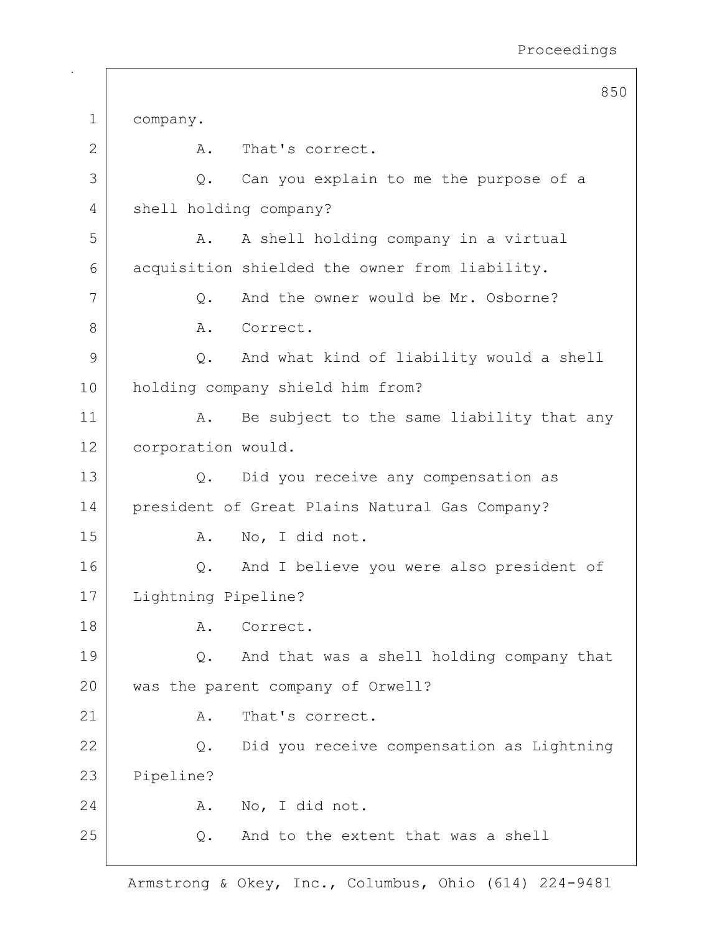|    | 850                                               |  |
|----|---------------------------------------------------|--|
| 1  | company.                                          |  |
| 2  | That's correct.<br>Α.                             |  |
| 3  | Can you explain to me the purpose of a<br>Q.      |  |
| 4  | shell holding company?                            |  |
| 5  | A shell holding company in a virtual<br>Α.        |  |
| 6  | acquisition shielded the owner from liability.    |  |
| 7  | And the owner would be Mr. Osborne?<br>Q.         |  |
| 8  | Α.<br>Correct.                                    |  |
| 9  | And what kind of liability would a shell<br>Q.    |  |
| 10 | holding company shield him from?                  |  |
| 11 | Be subject to the same liability that any<br>Α.   |  |
| 12 | corporation would.                                |  |
| 13 | Did you receive any compensation as<br>Q.         |  |
| 14 | president of Great Plains Natural Gas Company?    |  |
| 15 | No, I did not.<br>Α.                              |  |
| 16 | And I believe you were also president of<br>$Q$ . |  |
| 17 | Lightning Pipeline?                               |  |
| 18 | Correct.<br>Α.                                    |  |
| 19 | And that was a shell holding company that<br>Q.   |  |
| 20 | was the parent company of Orwell?                 |  |
| 21 | That's correct.<br>Α.                             |  |
| 22 | Did you receive compensation as Lightning<br>Q.   |  |
| 23 | Pipeline?                                         |  |
| 24 | No, I did not.<br>Α.                              |  |
| 25 | And to the extent that was a shell<br>Q.          |  |
|    |                                                   |  |

 $\overline{\phantom{a}}$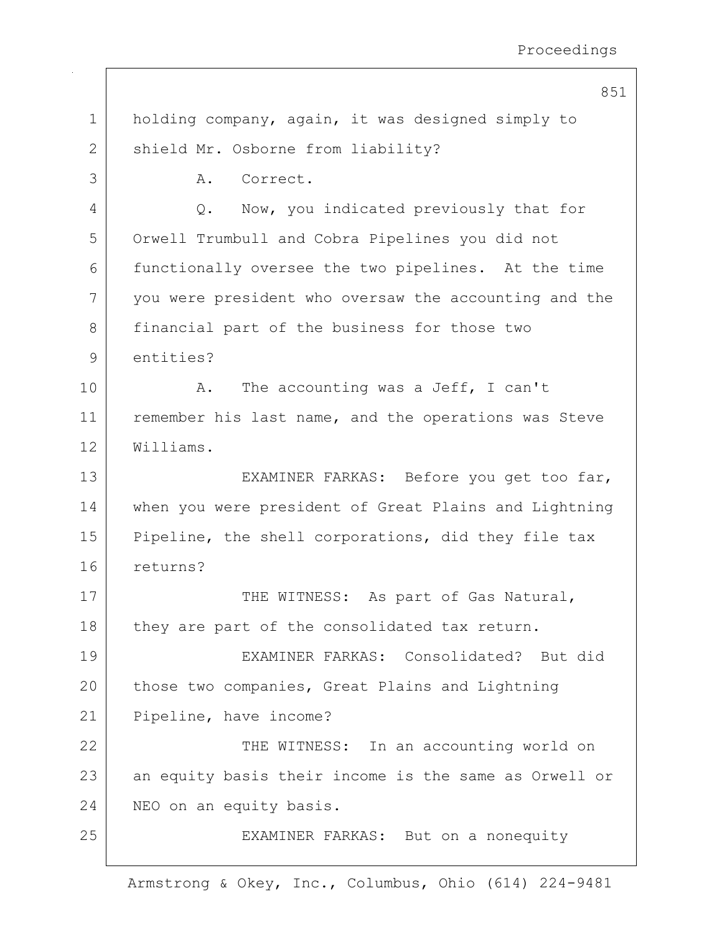|              | 851                                                   |  |  |  |
|--------------|-------------------------------------------------------|--|--|--|
| $\mathbf 1$  | holding company, again, it was designed simply to     |  |  |  |
| $\mathbf{2}$ | shield Mr. Osborne from liability?                    |  |  |  |
| 3            | Correct.<br>Α.                                        |  |  |  |
| 4            | Now, you indicated previously that for<br>Q.          |  |  |  |
| 5            | Orwell Trumbull and Cobra Pipelines you did not       |  |  |  |
| 6            | functionally oversee the two pipelines. At the time   |  |  |  |
| 7            | you were president who oversaw the accounting and the |  |  |  |
| 8            | financial part of the business for those two          |  |  |  |
| 9            | entities?                                             |  |  |  |
| 10           | The accounting was a Jeff, I can't<br>Α.              |  |  |  |
| 11           | remember his last name, and the operations was Steve  |  |  |  |
| 12           | Williams.                                             |  |  |  |
| 13           | EXAMINER FARKAS: Before you get too far,              |  |  |  |
| 14           | when you were president of Great Plains and Lightning |  |  |  |
| 15           | Pipeline, the shell corporations, did they file tax   |  |  |  |
| 16           | returns?                                              |  |  |  |
| 17           | THE WITNESS: As part of Gas Natural,                  |  |  |  |
| 18           | they are part of the consolidated tax return.         |  |  |  |
| 19           | EXAMINER FARKAS: Consolidated? But did                |  |  |  |
| 20           | those two companies, Great Plains and Lightning       |  |  |  |
| 21           | Pipeline, have income?                                |  |  |  |
| 22           | THE WITNESS: In an accounting world on                |  |  |  |
| 23           | an equity basis their income is the same as Orwell or |  |  |  |
| 24           | NEO on an equity basis.                               |  |  |  |
| 25           | EXAMINER FARKAS: But on a nonequity                   |  |  |  |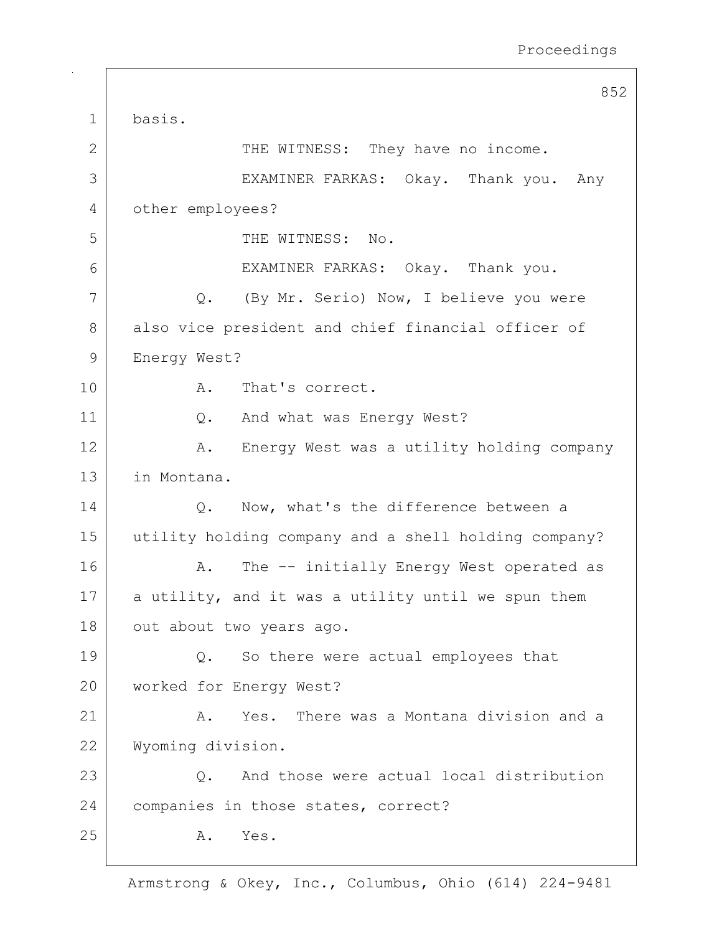|             | 852                                                       |  |  |
|-------------|-----------------------------------------------------------|--|--|
| $\mathbf 1$ | basis.                                                    |  |  |
| 2           | THE WITNESS: They have no income.                         |  |  |
| 3           | EXAMINER FARKAS: Okay. Thank you. Any                     |  |  |
| 4           | other employees?                                          |  |  |
| 5           | THE WITNESS: No.                                          |  |  |
| 6           | EXAMINER FARKAS: Okay. Thank you.                         |  |  |
| 7           | Q. (By Mr. Serio) Now, I believe you were                 |  |  |
| 8           | also vice president and chief financial officer of        |  |  |
| 9           | Energy West?                                              |  |  |
| 10          | That's correct.<br>Α.                                     |  |  |
| 11          | And what was Energy West?<br>Q.                           |  |  |
| 12          | Energy West was a utility holding company<br>Α.           |  |  |
| 13          | in Montana.                                               |  |  |
| 14          | Now, what's the difference between a<br>$Q$ .             |  |  |
| 15          | utility holding company and a shell holding company?      |  |  |
| 16          | The -- initially Energy West operated as<br>Α.            |  |  |
| 17          | a utility, and it was a utility until we spun them        |  |  |
| 18          | out about two years ago.                                  |  |  |
| 19          | So there were actual employees that<br>Q.                 |  |  |
| 20          | worked for Energy West?                                   |  |  |
| 21          | Yes. There was a Montana division and a<br>Α.             |  |  |
| 22          | Wyoming division.                                         |  |  |
| 23          | And those were actual local distribution<br>$Q_{\bullet}$ |  |  |
| 24          | companies in those states, correct?                       |  |  |
| 25          | Α.<br>Yes.                                                |  |  |
|             |                                                           |  |  |

 $\Gamma$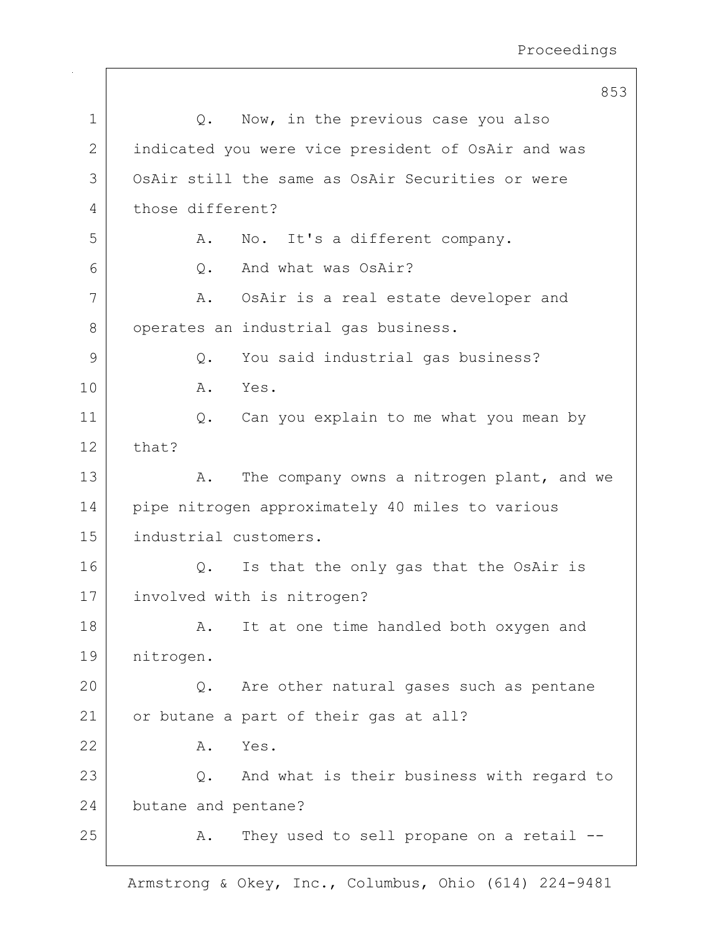|    | 853                                                |  |  |
|----|----------------------------------------------------|--|--|
| 1  | Now, in the previous case you also<br>Q.           |  |  |
| 2  | indicated you were vice president of OsAir and was |  |  |
| 3  | OsAir still the same as OsAir Securities or were   |  |  |
| 4  | those different?                                   |  |  |
| 5  | No. It's a different company.<br>Α.                |  |  |
| 6  | And what was OsAir?<br>Q.                          |  |  |
| 7  | OsAir is a real estate developer and<br>A.         |  |  |
| 8  | operates an industrial gas business.               |  |  |
| 9  | You said industrial gas business?<br>Q.            |  |  |
| 10 | Α.<br>Yes.                                         |  |  |
| 11 | Can you explain to me what you mean by<br>Q.       |  |  |
| 12 | that?                                              |  |  |
| 13 | The company owns a nitrogen plant, and we<br>Α.    |  |  |
| 14 | pipe nitrogen approximately 40 miles to various    |  |  |
| 15 | industrial customers.                              |  |  |
| 16 | Is that the only gas that the OsAir is<br>Q.       |  |  |
| 17 | involved with is nitrogen?                         |  |  |
| 18 | It at one time handled both oxygen and<br>Α.       |  |  |
| 19 | nitrogen.                                          |  |  |
| 20 | Q.<br>Are other natural gases such as pentane      |  |  |
| 21 | or butane a part of their gas at all?              |  |  |
| 22 | Yes.<br>Α.                                         |  |  |
| 23 | And what is their business with regard to<br>Q.    |  |  |
| 24 | butane and pentane?                                |  |  |
| 25 | They used to sell propane on a retail --<br>Α.     |  |  |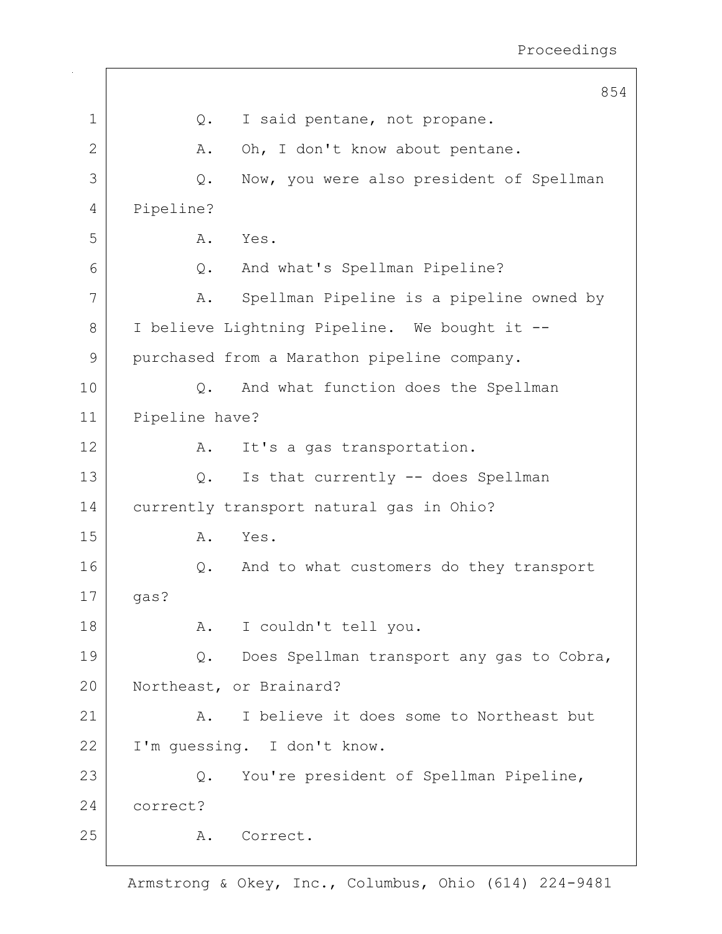|             |                                                 | 854 |
|-------------|-------------------------------------------------|-----|
| $\mathbf 1$ | I said pentane, not propane.<br>Q.              |     |
| 2           | Oh, I don't know about pentane.<br>Α.           |     |
| 3           | Now, you were also president of Spellman<br>Q.  |     |
| 4           | Pipeline?                                       |     |
| 5           | Yes.<br>Α.                                      |     |
| 6           | And what's Spellman Pipeline?<br>Q.             |     |
| 7           | Spellman Pipeline is a pipeline owned by<br>Α.  |     |
| 8           | I believe Lightning Pipeline. We bought it --   |     |
| 9           | purchased from a Marathon pipeline company.     |     |
| 10          | And what function does the Spellman<br>Q.       |     |
| 11          | Pipeline have?                                  |     |
| 12          | It's a gas transportation.<br>Α.                |     |
| 13          | Is that currently -- does Spellman<br>Q.        |     |
| 14          | currently transport natural gas in Ohio?        |     |
| 15          | Yes.<br>Α.                                      |     |
| 16          | And to what customers do they transport<br>Q.   |     |
| 17          | gas?                                            |     |
| 18          | I couldn't tell you.<br>Α.                      |     |
| 19          | Does Spellman transport any gas to Cobra,<br>Q. |     |
| 20          | Northeast, or Brainard?                         |     |
| 21          | I believe it does some to Northeast but<br>Α.   |     |
| 22          | I'm guessing. I don't know.                     |     |
| 23          | You're president of Spellman Pipeline,<br>$Q$ . |     |
| 24          | correct?                                        |     |
| 25          | Correct.<br>Α.                                  |     |
|             |                                                 |     |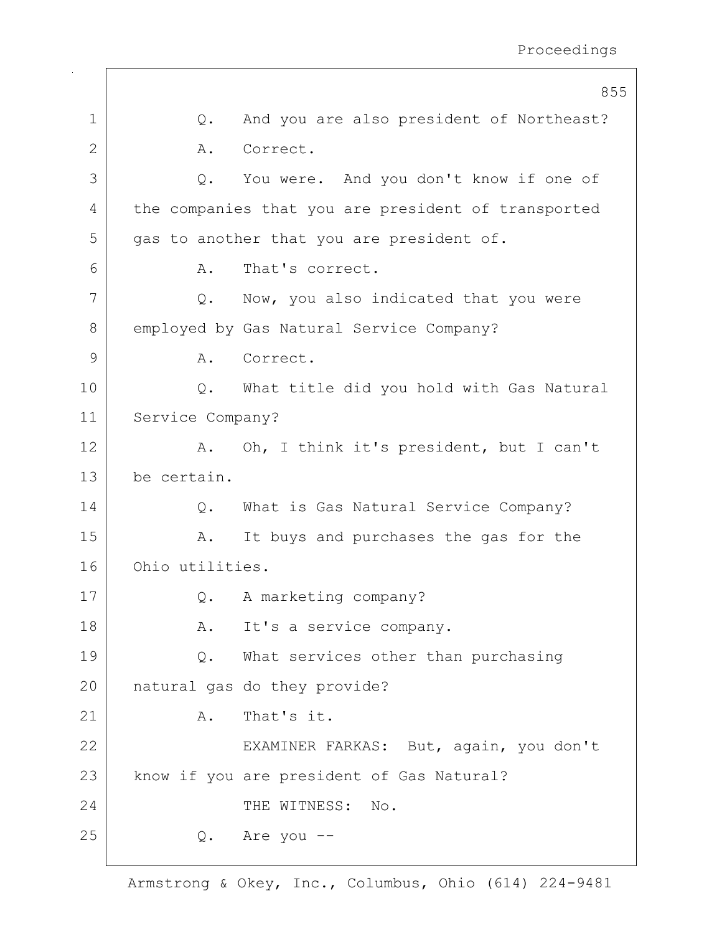|    |                  | 855                                                 |
|----|------------------|-----------------------------------------------------|
| 1  | $Q$ .            | And you are also president of Northeast?            |
| 2  | Α.               | Correct.                                            |
| 3  | Q.               | You were. And you don't know if one of              |
| 4  |                  | the companies that you are president of transported |
| 5  |                  | gas to another that you are president of.           |
| 6  | Α.               | That's correct.                                     |
| 7  |                  | Q. Now, you also indicated that you were            |
| 8  |                  | employed by Gas Natural Service Company?            |
| 9  | Α.               | Correct.                                            |
| 10 | Q.               | What title did you hold with Gas Natural            |
| 11 | Service Company? |                                                     |
| 12 | Α.               | Oh, I think it's president, but I can't             |
| 13 | be certain.      |                                                     |
| 14 | Q.               | What is Gas Natural Service Company?                |
| 15 | Α.               | It buys and purchases the gas for the               |
| 16 | Ohio utilities.  |                                                     |
| 17 | Q.               | A marketing company?                                |
| 18 | Α.               | It's a service company.                             |
| 19 | Q.               | What services other than purchasing                 |
| 20 |                  | natural gas do they provide?                        |
| 21 | Α.               | That's it.                                          |
| 22 |                  | EXAMINER FARKAS: But, again, you don't              |
| 23 |                  | know if you are president of Gas Natural?           |
| 24 |                  | THE WITNESS:<br>No.                                 |
| 25 | Q.               | Are you --                                          |
|    |                  |                                                     |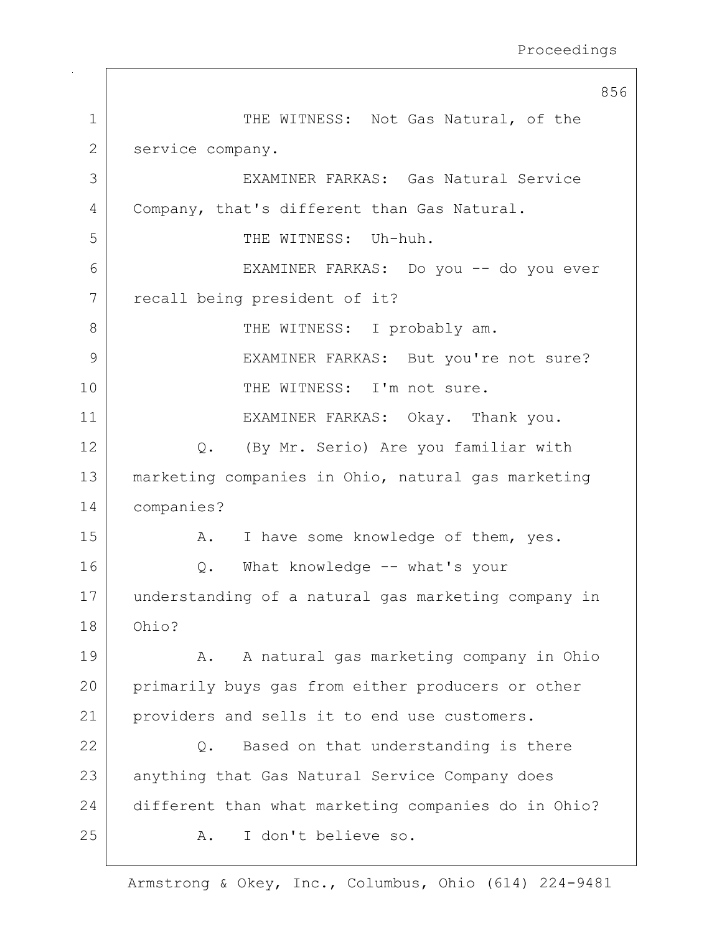856 1 THE WITNESS: Not Gas Natural, of the 2 service company. 3 EXAMINER FARKAS: Gas Natural Service 4 Company, that's different than Gas Natural. 5 | THE WITNESS: Uh-huh. 6 EXAMINER FARKAS: Do you -- do you ever 7 | recall being president of it? 8 | THE WITNESS: I probably am. 9 EXAMINER FARKAS: But you're not sure? 10 | THE WITNESS: I'm not sure. 11 EXAMINER FARKAS: Okay. Thank you. 12 Q. (By Mr. Serio) Are you familiar with 13 marketing companies in Ohio, natural gas marketing 14 companies? 15 | A. I have some knowledge of them, yes. 16 Q. What knowledge -- what's your 17 understanding of a natural gas marketing company in 18 Ohio? 19 A. A natural gas marketing company in Ohio 20 primarily buys gas from either producers or other 21 | providers and sells it to end use customers.  $22$  Q. Based on that understanding is there 23 anything that Gas Natural Service Company does 24 different than what marketing companies do in Ohio? 25 A. I don't believe so.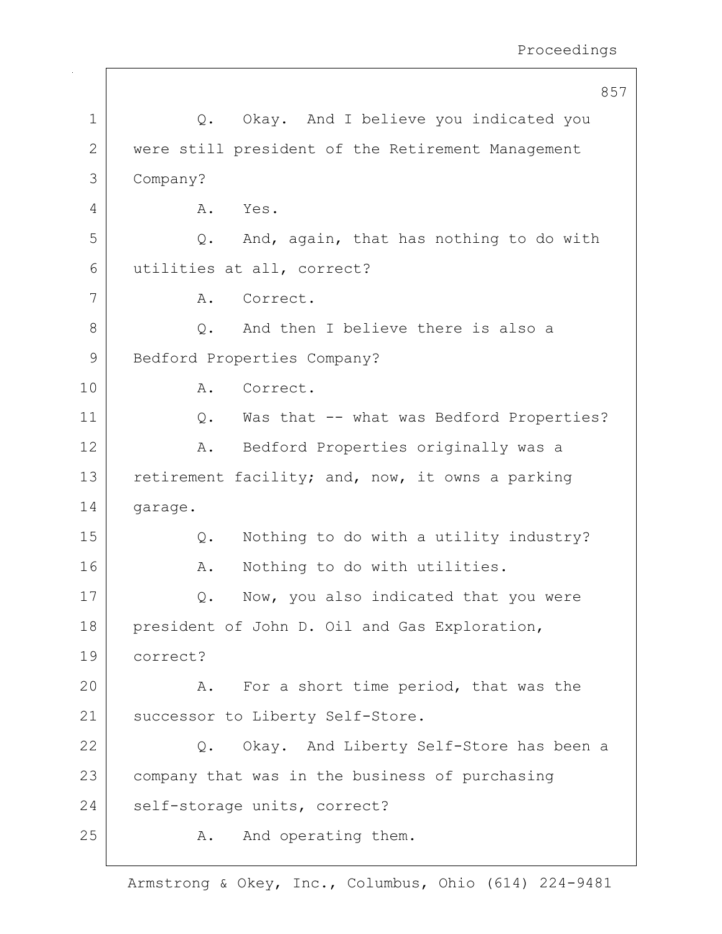|              | 857                                               |
|--------------|---------------------------------------------------|
| $\mathbf 1$  | Q. Okay. And I believe you indicated you          |
| $\mathbf{2}$ | were still president of the Retirement Management |
| 3            | Company?                                          |
| 4            | Yes.<br>Α.                                        |
| 5            | And, again, that has nothing to do with<br>Q.     |
| 6            | utilities at all, correct?                        |
| 7            | Α.<br>Correct.                                    |
| 8            | And then I believe there is also a<br>$Q$ .       |
| 9            | Bedford Properties Company?                       |
| 10           | Correct.<br>Α.                                    |
| 11           | Was that -- what was Bedford Properties?<br>$Q$ . |
| 12           | Bedford Properties originally was a<br>Α.         |
| 13           | retirement facility; and, now, it owns a parking  |
| 14           | garage.                                           |
| 15           | Nothing to do with a utility industry?<br>Q.      |
| 16           | Nothing to do with utilities.<br>Α.               |
| 17           | Now, you also indicated that you were<br>Q.       |
| 18           | president of John D. Oil and Gas Exploration,     |
| 19           | correct?                                          |
| 20           | For a short time period, that was the<br>Α.       |
| 21           | successor to Liberty Self-Store.                  |
| 22           | Okay. And Liberty Self-Store has been a<br>Q.     |
| 23           | company that was in the business of purchasing    |
| 24           | self-storage units, correct?                      |
| 25           | And operating them.<br>Α.                         |
|              |                                                   |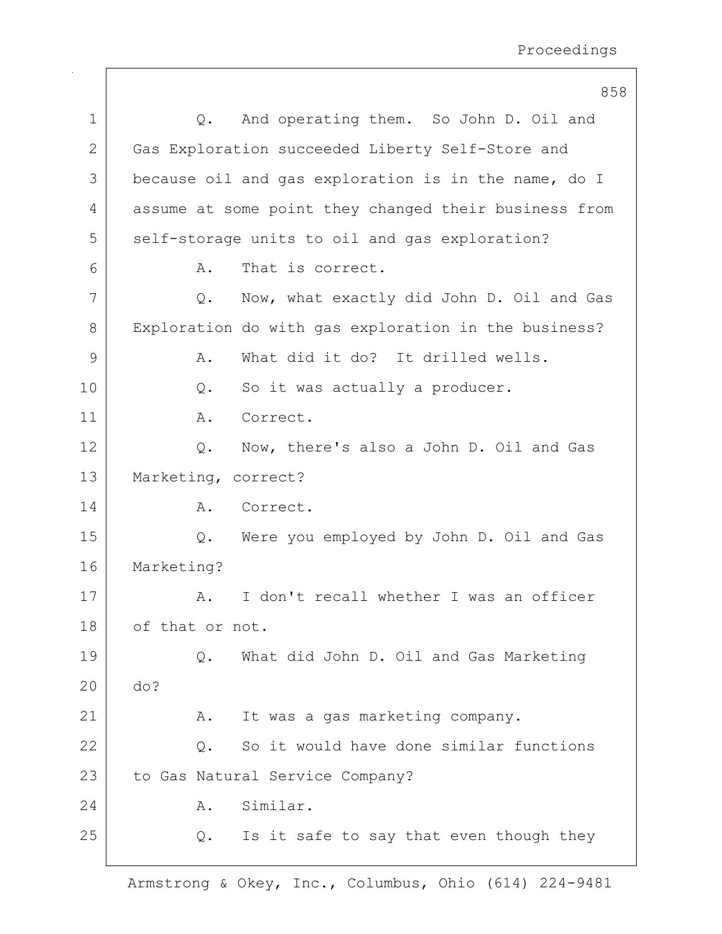|             | 858                                                      |
|-------------|----------------------------------------------------------|
| $\mathbf 1$ | And operating them. So John D. Oil and<br>Q.             |
| 2           | Gas Exploration succeeded Liberty Self-Store and         |
| 3           | because oil and gas exploration is in the name, do I     |
| 4           | assume at some point they changed their business from    |
| 5           | self-storage units to oil and gas exploration?           |
| 6           | That is correct.<br>Α.                                   |
| 7           | Now, what exactly did John D. Oil and Gas<br>Q.          |
| 8           | Exploration do with gas exploration in the business?     |
| 9           | What did it do? It drilled wells.<br>Α.                  |
| 10          | So it was actually a producer.<br>$Q$ .                  |
| 11          | Correct.<br>Α.                                           |
| 12          | Now, there's also a John D. Oil and Gas<br>Q.            |
| 13          | Marketing, correct?                                      |
| 14          | Α.<br>Correct.                                           |
| 15          | Were you employed by John D. Oil and Gas<br>Q.           |
| 16          | Marketing?                                               |
| 17          | I don't recall whether I was an officer<br>Α.            |
| 18          | of that or not.                                          |
| 19          | What did John D. Oil and Gas Marketing<br>$Q$ .          |
| 20          | do?                                                      |
| 21          | It was a gas marketing company.<br>Α.                    |
| 22          | So it would have done similar functions<br>$Q_{\bullet}$ |
| 23          | to Gas Natural Service Company?                          |
| 24          | Similar.<br>Α.                                           |
| 25          | Is it safe to say that even though they<br>Q.            |
|             |                                                          |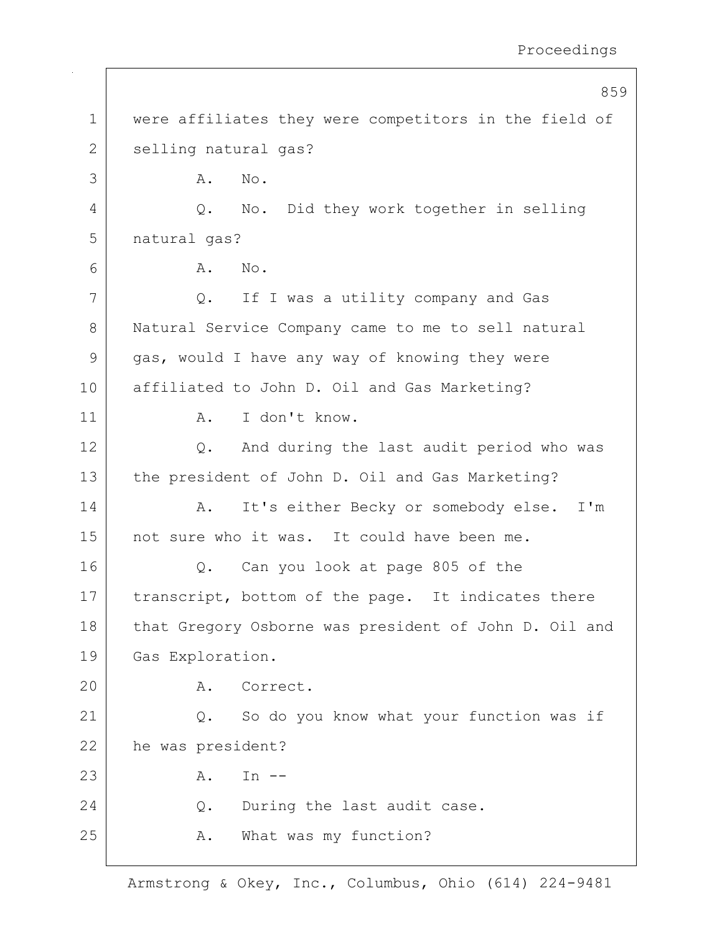|               | 859                                                   |  |
|---------------|-------------------------------------------------------|--|
| $\mathbf 1$   | were affiliates they were competitors in the field of |  |
| $\mathbf{2}$  | selling natural gas?                                  |  |
| 3             | No.<br>Α.                                             |  |
| 4             | No. Did they work together in selling<br>Q.           |  |
| 5             | natural gas?                                          |  |
| 6             | Α.<br>No.                                             |  |
| 7             | If I was a utility company and Gas<br>Q.              |  |
| 8             | Natural Service Company came to me to sell natural    |  |
| $\mathcal{G}$ | gas, would I have any way of knowing they were        |  |
| 10            | affiliated to John D. Oil and Gas Marketing?          |  |
| 11            | I don't know.<br>Α.                                   |  |
| 12            | And during the last audit period who was<br>Q.        |  |
| 13            | the president of John D. Oil and Gas Marketing?       |  |
| 14            | It's either Becky or somebody else.<br>I'm<br>Α.      |  |
| 15            | not sure who it was. It could have been me.           |  |
| 16            | Can you look at page 805 of the<br>Q.                 |  |
| 17            | transcript, bottom of the page. It indicates there    |  |
| 18            | that Gregory Osborne was president of John D. Oil and |  |
| 19            | Gas Exploration.                                      |  |
| 20            | Correct.<br>Α.                                        |  |
| 21            | So do you know what your function was if<br>Q.        |  |
| 22            | he was president?                                     |  |
| 23            | In $--$<br>Α.                                         |  |
| 24            | During the last audit case.<br>Q.                     |  |
| 25            | What was my function?<br>Α.                           |  |
|               |                                                       |  |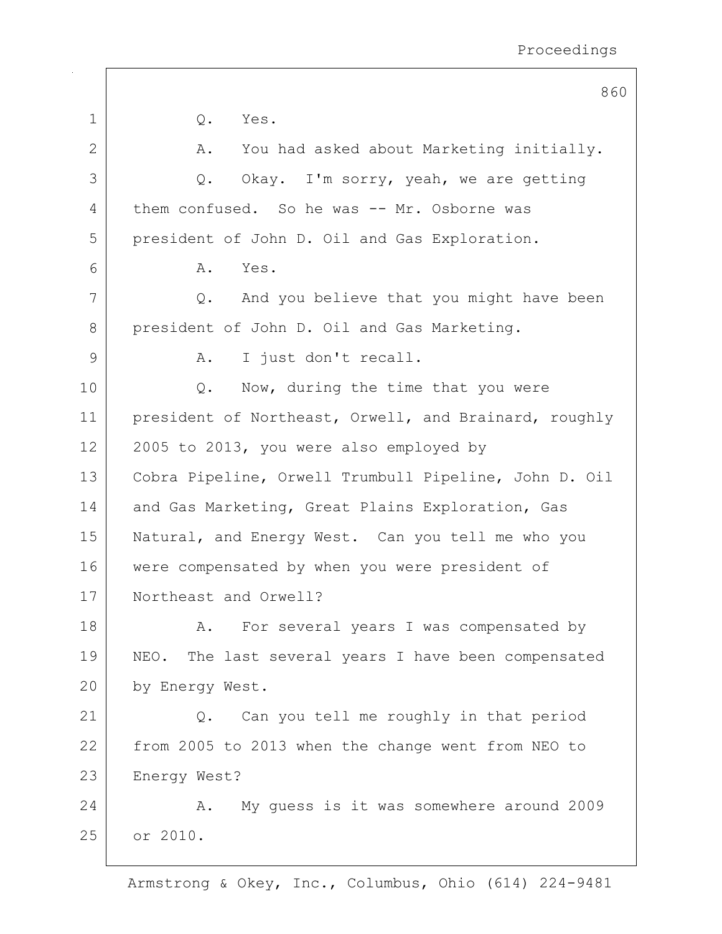|               | 860                                                     |
|---------------|---------------------------------------------------------|
| 1             | Yes.<br>Q.                                              |
| 2             | You had asked about Marketing initially.<br>Α.          |
| 3             | Okay. I'm sorry, yeah, we are getting<br>Q.             |
| 4             | them confused. So he was -- Mr. Osborne was             |
| 5             | president of John D. Oil and Gas Exploration.           |
| 6             | Yes.<br>Α.                                              |
| 7             | And you believe that you might have been<br>Q.          |
| 8             | president of John D. Oil and Gas Marketing.             |
| $\mathcal{G}$ | I just don't recall.<br>Α.                              |
| 10            | Now, during the time that you were<br>Q.                |
| 11            | president of Northeast, Orwell, and Brainard, roughly   |
| 12            | 2005 to 2013, you were also employed by                 |
| 13            | Cobra Pipeline, Orwell Trumbull Pipeline, John D. Oil   |
| 14            | and Gas Marketing, Great Plains Exploration, Gas        |
| 15            | Natural, and Energy West. Can you tell me who you       |
| 16            | were compensated by when you were president of          |
| 17            | Northeast and Orwell?                                   |
| 18            | For several years I was compensated by<br>Α.            |
| 19            | NEO. The last several years I have been compensated     |
| 20            | by Energy West.                                         |
| 21            | Can you tell me roughly in that period<br>$Q_{\bullet}$ |
| 22            | from 2005 to 2013 when the change went from NEO to      |
| 23            | Energy West?                                            |
| 24            | My guess is it was somewhere around 2009<br>Α.          |
| 25            | or 2010.                                                |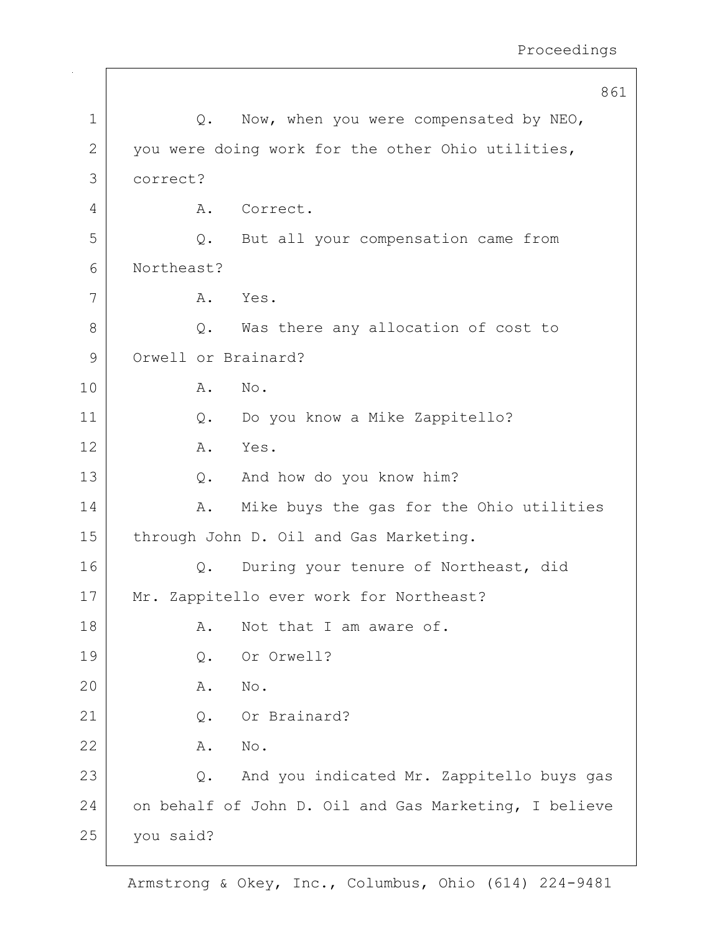|              |                                         | 861                                                   |
|--------------|-----------------------------------------|-------------------------------------------------------|
| $\mathbf 1$  | Q.                                      | Now, when you were compensated by NEO,                |
| $\mathbf{2}$ |                                         | you were doing work for the other Ohio utilities,     |
| 3            | correct?                                |                                                       |
| 4            | Α.                                      | Correct.                                              |
| 5            | Q.                                      | But all your compensation came from                   |
| 6            | Northeast?                              |                                                       |
| 7            | Yes.<br>Α.                              |                                                       |
| 8            | Q.                                      | Was there any allocation of cost to                   |
| 9            | Orwell or Brainard?                     |                                                       |
| 10           | No.<br>Α.                               |                                                       |
| 11           | $Q$ .                                   | Do you know a Mike Zappitello?                        |
| 12           | Yes.<br>Α.                              |                                                       |
| 13           | Q.                                      | And how do you know him?                              |
| 14           | Α.                                      | Mike buys the gas for the Ohio utilities              |
| 15           | through John D. Oil and Gas Marketing.  |                                                       |
| 16           | Q.                                      | During your tenure of Northeast, did                  |
| 17           | Mr. Zappitello ever work for Northeast? |                                                       |
| 18           | Α.                                      | Not that I am aware of.                               |
| 19           | Q.                                      | Or Orwell?                                            |
| 20           | No.<br>Α.                               |                                                       |
| 21           | Q.                                      | Or Brainard?                                          |
| 22           | No.<br>Α.                               |                                                       |
| 23           | Q.                                      | And you indicated Mr. Zappitello buys gas             |
| 24           |                                         | on behalf of John D. Oil and Gas Marketing, I believe |
| 25           | you said?                               |                                                       |
|              |                                         |                                                       |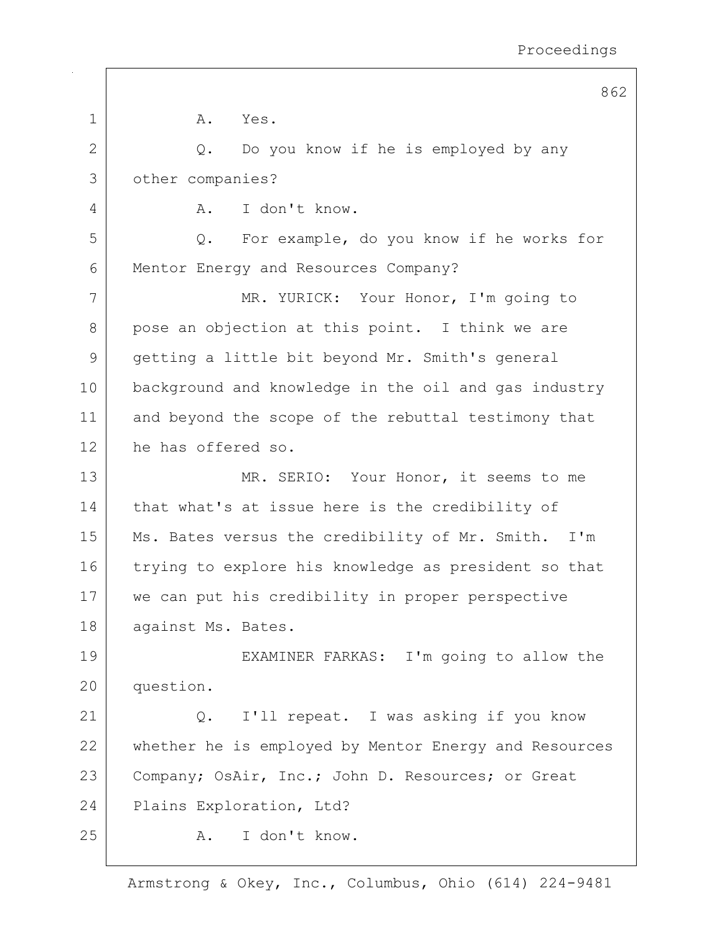|             | O U                                                   |
|-------------|-------------------------------------------------------|
| $\mathbf 1$ | Α.<br>Yes.                                            |
| 2           | Do you know if he is employed by any<br>Q.            |
| 3           | other companies?                                      |
| 4           | I don't know.<br>Α.                                   |
| 5           | Q. For example, do you know if he works for           |
| 6           | Mentor Energy and Resources Company?                  |
| 7           | MR. YURICK: Your Honor, I'm going to                  |
| 8           | pose an objection at this point. I think we are       |
| 9           | getting a little bit beyond Mr. Smith's general       |
| 10          | background and knowledge in the oil and gas industry  |
| 11          | and beyond the scope of the rebuttal testimony that   |
| 12          | he has offered so.                                    |
| 13          | MR. SERIO: Your Honor, it seems to me                 |
| 14          | that what's at issue here is the credibility of       |
| 15          | Ms. Bates versus the credibility of Mr. Smith. I'm    |
| 16          | trying to explore his knowledge as president so that  |
| 17          | we can put his credibility in proper perspective      |
| 18          | against Ms. Bates.                                    |
| 19          | EXAMINER FARKAS: I'm going to allow the               |
| 20          | question.                                             |
| 21          | Q. I'll repeat. I was asking if you know              |
| 22          | whether he is employed by Mentor Energy and Resources |
| 23          | Company; OsAir, Inc.; John D. Resources; or Great     |
| 24          | Plains Exploration, Ltd?                              |
| 25          | I don't know.<br>Α.                                   |
|             |                                                       |

862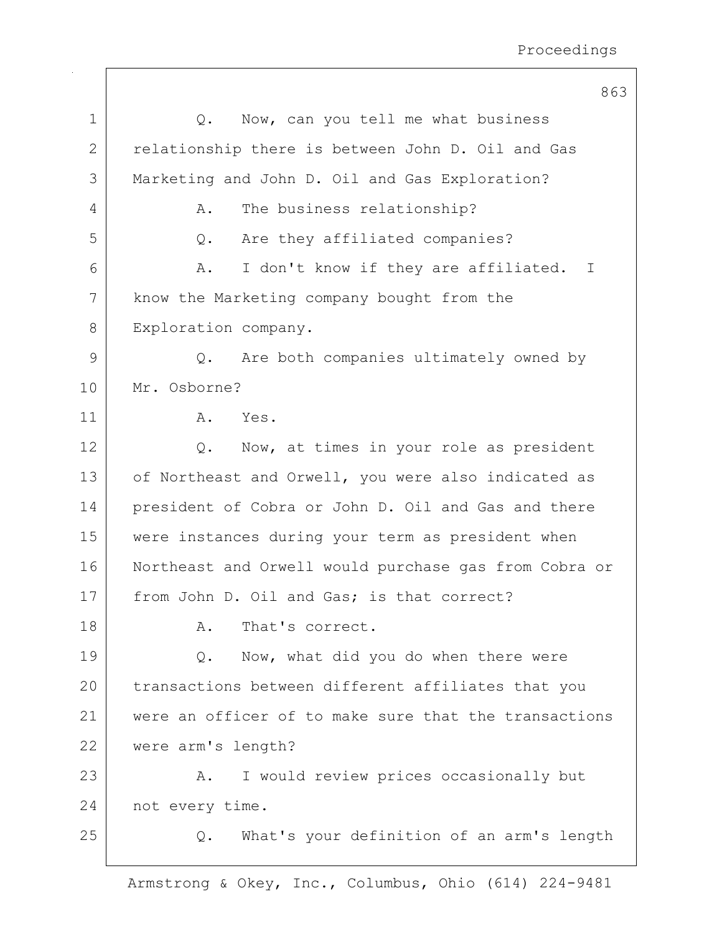|              | 863                                                     |
|--------------|---------------------------------------------------------|
| $\mathbf 1$  | Now, can you tell me what business<br>$Q$ .             |
| $\mathbf{2}$ | relationship there is between John D. Oil and Gas       |
| 3            | Marketing and John D. Oil and Gas Exploration?          |
| 4            | The business relationship?<br>Α.                        |
| 5            | Are they affiliated companies?<br>$Q$ .                 |
| 6            | I don't know if they are affiliated.<br>Α.<br>I         |
| 7            | know the Marketing company bought from the              |
| 8            | Exploration company.                                    |
| 9            | Are both companies ultimately owned by<br>$Q_{\bullet}$ |
| 10           | Mr. Osborne?                                            |
| 11           | Α.<br>Yes.                                              |
| 12           | Now, at times in your role as president<br>$Q$ .        |
| 13           | of Northeast and Orwell, you were also indicated as     |
| 14           | president of Cobra or John D. Oil and Gas and there     |
| 15           | were instances during your term as president when       |
| 16           | Northeast and Orwell would purchase gas from Cobra or   |
| 17           | from John D. Oil and Gas; is that correct?              |
| 18           | That's correct.<br>Α.                                   |
| 19           | Now, what did you do when there were<br>Q.              |
| 20           | transactions between different affiliates that you      |
| 21           | were an officer of to make sure that the transactions   |
| 22           | were arm's length?                                      |
| 23           | I would review prices occasionally but<br>A.            |
| 24           | not every time.                                         |
| 25           | What's your definition of an arm's length<br>$Q$ .      |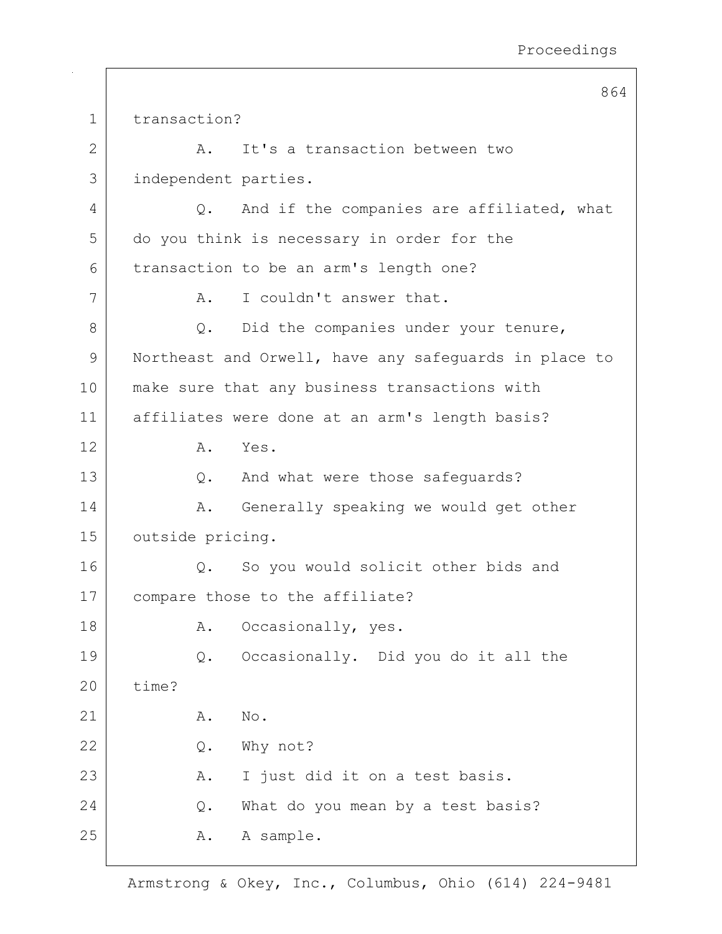864 1 transaction? 2 A. It's a transaction between two 3 independent parties. 4 Q. And if the companies are affiliated, what 5 do you think is necessary in order for the 6 | transaction to be an arm's length one? 7 A. I couldn't answer that. 8 Q. Did the companies under your tenure, 9 Northeast and Orwell, have any safeguards in place to 10 make sure that any business transactions with 11 affiliates were done at an arm's length basis? 12 A. Yes. 13 Q. And what were those safeguards? 14 A. Generally speaking we would get other 15 outside pricing. 16 | Q. So you would solicit other bids and 17 compare those to the affiliate? 18 A. Occasionally, yes. 19 | Q. Occasionally. Did you do it all the 20 time?  $21$  A. No. 22 Q. Why not? 23 | R. I just did it on a test basis. 24 Q. What do you mean by a test basis? 25 A. A sample.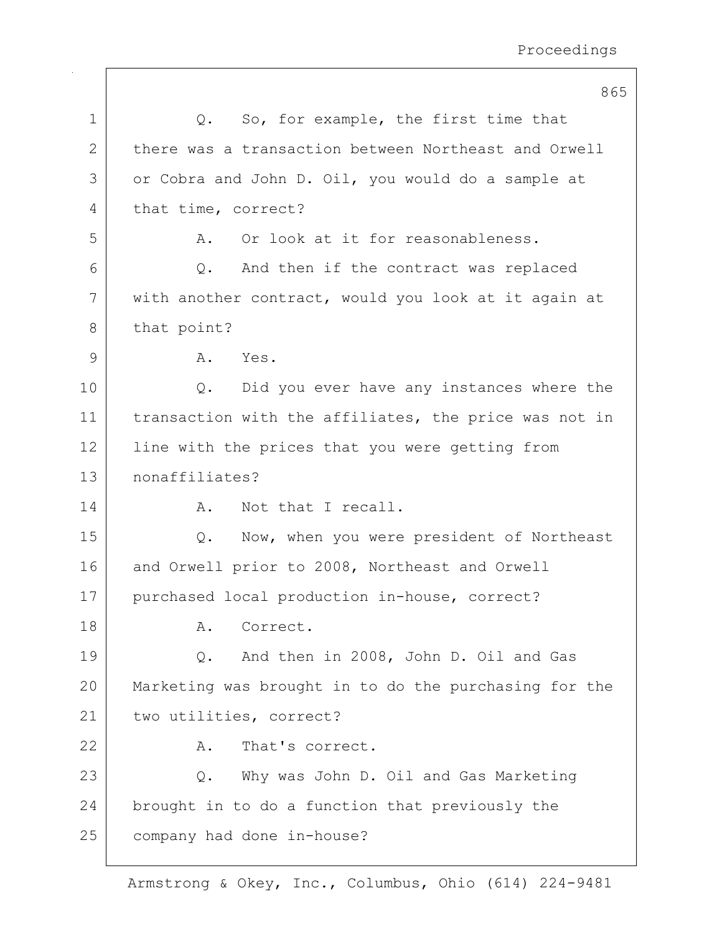|             | 865                                                   |
|-------------|-------------------------------------------------------|
| $\mathbf 1$ | So, for example, the first time that<br>Q.            |
| 2           | there was a transaction between Northeast and Orwell  |
| 3           | or Cobra and John D. Oil, you would do a sample at    |
| 4           | that time, correct?                                   |
| 5           | Or look at it for reasonableness.<br>Α.               |
| 6           | And then if the contract was replaced<br>$Q$ .        |
| 7           | with another contract, would you look at it again at  |
| 8           | that point?                                           |
| 9           | Yes.<br>Α.                                            |
| 10          | Did you ever have any instances where the<br>Q.       |
| 11          | transaction with the affiliates, the price was not in |
| 12          | line with the prices that you were getting from       |
| 13          | nonaffiliates?                                        |
| 14          | Not that I recall.<br>Α.                              |
| 15          | Now, when you were president of Northeast<br>$Q$ .    |
| 16          | and Orwell prior to 2008, Northeast and Orwell        |
| 17          | purchased local production in-house, correct?         |
| 18          | Α.<br>Correct.                                        |
| 19          | And then in 2008, John D. Oil and Gas<br>Q.           |
| 20          | Marketing was brought in to do the purchasing for the |
| 21          | two utilities, correct?                               |
| 22          | That's correct.<br>Α.                                 |
| 23          | Why was John D. Oil and Gas Marketing<br>Q.           |
| 24          | brought in to do a function that previously the       |
| 25          | company had done in-house?                            |
|             |                                                       |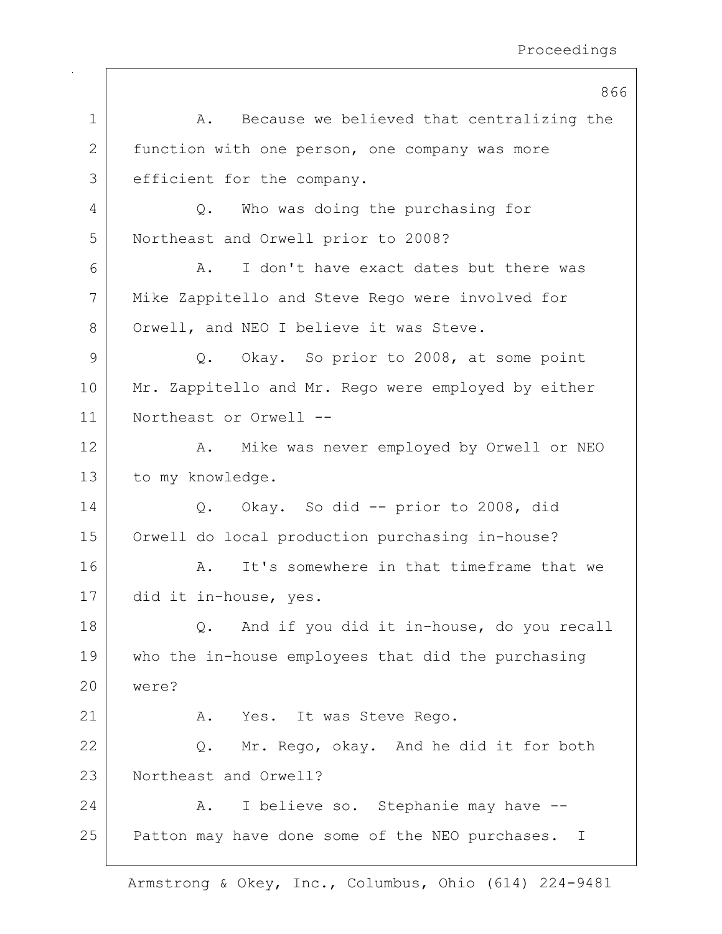|    | 866                                                 |
|----|-----------------------------------------------------|
| 1  | Because we believed that centralizing the<br>Α.     |
| 2  | function with one person, one company was more      |
| 3  | efficient for the company.                          |
| 4  | Who was doing the purchasing for<br>Q.              |
| 5  | Northeast and Orwell prior to 2008?                 |
| 6  | I don't have exact dates but there was<br>Α.        |
| 7  | Mike Zappitello and Steve Rego were involved for    |
| 8  | Orwell, and NEO I believe it was Steve.             |
| 9  | Q. Okay. So prior to 2008, at some point            |
| 10 | Mr. Zappitello and Mr. Rego were employed by either |
| 11 | Northeast or Orwell --                              |
| 12 | Mike was never employed by Orwell or NEO<br>Α.      |
| 13 | to my knowledge.                                    |
| 14 | Q. Okay. So did -- prior to 2008, did               |
| 15 | Orwell do local production purchasing in-house?     |
| 16 | It's somewhere in that timeframe that we<br>Α.      |
| 17 | did it in-house, yes.                               |
| 18 | And if you did it in-house, do you recall<br>Q.     |
| 19 | who the in-house employees that did the purchasing  |
| 20 | were?                                               |
| 21 | Yes. It was Steve Rego.<br>Α.                       |
| 22 | Mr. Rego, okay. And he did it for both<br>Q.        |
| 23 | Northeast and Orwell?                               |
| 24 | I believe so. Stephanie may have --<br>Α.           |
| 25 | Patton may have done some of the NEO purchases. I   |
|    |                                                     |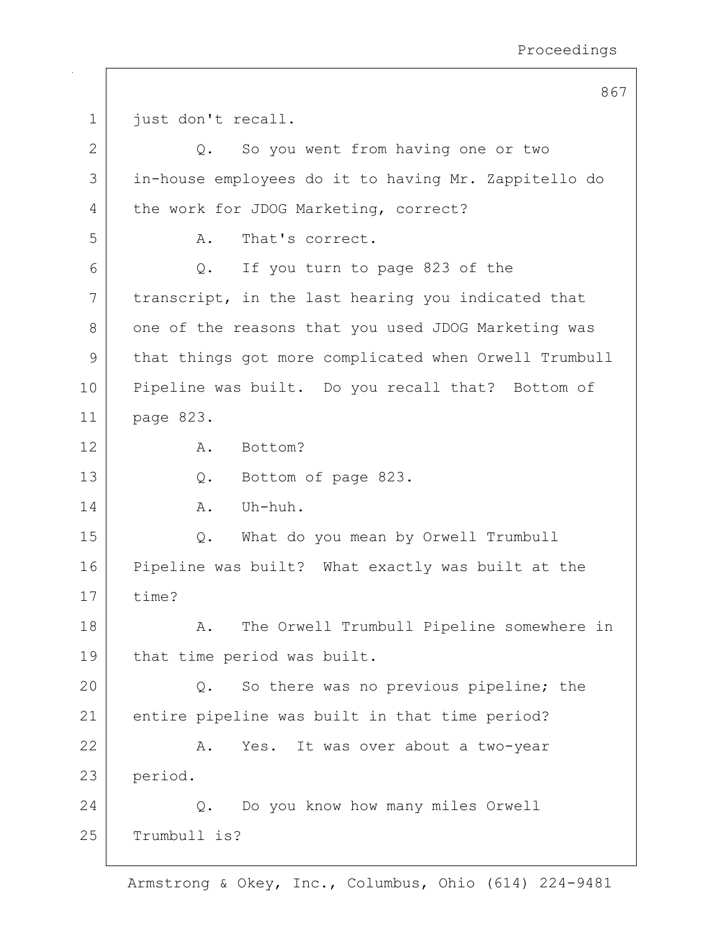867

1 just don't recall. 2 Q. So you went from having one or two 3 in-house employees do it to having Mr. Zappitello do 4 the work for JDOG Marketing, correct? 5 A. That's correct.  $6$  Q. If you turn to page 823 of the 7 | transcript, in the last hearing you indicated that 8 one of the reasons that you used JDOG Marketing was 9 that things got more complicated when Orwell Trumbull 10 Pipeline was built. Do you recall that? Bottom of 11 page 823. 12 A. Bottom? 13 Q. Bottom of page 823.  $14$  A. Uh-huh. 15 Q. What do you mean by Orwell Trumbull 16 Pipeline was built? What exactly was built at the 17 time? 18 | A. The Orwell Trumbull Pipeline somewhere in 19 that time period was built. 20 Q. So there was no previous pipeline; the 21 entire pipeline was built in that time period? 22 | R. Yes. It was over about a two-year 23 period. 24 Q. Do you know how many miles Orwell 25 Trumbull is?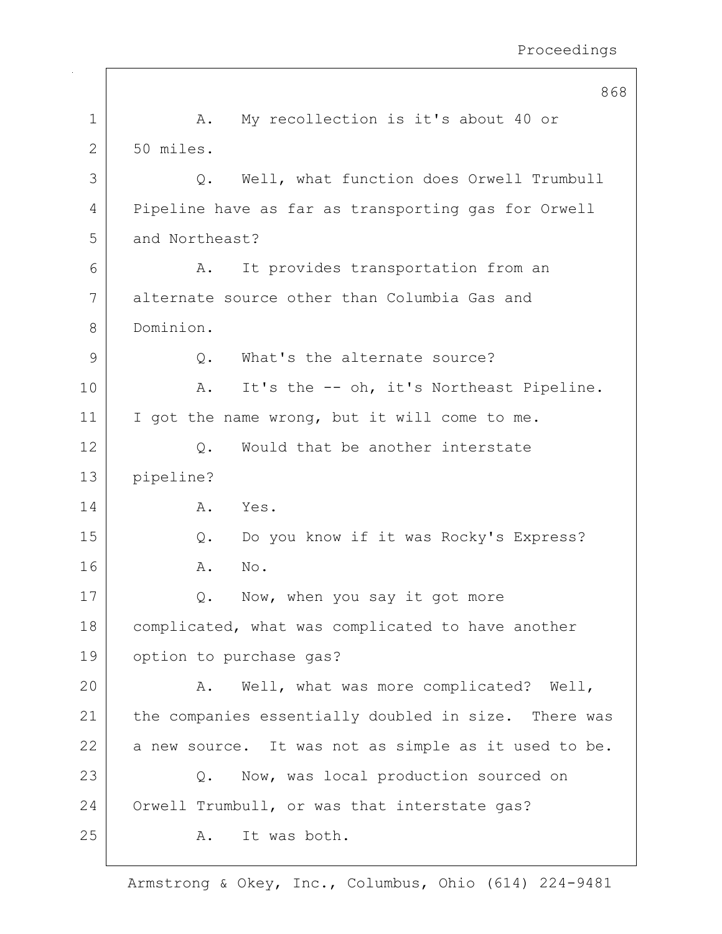|             | 868                                                  |
|-------------|------------------------------------------------------|
| $\mathbf 1$ | My recollection is it's about 40 or<br>Α.            |
| 2           | 50 miles.                                            |
| 3           | Well, what function does Orwell Trumbull<br>Q.       |
| 4           | Pipeline have as far as transporting gas for Orwell  |
| 5           | and Northeast?                                       |
| 6           | It provides transportation from an<br>Α.             |
| 7           | alternate source other than Columbia Gas and         |
| 8           | Dominion.                                            |
| 9           | What's the alternate source?<br>Q.                   |
| 10          | It's the -- oh, it's Northeast Pipeline.<br>Α.       |
| 11          | I got the name wrong, but it will come to me.        |
| 12          | Would that be another interstate<br>Q.               |
| 13          | pipeline?                                            |
| 14          | Yes.<br>Α.                                           |
| 15          | Do you know if it was Rocky's Express?<br>Q.         |
| 16          | Α.<br>No.                                            |
| 17          | Now, when you say it got more<br>$Q$ .               |
| 18          | complicated, what was complicated to have another    |
| 19          | option to purchase gas?                              |
| 20          | Well, what was more complicated? Well,<br>Α.         |
| 21          | the companies essentially doubled in size. There was |
| 22          | a new source. It was not as simple as it used to be. |
| 23          | Now, was local production sourced on<br>Q.           |
| 24          | Orwell Trumbull, or was that interstate gas?         |
| 25          | It was both.<br>Α.                                   |
|             |                                                      |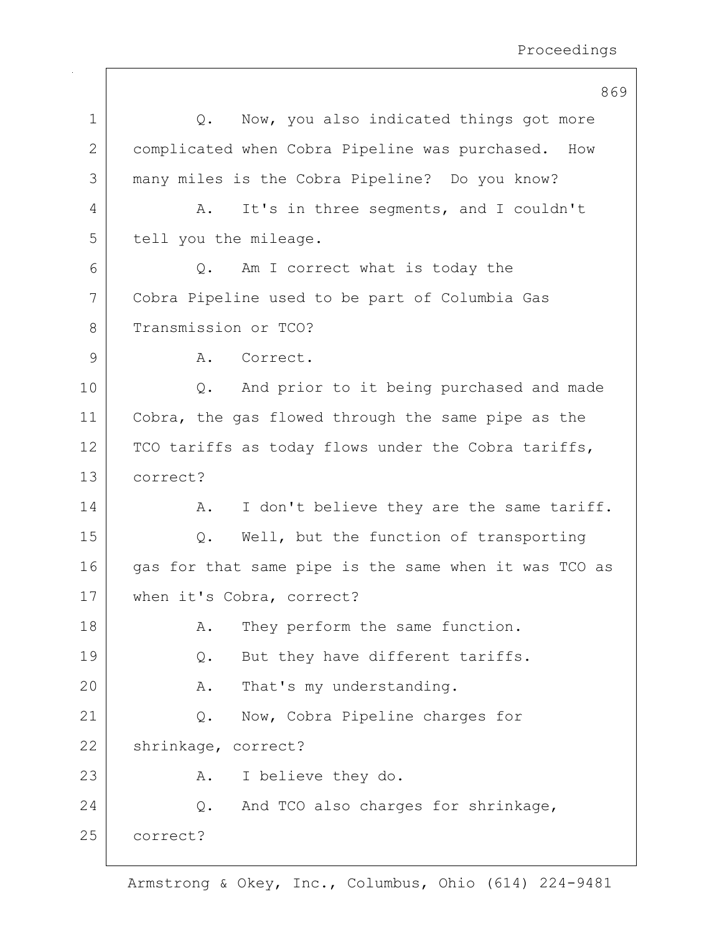|             | 869                                                   |
|-------------|-------------------------------------------------------|
| $\mathbf 1$ | Now, you also indicated things got more<br>Q.         |
| 2           | complicated when Cobra Pipeline was purchased. How    |
| 3           | many miles is the Cobra Pipeline? Do you know?        |
| 4           | It's in three seqments, and I couldn't<br>Α.          |
| 5           | tell you the mileage.                                 |
| 6           | Am I correct what is today the<br>$Q$ .               |
| 7           | Cobra Pipeline used to be part of Columbia Gas        |
| 8           | Transmission or TCO?                                  |
| 9           | Correct.<br>Α.                                        |
| 10          | And prior to it being purchased and made<br>Q.        |
| 11          | Cobra, the gas flowed through the same pipe as the    |
| 12          | TCO tariffs as today flows under the Cobra tariffs,   |
| 13          | correct?                                              |
| 14          | I don't believe they are the same tariff.<br>Α.       |
| 15          | Well, but the function of transporting<br>$Q$ .       |
| 16          | gas for that same pipe is the same when it was TCO as |
| 17          | when it's Cobra, correct?                             |
| 18          | They perform the same function.<br>Α.                 |
| 19          | But they have different tariffs.<br>Q.                |
| 20          | That's my understanding.<br>Α.                        |
| 21          | Now, Cobra Pipeline charges for<br>Q.                 |
| 22          | shrinkage, correct?                                   |
| 23          | I believe they do.<br>Α.                              |
| 24          | And TCO also charges for shrinkage,<br>Q.             |
| 25          | correct?                                              |
|             |                                                       |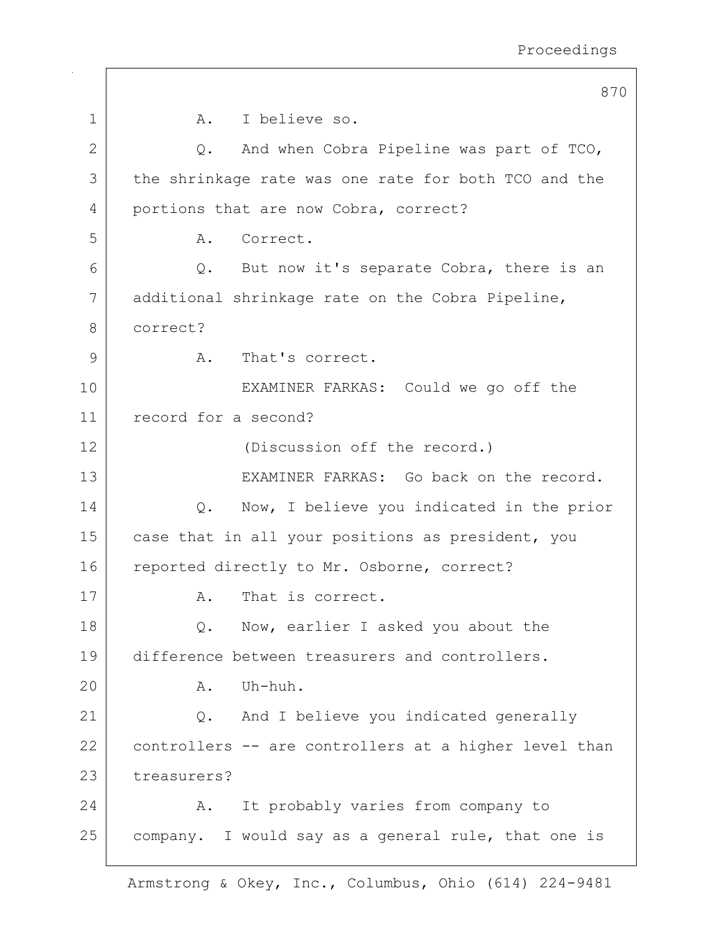|              | 870                                                   |
|--------------|-------------------------------------------------------|
| $\mathbf 1$  | I believe so.<br>A.                                   |
| $\mathbf{2}$ | Q. And when Cobra Pipeline was part of TCO,           |
| 3            | the shrinkage rate was one rate for both TCO and the  |
| 4            | portions that are now Cobra, correct?                 |
| 5            | Correct.<br>A.                                        |
| 6            | Q. But now it's separate Cobra, there is an           |
| 7            | additional shrinkage rate on the Cobra Pipeline,      |
| 8            | correct?                                              |
| 9            | That's correct.<br>A.                                 |
| 10           | EXAMINER FARKAS: Could we go off the                  |
| 11           | record for a second?                                  |
| 12           | (Discussion off the record.)                          |
| 13           | EXAMINER FARKAS: Go back on the record.               |
| 14           | Now, I believe you indicated in the prior<br>Q.       |
| 15           | case that in all your positions as president, you     |
| 16           | reported directly to Mr. Osborne, correct?            |
| 17           | That is correct.<br>Α.                                |
| 18           | Now, earlier I asked you about the<br>Q.              |
| 19           | difference between treasurers and controllers.        |
| 20           | Uh-huh.<br>Α.                                         |
| 21           | And I believe you indicated generally<br>Q.           |
| 22           | controllers -- are controllers at a higher level than |
| 23           | treasurers?                                           |
| 24           | It probably varies from company to<br>Α.              |
| 25           | company. I would say as a general rule, that one is   |
|              |                                                       |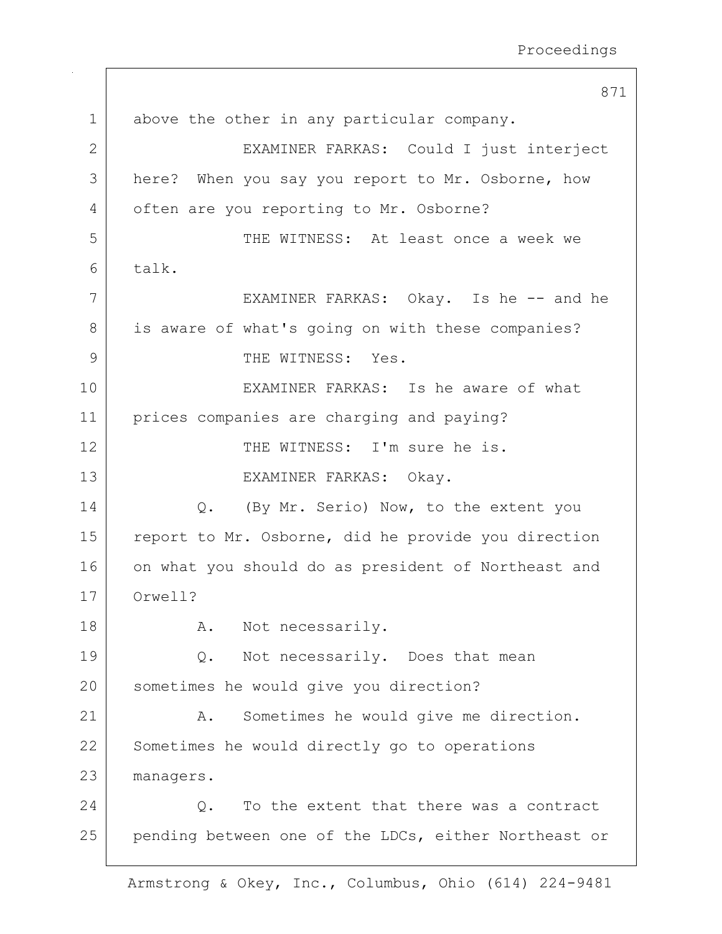871 1 above the other in any particular company. 2 EXAMINER FARKAS: Could I just interject 3 here? When you say you report to Mr. Osborne, how 4 often are you reporting to Mr. Osborne? 5 THE WITNESS: At least once a week we 6 talk. 7 | EXAMINER FARKAS: Okay. Is he -- and he 8 is aware of what's going on with these companies? 9 THE WITNESS: Yes. 10 EXAMINER FARKAS: Is he aware of what 11 prices companies are charging and paying? 12 THE WITNESS: I'm sure he is. 13 | EXAMINER FARKAS: Okay. 14 Q. (By Mr. Serio) Now, to the extent you 15 report to Mr. Osborne, did he provide you direction 16 on what you should do as president of Northeast and 17 Orwell? 18 A. Not necessarily. 19 O. Not necessarily. Does that mean 20 sometimes he would give you direction? 21 | A. Sometimes he would give me direction. 22 Sometimes he would directly go to operations 23 managers. 24 Q. To the extent that there was a contract 25 | pending between one of the LDCs, either Northeast or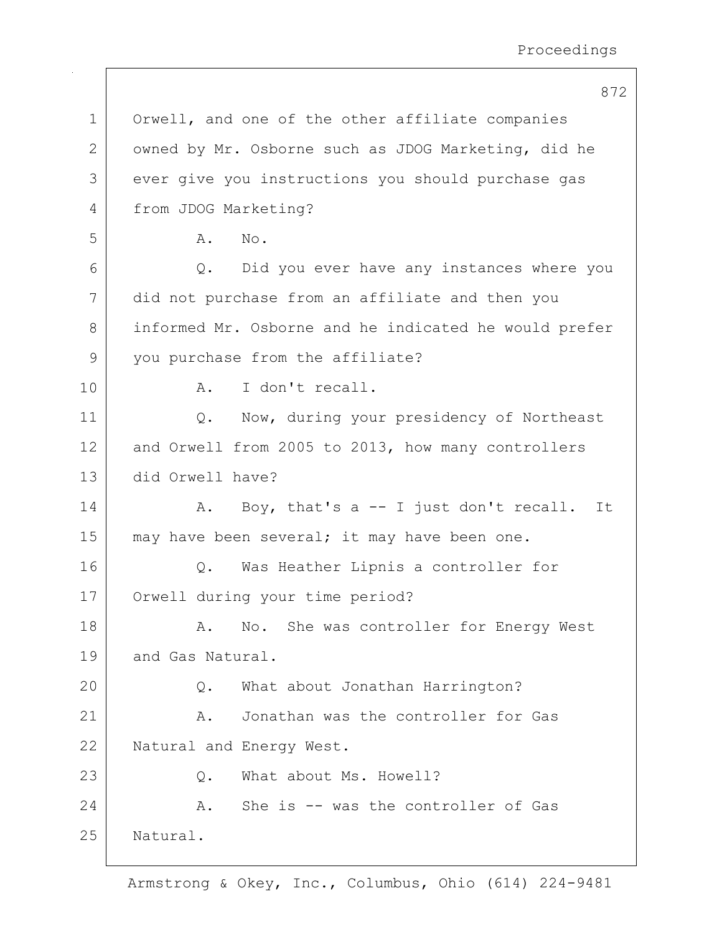872 1 Orwell, and one of the other affiliate companies 2 | owned by Mr. Osborne such as JDOG Marketing, did he 3 ever give you instructions you should purchase gas 4 from JDOG Marketing? 5 A. No. 6 Q. Did you ever have any instances where you 7 did not purchase from an affiliate and then you 8 informed Mr. Osborne and he indicated he would prefer 9 you purchase from the affiliate? 10 | A. I don't recall. 11 | Q. Now, during your presidency of Northeast 12 and Orwell from 2005 to 2013, how many controllers 13 did Orwell have? 14 | A. Boy, that's a -- I just don't recall. It  $15$  may have been several; it may have been one. 16 | Q. Was Heather Lipnis a controller for 17 Orwell during your time period? 18 A. No. She was controller for Energy West 19 and Gas Natural. 20 | Q. What about Jonathan Harrington? 21 A. Jonathan was the controller for Gas 22 Natural and Energy West. 23 Q. What about Ms. Howell? 24 A. She is -- was the controller of Gas 25 Natural.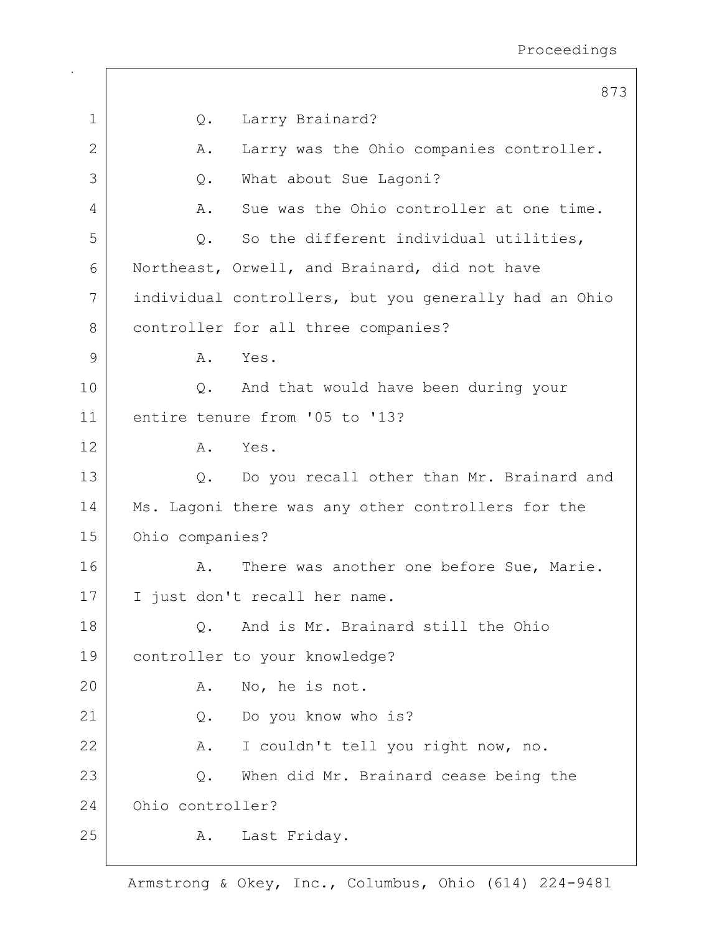|              | 873                                                   |
|--------------|-------------------------------------------------------|
| $\mathbf 1$  | Larry Brainard?<br>Q.                                 |
| $\mathbf{2}$ | Larry was the Ohio companies controller.<br>Α.        |
| 3            | What about Sue Lagoni?<br>$Q$ .                       |
| 4            | Sue was the Ohio controller at one time.<br>Α.        |
| 5            | So the different individual utilities,<br>Q.          |
| 6            | Northeast, Orwell, and Brainard, did not have         |
| 7            | individual controllers, but you generally had an Ohio |
| 8            | controller for all three companies?                   |
| 9            | Yes.<br>A.                                            |
| 10           | And that would have been during your<br>$\circ$ .     |
| 11           | entire tenure from '05 to '13?                        |
| 12           | A. Yes.                                               |
| 13           | Q. Do you recall other than Mr. Brainard and          |
| 14           | Ms. Lagoni there was any other controllers for the    |
| 15           | Ohio companies?                                       |
| 16           | There was another one before Sue, Marie.<br>Α.        |
| 17           | I just don't recall her name.                         |
| 18           | And is Mr. Brainard still the Ohio<br>Q.              |
| 19           | controller to your knowledge?                         |
| 20           | No, he is not.<br>Α.                                  |
| 21           | Do you know who is?<br>Q.                             |
| 22           | I couldn't tell you right now, no.<br>Α.              |
| 23           | When did Mr. Brainard cease being the<br>Q.           |
| 24           | Ohio controller?                                      |
| 25           | Last Friday.<br>Α.                                    |
|              |                                                       |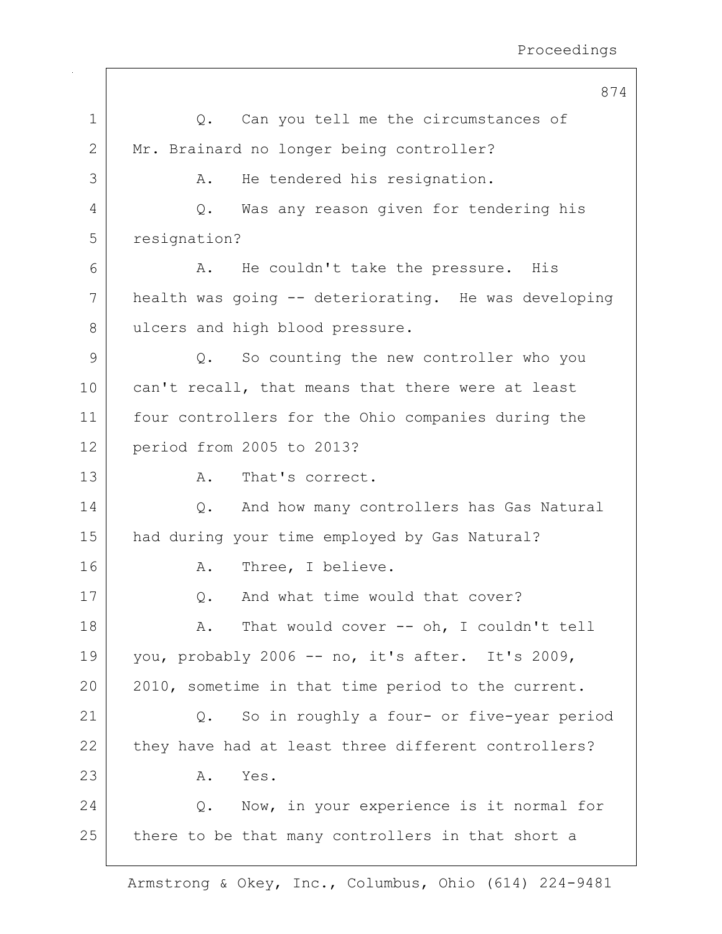874 1 | Q. Can you tell me the circumstances of 2 Mr. Brainard no longer being controller? 3 A. He tendered his resignation. 4 Q. Was any reason given for tendering his 5 resignation? 6 A. He couldn't take the pressure. His 7 health was going -- deteriorating. He was developing 8 ulcers and high blood pressure. 9 Q. So counting the new controller who you 10 can't recall, that means that there were at least 11 four controllers for the Ohio companies during the 12 period from 2005 to 2013? 13 A. That's correct. 14 O. And how many controllers has Gas Natural 15 | had during your time employed by Gas Natural? 16 A. Three, I believe. 17 | C. And what time would that cover? 18 | R. That would cover -- oh, I couldn't tell 19 | you, probably 2006 -- no, it's after. It's 2009, 20 | 2010, sometime in that time period to the current. 21 Q. So in roughly a four- or five-year period 22 they have had at least three different controllers?  $23$   $A.$  Yes. 24 Q. Now, in your experience is it normal for  $25$  there to be that many controllers in that short a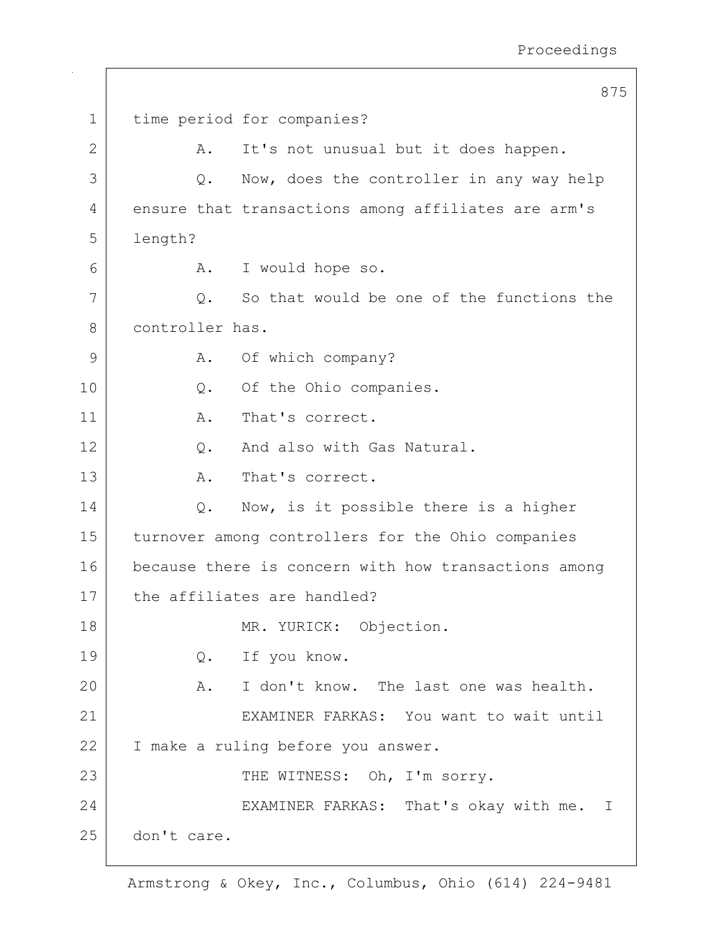875 1 time period for companies? 2 | A. It's not unusual but it does happen. 3 Q. Now, does the controller in any way help 4 ensure that transactions among affiliates are arm's 5 length? 6 A. I would hope so. 7 | C. So that would be one of the functions the 8 controller has. 9 | A. Of which company? 10 | Q. Of the Ohio companies. 11 | A. That's correct. 12 | C. And also with Gas Natural. 13 A. That's correct. 14  $\vert$  Q. Now, is it possible there is a higher 15 turnover among controllers for the Ohio companies 16 because there is concern with how transactions among 17 the affiliates are handled? 18 MR. YURICK: Objection. 19 O. If you know. 20 A. I don't know. The last one was health. 21 EXAMINER FARKAS: You want to wait until 22 | I make a ruling before you answer. 23 THE WITNESS: Oh, I'm sorry. 24 EXAMINER FARKAS: That's okay with me. I 25 don't care.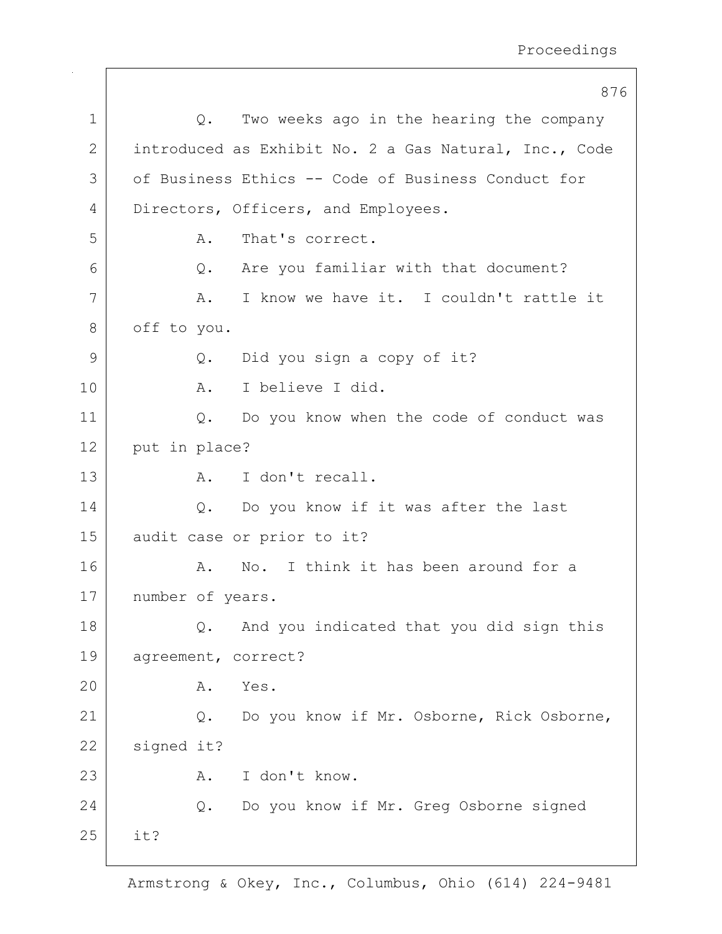$\overline{a}$ 

|              | 8/6                                                   |
|--------------|-------------------------------------------------------|
| 1            | Two weeks ago in the hearing the company<br>$Q$ .     |
| $\mathbf{2}$ | introduced as Exhibit No. 2 a Gas Natural, Inc., Code |
| 3            | of Business Ethics -- Code of Business Conduct for    |
| 4            | Directors, Officers, and Employees.                   |
| 5            | That's correct.<br>Α.                                 |
| 6            | Are you familiar with that document?<br>Q.            |
| 7            | I know we have it. I couldn't rattle it<br>Α.         |
| 8            | off to you.                                           |
| 9            | Did you sign a copy of it?<br>Q.                      |
| 10           | I believe I did.<br>A.                                |
| 11           | $Q$ .<br>Do you know when the code of conduct was     |
| 12           | put in place?                                         |
| 13           | I don't recall.<br>Α.                                 |
| 14           | Do you know if it was after the last<br>Q.            |
| 15           | audit case or prior to it?                            |
| 16           | No. I think it has been around for a<br>Α.            |
| 17           | number of years.                                      |
| 18           | And you indicated that you did sign this<br>Q.        |
| 19           | agreement, correct?                                   |
| 20           | Yes.<br>Α.                                            |
| 21           | Do you know if Mr. Osborne, Rick Osborne,<br>Q.       |
| 22           | signed it?                                            |
| 23           | I don't know.<br>Α.                                   |
| 24           | Do you know if Mr. Greg Osborne signed<br>Q.          |
| 25           | it?                                                   |
|              |                                                       |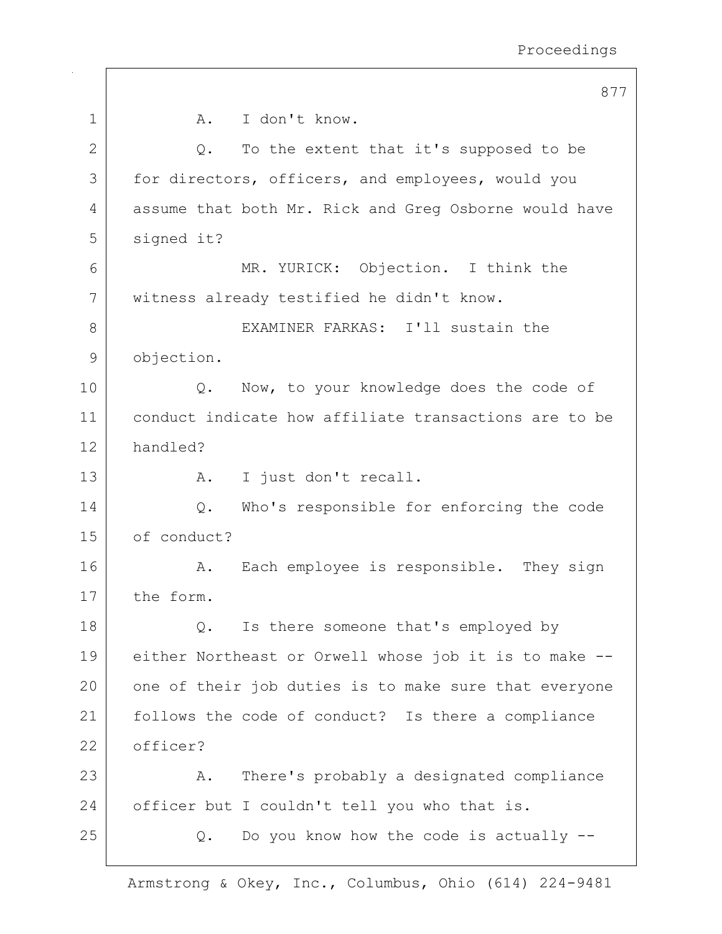|    | 877                                                   |
|----|-------------------------------------------------------|
| 1  | I don't know.<br>A.                                   |
| 2  | To the extent that it's supposed to be<br>Q.          |
| 3  | for directors, officers, and employees, would you     |
| 4  | assume that both Mr. Rick and Greg Osborne would have |
| 5  | signed it?                                            |
| 6  | MR. YURICK: Objection. I think the                    |
| 7  | witness already testified he didn't know.             |
| 8  | EXAMINER FARKAS: I'll sustain the                     |
| 9  | objection.                                            |
| 10 | Now, to your knowledge does the code of<br>Q.         |
| 11 | conduct indicate how affiliate transactions are to be |
| 12 | handled?                                              |
| 13 | I just don't recall.<br>Α.                            |
| 14 | Who's responsible for enforcing the code<br>Q.        |
| 15 | of conduct?                                           |
| 16 | Each employee is responsible. They sign<br>Α.         |
| 17 | the form.                                             |
| 18 | Is there someone that's employed by<br>Q.             |
| 19 | either Northeast or Orwell whose job it is to make -- |
| 20 | one of their job duties is to make sure that everyone |
| 21 | follows the code of conduct? Is there a compliance    |
| 22 | officer?                                              |
| 23 | There's probably a designated compliance<br>Α.        |
| 24 | officer but I couldn't tell you who that is.          |
| 25 | Do you know how the code is actually --<br>Q.         |
|    |                                                       |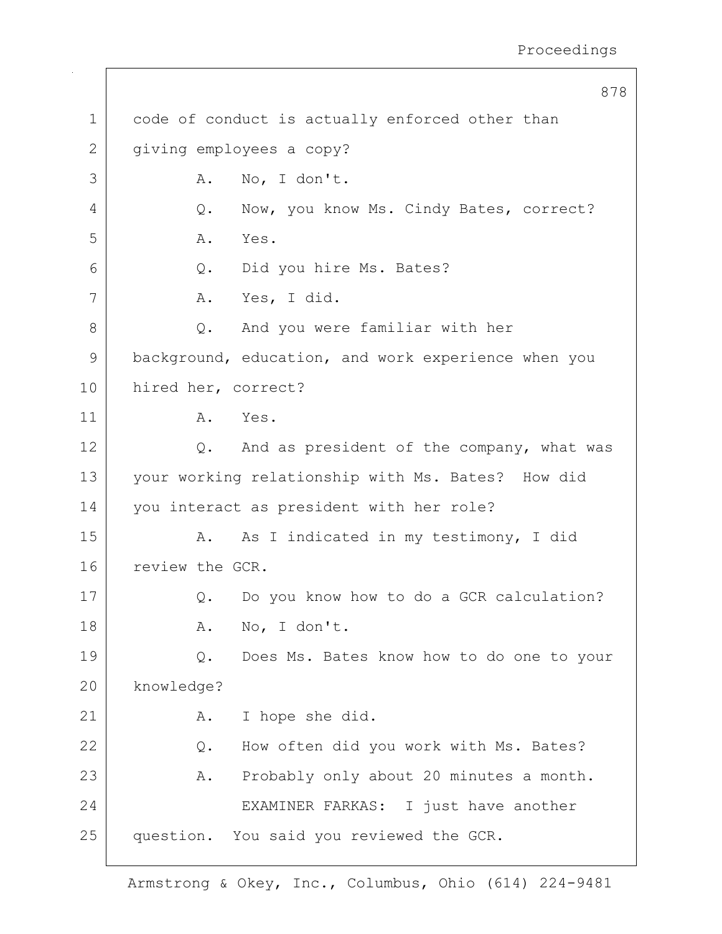|             | 878                                                 |
|-------------|-----------------------------------------------------|
| $\mathbf 1$ | code of conduct is actually enforced other than     |
| 2           | giving employees a copy?                            |
| 3           | No, I don't.<br>Α.                                  |
| 4           | Now, you know Ms. Cindy Bates, correct?<br>Q.       |
| 5           | Α.<br>Yes.                                          |
| 6           | Did you hire Ms. Bates?<br>Q.                       |
| 7           | Yes, I did.<br>Α.                                   |
| 8           | And you were familiar with her<br>$Q$ .             |
| 9           | background, education, and work experience when you |
| 10          | hired her, correct?                                 |
| 11          | Yes.<br>Α.                                          |
| 12          | And as president of the company, what was<br>Q.     |
| 13          | your working relationship with Ms. Bates? How did   |
| 14          | you interact as president with her role?            |
| 15          | As I indicated in my testimony, I did<br>Α.         |
| 16          | review the GCR.                                     |
| 17          | Do you know how to do a GCR calculation?<br>Q.      |
| 18          | No, I don't.<br>Α.                                  |
| 19          | Does Ms. Bates know how to do one to your<br>Q.     |
| 20          | knowledge?                                          |
| 21          | I hope she did.<br>Α.                               |
| 22          | How often did you work with Ms. Bates?<br>$Q$ .     |
| 23          | Probably only about 20 minutes a month.<br>Α.       |
| 24          | EXAMINER FARKAS: I just have another                |
| 25          | question. You said you reviewed the GCR.            |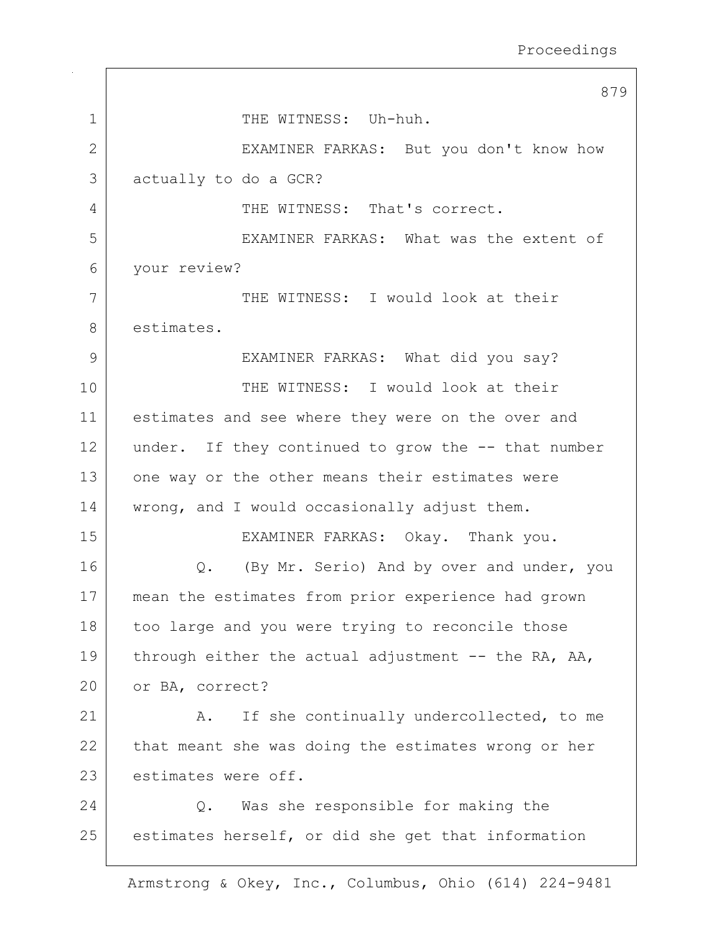|              | 879                                                  |
|--------------|------------------------------------------------------|
| 1            | THE WITNESS: Uh-huh.                                 |
| $\mathbf{2}$ | EXAMINER FARKAS: But you don't know how              |
| 3            | actually to do a GCR?                                |
| 4            | THE WITNESS: That's correct.                         |
| 5            | EXAMINER FARKAS: What was the extent of              |
| 6            | your review?                                         |
| 7            | THE WITNESS: I would look at their                   |
| 8            | estimates.                                           |
| 9            | EXAMINER FARKAS: What did you say?                   |
| 10           | THE WITNESS: I would look at their                   |
| 11           | estimates and see where they were on the over and    |
| 12           | under. If they continued to grow the -- that number  |
| 13           | one way or the other means their estimates were      |
| 14           | wrong, and I would occasionally adjust them.         |
| 15           | EXAMINER FARKAS: Okay. Thank you.                    |
| 16           | Q. (By Mr. Serio) And by over and under, you         |
| 17           | mean the estimates from prior experience had grown   |
| 18           | too large and you were trying to reconcile those     |
| 19           | through either the actual adjustment $-$ the RA, AA, |
| 20           | or BA, correct?                                      |
| 21           | If she continually undercollected, to me<br>Α.       |
| 22           | that meant she was doing the estimates wrong or her  |
| 23           | estimates were off.                                  |
| 24           | Was she responsible for making the<br>Q.             |
| 25           | estimates herself, or did she get that information   |
|              |                                                      |

 $\Gamma$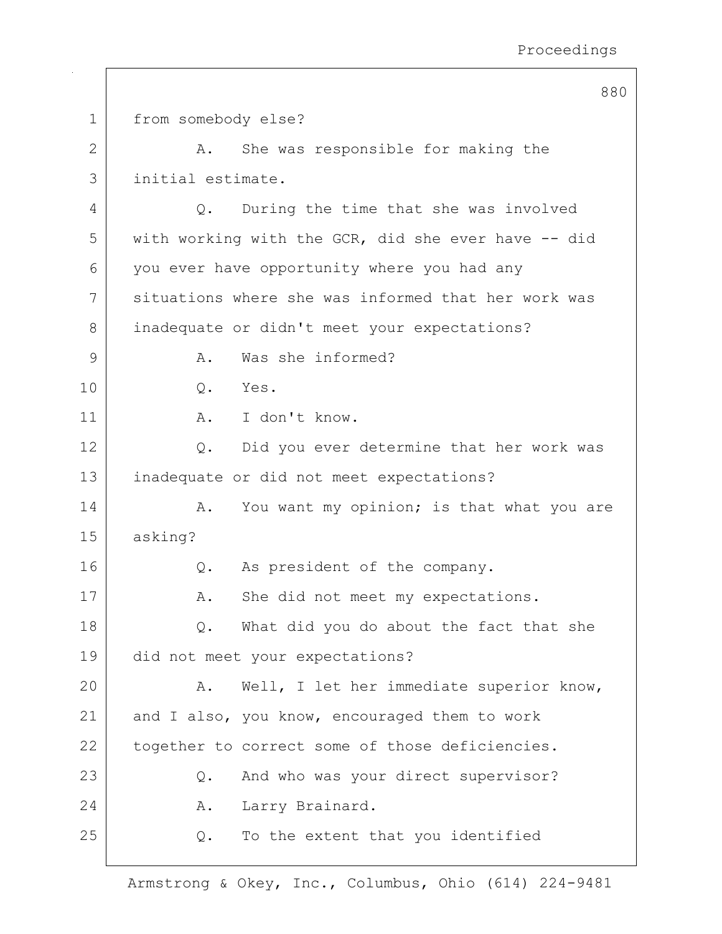880 1 from somebody else? 2 A. She was responsible for making the 3 initial estimate. 4 Q. During the time that she was involved 5 with working with the GCR, did she ever have -- did 6 you ever have opportunity where you had any 7 situations where she was informed that her work was 8 inadequate or didn't meet your expectations? 9 A. Was she informed? 10 | 0. Yes. 11 A. I don't know. 12 Q. Did you ever determine that her work was 13 inadequate or did not meet expectations? 14 A. You want my opinion; is that what you are 15 asking? 16 | Q. As president of the company. 17 | A. She did not meet my expectations. 18 Q. What did you do about the fact that she 19 did not meet your expectations? 20 | A. Well, I let her immediate superior know, 21 and I also, you know, encouraged them to work 22 | together to correct some of those deficiencies. 23 Q. And who was your direct supervisor? 24 A. Larry Brainard. 25 Q. To the extent that you identified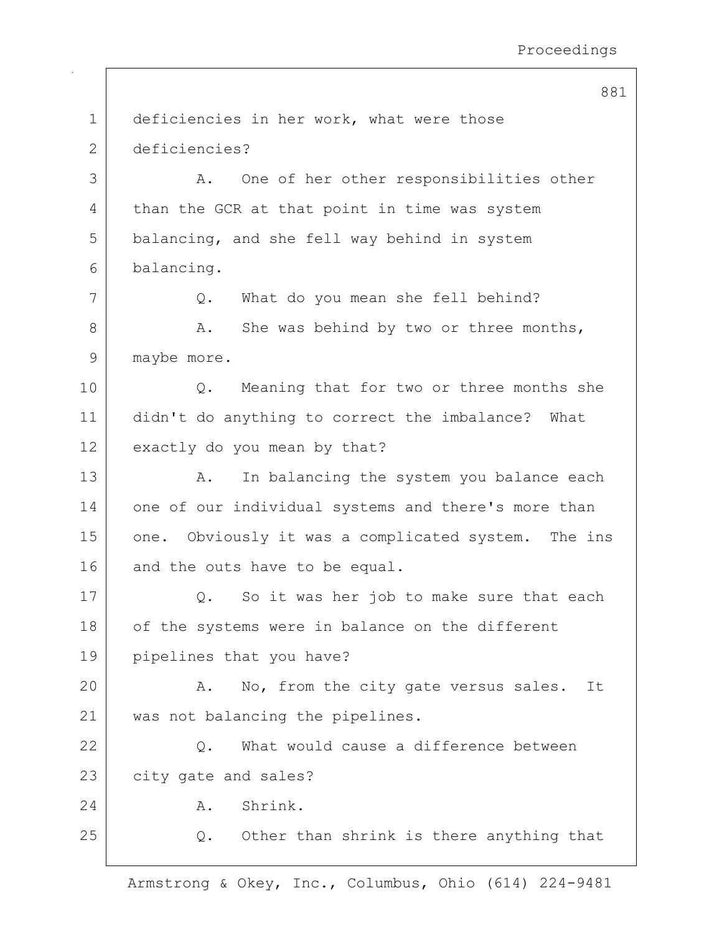881

| $\mathbf 1$ | deficiencies in her work, what were those            |
|-------------|------------------------------------------------------|
| 2           | deficiencies?                                        |
| 3           | One of her other responsibilities other<br>A.        |
| 4           | than the GCR at that point in time was system        |
| 5           | balancing, and she fell way behind in system         |
| 6           | balancing.                                           |
| 7           | What do you mean she fell behind?<br>Q.              |
| 8           | She was behind by two or three months,<br>Α.         |
| 9           | maybe more.                                          |
| 10          | Meaning that for two or three months she<br>Q.       |
| 11          | didn't do anything to correct the imbalance?<br>What |
| 12          | exactly do you mean by that?                         |
| 13          | In balancing the system you balance each<br>Α.       |
| 14          | one of our individual systems and there's more than  |
| 15          | one. Obviously it was a complicated system. The ins  |
| 16          | and the outs have to be equal.                       |
| 17          | So it was her job to make sure that each<br>Q.       |
| 18          | of the systems were in balance on the different      |
| 19          | pipelines that you have?                             |
| 20          | No, from the city gate versus sales.<br>Α.<br>It     |
| 21          | was not balancing the pipelines.                     |
| 22          | What would cause a difference between<br>$Q$ .       |
| 23          | city gate and sales?                                 |
| 24          | Shrink.<br>Α.                                        |
| 25          | Other than shrink is there anything that<br>$Q$ .    |
|             |                                                      |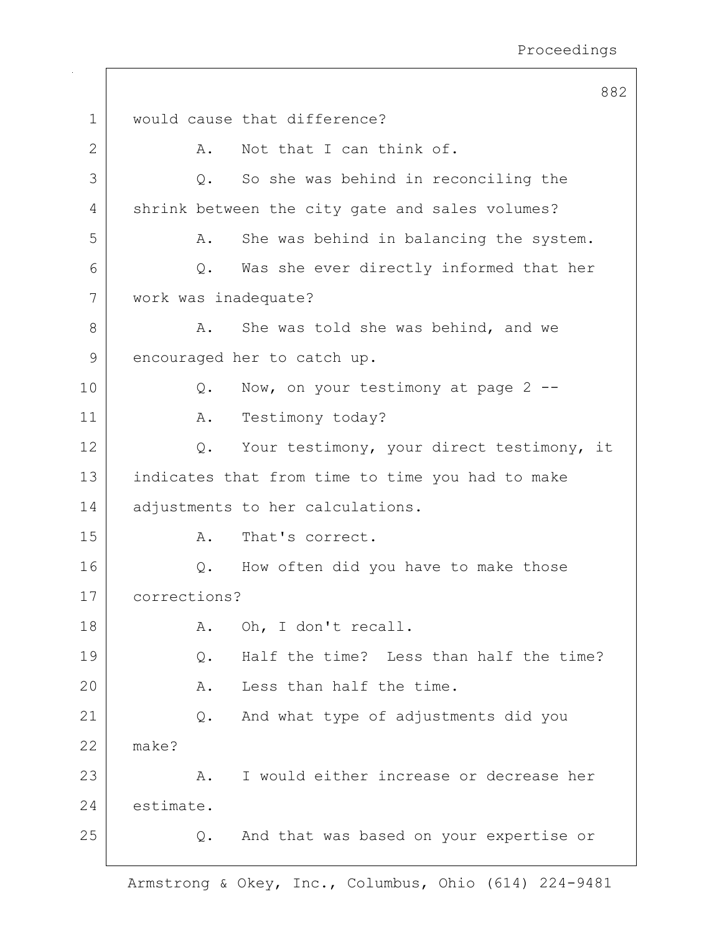|    |                      | 882                                              |
|----|----------------------|--------------------------------------------------|
| 1  |                      | would cause that difference?                     |
| 2  | Α.                   | Not that I can think of.                         |
| 3  | Q.                   | So she was behind in reconciling the             |
| 4  |                      | shrink between the city gate and sales volumes?  |
| 5  | Α.                   | She was behind in balancing the system.          |
| 6  | $Q$ .                | Was she ever directly informed that her          |
| 7  | work was inadequate? |                                                  |
| 8  | Α.                   | She was told she was behind, and we              |
| 9  |                      | encouraged her to catch up.                      |
| 10 | Q.                   | Now, on your testimony at page 2 --              |
| 11 | Α.                   | Testimony today?                                 |
| 12 | Q.                   | Your testimony, your direct testimony, it        |
| 13 |                      | indicates that from time to time you had to make |
| 14 |                      | adjustments to her calculations.                 |
| 15 | Α.                   | That's correct.                                  |
| 16 | Q.                   | How often did you have to make those             |
| 17 | corrections?         |                                                  |
| 18 | Α.                   | Oh, I don't recall.                              |
| 19 | Q.                   | Half the time? Less than half the time?          |
| 20 | Α.                   | Less than half the time.                         |
| 21 | Q.                   | And what type of adjustments did you             |
| 22 | make?                |                                                  |
| 23 | Α.                   | I would either increase or decrease her          |
| 24 | estimate.            |                                                  |
| 25 | Q.                   | And that was based on your expertise or          |
|    |                      |                                                  |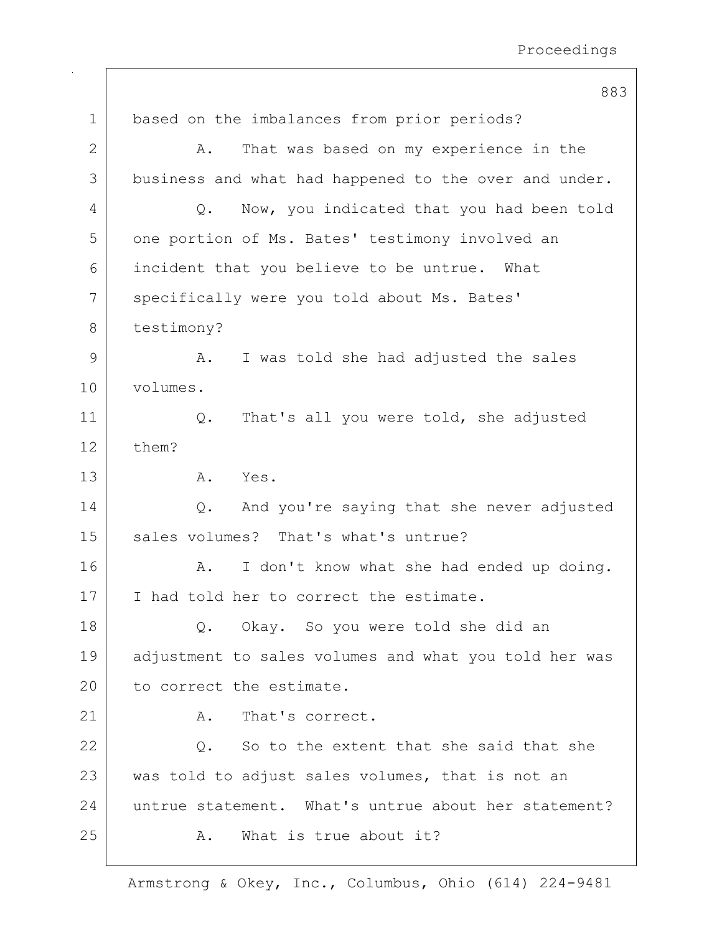|              | 883                                                   |
|--------------|-------------------------------------------------------|
| $\mathbf 1$  | based on the imbalances from prior periods?           |
| $\mathbf{2}$ | That was based on my experience in the<br>Α.          |
| 3            | business and what had happened to the over and under. |
| 4            | Now, you indicated that you had been told<br>Q.       |
| 5            | one portion of Ms. Bates' testimony involved an       |
| 6            | incident that you believe to be untrue. What          |
| 7            | specifically were you told about Ms. Bates'           |
| 8            | testimony?                                            |
| 9            | I was told she had adjusted the sales<br>Α.           |
| 10           | volumes.                                              |
| 11           | That's all you were told, she adjusted<br>Q.          |
| 12           | them?                                                 |
| 13           | Α.<br>Yes.                                            |
| 14           | And you're saying that she never adjusted<br>Q.       |
| 15           | sales volumes? That's what's untrue?                  |
| 16           | I don't know what she had ended up doing.<br>Α.       |
| 17           | I had told her to correct the estimate.               |
| 18           | Okay. So you were told she did an<br>Q.               |
| 19           | adjustment to sales volumes and what you told her was |
| 20           | to correct the estimate.                              |
| 21           | That's correct.<br>Α.                                 |
| 22           | So to the extent that she said that she<br>Q.         |
| 23           | was told to adjust sales volumes, that is not an      |
| 24           | untrue statement. What's untrue about her statement?  |
| 25           | What is true about it?<br>Α.                          |
|              |                                                       |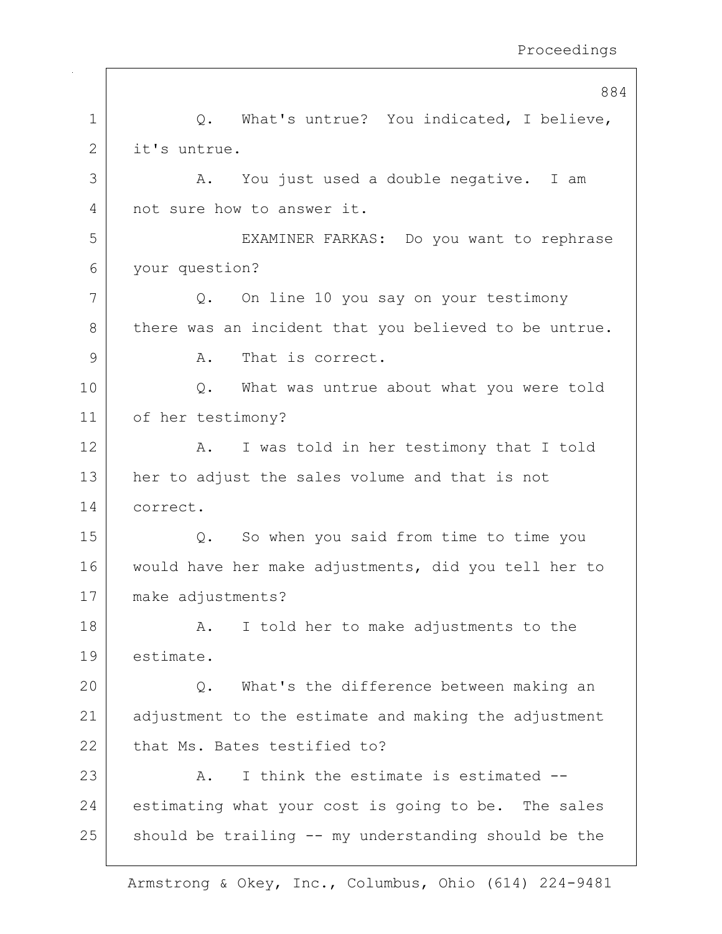884

|              | 884                                                   |
|--------------|-------------------------------------------------------|
| 1            | What's untrue? You indicated, I believe,<br>Q.        |
| $\mathbf{2}$ | it's untrue.                                          |
| 3            | You just used a double negative. I am<br>Α.           |
| 4            | not sure how to answer it.                            |
| 5            | EXAMINER FARKAS: Do you want to rephrase              |
| 6            | your question?                                        |
| 7            | On line 10 you say on your testimony<br>$Q$ .         |
| 8            | there was an incident that you believed to be untrue. |
| 9            | That is correct.<br>Α.                                |
| 10           | What was untrue about what you were told<br>Q.        |
| 11           | of her testimony?                                     |
| 12           | I was told in her testimony that I told<br>Α.         |
| 13           | her to adjust the sales volume and that is not        |
| 14           | correct.                                              |
| 15           | So when you said from time to time you<br>$Q$ .       |
| 16           | would have her make adjustments, did you tell her to  |
| 17           | make adjustments?                                     |
| 18           | I told her to make adjustments to the<br>Α.           |
| 19           | estimate.                                             |
| 20           | What's the difference between making an<br>$Q$ .      |
| 21           | adjustment to the estimate and making the adjustment  |
| 22           | that Ms. Bates testified to?                          |
| 23           | I think the estimate is estimated --<br>Α.            |
| 24           | estimating what your cost is going to be. The sales   |
| 25           | should be trailing -- my understanding should be the  |
|              |                                                       |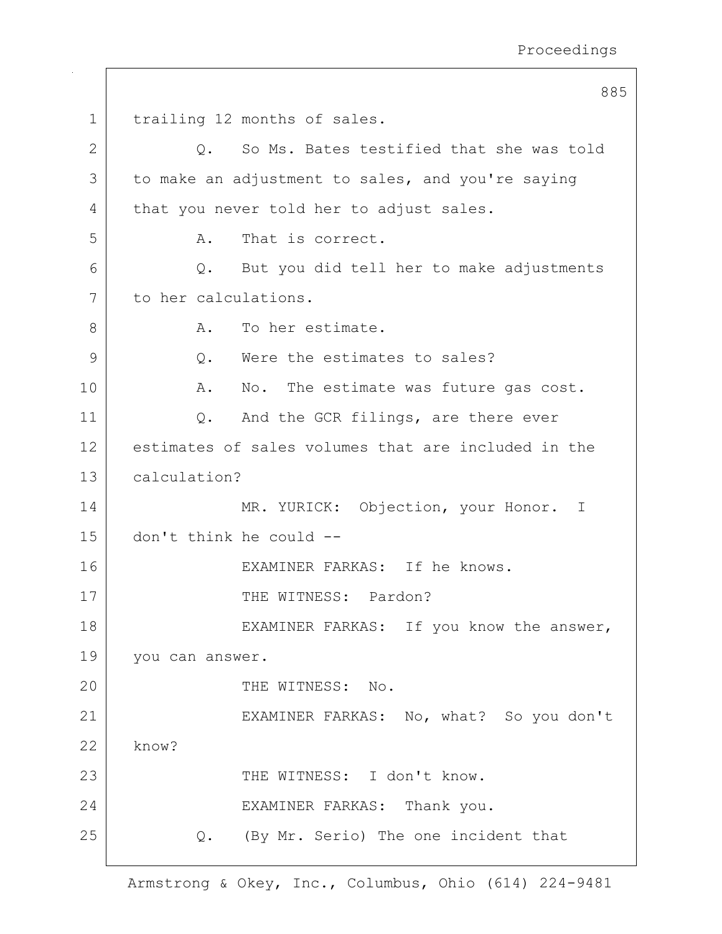```
885
1 | trailing 12 months of sales.
2 | C. So Ms. Bates testified that she was told
3 to make an adjustment to sales, and you're saying
4 | that you never told her to adjust sales.
5 A. That is correct.
6 Q. But you did tell her to make adjustments
7 to her calculations.
8 A. To her estimate.
9 | C. Were the estimates to sales?
10 A. No. The estimate was future gas cost.
11 | Q. And the GCR filings, are there ever
12 estimates of sales volumes that are included in the
13 calculation?
14 MR. YURICK: Objection, your Honor. I
15 don't think he could --
16 | EXAMINER FARKAS: If he knows.
17 | THE WITNESS: Pardon?
18 | EXAMINER FARKAS: If you know the answer,
19 | you can answer.
20 FHE WITNESS: No.
21 | EXAMINER FARKAS: No, what? So you don't
22 know?
23 THE WITNESS: I don't know.
24 EXAMINER FARKAS: Thank you.
25 Q. (By Mr. Serio) The one incident that
```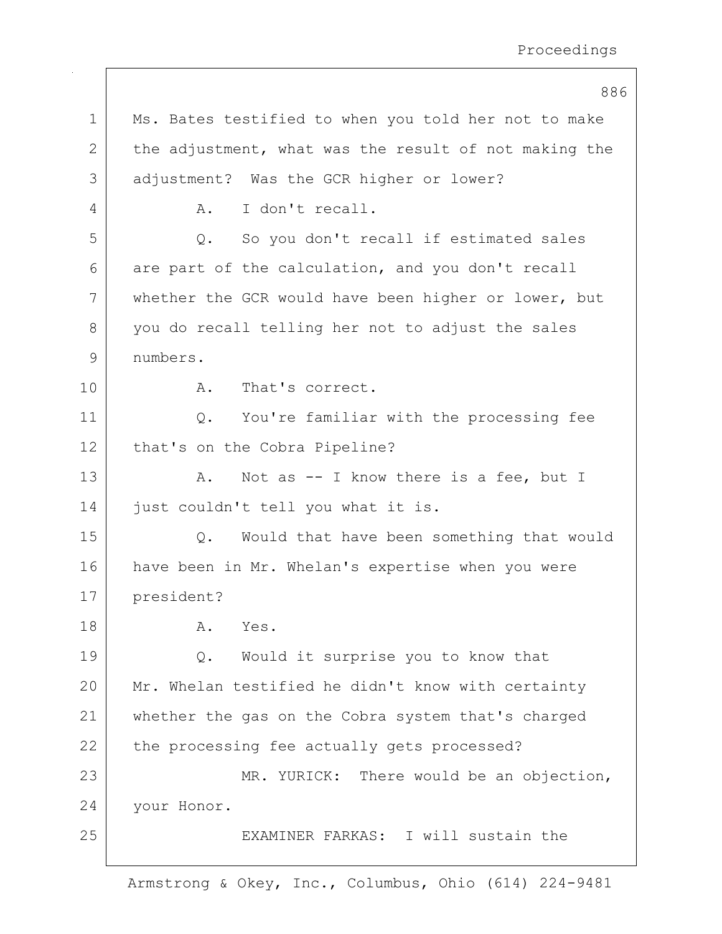|    | 886                                                      |
|----|----------------------------------------------------------|
| 1  | Ms. Bates testified to when you told her not to make     |
| 2  | the adjustment, what was the result of not making the    |
| 3  | adjustment? Was the GCR higher or lower?                 |
| 4  | I don't recall.<br>Α.                                    |
| 5  | So you don't recall if estimated sales<br>Q.             |
| 6  | are part of the calculation, and you don't recall        |
| 7  | whether the GCR would have been higher or lower, but     |
| 8  | you do recall telling her not to adjust the sales        |
| 9  | numbers.                                                 |
| 10 | That's correct.<br>Α.                                    |
| 11 | You're familiar with the processing fee<br>$Q_{\bullet}$ |
| 12 | that's on the Cobra Pipeline?                            |
| 13 | Not as $-$ I know there is a fee, but I<br>Α.            |
| 14 | just couldn't tell you what it is.                       |
| 15 | Would that have been something that would<br>Q.          |
| 16 | have been in Mr. Whelan's expertise when you were        |
| 17 | president?                                               |
| 18 | Α.<br>Yes.                                               |
| 19 | Would it surprise you to know that<br>Q.                 |
| 20 | Mr. Whelan testified he didn't know with certainty       |
| 21 | whether the gas on the Cobra system that's charged       |
| 22 | the processing fee actually gets processed?              |
| 23 | MR. YURICK: There would be an objection,                 |
| 24 | your Honor.                                              |
| 25 | EXAMINER FARKAS: I will sustain the                      |
|    |                                                          |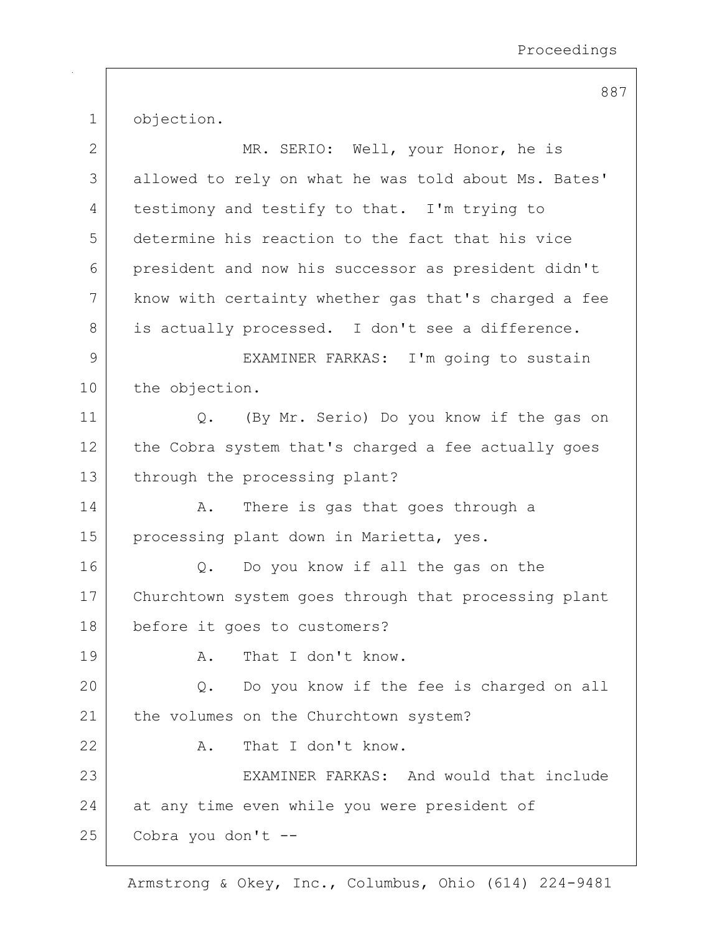1 objection.

| $\mathbf{2}$ | MR. SERIO: Well, your Honor, he is                   |
|--------------|------------------------------------------------------|
| 3            | allowed to rely on what he was told about Ms. Bates' |
| 4            | testimony and testify to that. I'm trying to         |
| 5            | determine his reaction to the fact that his vice     |
| 6            | president and now his successor as president didn't  |
| 7            | know with certainty whether gas that's charged a fee |
| 8            | is actually processed. I don't see a difference.     |
| 9            | EXAMINER FARKAS: I'm going to sustain                |
| 10           | the objection.                                       |
| 11           | (By Mr. Serio) Do you know if the gas on<br>Q.       |
| 12           | the Cobra system that's charged a fee actually goes  |
| 13           | through the processing plant?                        |
| 14           | There is gas that goes through a<br>Α.               |
| 15           | processing plant down in Marietta, yes.              |
| 16           | Do you know if all the gas on the<br>Q.              |
| 17           | Churchtown system goes through that processing plant |
| 18           | before it goes to customers?                         |
| 19           | A. That I don't know.                                |
| 20           | Q. Do you know if the fee is charged on all          |
| 21           | the volumes on the Churchtown system?                |
| 22           | That I don't know.<br>Α.                             |
| 23           | EXAMINER FARKAS: And would that include              |
| 24           | at any time even while you were president of         |
| 25           | Cobra you don't --                                   |

Armstrong & Okey, Inc., Columbus, Ohio (614) 224-9481

887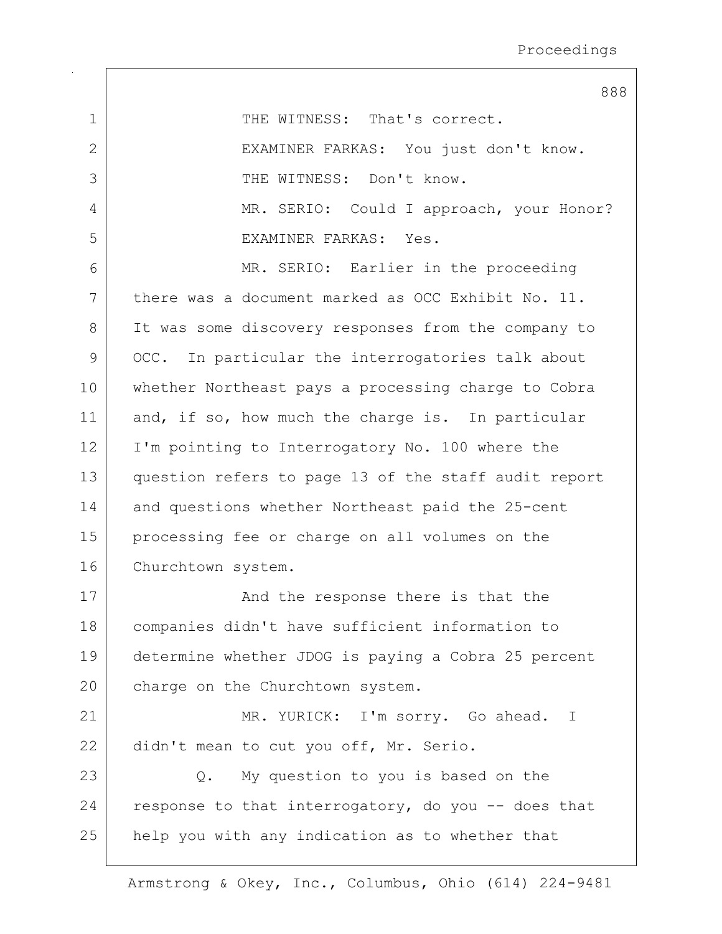|                | 888                                                  |
|----------------|------------------------------------------------------|
| $\mathbf 1$    | THE WITNESS: That's correct.                         |
| $\overline{2}$ | EXAMINER FARKAS: You just don't know.                |
| 3              | THE WITNESS: Don't know.                             |
| $\overline{4}$ | MR. SERIO: Could I approach, your Honor?             |
| 5              | EXAMINER FARKAS: Yes.                                |
| 6              | MR. SERIO: Earlier in the proceeding                 |
| 7              | there was a document marked as OCC Exhibit No. 11.   |
| 8              | It was some discovery responses from the company to  |
| 9              | OCC. In particular the interrogatories talk about    |
| 10             | whether Northeast pays a processing charge to Cobra  |
| 11             | and, if so, how much the charge is. In particular    |
| 12             | I'm pointing to Interrogatory No. 100 where the      |
| 13             | question refers to page 13 of the staff audit report |
| 14             | and questions whether Northeast paid the 25-cent     |
| 15             | processing fee or charge on all volumes on the       |
| 16             | Churchtown system.                                   |
| 17             | And the response there is that the                   |
| 18             | companies didn't have sufficient information to      |
| 19             | determine whether JDOG is paying a Cobra 25 percent  |
| 20             | charge on the Churchtown system.                     |
| 21             | MR. YURICK: I'm sorry. Go ahead. I                   |
| 22             | didn't mean to cut you off, Mr. Serio.               |
| 23             | My question to you is based on the<br>Q.             |
| 24             | response to that interrogatory, do you -- does that  |
| 25             | help you with any indication as to whether that      |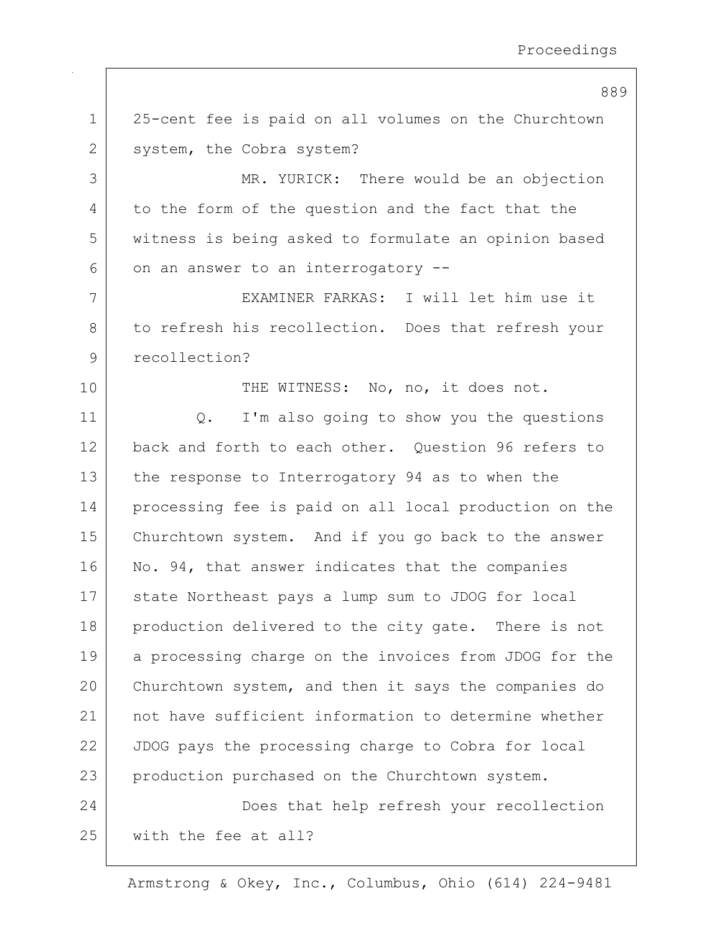889

| $\mathbf 1$ | 25-cent fee is paid on all volumes on the Churchtown  |
|-------------|-------------------------------------------------------|
| 2           | system, the Cobra system?                             |
| 3           | MR. YURICK: There would be an objection               |
| 4           | to the form of the question and the fact that the     |
| 5           | witness is being asked to formulate an opinion based  |
| 6           | on an answer to an interrogatory --                   |
| 7           | EXAMINER FARKAS: I will let him use it                |
| 8           | to refresh his recollection. Does that refresh your   |
| 9           | recollection?                                         |
| 10          | THE WITNESS: No, no, it does not.                     |
| 11          | I'm also going to show you the questions<br>Q.        |
| 12          | back and forth to each other. Question 96 refers to   |
| 13          | the response to Interrogatory 94 as to when the       |
| 14          | processing fee is paid on all local production on the |
| 15          | Churchtown system. And if you go back to the answer   |
| 16          | No. 94, that answer indicates that the companies      |
| 17          | state Northeast pays a lump sum to JDOG for local     |
| 18          | production delivered to the city gate. There is not   |
| 19          | a processing charge on the invoices from JDOG for the |
| 20          | Churchtown system, and then it says the companies do  |
| 21          | not have sufficient information to determine whether  |
| 22          | JDOG pays the processing charge to Cobra for local    |
| 23          | production purchased on the Churchtown system.        |
| 24          | Does that help refresh your recollection              |
| 25          | with the fee at all?                                  |
|             |                                                       |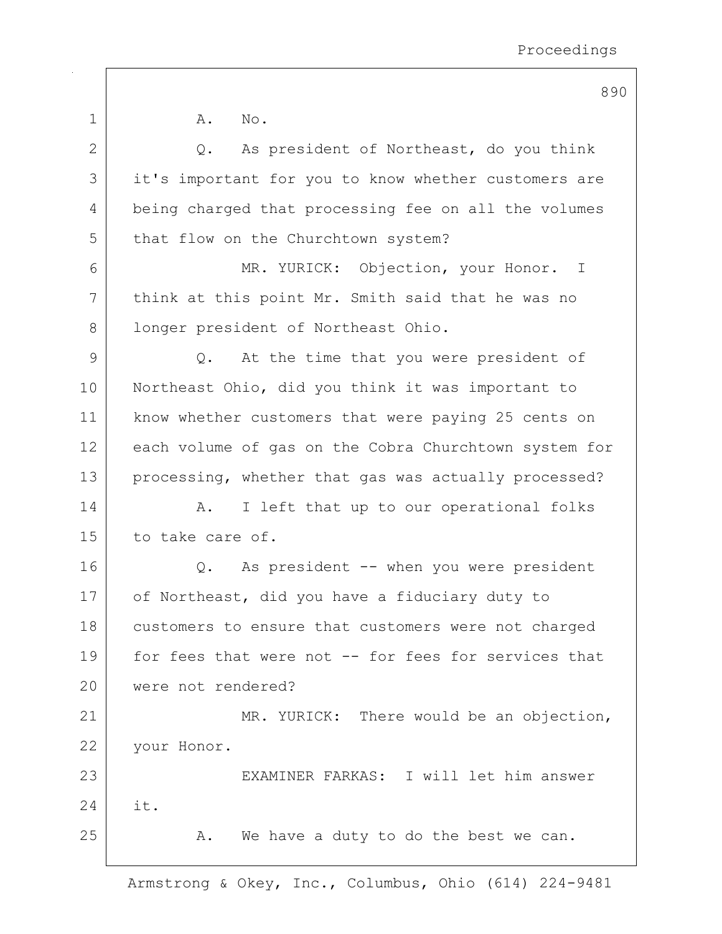890 1 A. No. 2 Q. As president of Northeast, do you think 3 it's important for you to know whether customers are 4 being charged that processing fee on all the volumes 5 | that flow on the Churchtown system? 6 MR. YURICK: Objection, your Honor. I 7 | think at this point Mr. Smith said that he was no 8 | longer president of Northeast Ohio.  $9$  Q. At the time that you were president of 10 Northeast Ohio, did you think it was important to 11 | know whether customers that were paying 25 cents on 12 each volume of gas on the Cobra Churchtown system for 13 | processing, whether that gas was actually processed? 14 | A. I left that up to our operational folks 15 to take care of. 16 Q. As president -- when you were president 17 of Northeast, did you have a fiduciary duty to 18 customers to ensure that customers were not charged 19 for fees that were not -- for fees for services that 20 were not rendered? 21 | MR. YURICK: There would be an objection, 22 | your Honor. 23 EXAMINER FARKAS: I will let him answer 24 it. 25 A. We have a duty to do the best we can.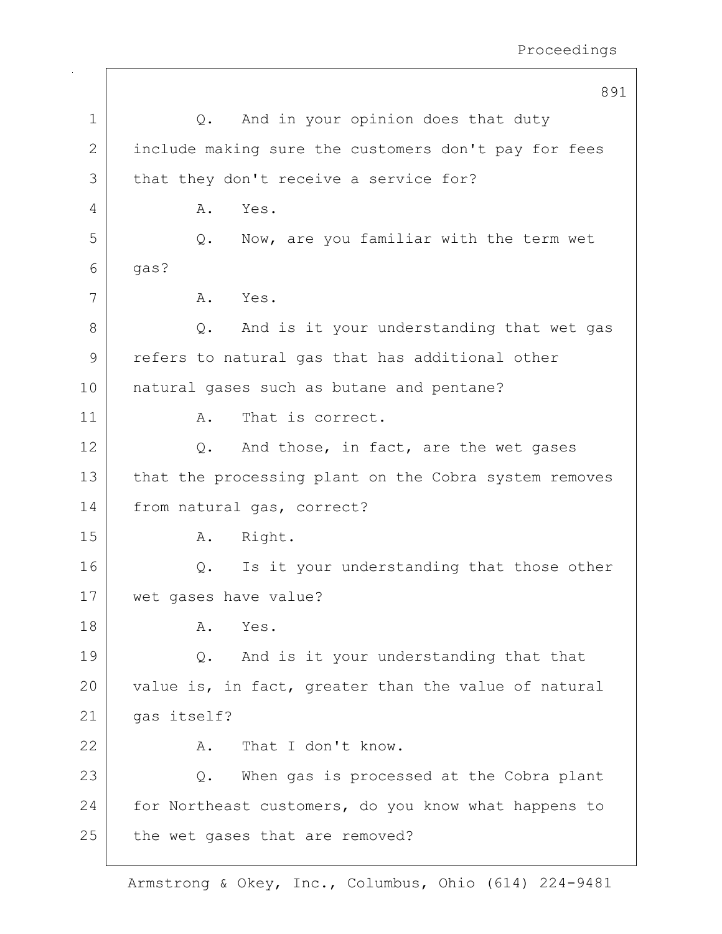|    | 891                                                   |
|----|-------------------------------------------------------|
| 1  | And in your opinion does that duty<br>Q.              |
| 2  | include making sure the customers don't pay for fees  |
| 3  | that they don't receive a service for?                |
| 4  | Yes.<br>Α.                                            |
| 5  | Now, are you familiar with the term wet<br>Q.         |
| 6  | qas?                                                  |
| 7  | A. Yes.                                               |
| 8  | And is it your understanding that wet gas<br>Q.       |
| 9  | refers to natural gas that has additional other       |
| 10 | natural gases such as butane and pentane?             |
| 11 | That is correct.<br>Α.                                |
| 12 | And those, in fact, are the wet gases<br>Q.           |
| 13 | that the processing plant on the Cobra system removes |
| 14 | from natural gas, correct?                            |
| 15 | Right.<br>Α.                                          |
| 16 | Is it your understanding that those other<br>Q.       |
| 17 | wet gases have value?                                 |
| 18 | Α.<br>Yes.                                            |
| 19 | And is it your understanding that that<br>Q.          |
| 20 | value is, in fact, greater than the value of natural  |
| 21 | gas itself?                                           |
| 22 | That I don't know.<br>Α.                              |
| 23 | When gas is processed at the Cobra plant<br>Q.        |
| 24 | for Northeast customers, do you know what happens to  |
| 25 | the wet gases that are removed?                       |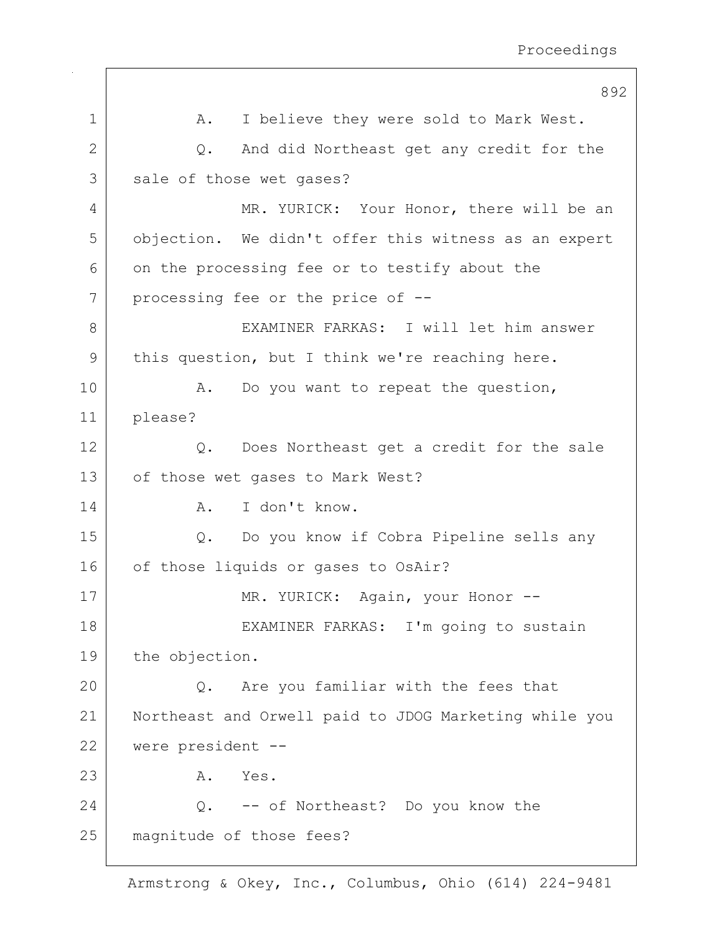|               | 892                                                   |
|---------------|-------------------------------------------------------|
| 1             | I believe they were sold to Mark West.<br>Α.          |
| 2             | And did Northeast get any credit for the<br>Q.        |
| 3             | sale of those wet gases?                              |
| 4             | MR. YURICK: Your Honor, there will be an              |
| 5             | objection. We didn't offer this witness as an expert  |
| 6             | on the processing fee or to testify about the         |
| 7             | processing fee or the price of --                     |
| 8             | EXAMINER FARKAS: I will let him answer                |
| $\mathcal{G}$ | this question, but I think we're reaching here.       |
| 10            | Do you want to repeat the question,<br>Α.             |
| 11            | please?                                               |
| 12            | Does Northeast get a credit for the sale<br>Q.        |
| 13            | of those wet gases to Mark West?                      |
| 14            | I don't know.<br>Α.                                   |
| 15            | Do you know if Cobra Pipeline sells any<br>Q.         |
| 16            | of those liquids or gases to OsAir?                   |
| 17            | MR. YURICK: Again, your Honor --                      |
| 18            | EXAMINER FARKAS: I'm going to sustain                 |
| 19            | the objection.                                        |
| 20            | Are you familiar with the fees that<br>$Q$ .          |
| 21            | Northeast and Orwell paid to JDOG Marketing while you |
| 22            | were president --                                     |
| 23            | Yes.<br>Α.                                            |
| 24            | Q. -- of Northeast? Do you know the                   |
| 25            | magnitude of those fees?                              |
|               |                                                       |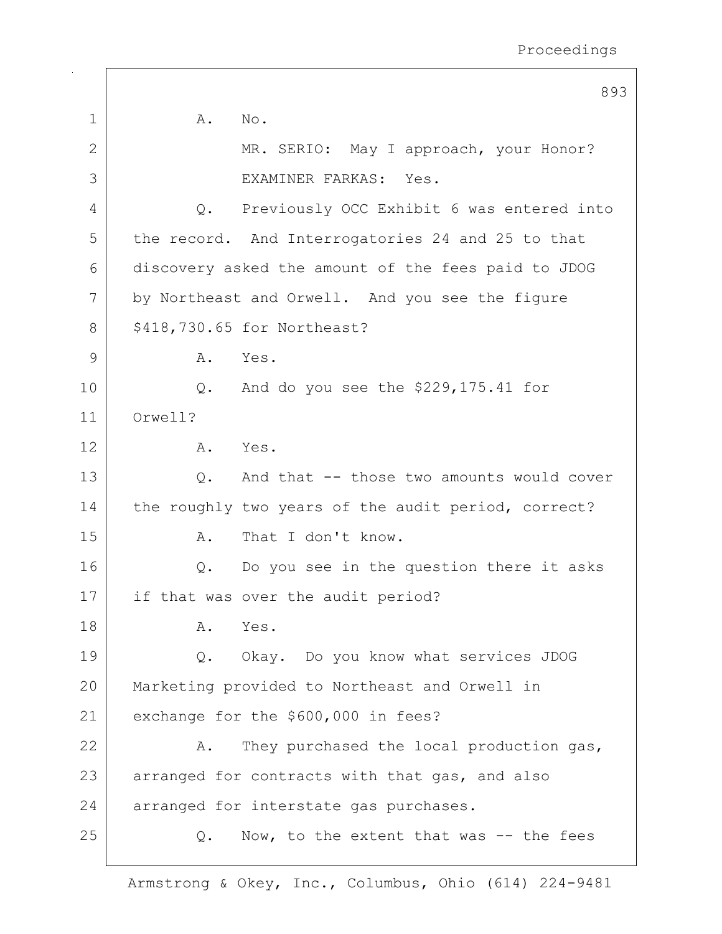|    |                             | 893                                                 |
|----|-----------------------------|-----------------------------------------------------|
| 1  | Α.<br>No.                   |                                                     |
| 2  |                             | MR. SERIO: May I approach, your Honor?              |
| 3  |                             | EXAMINER FARKAS: Yes.                               |
| 4  | Q.                          | Previously OCC Exhibit 6 was entered into           |
| 5  |                             | the record. And Interrogatories 24 and 25 to that   |
| 6  |                             | discovery asked the amount of the fees paid to JDOG |
| 7  |                             | by Northeast and Orwell. And you see the figure     |
| 8  | \$418,730.65 for Northeast? |                                                     |
| 9  | Α.                          | Yes.                                                |
| 10 |                             | Q. And do you see the $$229,175.41$ for             |
| 11 | Orwell?                     |                                                     |
| 12 | Α.                          | Yes.                                                |
| 13 | Q.                          | And that -- those two amounts would cover           |
| 14 |                             | the roughly two years of the audit period, correct? |
| 15 | Α.                          | That I don't know.                                  |
| 16 |                             | Q. Do you see in the question there it asks         |
| 17 |                             | if that was over the audit period?                  |
| 18 | Α.                          | Yes.                                                |
| 19 | Q.                          | Okay. Do you know what services JDOG                |
| 20 |                             | Marketing provided to Northeast and Orwell in       |
| 21 |                             | exchange for the \$600,000 in fees?                 |
| 22 | Α.                          | They purchased the local production gas,            |
| 23 |                             | arranged for contracts with that gas, and also      |
| 24 |                             | arranged for interstate gas purchases.              |
| 25 | Q.                          | Now, to the extent that was -- the fees             |
|    |                             |                                                     |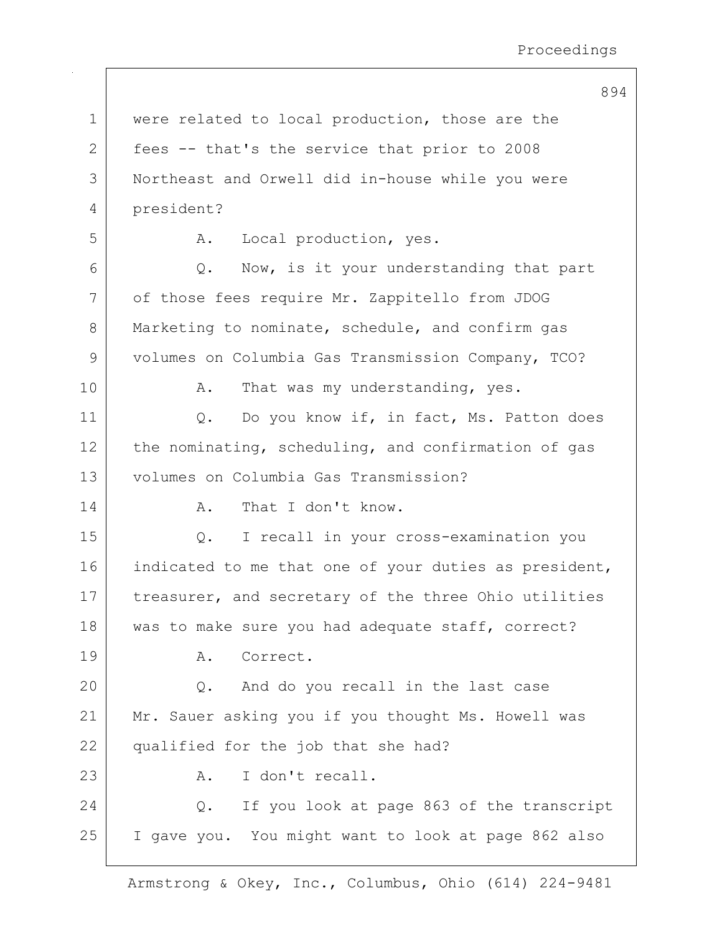894

| $\mathbf 1$ | were related to local production, those are the       |
|-------------|-------------------------------------------------------|
| 2           | fees -- that's the service that prior to 2008         |
| 3           | Northeast and Orwell did in-house while you were      |
| 4           | president?                                            |
| 5           | Local production, yes.<br>Α.                          |
| 6           | Now, is it your understanding that part<br>Q.         |
| 7           | of those fees require Mr. Zappitello from JDOG        |
| 8           | Marketing to nominate, schedule, and confirm gas      |
| 9           | volumes on Columbia Gas Transmission Company, TCO?    |
| 10          | That was my understanding, yes.<br>Α.                 |
| 11          | Do you know if, in fact, Ms. Patton does<br>Q.        |
| 12          | the nominating, scheduling, and confirmation of gas   |
| 13          | volumes on Columbia Gas Transmission?                 |
| 14          | That I don't know.<br>Α.                              |
| 15          | I recall in your cross-examination you<br>Q.          |
| 16          | indicated to me that one of your duties as president, |
| 17          | treasurer, and secretary of the three Ohio utilities  |
| 18          | was to make sure you had adequate staff, correct?     |
| 19          | Correct.<br>Α.                                        |
| 20          | And do you recall in the last case<br>Q.              |
| 21          | Mr. Sauer asking you if you thought Ms. Howell was    |
| 22          | qualified for the job that she had?                   |
| 23          | I don't recall.<br>Α.                                 |
| 24          | If you look at page 863 of the transcript<br>Q.       |
| 25          | I gave you. You might want to look at page 862 also   |
|             |                                                       |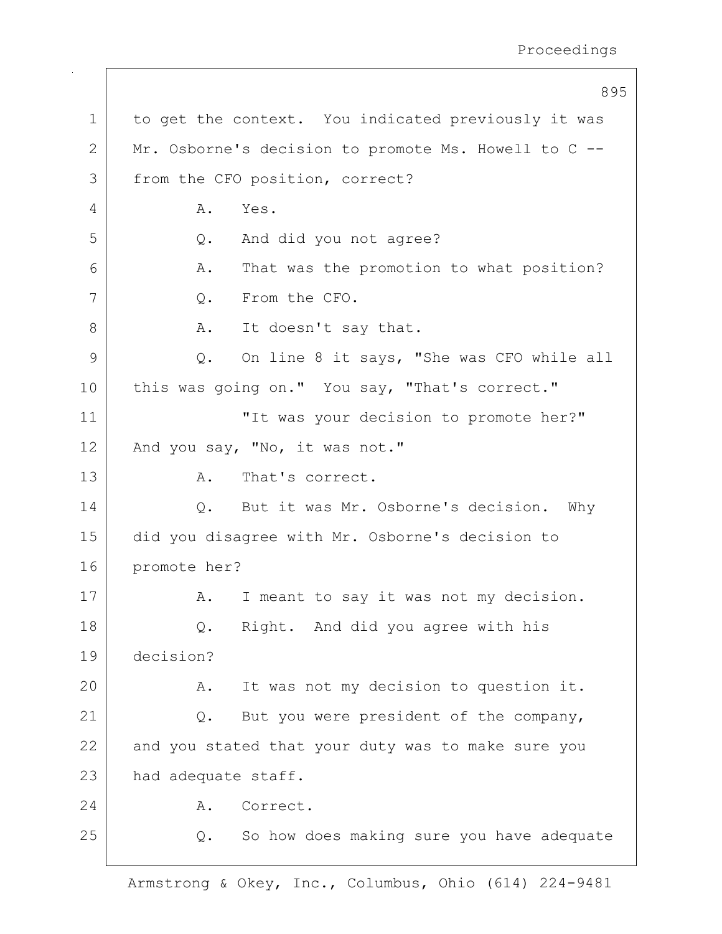895 1 to get the context. You indicated previously it was 2 Mr. Osborne's decision to promote Ms. Howell to C --3 from the CFO position, correct? 4 A. Yes. 5 Q. And did you not agree? 6 A. That was the promotion to what position? 7 | Q. From the CFO. 8 A. It doesn't say that. 9 Q. On line 8 it says, "She was CFO while all 10 this was going on." You say, "That's correct." 11 | The was your decision to promote her?" 12 | And you say, "No, it was not." 13 A. That's correct. 14 | C. But it was Mr. Osborne's decision. Why 15 did you disagree with Mr. Osborne's decision to 16 promote her? 17 | A. I meant to say it was not my decision. 18 Q. Right. And did you agree with his 19 decision? 20 A. It was not my decision to question it. 21 Q. But you were president of the company, 22 and you stated that your duty was to make sure you 23 had adequate staff. 24 A. Correct. 25 | Q. So how does making sure you have adequate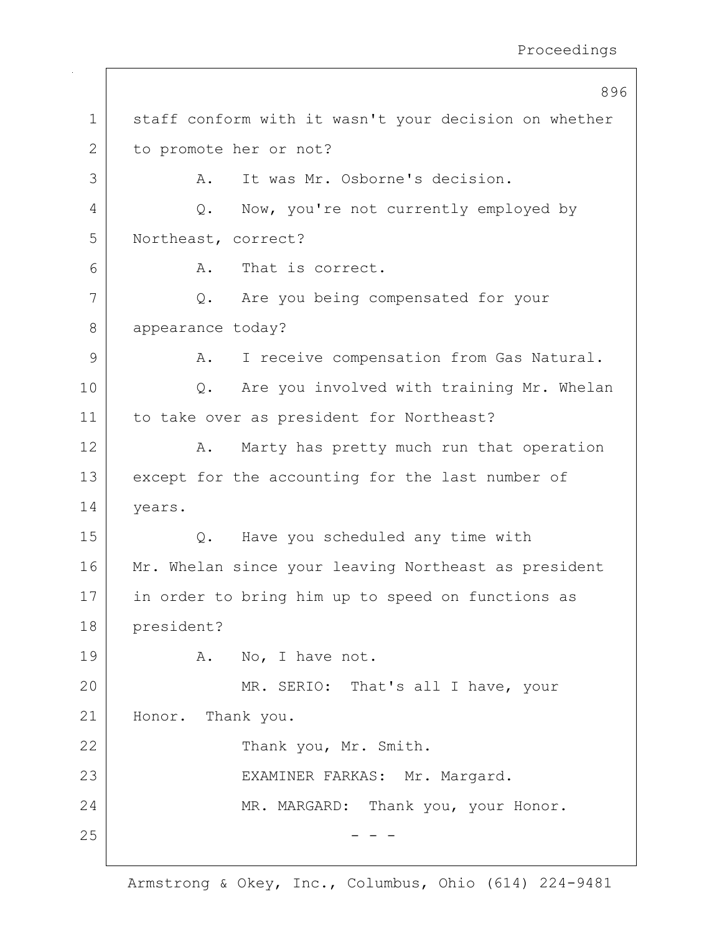|             | 896                                                   |
|-------------|-------------------------------------------------------|
| $\mathbf 1$ | staff conform with it wasn't your decision on whether |
| 2           | to promote her or not?                                |
| 3           | It was Mr. Osborne's decision.<br>Α.                  |
| 4           | Now, you're not currently employed by<br>Q.           |
| 5           | Northeast, correct?                                   |
| 6           | That is correct.<br>Α.                                |
| 7           | Are you being compensated for your<br>Q.              |
| 8           | appearance today?                                     |
| 9           | I receive compensation from Gas Natural.<br>Α.        |
| 10          | Are you involved with training Mr. Whelan<br>Q.       |
| 11          | to take over as president for Northeast?              |
| 12          | Marty has pretty much run that operation<br>Α.        |
| 13          | except for the accounting for the last number of      |
| 14          | years.                                                |
| 15          | Have you scheduled any time with<br>Q.                |
| 16          | Mr. Whelan since your leaving Northeast as president  |
| 17          | in order to bring him up to speed on functions as     |
| 18          | president?                                            |
| 19          | A. No, I have not.                                    |
| 20          | MR. SERIO: That's all I have, your                    |
| 21          | Honor. Thank you.                                     |
| 22          | Thank you, Mr. Smith.                                 |
| 23          | EXAMINER FARKAS: Mr. Margard.                         |
| 24          | MR. MARGARD: Thank you, your Honor.                   |
| 25          |                                                       |
|             |                                                       |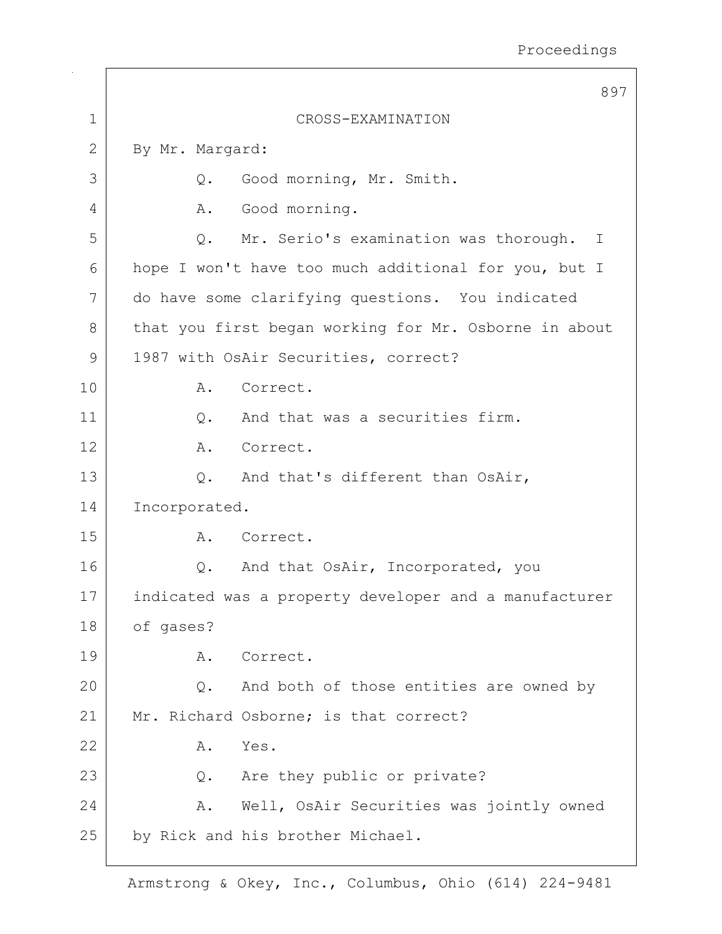|             | 897                                                       |
|-------------|-----------------------------------------------------------|
| $\mathbf 1$ | CROSS-EXAMINATION                                         |
| 2           | By Mr. Margard:                                           |
| 3           | Good morning, Mr. Smith.<br>Q.                            |
| 4           | Good morning.<br>A.                                       |
| 5           | Mr. Serio's examination was thorough.<br>$Q$ .<br>$\perp$ |
| 6           | hope I won't have too much additional for you, but I      |
| 7           | do have some clarifying questions. You indicated          |
| 8           | that you first began working for Mr. Osborne in about     |
| 9           | 1987 with OsAir Securities, correct?                      |
| 10          | Correct.<br>Α.                                            |
| 11          | And that was a securities firm.<br>Q.                     |
| 12          | Correct.<br>A.                                            |
| 13          | And that's different than OsAir,<br>$Q$ .                 |
| 14          | Incorporated.                                             |
| 15          | Correct.<br>Α.                                            |
| 16          | And that OsAir, Incorporated, you<br>$Q$ .                |
| 17          | indicated was a property developer and a manufacturer     |
| 18          | of gases?                                                 |
| 19          | Correct.<br>Α.                                            |
| 20          | And both of those entities are owned by<br>Q.             |
| 21          | Mr. Richard Osborne; is that correct?                     |
| 22          | Yes.<br>Α.                                                |
| 23          | Are they public or private?<br>Q.                         |
| 24          | Well, OsAir Securities was jointly owned<br>Α.            |
| 25          | by Rick and his brother Michael.                          |
|             |                                                           |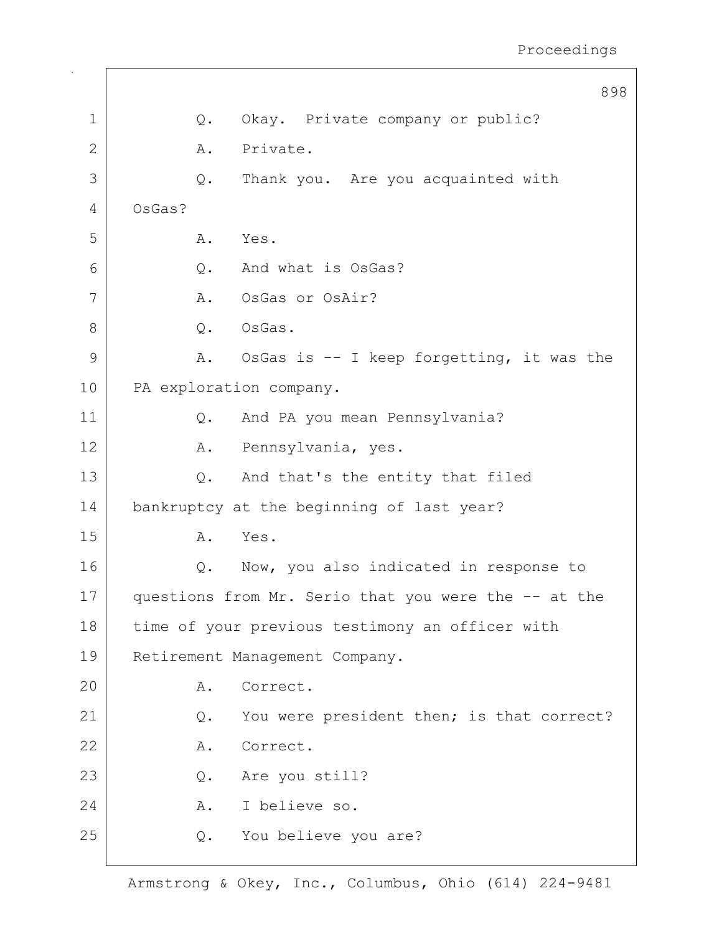898 1 | Q. Okay. Private company or public? 2 A. Private. 3 Q. Thank you. Are you acquainted with 4 OsGas? 5 A. Yes. 6 0. And what is OsGas? 7 | A. OsGas or OsAir? 8 | Q. OsGas. 9 A. OsGas is -- I keep forgetting, it was the 10 PA exploration company. 11 | Q. And PA you mean Pennsylvania? 12 | A. Pennsylvania, yes. 13 Q. And that's the entity that filed 14 bankruptcy at the beginning of last year? 15 A. Yes. 16 | Q. Now, you also indicated in response to 17 questions from Mr. Serio that you were the -- at the 18 time of your previous testimony an officer with 19 Retirement Management Company. 20 A. Correct. 21 Q. You were president then; is that correct? 22 A. Correct. 23 Q. Are you still? 24 A. I believe so. 25 Q. You believe you are?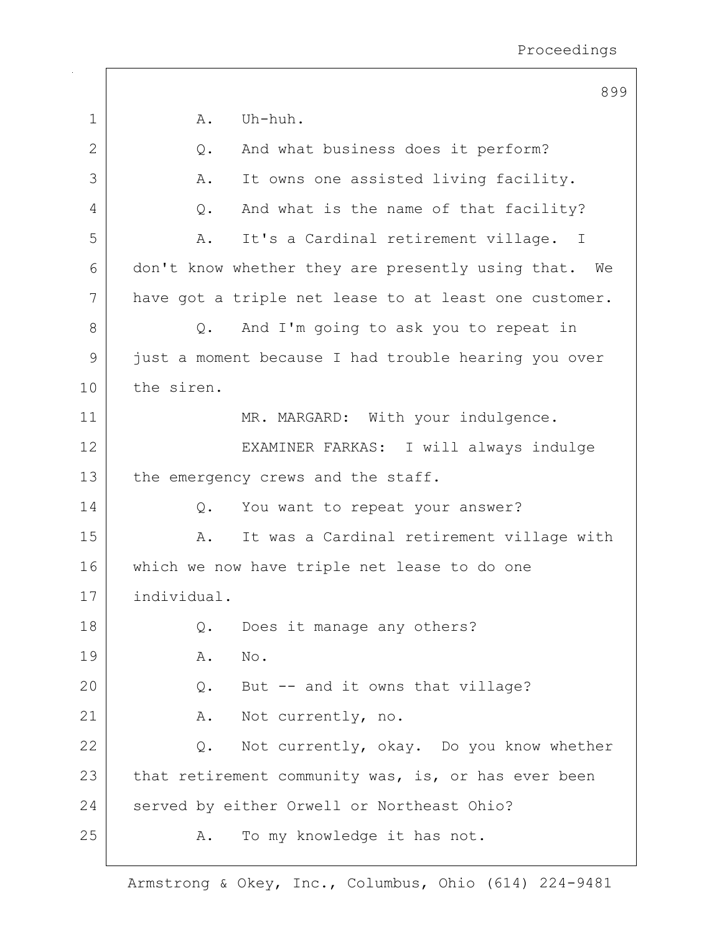|    | 899                                                     |
|----|---------------------------------------------------------|
| 1  | Uh-huh.<br>Α.                                           |
| 2  | And what business does it perform?<br>$Q$ .             |
| 3  | It owns one assisted living facility.<br>Α.             |
| 4  | And what is the name of that facility?<br>Q.            |
| 5  | It's a Cardinal retirement village. I<br>Α.             |
| 6  | don't know whether they are presently using that.<br>We |
| 7  | have got a triple net lease to at least one customer.   |
| 8  | And I'm going to ask you to repeat in<br>$Q_{\bullet}$  |
| 9  | just a moment because I had trouble hearing you over    |
| 10 | the siren.                                              |
| 11 | MR. MARGARD: With your indulgence.                      |
| 12 | EXAMINER FARKAS: I will always indulge                  |
| 13 | the emergency crews and the staff.                      |
| 14 | You want to repeat your answer?<br>$Q$ .                |
| 15 | It was a Cardinal retirement village with<br>Α.         |
| 16 | which we now have triple net lease to do one            |
| 17 | individual.                                             |
| 18 | Does it manage any others?<br>Q.                        |
| 19 | Α.<br>No.                                               |
| 20 | But -- and it owns that village?<br>Q.                  |
| 21 | Not currently, no.<br>Α.                                |
| 22 | Not currently, okay. Do you know whether<br>Q.          |
| 23 | that retirement community was, is, or has ever been     |
| 24 | served by either Orwell or Northeast Ohio?              |
| 25 | To my knowledge it has not.<br>Α.                       |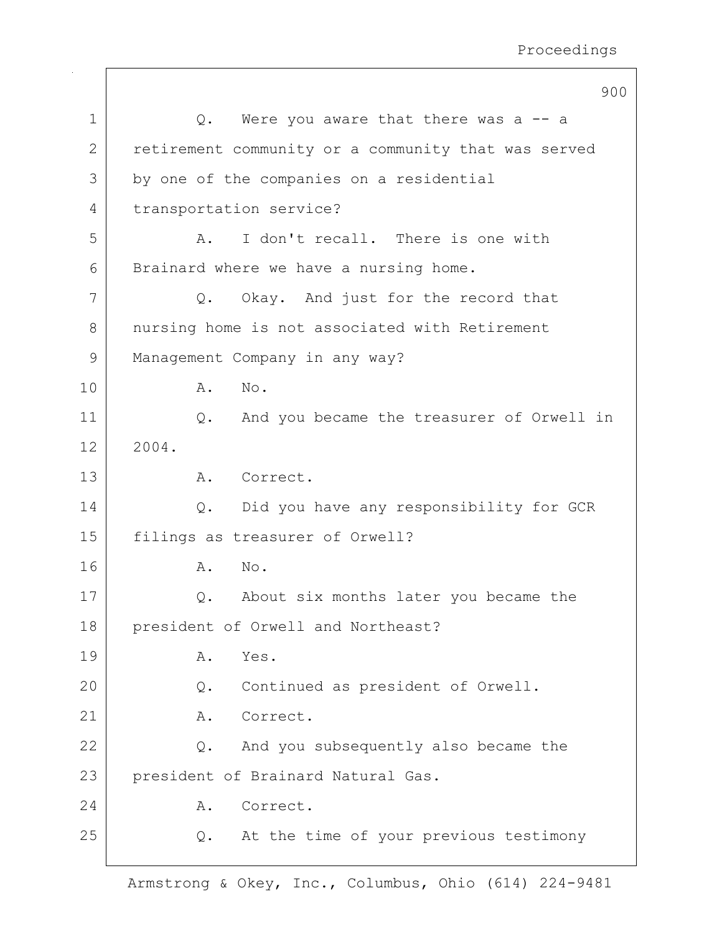|             | 900                                                 |
|-------------|-----------------------------------------------------|
| $\mathbf 1$ | Q. Were you aware that there was a -- a             |
| 2           | retirement community or a community that was served |
| 3           | by one of the companies on a residential            |
| 4           | transportation service?                             |
| 5           | I don't recall. There is one with<br>Α.             |
| 6           | Brainard where we have a nursing home.              |
| 7           | Okay. And just for the record that<br>Q.            |
| 8           | nursing home is not associated with Retirement      |
| 9           | Management Company in any way?                      |
| 10          | No.<br>Α.                                           |
| 11          | And you became the treasurer of Orwell in<br>$Q$ .  |
| 12          | 2004.                                               |
| 13          | Correct.<br>Α.                                      |
| 14          | Did you have any responsibility for GCR<br>Q.       |
| 15          | filings as treasurer of Orwell?                     |
| 16          | A.<br>No.                                           |
| 17          | About six months later you became the<br>Q.         |
| 18          | president of Orwell and Northeast?                  |
| 19          | Α.<br>Yes.                                          |
| 20          | Continued as president of Orwell.<br>Q.             |
| 21          | Correct.<br>Α.                                      |
| 22          | And you subsequently also became the<br>Q.          |
| 23          | president of Brainard Natural Gas.                  |
| 24          | Correct.<br>Α.                                      |
| 25          | At the time of your previous testimony<br>Q.        |
|             |                                                     |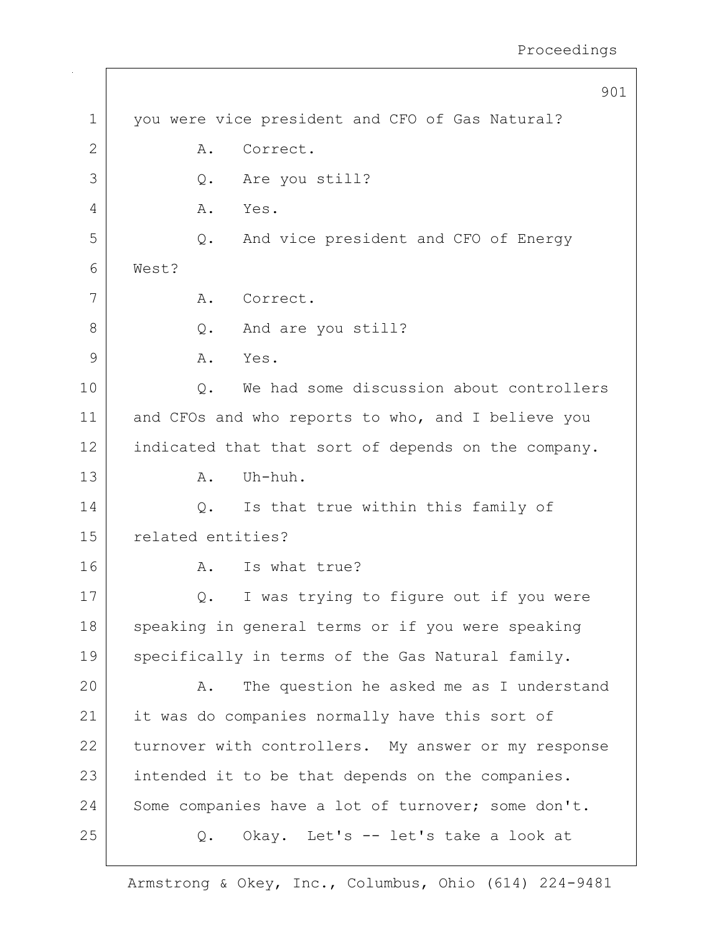|                | 901                                                 |
|----------------|-----------------------------------------------------|
| $\mathbf 1$    | you were vice president and CFO of Gas Natural?     |
| $\overline{2}$ | Correct.<br>Α.                                      |
| 3              | Are you still?<br>Q.                                |
| 4              | Yes.<br>Α.                                          |
| 5              | And vice president and CFO of Energy<br>Q.          |
| 6              | West?                                               |
| 7              | Correct.<br>Α.                                      |
| 8              | And are you still?<br>Q.                            |
| 9              | Yes.<br>Α.                                          |
| 10             | We had some discussion about controllers<br>$Q$ .   |
| 11             | and CFOs and who reports to who, and I believe you  |
| 12             | indicated that that sort of depends on the company. |
| 13             | Uh-huh.<br>Α.                                       |
| 14             | Is that true within this family of<br>Q.            |
| 15             | related entities?                                   |
| 16             | Is what true?<br>Α.                                 |
| 17             | I was trying to figure out if you were<br>Q.        |
| 18             | speaking in general terms or if you were speaking   |
| 19             | specifically in terms of the Gas Natural family.    |
| 20             | The question he asked me as I understand<br>Α.      |
| 21             | it was do companies normally have this sort of      |
| 22             | turnover with controllers. My answer or my response |
| 23             | intended it to be that depends on the companies.    |
| 24             | Some companies have a lot of turnover; some don't.  |
| 25             | Okay. Let's -- let's take a look at<br>Q.           |
|                |                                                     |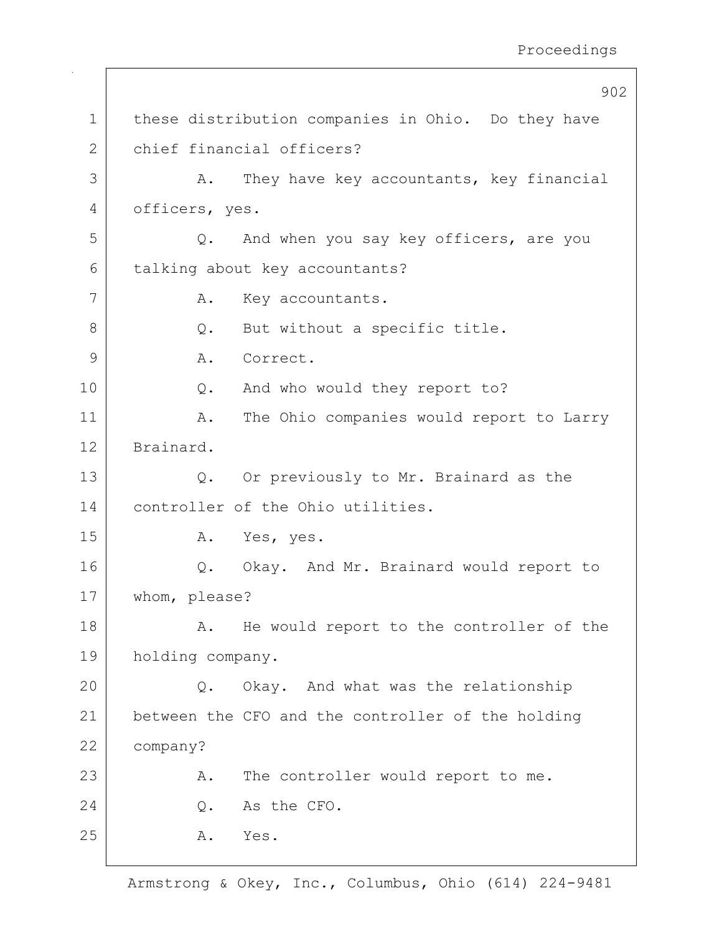902 1 these distribution companies in Ohio. Do they have 2 chief financial officers? 3 A. They have key accountants, key financial 4 officers, yes. 5 Q. And when you say key officers, are you 6 talking about key accountants? 7 | A. Key accountants. 8 Q. But without a specific title. 9 A. Correct. 10 Q. And who would they report to? 11 | A. The Ohio companies would report to Larry 12 Brainard. 13 Q. Or previously to Mr. Brainard as the 14 controller of the Ohio utilities. 15 A. Yes, yes. 16 | Q. Okay. And Mr. Brainard would report to 17 whom, please? 18 | A. He would report to the controller of the 19 holding company. 20 Q. Okay. And what was the relationship 21 between the CFO and the controller of the holding 22 company? 23 A. The controller would report to me. 24 O. As the CFO. 25 A. Yes.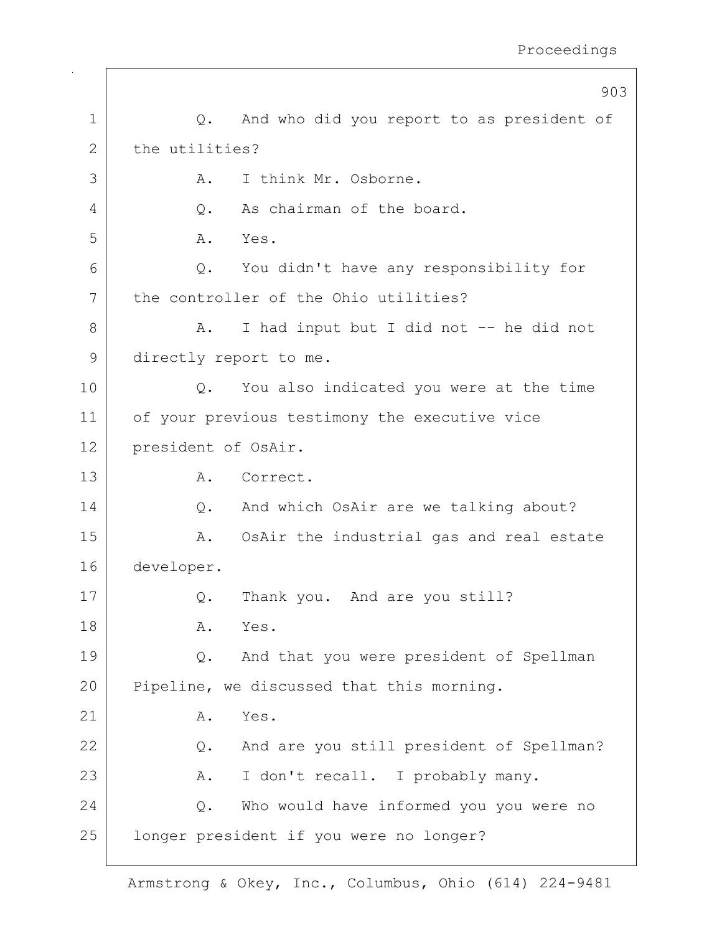|             | 903                                             |
|-------------|-------------------------------------------------|
| $\mathbf 1$ | And who did you report to as president of<br>Q. |
| 2           | the utilities?                                  |
| 3           | I think Mr. Osborne.<br>Α.                      |
| 4           | As chairman of the board.<br>Q.                 |
| 5           | Α.<br>Yes.                                      |
| 6           | You didn't have any responsibility for<br>Q.    |
| 7           | the controller of the Ohio utilities?           |
| 8           | I had input but I did not -- he did not<br>Α.   |
| 9           | directly report to me.                          |
| 10          | You also indicated you were at the time<br>Q.   |
| 11          | of your previous testimony the executive vice   |
| 12          | president of OsAir.                             |
| 13          | Α.<br>Correct.                                  |
| 14          | And which OsAir are we talking about?<br>$Q$ .  |
| 15          | OsAir the industrial gas and real estate<br>Α.  |
| 16          | developer.                                      |
| 17          | Thank you. And are you still?<br>Q.             |
| 18          | Α.<br>Yes.                                      |
| 19          | And that you were president of Spellman<br>Q.   |
| 20          | Pipeline, we discussed that this morning.       |
| 21          | Yes.<br>Α.                                      |
| 22          | And are you still president of Spellman?<br>Q.  |
| 23          | I don't recall. I probably many.<br>Α.          |
| 24          | Who would have informed you you were no<br>Q.   |
| 25          | longer president if you were no longer?         |
|             |                                                 |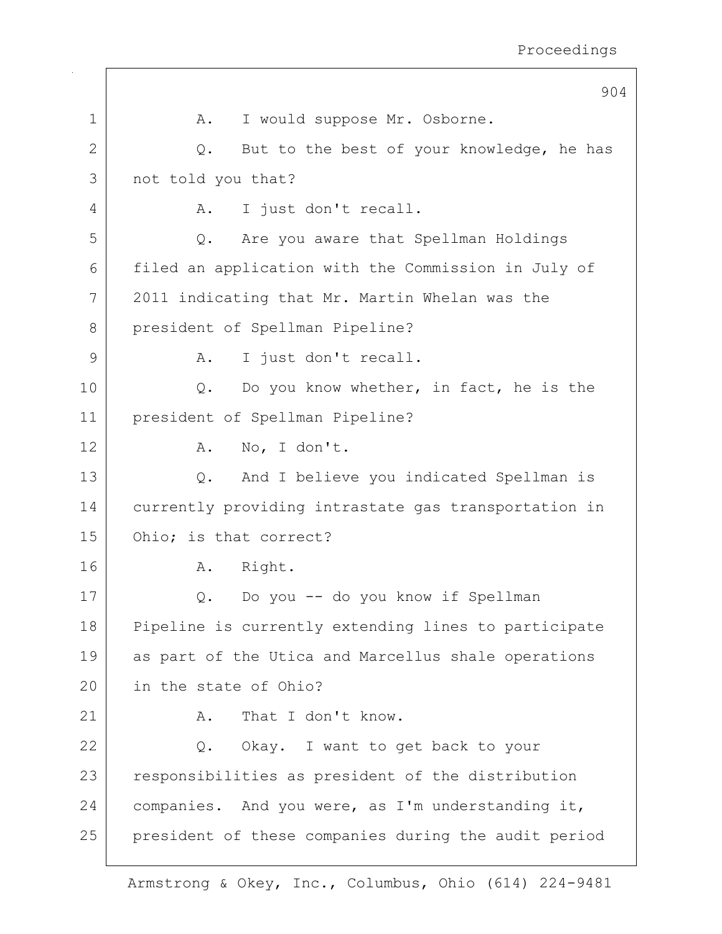|              | 904                                                  |
|--------------|------------------------------------------------------|
| $\mathbf 1$  | I would suppose Mr. Osborne.<br>Α.                   |
| $\mathbf{2}$ | But to the best of your knowledge, he has<br>Q.      |
| 3            | not told you that?                                   |
| 4            | I just don't recall.<br>Α.                           |
| 5            | Are you aware that Spellman Holdings<br>Q.           |
| 6            | filed an application with the Commission in July of  |
| 7            | 2011 indicating that Mr. Martin Whelan was the       |
| 8            | president of Spellman Pipeline?                      |
| 9            | I just don't recall.<br>Α.                           |
| 10           | Do you know whether, in fact, he is the<br>Q.        |
| 11           | president of Spellman Pipeline?                      |
| 12           | No, I don't.<br>Α.                                   |
| 13           | And I believe you indicated Spellman is<br>Q.        |
| 14           | currently providing intrastate gas transportation in |
| 15           | Ohio; is that correct?                               |
| 16           | Right.<br>Α.                                         |
| 17           | Do you -- do you know if Spellman<br>Q.              |
| 18           | Pipeline is currently extending lines to participate |
| 19           | as part of the Utica and Marcellus shale operations  |
| 20           | in the state of Ohio?                                |
| 21           | That I don't know.<br>Α.                             |
| 22           | Q. Okay. I want to get back to your                  |
| 23           | responsibilities as president of the distribution    |
| 24           | companies. And you were, as I'm understanding it,    |
| 25           | president of these companies during the audit period |

 $\Gamma$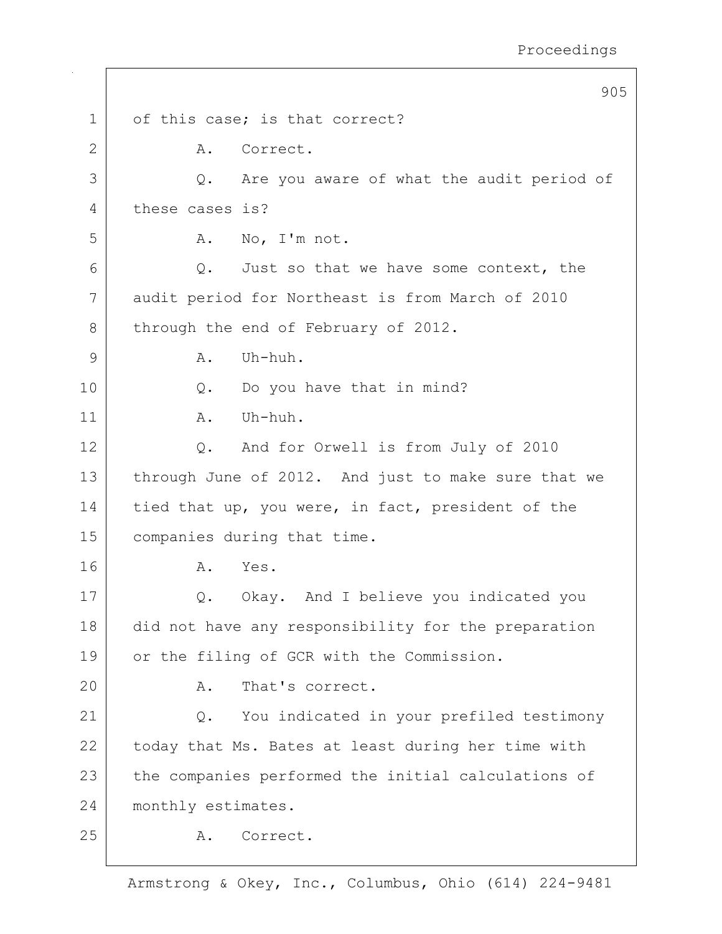|              | 905                                                 |
|--------------|-----------------------------------------------------|
| $\mathbf 1$  | of this case; is that correct?                      |
| $\mathbf{2}$ | Correct.<br>Α.                                      |
| 3            | Are you aware of what the audit period of<br>Q.     |
| 4            | these cases is?                                     |
| 5            | No, I'm not.<br>Α.                                  |
| 6            | Q. Just so that we have some context, the           |
| 7            | audit period for Northeast is from March of 2010    |
| 8            | through the end of February of 2012.                |
| 9            | Uh-huh.<br>Α.                                       |
| 10           | Do you have that in mind?<br>$Q$ .                  |
| 11           | Uh-huh.<br>Α.                                       |
| 12           | And for Orwell is from July of 2010<br>Q.           |
| 13           | through June of 2012. And just to make sure that we |
| 14           | tied that up, you were, in fact, president of the   |
| 15           | companies during that time.                         |
| 16           | Yes.<br>Α.                                          |
| 17           | Okay. And I believe you indicated you<br>Q.         |
| 18           | did not have any responsibility for the preparation |
| 19           | or the filing of GCR with the Commission.           |
| 20           | That's correct.<br>Α.                               |
| 21           | You indicated in your prefiled testimony<br>Q.      |
| 22           | today that Ms. Bates at least during her time with  |
| 23           | the companies performed the initial calculations of |
| 24           | monthly estimates.                                  |
| 25           | Correct.<br>Α.                                      |
|              |                                                     |

 $\overline{\Gamma}$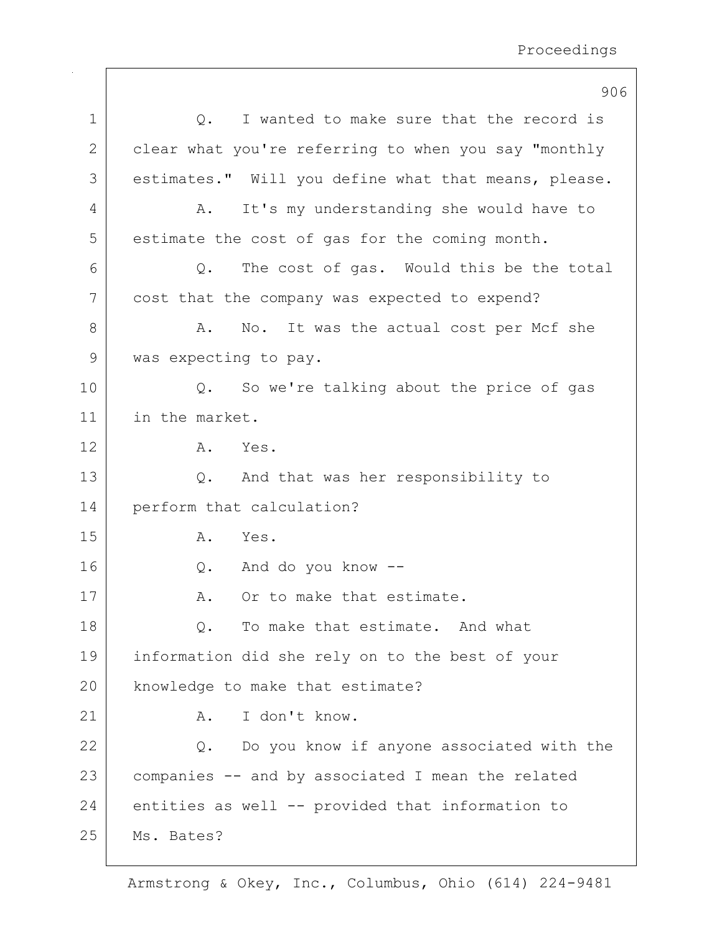|              | 906                                                      |
|--------------|----------------------------------------------------------|
| 1            | I wanted to make sure that the record is<br>Q.           |
| $\mathbf{2}$ | clear what you're referring to when you say "monthly     |
| 3            | estimates." Will you define what that means, please.     |
| 4            | It's my understanding she would have to<br>Α.            |
| 5            | estimate the cost of gas for the coming month.           |
| 6            | The cost of gas. Would this be the total<br>Q.           |
| 7            | cost that the company was expected to expend?            |
| 8            | No. It was the actual cost per Mcf she<br>Α.             |
| 9            | was expecting to pay.                                    |
| 10           | So we're talking about the price of gas<br>$Q_{\bullet}$ |
| 11           | in the market.                                           |
| 12           | Yes.<br>Α.                                               |
| 13           | And that was her responsibility to<br>Q.                 |
| 14           | perform that calculation?                                |
| 15           | Α.<br>Yes.                                               |
| 16           | And do you know --<br>Q.                                 |
| 17           | Or to make that estimate.<br>Α.                          |
| 18           | To make that estimate. And what<br>$Q_{\bullet}$         |
| 19           | information did she rely on to the best of your          |
| 20           | knowledge to make that estimate?                         |
| 21           | I don't know.<br>Α.                                      |
| 22           | Do you know if anyone associated with the<br>Q.          |
| 23           | companies -- and by associated I mean the related        |
| 24           | entities as well -- provided that information to         |
| 25           | Ms. Bates?                                               |
|              |                                                          |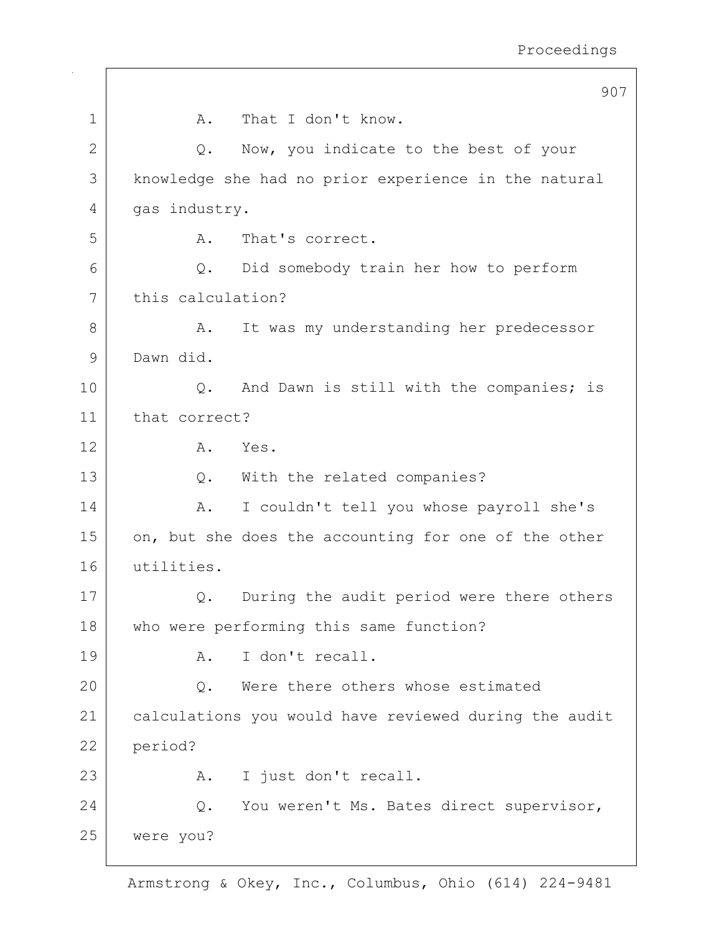|              |                   | 907                                                   |
|--------------|-------------------|-------------------------------------------------------|
| $\mathbf 1$  | Α.                | That I don't know.                                    |
| $\mathbf{2}$ | Q.                | Now, you indicate to the best of your                 |
| 3            |                   | knowledge she had no prior experience in the natural  |
| 4            | gas industry.     |                                                       |
| 5            | Α.                | That's correct.                                       |
| 6            | Q.                | Did somebody train her how to perform                 |
| 7            | this calculation? |                                                       |
| 8            | Α.                | It was my understanding her predecessor               |
| $\mathsf{9}$ | Dawn did.         |                                                       |
| 10           | $Q$ .             | And Dawn is still with the companies; is              |
| 11           | that correct?     |                                                       |
| 12           | Α.                | Yes.                                                  |
| 13           | Q.                | With the related companies?                           |
| 14           | Α.                | I couldn't tell you whose payroll she's               |
| 15           |                   | on, but she does the accounting for one of the other  |
| 16           | utilities.        |                                                       |
| 17           | Q.                | During the audit period were there others             |
| 18           |                   | who were performing this same function?               |
| 19           | Α.                | I don't recall.                                       |
| 20           | Q.                | Were there others whose estimated                     |
| 21           |                   | calculations you would have reviewed during the audit |
| 22           | period?           |                                                       |
| 23           | Α.                | I just don't recall.                                  |
| 24           | Q.                | You weren't Ms. Bates direct supervisor,              |
| 25           | were you?         |                                                       |
|              |                   |                                                       |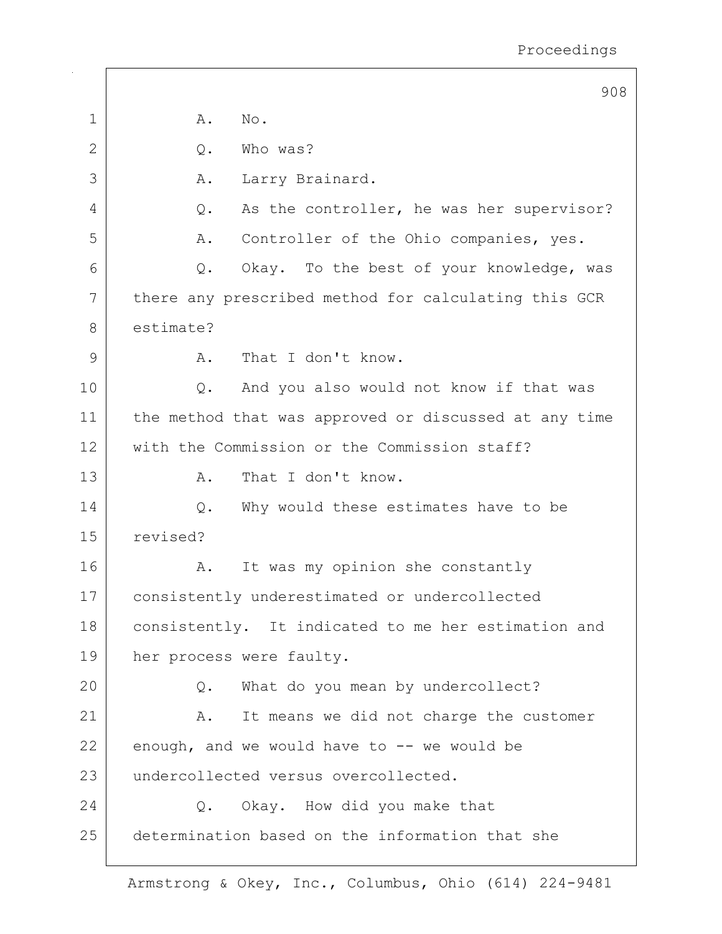|             | 908                                                   |
|-------------|-------------------------------------------------------|
| $\mathbf 1$ | Α.<br>No.                                             |
| 2           | Who was?<br>$Q$ .                                     |
| 3           | Larry Brainard.<br>Α.                                 |
| 4           | As the controller, he was her supervisor?<br>Q.       |
| 5           | Controller of the Ohio companies, yes.<br>Α.          |
| 6           | Okay. To the best of your knowledge, was<br>Q.        |
| 7           | there any prescribed method for calculating this GCR  |
| 8           | estimate?                                             |
| 9           | That I don't know.<br>Α.                              |
| 10          | And you also would not know if that was<br>Q.         |
| 11          | the method that was approved or discussed at any time |
| 12          | with the Commission or the Commission staff?          |
| 13          | That I don't know.<br>Α.                              |
| 14          | Why would these estimates have to be<br>Q.            |
| 15          | revised?                                              |
| 16          | It was my opinion she constantly<br>Α.                |
| 17          | consistently underestimated or undercollected         |
| 18          | consistently. It indicated to me her estimation and   |
| 19          | her process were faulty.                              |
| 20          | What do you mean by undercollect?<br>Q.               |
| 21          | It means we did not charge the customer<br>A.         |
| 22          | enough, and we would have to $-$ we would be          |
| 23          | undercollected versus overcollected.                  |
| 24          | Q. Okay. How did you make that                        |
| 25          | determination based on the information that she       |
|             |                                                       |

 $\Gamma$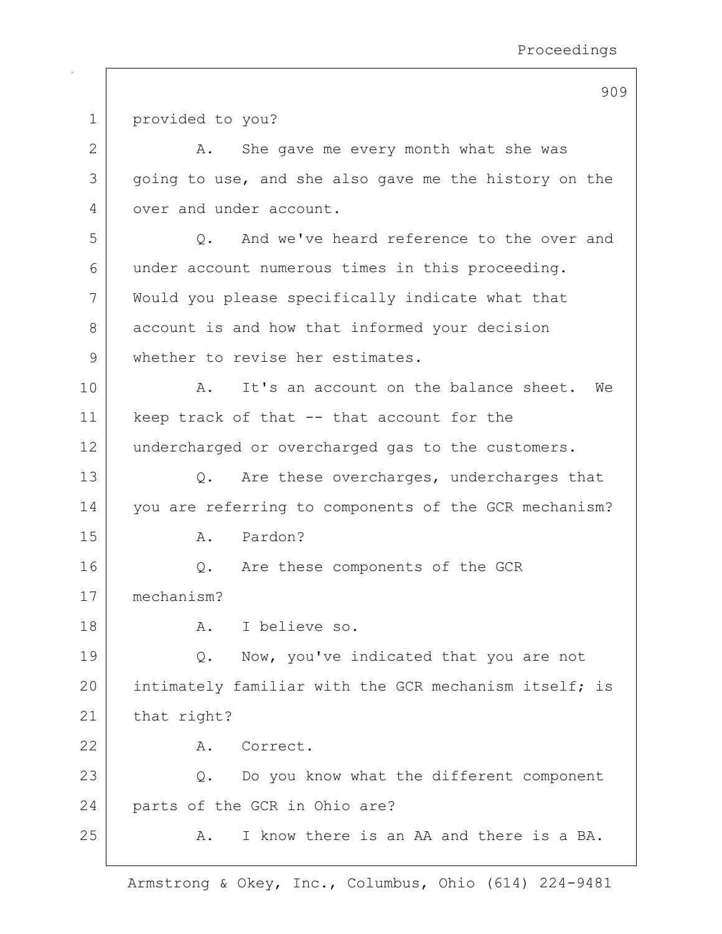1 provided to you? 2 A. She gave me every month what she was 3 going to use, and she also gave me the history on the 4 over and under account. 5 0. And we've heard reference to the over and 6 under account numerous times in this proceeding. 7 Would you please specifically indicate what that 8 account is and how that informed your decision 9 whether to revise her estimates. 10 | A. It's an account on the balance sheet. We 11 | keep track of that -- that account for the 12 undercharged or overcharged gas to the customers. 13 Q. Are these overcharges, undercharges that 14 | vou are referring to components of the GCR mechanism? 15 R. Pardon? 16 | Q. Are these components of the GCR 17 mechanism? 18 A. I believe so. 19 Q. Now, you've indicated that you are not 20 intimately familiar with the GCR mechanism itself; is 21 that right? 22 A. Correct. 23 Q. Do you know what the different component 24 | parts of the GCR in Ohio are? 25 A. I know there is an AA and there is a BA.

Armstrong & Okey, Inc., Columbus, Ohio (614) 224-9481

909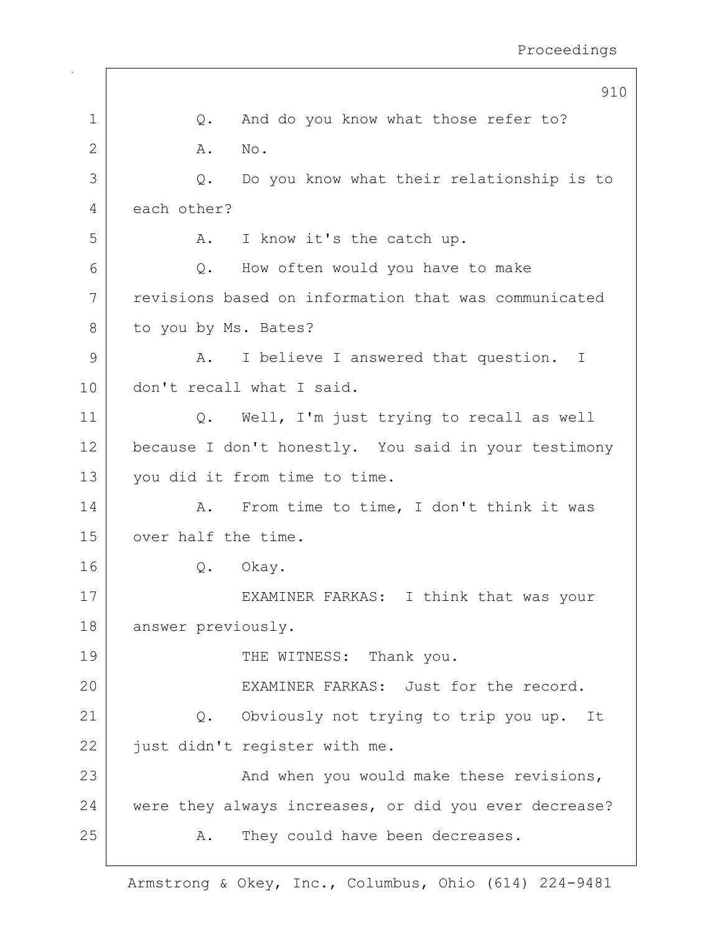|              | 910                                                   |
|--------------|-------------------------------------------------------|
| $\mathbf 1$  | And do you know what those refer to?<br>Q.            |
| $\mathbf{2}$ | Α.<br>No.                                             |
| 3            | Do you know what their relationship is to<br>Q.       |
| 4            | each other?                                           |
| 5            | I know it's the catch up.<br>A.                       |
| 6            | How often would you have to make<br>Q.                |
| 7            | revisions based on information that was communicated  |
| 8            | to you by Ms. Bates?                                  |
| 9            | I believe I answered that question. I<br>A.           |
| 10           | don't recall what I said.                             |
| 11           | Q. Well, I'm just trying to recall as well            |
| 12           | because I don't honestly. You said in your testimony  |
| 13           | you did it from time to time.                         |
| 14           | From time to time, I don't think it was<br>Α.         |
| 15           | over half the time.                                   |
| 16           | Okay.<br>Q.                                           |
| 17           | EXAMINER FARKAS: I think that was your                |
| 18           | answer previously.                                    |
| 19           | THE WITNESS: Thank you.                               |
| 20           | EXAMINER FARKAS: Just for the record.                 |
| 21           | Q. Obviously not trying to trip you up. It            |
| 22           | just didn't register with me.                         |
| 23           | And when you would make these revisions,              |
| 24           | were they always increases, or did you ever decrease? |
| 25           | They could have been decreases.<br>Α.                 |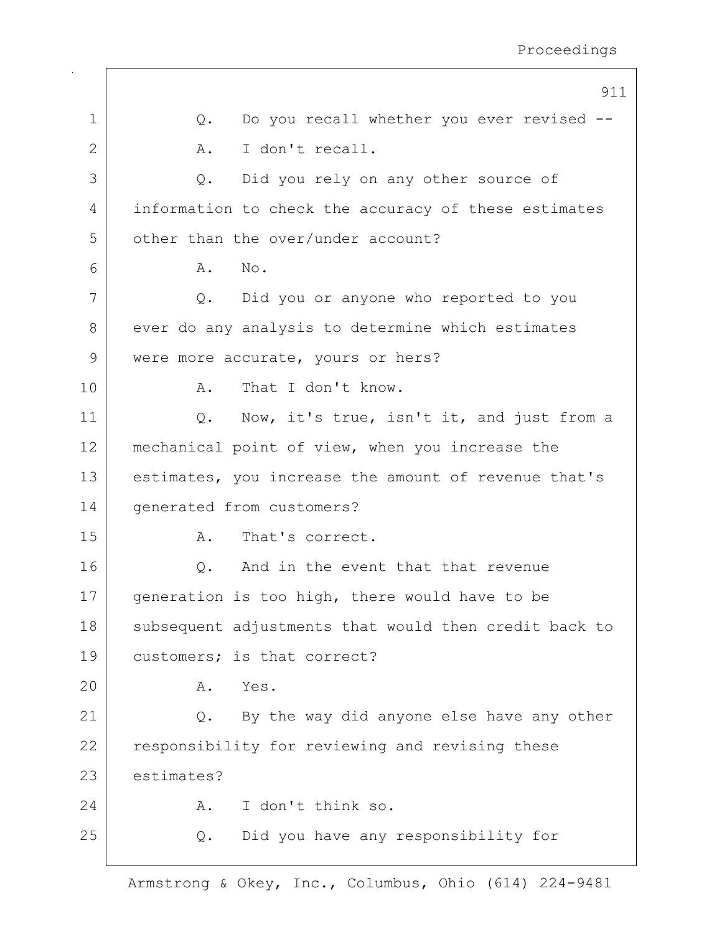|             | 911                                                   |
|-------------|-------------------------------------------------------|
| $\mathbf 1$ | Do you recall whether you ever revised --<br>Q.       |
| 2           | I don't recall.<br>Α.                                 |
| 3           | Did you rely on any other source of<br>Q.             |
| 4           | information to check the accuracy of these estimates  |
| 5           | other than the over/under account?                    |
| 6           | No.<br>Α.                                             |
| 7           | Did you or anyone who reported to you<br>Q.           |
| 8           | ever do any analysis to determine which estimates     |
| 9           | were more accurate, yours or hers?                    |
| 10          | That I don't know.<br>Α.                              |
| 11          | Now, it's true, isn't it, and just from a<br>Q.       |
| 12          | mechanical point of view, when you increase the       |
| 13          | estimates, you increase the amount of revenue that's  |
| 14          | generated from customers?                             |
| 15          | That's correct.<br>Α.                                 |
| 16          | And in the event that that revenue<br>Q.              |
| 17          | generation is too high, there would have to be        |
| 18          | subsequent adjustments that would then credit back to |
| 19          | customers; is that correct?                           |
| 20          | Yes.<br>Α.                                            |
| 21          | By the way did anyone else have any other<br>Q.       |
| 22          | responsibility for reviewing and revising these       |
| 23          | estimates?                                            |
| 24          | I don't think so.<br>Α.                               |
| 25          | Did you have any responsibility for<br>Q.             |
|             |                                                       |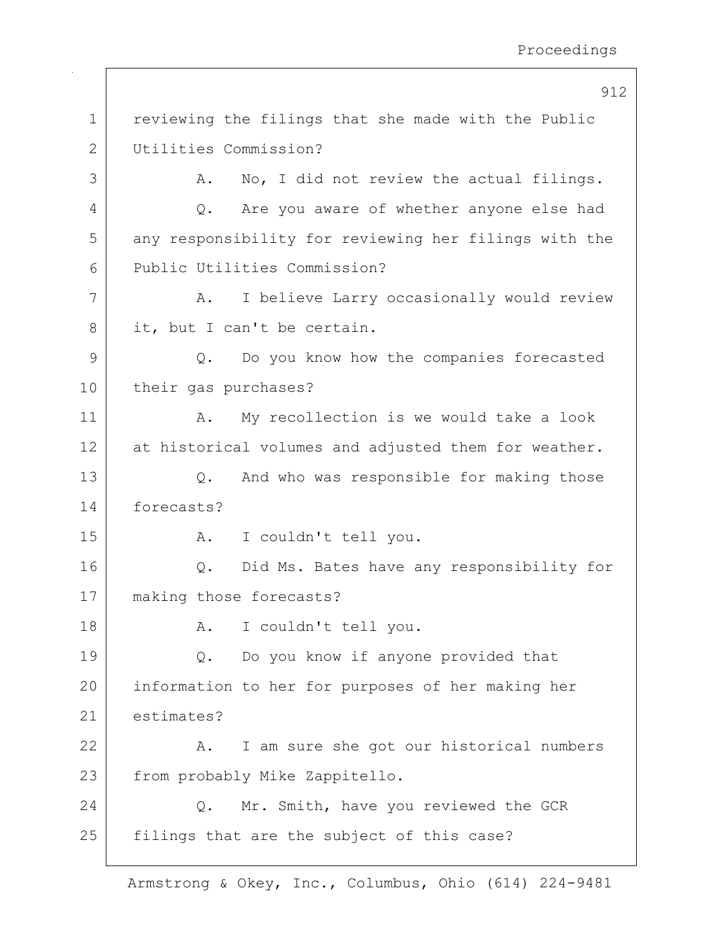|             | 912                                                   |
|-------------|-------------------------------------------------------|
| $\mathbf 1$ | reviewing the filings that she made with the Public   |
| 2           | Utilities Commission?                                 |
| 3           | No, I did not review the actual filings.<br>Α.        |
| 4           | Are you aware of whether anyone else had<br>Q.        |
| 5           | any responsibility for reviewing her filings with the |
| 6           | Public Utilities Commission?                          |
| 7           | I believe Larry occasionally would review<br>Α.       |
| 8           | it, but I can't be certain.                           |
| 9           | Do you know how the companies forecasted<br>Q.        |
| 10          | their gas purchases?                                  |
| 11          | My recollection is we would take a look<br>Α.         |
| 12          | at historical volumes and adjusted them for weather.  |
| 13          | And who was responsible for making those<br>Q.        |
| 14          | forecasts?                                            |
| 15          | I couldn't tell you.<br>A.                            |
| 16          | Did Ms. Bates have any responsibility for<br>Q.       |
| 17          | making those forecasts?                               |
| 18          | I couldn't tell you.<br>A.                            |
| 19          | Do you know if anyone provided that<br>Q.             |
| 20          | information to her for purposes of her making her     |
| 21          | estimates?                                            |
| 22          | I am sure she got our historical numbers<br>Α.        |
| 23          | from probably Mike Zappitello.                        |
| 24          | Mr. Smith, have you reviewed the GCR<br>Q.            |
| 25          | filings that are the subject of this case?            |
|             |                                                       |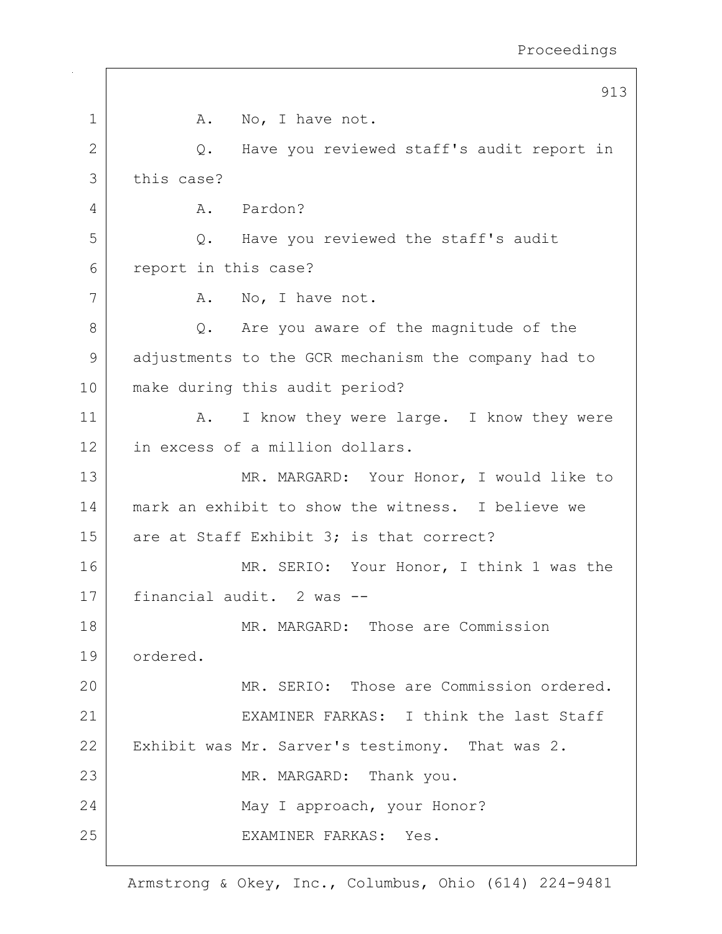|              | 913                                                 |
|--------------|-----------------------------------------------------|
| 1            | No, I have not.<br>A.                               |
| $\mathbf{2}$ | Have you reviewed staff's audit report in<br>Q.     |
| 3            | this case?                                          |
| 4            | A. Pardon?                                          |
| 5            | Q. Have you reviewed the staff's audit              |
| 6            | report in this case?                                |
| 7            | No, I have not.<br>A.                               |
| 8            | Q. Are you aware of the magnitude of the            |
| 9            | adjustments to the GCR mechanism the company had to |
| 10           | make during this audit period?                      |
| 11           | I know they were large. I know they were<br>Α.      |
| 12           | in excess of a million dollars.                     |
| 13           | MR. MARGARD: Your Honor, I would like to            |
| 14           | mark an exhibit to show the witness. I believe we   |
| 15           | are at Staff Exhibit 3; is that correct?            |
| 16           | MR. SERIO: Your Honor, I think 1 was the            |
| 17           | financial audit. 2 was --                           |
| 18           | MR. MARGARD: Those are Commission                   |
| 19           | ordered.                                            |
| 20           | MR. SERIO: Those are Commission ordered.            |
| 21           | EXAMINER FARKAS: I think the last Staff             |
| 22           | Exhibit was Mr. Sarver's testimony. That was 2.     |
| 23           | MR. MARGARD: Thank you.                             |
| 24           | May I approach, your Honor?                         |
| 25           | EXAMINER FARKAS: Yes.                               |
|              |                                                     |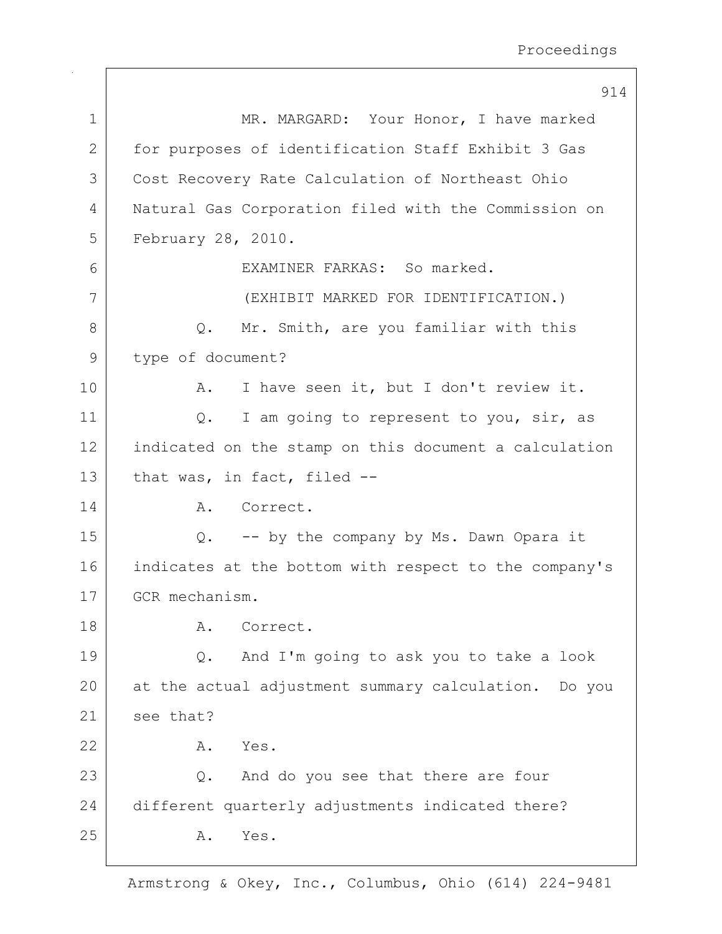|             | 914                                                   |
|-------------|-------------------------------------------------------|
| $\mathbf 1$ | MR. MARGARD: Your Honor, I have marked                |
| 2           | for purposes of identification Staff Exhibit 3 Gas    |
| 3           | Cost Recovery Rate Calculation of Northeast Ohio      |
| 4           | Natural Gas Corporation filed with the Commission on  |
| 5           | February 28, 2010.                                    |
| 6           | EXAMINER FARKAS: So marked.                           |
| 7           | (EXHIBIT MARKED FOR IDENTIFICATION.)                  |
| 8           | Mr. Smith, are you familiar with this<br>$Q$ .        |
| 9           | type of document?                                     |
| 10          | I have seen it, but I don't review it.<br>Α.          |
| 11          | I am going to represent to you, sir, as<br>$Q$ .      |
| 12          | indicated on the stamp on this document a calculation |
| 13          | that was, in fact, filed --                           |
| 14          | Correct.<br>A.                                        |
| 15          | -- by the company by Ms. Dawn Opara it<br>$Q$ .       |
| 16          | indicates at the bottom with respect to the company's |
| 17          | GCR mechanism.                                        |
| 18          | Α.<br>Correct.                                        |
| 19          | And I'm going to ask you to take a look<br>Q.         |
| 20          | at the actual adjustment summary calculation. Do you  |
| 21          | see that?                                             |
| 22          | Yes.<br>Α.                                            |
| 23          | And do you see that there are four<br>Q.              |
| 24          | different quarterly adjustments indicated there?      |
| 25          | Yes.<br>Α.                                            |

 $\overline{\phantom{a}}$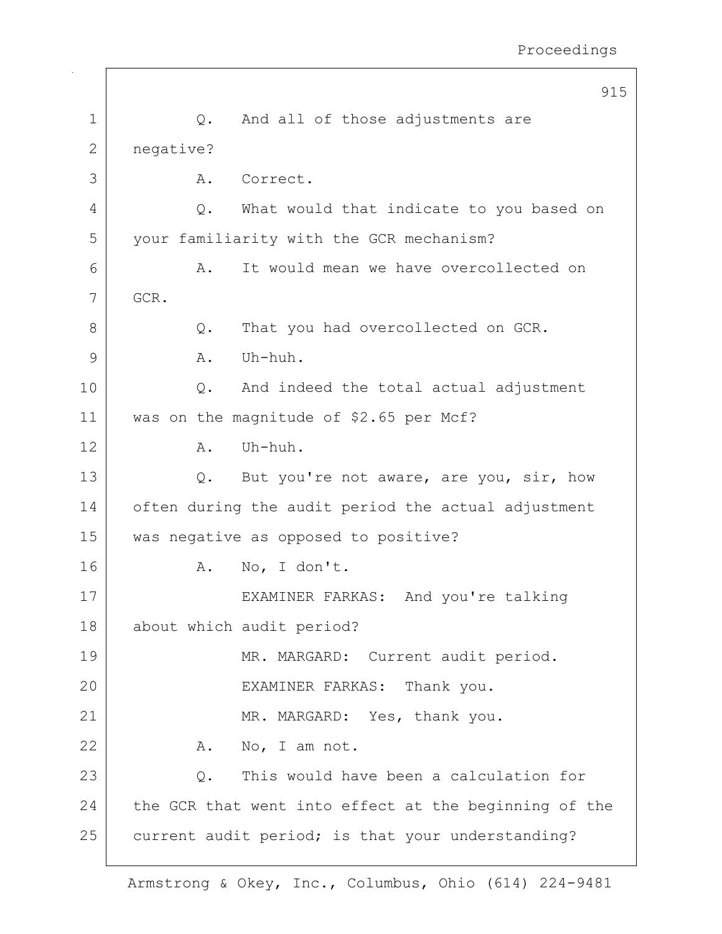|    | 915                                                   |
|----|-------------------------------------------------------|
| 1  | And all of those adjustments are<br>Q.                |
| 2  | negative?                                             |
| 3  | Correct.<br>Α.                                        |
| 4  | What would that indicate to you based on<br>Q.        |
| 5  | your familiarity with the GCR mechanism?              |
| 6  | It would mean we have overcollected on<br>Α.          |
| 7  | GCR.                                                  |
| 8  | That you had overcollected on GCR.<br>Q.              |
| 9  | Uh-huh.<br>Α.                                         |
| 10 | And indeed the total actual adjustment<br>$Q$ .       |
| 11 | was on the magnitude of \$2.65 per Mcf?               |
| 12 | Uh-huh.<br>Α.                                         |
| 13 | But you're not aware, are you, sir, how<br>Q.         |
| 14 | often during the audit period the actual adjustment   |
| 15 | was negative as opposed to positive?                  |
| 16 | No, I don't.<br>Α.                                    |
| 17 | EXAMINER FARKAS: And you're talking                   |
| 18 | about which audit period?                             |
| 19 | MR. MARGARD: Current audit period.                    |
| 20 | EXAMINER FARKAS: Thank you.                           |
| 21 | MR. MARGARD: Yes, thank you.                          |
| 22 | No, I am not.<br>A.                                   |
| 23 | This would have been a calculation for<br>Q.          |
| 24 | the GCR that went into effect at the beginning of the |
| 25 | current audit period; is that your understanding?     |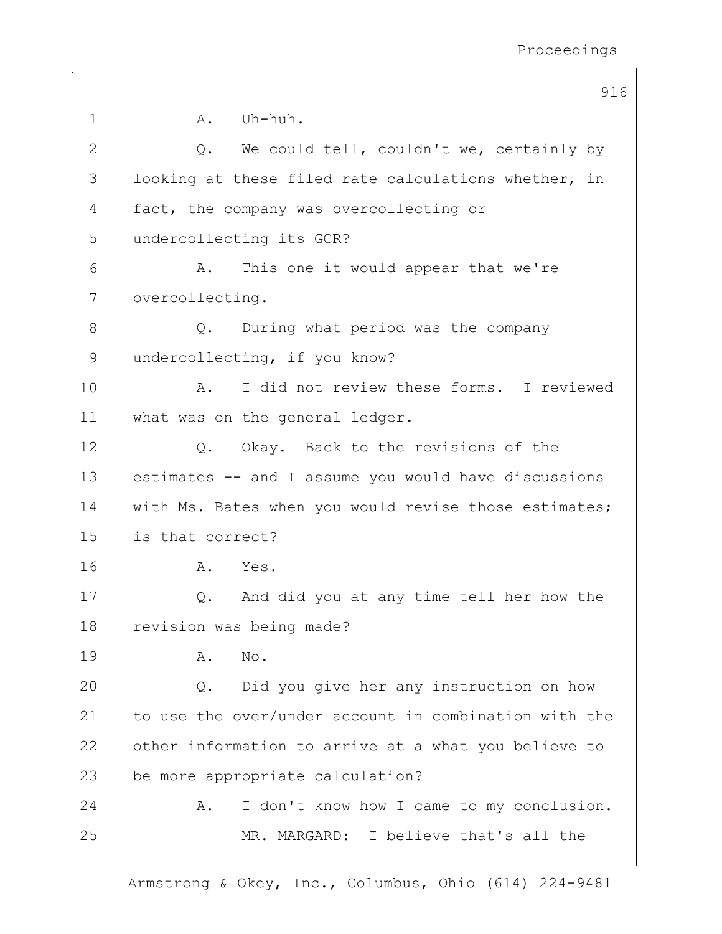|    | ノエし                                                   |
|----|-------------------------------------------------------|
| 1  | Uh-huh.<br>A.                                         |
| 2  | Q. We could tell, couldn't we, certainly by           |
| 3  | looking at these filed rate calculations whether, in  |
| 4  | fact, the company was overcollecting or               |
| 5  | undercollecting its GCR?                              |
| 6  | A. This one it would appear that we're                |
| 7  | overcollecting.                                       |
| 8  | During what period was the company<br>$Q_{\bullet}$   |
| 9  | undercollecting, if you know?                         |
| 10 | I did not review these forms. I reviewed<br>Α.        |
| 11 | what was on the general ledger.                       |
| 12 | Q. Okay. Back to the revisions of the                 |
| 13 | estimates -- and I assume you would have discussions  |
| 14 | with Ms. Bates when you would revise those estimates; |
| 15 | is that correct?                                      |
| 16 | A. Yes.                                               |
| 17 | And did you at any time tell her how the<br>Q.        |
| 18 | revision was being made?                              |
| 19 | No.<br>Α.                                             |
| 20 | Did you give her any instruction on how<br>Q.         |
| 21 | to use the over/under account in combination with the |
| 22 | other information to arrive at a what you believe to  |
| 23 | be more appropriate calculation?                      |
| 24 | I don't know how I came to my conclusion.<br>Α.       |
| 25 | MR. MARGARD: I believe that's all the                 |
|    |                                                       |

916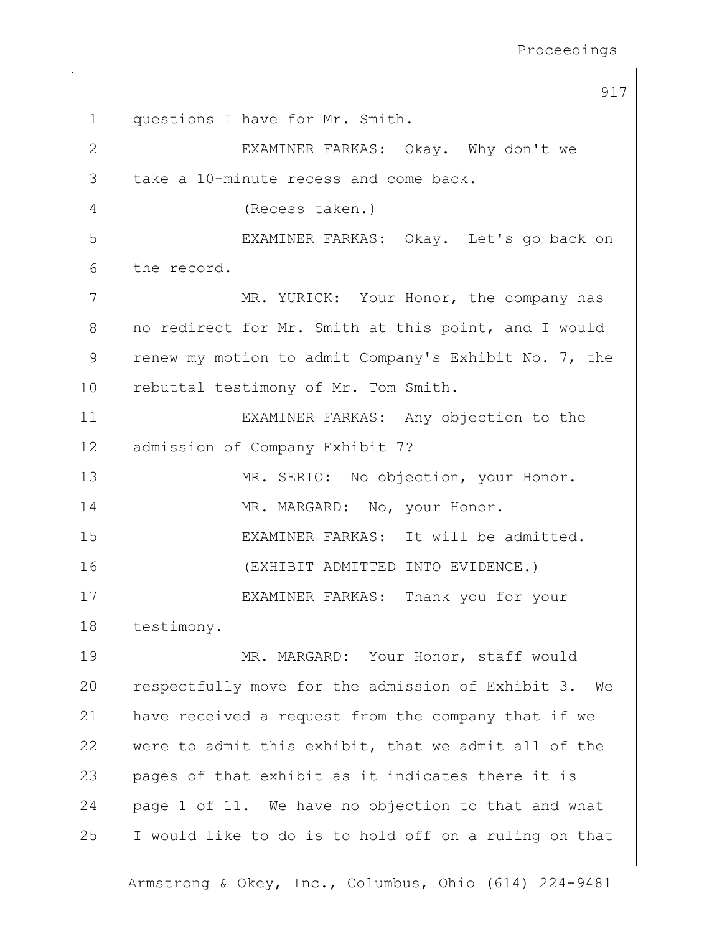917 1 | questions I have for Mr. Smith. 2 | EXAMINER FARKAS: Okay. Why don't we 3 take a 10-minute recess and come back. 4 (Recess taken.) 5 EXAMINER FARKAS: Okay. Let's go back on 6 the record. 7 MR. YURICK: Your Honor, the company has 8 | no redirect for Mr. Smith at this point, and I would 9 renew my motion to admit Company's Exhibit No. 7, the 10 rebuttal testimony of Mr. Tom Smith. 11 EXAMINER FARKAS: Any objection to the 12 admission of Company Exhibit 7? 13 MR. SERIO: No objection, your Honor. 14 MR. MARGARD: No, your Honor. 15 EXAMINER FARKAS: It will be admitted. 16 (EXHIBIT ADMITTED INTO EVIDENCE.) 17 EXAMINER FARKAS: Thank you for your 18 testimony. 19 MR. MARGARD: Your Honor, staff would 20 | respectfully move for the admission of Exhibit 3. We 21 have received a request from the company that if we 22 were to admit this exhibit, that we admit all of the 23 pages of that exhibit as it indicates there it is 24 page 1 of 11. We have no objection to that and what 25 I would like to do is to hold off on a ruling on that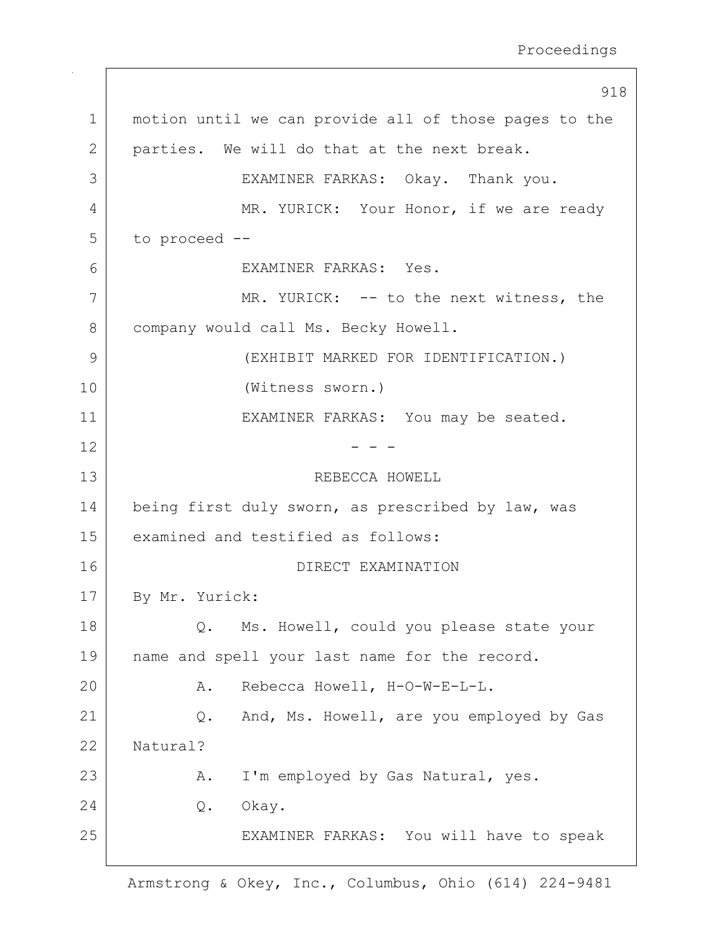918 1 motion until we can provide all of those pages to the 2 | parties. We will do that at the next break. 3 EXAMINER FARKAS: Okay. Thank you. 4 | MR. YURICK: Your Honor, if we are ready 5 to proceed -- 6 EXAMINER FARKAS: Yes. 7 MR. YURICK: -- to the next witness, the 8 company would call Ms. Becky Howell. 9 (EXHIBIT MARKED FOR IDENTIFICATION.) 10 (Witness sworn.) 11 | EXAMINER FARKAS: You may be seated.  $12$  - - -13 REBECCA HOWELL 14 | being first duly sworn, as prescribed by law, was 15 examined and testified as follows: 16 DIRECT EXAMINATION 17 By Mr. Yurick: 18 Q. Ms. Howell, could you please state your 19 | name and spell your last name for the record. 20 | Rebecca Howell, H-O-W-E-L-L. 21 | Q. And, Ms. Howell, are you employed by Gas 22 Natural? 23 A. I'm employed by Gas Natural, yes. 24 Q. Okay. 25 | EXAMINER FARKAS: You will have to speak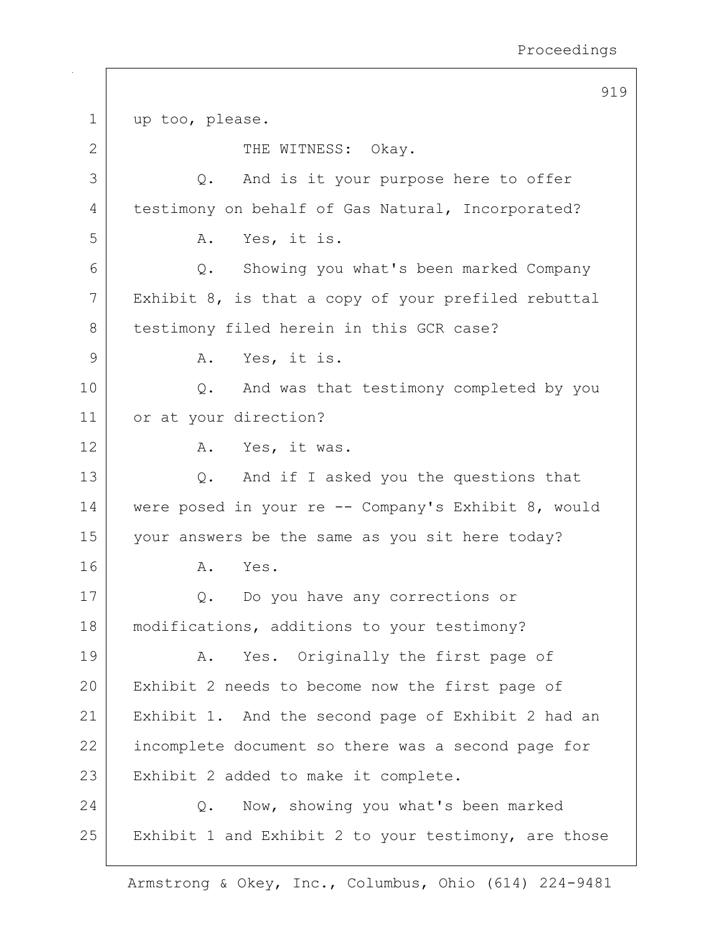919 1 up too, please. 2 | THE WITNESS: Okay. 3 Q. And is it your purpose here to offer 4 | testimony on behalf of Gas Natural, Incorporated? 5 A. Yes, it is. 6 Q. Showing you what's been marked Company 7 Exhibit 8, is that a copy of your prefiled rebuttal 8 | testimony filed herein in this GCR case? 9 A. Yes, it is. 10 Q. And was that testimony completed by you 11 or at your direction? 12 A. Yes, it was. 13 Q. And if I asked you the questions that 14 were posed in your re -- Company's Exhibit 8, would 15 your answers be the same as you sit here today? 16 A. Yes. 17 | Q. Do you have any corrections or 18 modifications, additions to your testimony? 19 | A. Yes. Originally the first page of 20 Exhibit 2 needs to become now the first page of 21 Exhibit 1. And the second page of Exhibit 2 had an 22 incomplete document so there was a second page for 23 Exhibit 2 added to make it complete. 24 Q. Now, showing you what's been marked 25 Exhibit 1 and Exhibit 2 to your testimony, are those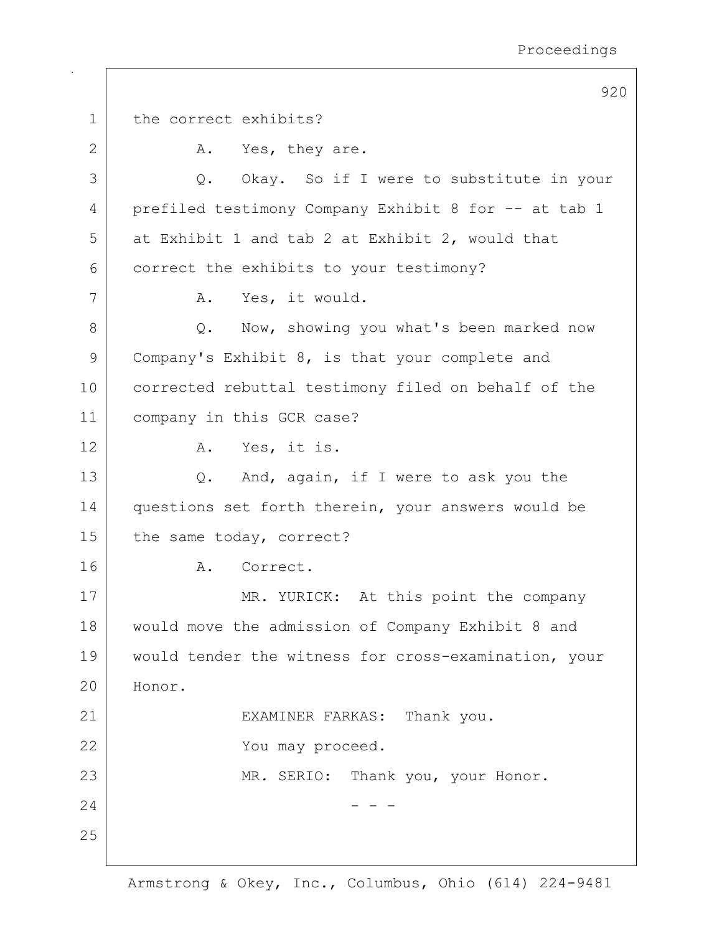920 1 the correct exhibits? 2 A. Yes, they are. 3 Q. Okay. So if I were to substitute in your 4 prefiled testimony Company Exhibit 8 for -- at tab 1  $5$  at Exhibit 1 and tab 2 at Exhibit 2, would that 6 correct the exhibits to your testimony? 7 | A. Yes, it would. 8 Q. Now, showing you what's been marked now 9 Company's Exhibit 8, is that your complete and 10 corrected rebuttal testimony filed on behalf of the 11 company in this GCR case? 12 A. Yes, it is. 13 Q. And, again, if I were to ask you the 14 questions set forth therein, your answers would be 15 the same today, correct? 16 A. Correct. 17 MR. YURICK: At this point the company 18 | would move the admission of Company Exhibit 8 and 19 would tender the witness for cross-examination, your 20 Honor. 21 | EXAMINER FARKAS: Thank you. 22 You may proceed. 23 MR. SERIO: Thank you, your Honor.  $24$  - - -25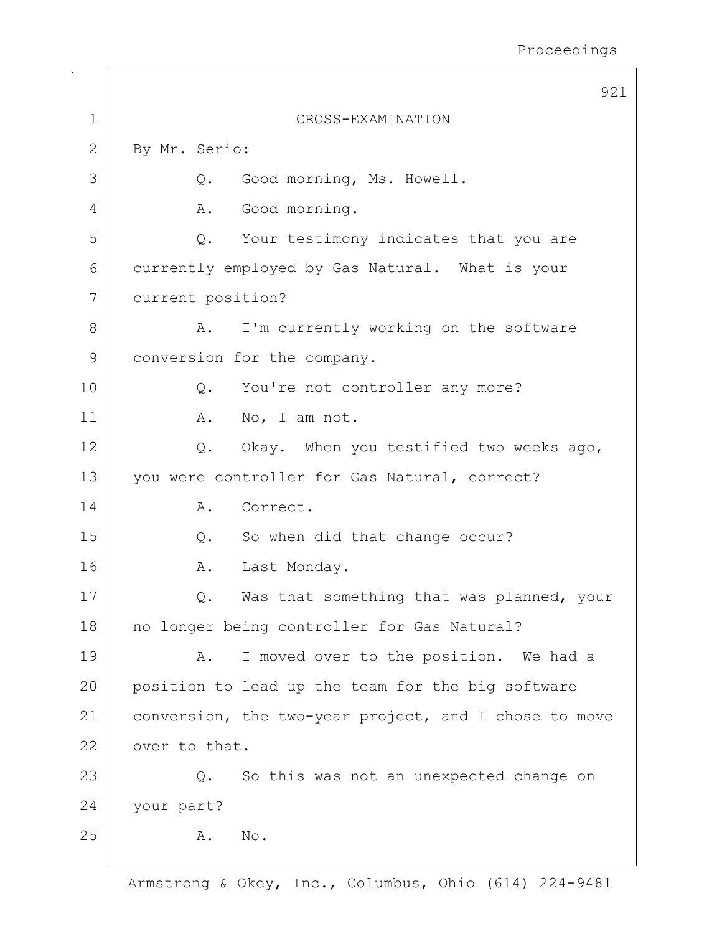|             | 921                                                   |
|-------------|-------------------------------------------------------|
| $\mathbf 1$ | CROSS-EXAMINATION                                     |
| 2           | By Mr. Serio:                                         |
| 3           | Good morning, Ms. Howell.<br>Q.                       |
| 4           | Good morning.<br>Α.                                   |
| 5           | Q.<br>Your testimony indicates that you are           |
| 6           | currently employed by Gas Natural. What is your       |
| 7           | current position?                                     |
| 8           | I'm currently working on the software<br>Α.           |
| 9           | conversion for the company.                           |
| 10          | Q.<br>You're not controller any more?                 |
| 11          | No, I am not.<br>Α.                                   |
| 12          | Okay. When you testified two weeks ago,<br>Q.         |
| 13          | you were controller for Gas Natural, correct?         |
| 14          | Correct.<br>Α.                                        |
| 15          | So when did that change occur?<br>$Q$ .               |
| 16          | Last Monday.<br>Α.                                    |
| 17          | Was that something that was planned, your             |
| 18          | no longer being controller for Gas Natural?           |
| 19          | I moved over to the position. We had a<br>Α.          |
| 20          | position to lead up the team for the big software     |
| 21          | conversion, the two-year project, and I chose to move |
| 22          | over to that.                                         |
| 23          | So this was not an unexpected change on<br>Q.         |
| 24          | your part?                                            |
| 25          | Α.<br>No.                                             |
|             |                                                       |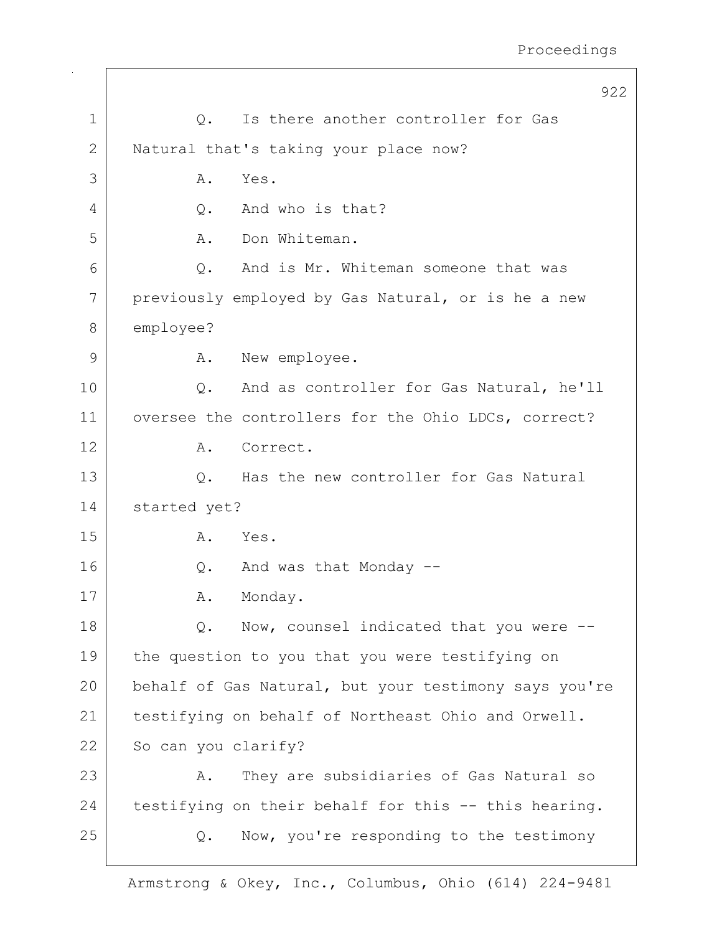|             | 922                                                   |
|-------------|-------------------------------------------------------|
| $\mathbf 1$ | Is there another controller for Gas<br>Q.             |
| 2           | Natural that's taking your place now?                 |
| 3           | Α.<br>Yes.                                            |
| 4           | And who is that?<br>Q.                                |
| 5           | Don Whiteman.<br>Α.                                   |
| 6           | And is Mr. Whiteman someone that was<br>Q.            |
| 7           | previously employed by Gas Natural, or is he a new    |
| 8           | employee?                                             |
| 9           | New employee.<br>Α.                                   |
| 10          | And as controller for Gas Natural, he'll<br>Q.        |
| 11          | oversee the controllers for the Ohio LDCs, correct?   |
| 12          | Correct.<br>Α.                                        |
| 13          | Has the new controller for Gas Natural<br>$Q$ .       |
| 14          | started yet?                                          |
| 15          | Yes.<br>Α.                                            |
| 16          | And was that Monday --<br>$Q$ .                       |
| 17          | Monday.<br>Α.                                         |
| 18          | Now, counsel indicated that you were --<br>Q.         |
| 19          | the question to you that you were testifying on       |
| 20          | behalf of Gas Natural, but your testimony says you're |
| 21          | testifying on behalf of Northeast Ohio and Orwell.    |
| 22          | So can you clarify?                                   |
| 23          | They are subsidiaries of Gas Natural so<br>Α.         |
| 24          | testifying on their behalf for this -- this hearing.  |
| 25          | Now, you're responding to the testimony<br>Q.         |
|             |                                                       |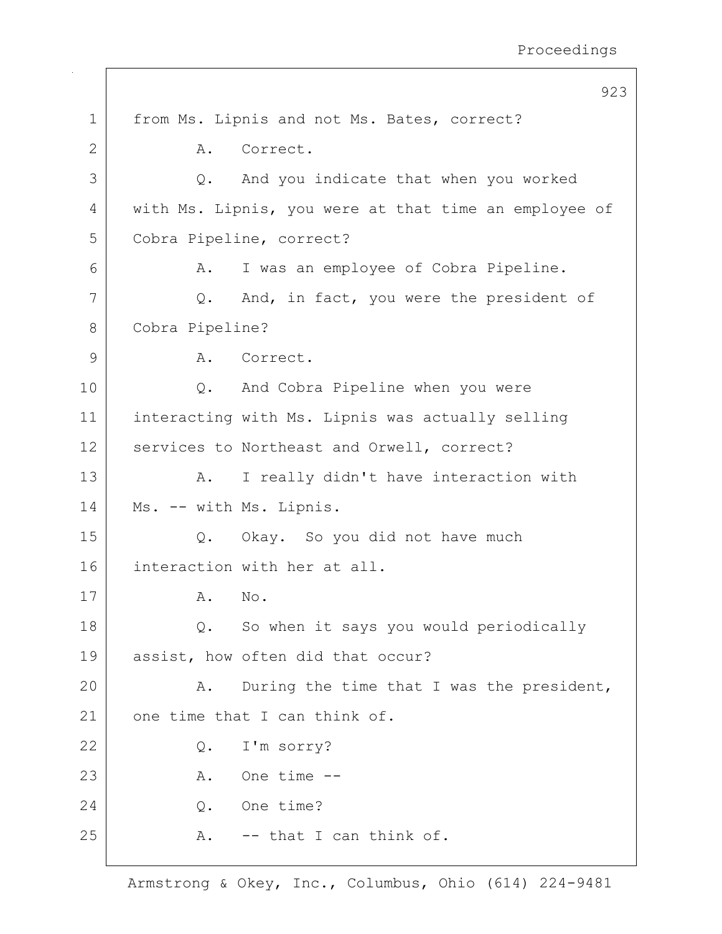|             | 923                                                   |  |
|-------------|-------------------------------------------------------|--|
| $\mathbf 1$ | from Ms. Lipnis and not Ms. Bates, correct?           |  |
| 2           | Correct.<br>A.                                        |  |
| 3           | And you indicate that when you worked<br>Q.           |  |
| 4           | with Ms. Lipnis, you were at that time an employee of |  |
| 5           | Cobra Pipeline, correct?                              |  |
| 6           | I was an employee of Cobra Pipeline.<br>Α.            |  |
| 7           | And, in fact, you were the president of<br>Q.         |  |
| 8           | Cobra Pipeline?                                       |  |
| 9           | Correct.<br>A.                                        |  |
| 10          | And Cobra Pipeline when you were<br>$Q$ .             |  |
| 11          | interacting with Ms. Lipnis was actually selling      |  |
| 12          | services to Northeast and Orwell, correct?            |  |
| 13          | I really didn't have interaction with<br>A.           |  |
| 14          | Ms. -- with Ms. Lipnis.                               |  |
| 15          | Q. Okay. So you did not have much                     |  |
| 16          | interaction with her at all.                          |  |
| 17          | No.<br>Α.                                             |  |
| 18          | So when it says you would periodically<br>Q.          |  |
| 19          | assist, how often did that occur?                     |  |
| 20          | During the time that I was the president,<br>Α.       |  |
| 21          | one time that I can think of.                         |  |
| 22          | I'm sorry?<br>Q.                                      |  |
| 23          | One time --<br>Α.                                     |  |
| 24          | One time?<br>Q.                                       |  |
| 25          | -- that I can think of.<br>Α.                         |  |
|             |                                                       |  |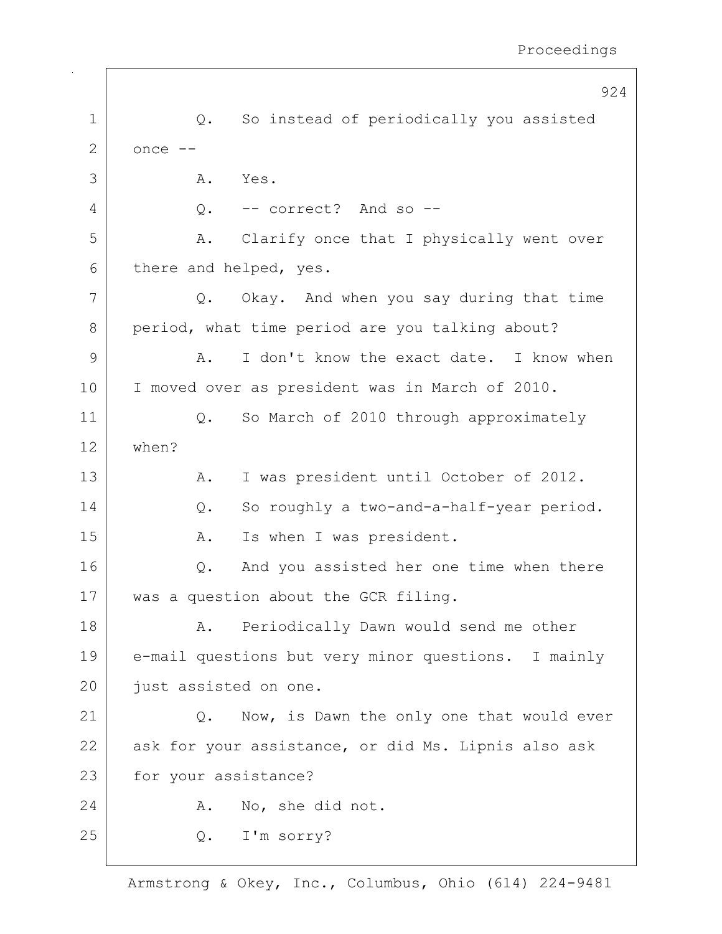|    | 924                                                 |
|----|-----------------------------------------------------|
| 1  | So instead of periodically you assisted<br>Q.       |
| 2  | once --                                             |
| 3  | Α.<br>Yes.                                          |
| 4  | -- correct? And so --<br>$Q$ .                      |
| 5  | Clarify once that I physically went over<br>Α.      |
| 6  | there and helped, yes.                              |
| 7  | Okay. And when you say during that time<br>Q.       |
| 8  | period, what time period are you talking about?     |
| 9  | I don't know the exact date. I know when<br>Α.      |
| 10 | I moved over as president was in March of 2010.     |
| 11 | So March of 2010 through approximately<br>Q.        |
| 12 | when?                                               |
| 13 | I was president until October of 2012.<br>Α.        |
| 14 | So roughly a two-and-a-half-year period.<br>Q.      |
| 15 | Is when I was president.<br>Α.                      |
| 16 | And you assisted her one time when there<br>Q.      |
| 17 | was a question about the GCR filing.                |
| 18 | Periodically Dawn would send me other<br>Α.         |
| 19 | e-mail questions but very minor questions. I mainly |
| 20 | just assisted on one.                               |
| 21 | Now, is Dawn the only one that would ever<br>Q.     |
| 22 | ask for your assistance, or did Ms. Lipnis also ask |
| 23 | for your assistance?                                |
| 24 | No, she did not.<br>Α.                              |
| 25 | I'm sorry?<br>Q.                                    |
|    |                                                     |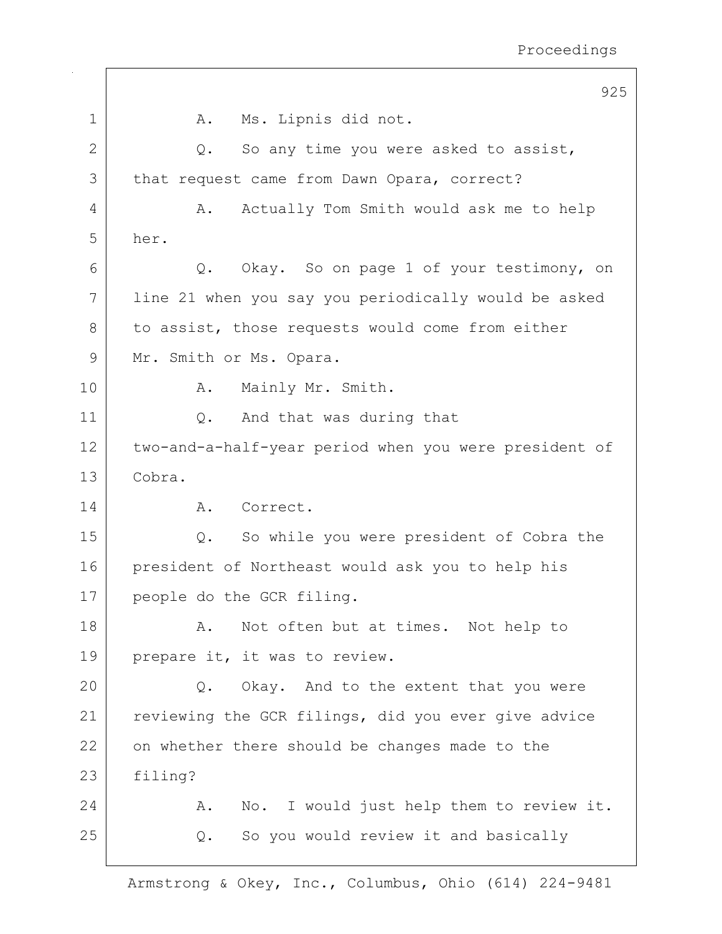|              | 925                                                   |
|--------------|-------------------------------------------------------|
| 1            | Ms. Lipnis did not.<br>A.                             |
| $\mathbf{2}$ | So any time you were asked to assist,<br>Q.           |
| 3            | that request came from Dawn Opara, correct?           |
| 4            | Actually Tom Smith would ask me to help<br>Α.         |
| 5            | her.                                                  |
| 6            | Q. Okay. So on page 1 of your testimony, on           |
| 7            | line 21 when you say you periodically would be asked  |
| 8            | to assist, those requests would come from either      |
| 9            | Mr. Smith or Ms. Opara.                               |
| 10           | Mainly Mr. Smith.<br>Α.                               |
| 11           | And that was during that<br>Q.                        |
| 12           | two-and-a-half-year period when you were president of |
| 13           | Cobra.                                                |
| 14           | A. Correct.                                           |
| 15           | So while you were president of Cobra the<br>Q.        |
| 16           | president of Northeast would ask you to help his      |
| 17           | people do the GCR filing.                             |
| 18           | Not often but at times. Not help to<br>Α.             |
| 19           | prepare it, it was to review.                         |
| 20           | Okay. And to the extent that you were<br>Q.           |
| 21           | reviewing the GCR filings, did you ever give advice   |
| 22           | on whether there should be changes made to the        |
| 23           | filing?                                               |
| 24           | No. I would just help them to review it.<br>Α.        |
| 25           | So you would review it and basically<br>Q.            |
|              |                                                       |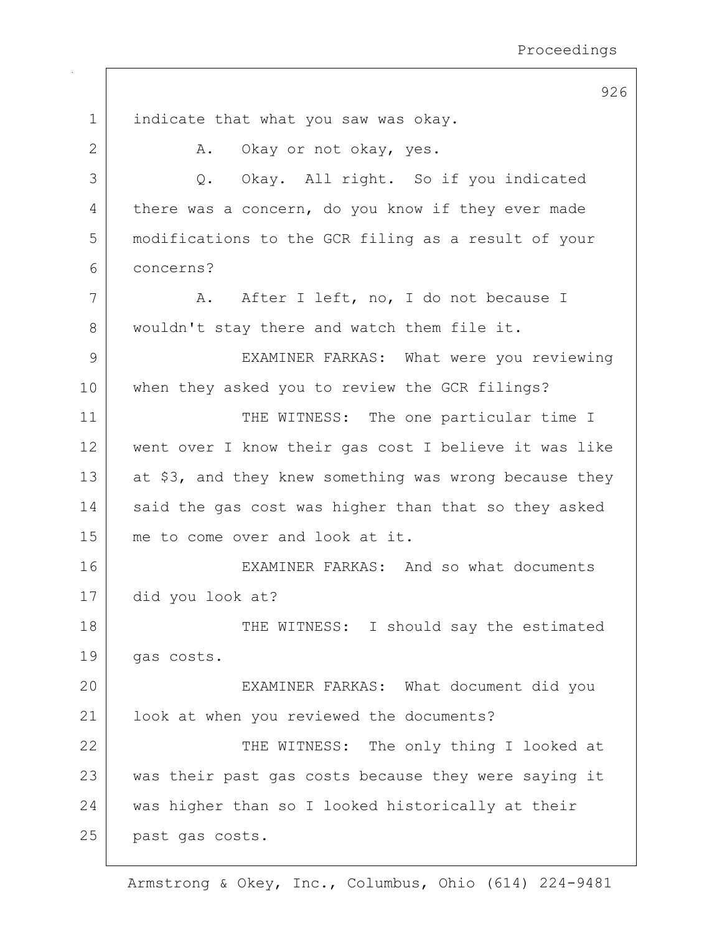926 1 indicate that what you saw was okay. 2 A. Okay or not okay, yes. 3 Q. Okay. All right. So if you indicated 4 there was a concern, do you know if they ever made 5 modifications to the GCR filing as a result of your 6 concerns? 7 | A. After I left, no, I do not because I 8 | wouldn't stay there and watch them file it. 9 | EXAMINER FARKAS: What were you reviewing 10 when they asked you to review the GCR filings? 11 THE WITNESS: The one particular time I 12 went over I know their gas cost I believe it was like 13 at \$3, and they knew something was wrong because they 14 said the gas cost was higher than that so they asked 15 me to come over and look at it. 16 | EXAMINER FARKAS: And so what documents 17 did you look at? 18 THE WITNESS: I should say the estimated 19 gas costs. 20 EXAMINER FARKAS: What document did you 21 | look at when you reviewed the documents? 22 | THE WITNESS: The only thing I looked at 23 was their past gas costs because they were saying it 24 was higher than so I looked historically at their 25 past gas costs.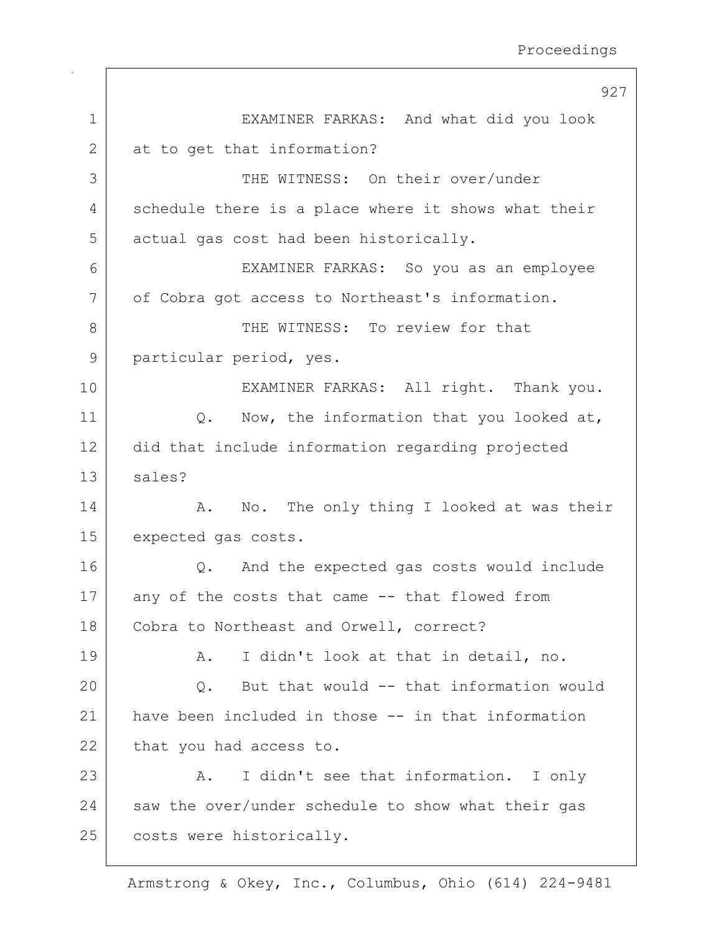| $\mathbf 1$<br>EXAMINER FARKAS: And what did you look<br>2<br>at to get that information?<br>3<br>THE WITNESS: On their over/under<br>schedule there is a place where it shows what their<br>4<br>5<br>actual gas cost had been historically.<br>6<br>EXAMINER FARKAS: So you as an employee<br>7<br>of Cobra got access to Northeast's information.<br>8<br>THE WITNESS: To review for that |  |
|----------------------------------------------------------------------------------------------------------------------------------------------------------------------------------------------------------------------------------------------------------------------------------------------------------------------------------------------------------------------------------------------|--|
|                                                                                                                                                                                                                                                                                                                                                                                              |  |
|                                                                                                                                                                                                                                                                                                                                                                                              |  |
|                                                                                                                                                                                                                                                                                                                                                                                              |  |
|                                                                                                                                                                                                                                                                                                                                                                                              |  |
|                                                                                                                                                                                                                                                                                                                                                                                              |  |
|                                                                                                                                                                                                                                                                                                                                                                                              |  |
|                                                                                                                                                                                                                                                                                                                                                                                              |  |
|                                                                                                                                                                                                                                                                                                                                                                                              |  |
| 9<br>particular period, yes.                                                                                                                                                                                                                                                                                                                                                                 |  |
| 10<br>EXAMINER FARKAS: All right. Thank you.                                                                                                                                                                                                                                                                                                                                                 |  |
| 11<br>Q. Now, the information that you looked at,                                                                                                                                                                                                                                                                                                                                            |  |
| 12<br>did that include information regarding projected                                                                                                                                                                                                                                                                                                                                       |  |
| 13<br>sales?                                                                                                                                                                                                                                                                                                                                                                                 |  |
| 14<br>No. The only thing I looked at was their<br>Α.                                                                                                                                                                                                                                                                                                                                         |  |
| 15<br>expected gas costs.                                                                                                                                                                                                                                                                                                                                                                    |  |
| 16<br>And the expected gas costs would include<br>Q.                                                                                                                                                                                                                                                                                                                                         |  |
| 17<br>any of the costs that came -- that flowed from                                                                                                                                                                                                                                                                                                                                         |  |
| 18<br>Cobra to Northeast and Orwell, correct?                                                                                                                                                                                                                                                                                                                                                |  |
| 19<br>I didn't look at that in detail, no.<br>Α.                                                                                                                                                                                                                                                                                                                                             |  |
| 20<br>But that would -- that information would<br>Q.                                                                                                                                                                                                                                                                                                                                         |  |
| have been included in those -- in that information<br>21                                                                                                                                                                                                                                                                                                                                     |  |
| 22<br>that you had access to.                                                                                                                                                                                                                                                                                                                                                                |  |
| 23<br>I didn't see that information. I only<br>Α.                                                                                                                                                                                                                                                                                                                                            |  |
| 24<br>saw the over/under schedule to show what their gas                                                                                                                                                                                                                                                                                                                                     |  |
| 25<br>costs were historically.                                                                                                                                                                                                                                                                                                                                                               |  |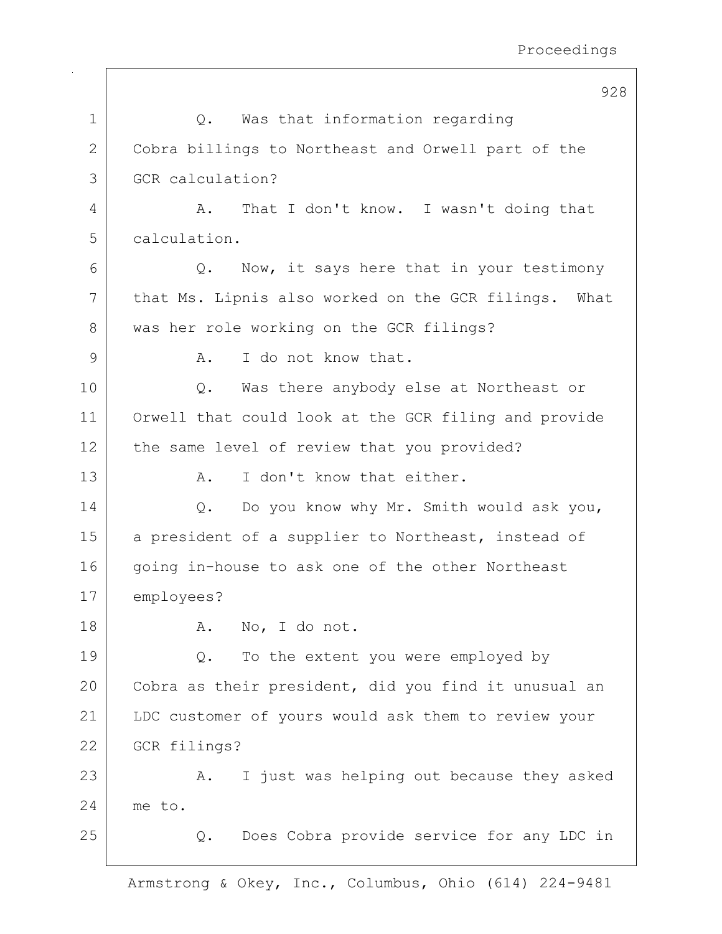|             | 928                                                  |
|-------------|------------------------------------------------------|
| $\mathbf 1$ | Was that information regarding<br>Q.                 |
| 2           | Cobra billings to Northeast and Orwell part of the   |
| 3           | GCR calculation?                                     |
| 4           | That I don't know. I wasn't doing that<br>Α.         |
| 5           | calculation.                                         |
| 6           | Now, it says here that in your testimony<br>Q.       |
| 7           | that Ms. Lipnis also worked on the GCR filings. What |
| 8           | was her role working on the GCR filings?             |
| 9           | I do not know that.<br>Α.                            |
| 10          | Was there anybody else at Northeast or<br>$Q$ .      |
| 11          | Orwell that could look at the GCR filing and provide |
| 12          | the same level of review that you provided?          |
| 13          | I don't know that either.<br>Α.                      |
| 14          | Do you know why Mr. Smith would ask you,<br>Q.       |
| 15          | a president of a supplier to Northeast, instead of   |
| 16          | going in-house to ask one of the other Northeast     |
| 17          | employees?                                           |
| 18          | No, I do not.<br>Α.                                  |
| 19          | To the extent you were employed by<br>Q.             |
| 20          | Cobra as their president, did you find it unusual an |
| 21          | LDC customer of yours would ask them to review your  |
| 22          | GCR filings?                                         |
| 23          | I just was helping out because they asked<br>Α.      |
| 24          | me to.                                               |
| 25          | Does Cobra provide service for any LDC in<br>Q.      |
|             |                                                      |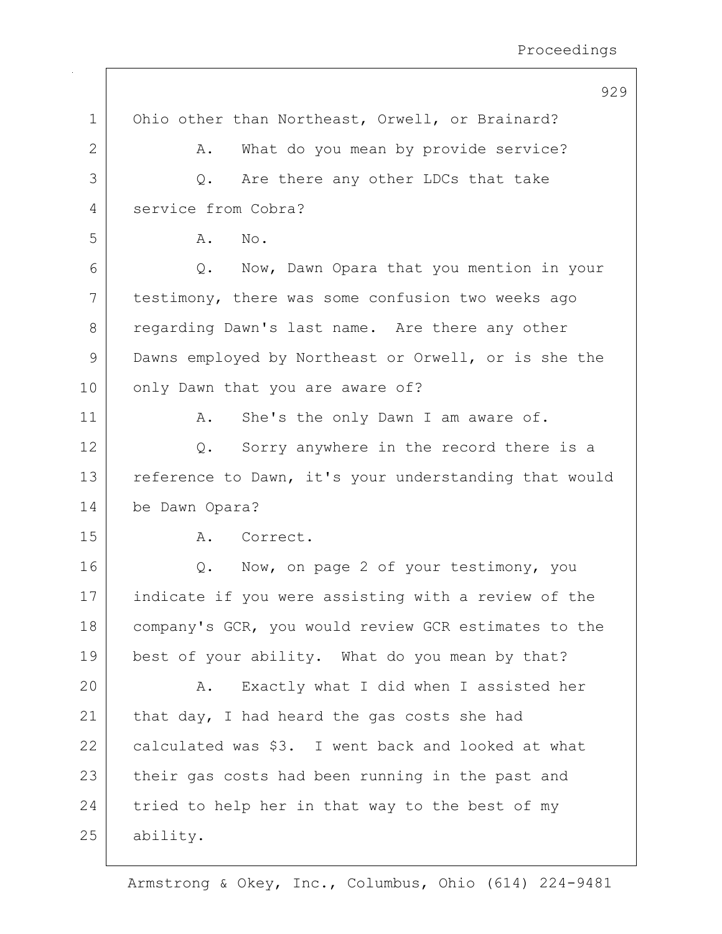|              | 929                                                   |
|--------------|-------------------------------------------------------|
| $\mathbf 1$  | Ohio other than Northeast, Orwell, or Brainard?       |
| $\mathbf{2}$ | What do you mean by provide service?<br>Α.            |
| 3            | Are there any other LDCs that take<br>Q.              |
| 4            | service from Cobra?                                   |
| 5            | Α.<br>No.                                             |
| 6            | Q. Now, Dawn Opara that you mention in your           |
| 7            | testimony, there was some confusion two weeks ago     |
| 8            | regarding Dawn's last name. Are there any other       |
| 9            | Dawns employed by Northeast or Orwell, or is she the  |
| 10           | only Dawn that you are aware of?                      |
| 11           | She's the only Dawn I am aware of.<br>Α.              |
| 12           | Sorry anywhere in the record there is a<br>Q.         |
| 13           | reference to Dawn, it's your understanding that would |
| 14           | be Dawn Opara?                                        |
| 15           | Correct.<br>Α.                                        |
| 16           | Now, on page 2 of your testimony, you<br>Q.           |
| 17           | indicate if you were assisting with a review of the   |
| 18           | company's GCR, you would review GCR estimates to the  |
| 19           | best of your ability. What do you mean by that?       |
| 20           | Exactly what I did when I assisted her<br>Α.          |
| 21           | that day, I had heard the gas costs she had           |
| 22           | calculated was \$3. I went back and looked at what    |
| 23           | their gas costs had been running in the past and      |
| 24           | tried to help her in that way to the best of my       |
| 25           | ability.                                              |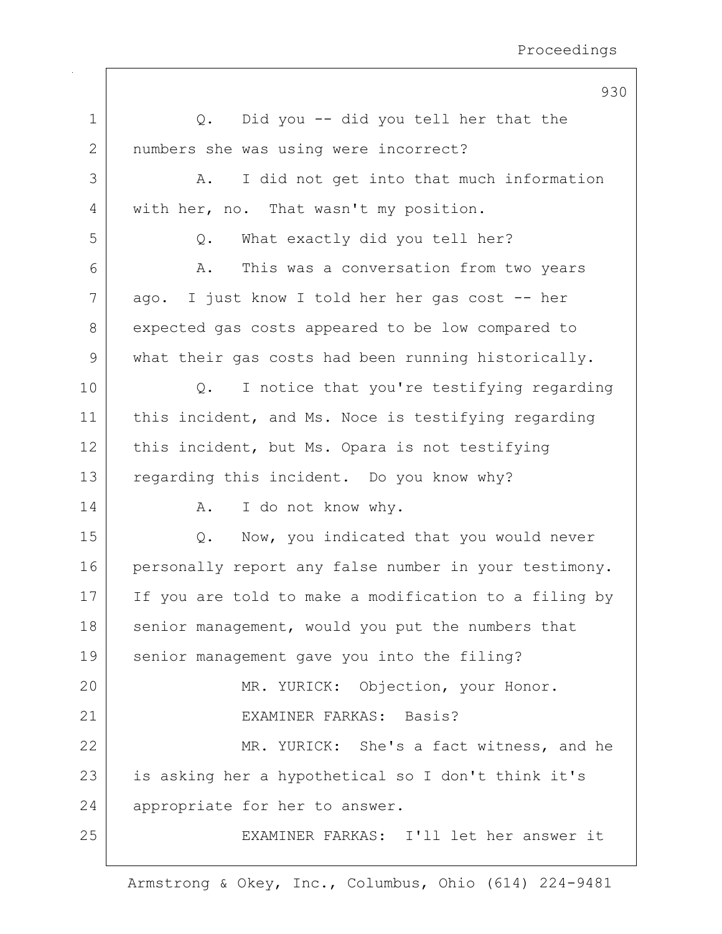|             | 930                                                   |
|-------------|-------------------------------------------------------|
| $\mathbf 1$ | Did you -- did you tell her that the<br>Q.            |
| 2           | numbers she was using were incorrect?                 |
| 3           | I did not get into that much information<br>Α.        |
| 4           | with her, no. That wasn't my position.                |
| 5           | What exactly did you tell her?<br>Q.                  |
| 6           | This was a conversation from two years<br>Α.          |
| 7           | ago. I just know I told her her gas cost -- her       |
| 8           | expected gas costs appeared to be low compared to     |
| $\mathsf 9$ | what their gas costs had been running historically.   |
| 10          | I notice that you're testifying regarding<br>Q.       |
| 11          | this incident, and Ms. Noce is testifying regarding   |
| 12          | this incident, but Ms. Opara is not testifying        |
| 13          | regarding this incident. Do you know why?             |
| 14          | I do not know why.<br>Α.                              |
| 15          | Now, you indicated that you would never<br>Q.         |
| 16          | personally report any false number in your testimony. |
| 17          | If you are told to make a modification to a filing by |
| 18          | senior management, would you put the numbers that     |
| 19          | senior management gave you into the filing?           |
| 20          | MR. YURICK: Objection, your Honor.                    |
| 21          | EXAMINER FARKAS: Basis?                               |
| 22          | MR. YURICK: She's a fact witness, and he              |
| 23          | is asking her a hypothetical so I don't think it's    |
| 24          | appropriate for her to answer.                        |
| 25          | EXAMINER FARKAS: I'll let her answer it               |
|             |                                                       |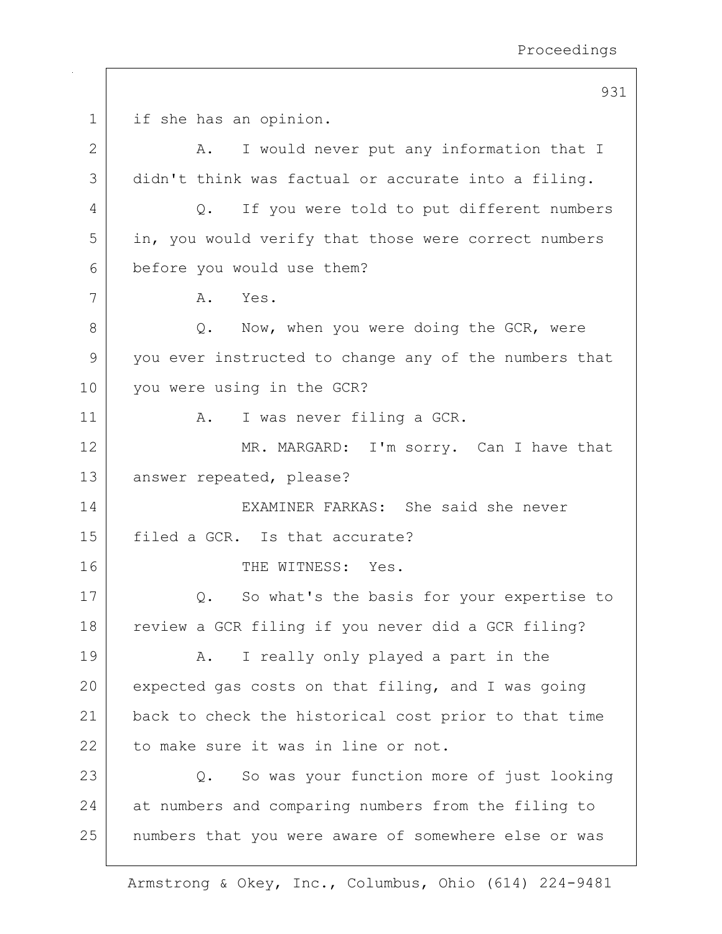931 1 | if she has an opinion. 2 A. I would never put any information that I 3 didn't think was factual or accurate into a filing. 4 Q. If you were told to put different numbers 5 in, you would verify that those were correct numbers 6 before you would use them? 7 A. Yes. 8 |  $Q.$  Now, when you were doing the GCR, were 9 you ever instructed to change any of the numbers that 10 you were using in the GCR? 11 | A. I was never filing a GCR. 12 MR. MARGARD: I'm sorry. Can I have that 13 answer repeated, please? 14 EXAMINER FARKAS: She said she never 15 filed a GCR. Is that accurate? 16 THE WITNESS: Yes. 17 Q. So what's the basis for your expertise to 18 review a GCR filing if you never did a GCR filing? 19 | A. I really only played a part in the  $20$  expected gas costs on that filing, and I was going 21 back to check the historical cost prior to that time 22 to make sure it was in line or not. 23 Q. So was your function more of just looking 24 at numbers and comparing numbers from the filing to 25 | numbers that you were aware of somewhere else or was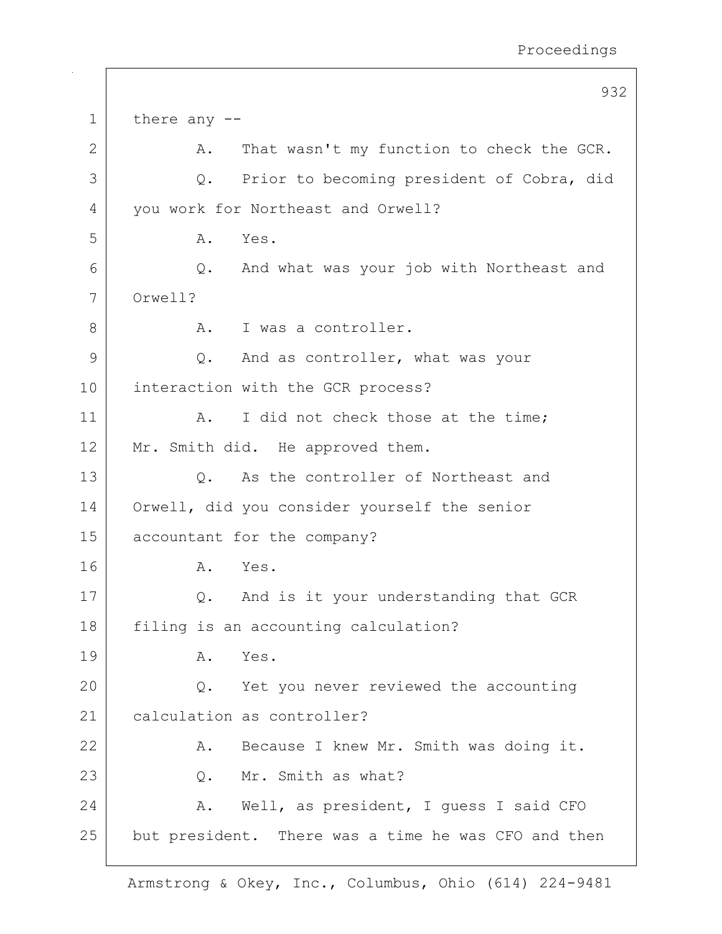|    | 932                                                 |  |
|----|-----------------------------------------------------|--|
| 1  | there any --                                        |  |
| 2  | That wasn't my function to check the GCR.<br>Α.     |  |
| 3  | Prior to becoming president of Cobra, did<br>Q.     |  |
| 4  | you work for Northeast and Orwell?                  |  |
| 5  | Yes.<br>Α.                                          |  |
| 6  | And what was your job with Northeast and<br>Q.      |  |
| 7  | Orwell?                                             |  |
| 8  | I was a controller.<br>Α.                           |  |
| 9  | And as controller, what was your<br>Q.              |  |
| 10 | interaction with the GCR process?                   |  |
| 11 | I did not check those at the time;<br>Α.            |  |
| 12 | Mr. Smith did. He approved them.                    |  |
| 13 | As the controller of Northeast and<br>Q.            |  |
| 14 | Orwell, did you consider yourself the senior        |  |
| 15 | accountant for the company?                         |  |
| 16 | Yes.<br>Α.                                          |  |
| 17 | And is it your understanding that GCR<br>Q.         |  |
| 18 | filing is an accounting calculation?                |  |
| 19 | Α.<br>Yes.                                          |  |
| 20 | Q. Yet you never reviewed the accounting            |  |
| 21 | calculation as controller?                          |  |
| 22 | Because I knew Mr. Smith was doing it.<br>Α.        |  |
| 23 | Mr. Smith as what?<br>Q.                            |  |
| 24 | Well, as president, I guess I said CFO<br>A.        |  |
| 25 | but president. There was a time he was CFO and then |  |
|    |                                                     |  |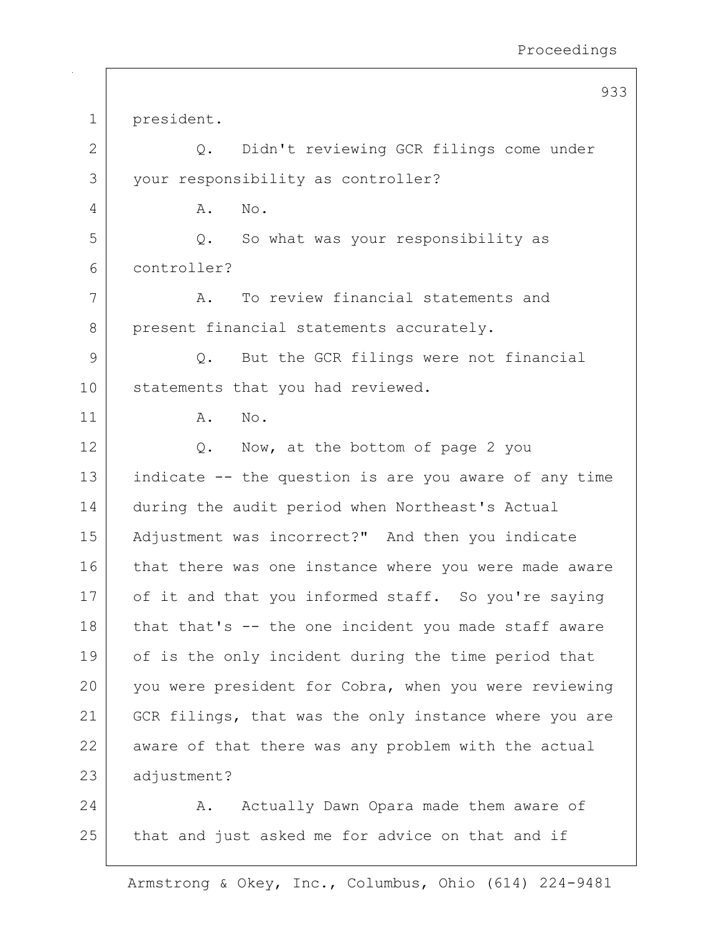933 1 president. 2 Q. Didn't reviewing GCR filings come under 3 your responsibility as controller? 4 A. No. 5 Q. So what was your responsibility as 6 controller? 7 A. To review financial statements and 8 present financial statements accurately. 9 Q. But the GCR filings were not financial 10 statements that you had reviewed. 11 A. No. 12 | Q. Now, at the bottom of page 2 you 13 indicate -- the question is are you aware of any time 14 during the audit period when Northeast's Actual 15 Adjustment was incorrect?" And then you indicate 16 that there was one instance where you were made aware 17 of it and that you informed staff. So you're saying 18 that that's  $-$  the one incident you made staff aware 19 of is the only incident during the time period that 20 you were president for Cobra, when you were reviewing 21 GCR filings, that was the only instance where you are 22 aware of that there was any problem with the actual 23 adjustment? 24 A. Actually Dawn Opara made them aware of  $25$  that and just asked me for advice on that and if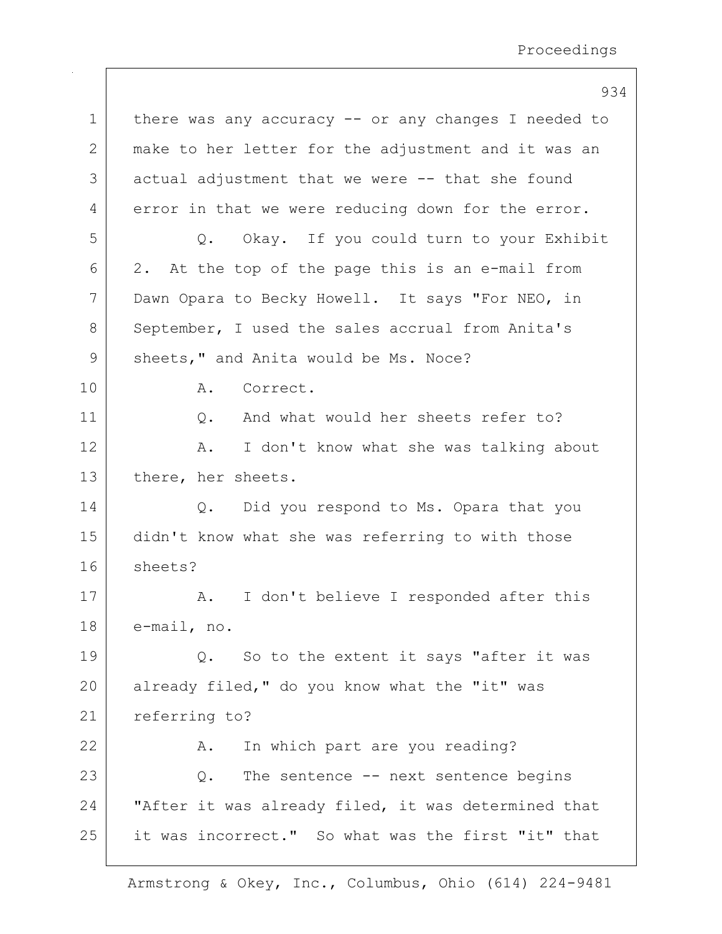|             | 934                                                   |
|-------------|-------------------------------------------------------|
| $\mathbf 1$ | there was any accuracy $-$ or any changes I needed to |
| 2           | make to her letter for the adjustment and it was an   |
| 3           | actual adjustment that we were -- that she found      |
| 4           | error in that we were reducing down for the error.    |
| 5           | Q. Okay. If you could turn to your Exhibit            |
| 6           | 2. At the top of the page this is an e-mail from      |
| 7           | Dawn Opara to Becky Howell. It says "For NEO, in      |
| 8           | September, I used the sales accrual from Anita's      |
| 9           | sheets," and Anita would be Ms. Noce?                 |
| 10          | Correct.<br>Α.                                        |
| 11          | And what would her sheets refer to?<br>Q.             |
| 12          | I don't know what she was talking about<br>Α.         |
| 13          | there, her sheets.                                    |
| 14          | Q. Did you respond to Ms. Opara that you              |
| 15          | didn't know what she was referring to with those      |
| 16          | sheets?                                               |
| 17          | I don't believe I responded after this<br>A.          |
| 18          | e-mail, no.                                           |
| 19          | So to the extent it says "after it was<br>Q.          |
| 20          | already filed," do you know what the "it" was         |
| 21          | referring to?                                         |
| 22          | In which part are you reading?<br>Α.                  |
| 23          | The sentence -- next sentence begins<br>$Q$ .         |
| 24          | "After it was already filed, it was determined that   |
| 25          | it was incorrect." So what was the first "it" that    |
|             |                                                       |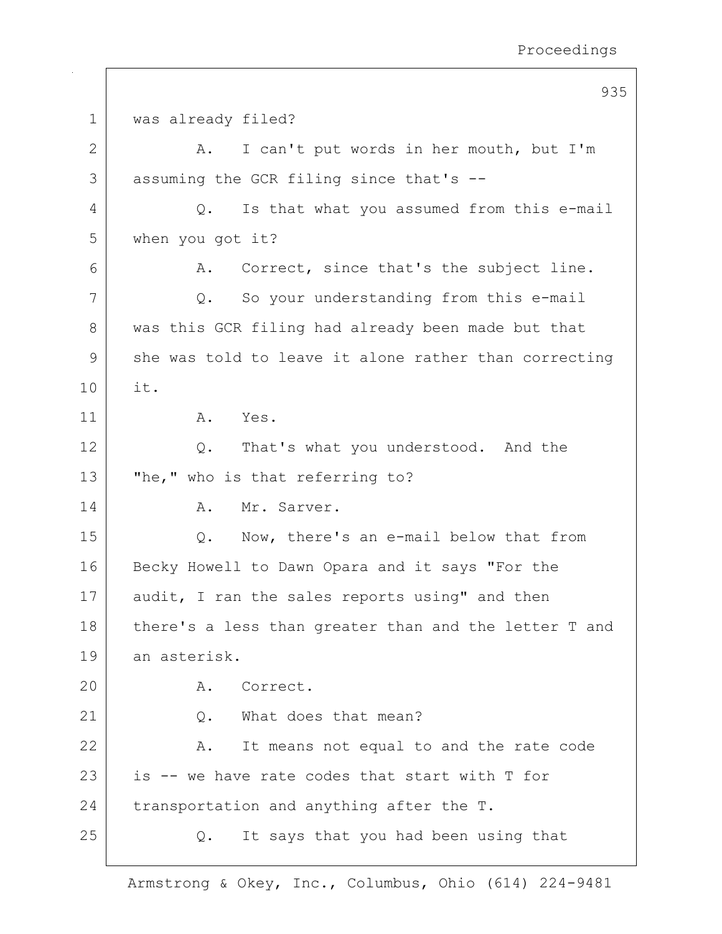|                | 935                                                   |
|----------------|-------------------------------------------------------|
| 1              | was already filed?                                    |
| $\overline{2}$ | I can't put words in her mouth, but I'm<br>Α.         |
| 3              | assuming the GCR filing since that's --               |
| 4              | Is that what you assumed from this e-mail<br>Q.       |
| 5              | when you got it?                                      |
| 6              | Correct, since that's the subject line.<br>Α.         |
| 7              | Q. So your understanding from this e-mail             |
| 8              | was this GCR filing had already been made but that    |
| 9              | she was told to leave it alone rather than correcting |
| 10             | it.                                                   |
| 11             | A.<br>Yes.                                            |
| 12             | That's what you understood. And the<br>Q.             |
| 13             | "he," who is that referring to?                       |
| 14             | Mr. Sarver.<br>Α.                                     |
| 15             | Now, there's an e-mail below that from<br>Q.          |
| 16             | Becky Howell to Dawn Opara and it says "For the       |
| 17             | audit, I ran the sales reports using" and then        |
| 18             | there's a less than greater than and the letter T and |
| 19             | an asterisk.                                          |
| 20             | Α.<br>Correct.                                        |
| 21             | What does that mean?<br>Q.                            |
| 22             | It means not equal to and the rate code<br>Α.         |
| 23             | is -- we have rate codes that start with T for        |
| 24             | transportation and anything after the T.              |
| 25             | It says that you had been using that<br>Q.            |
|                |                                                       |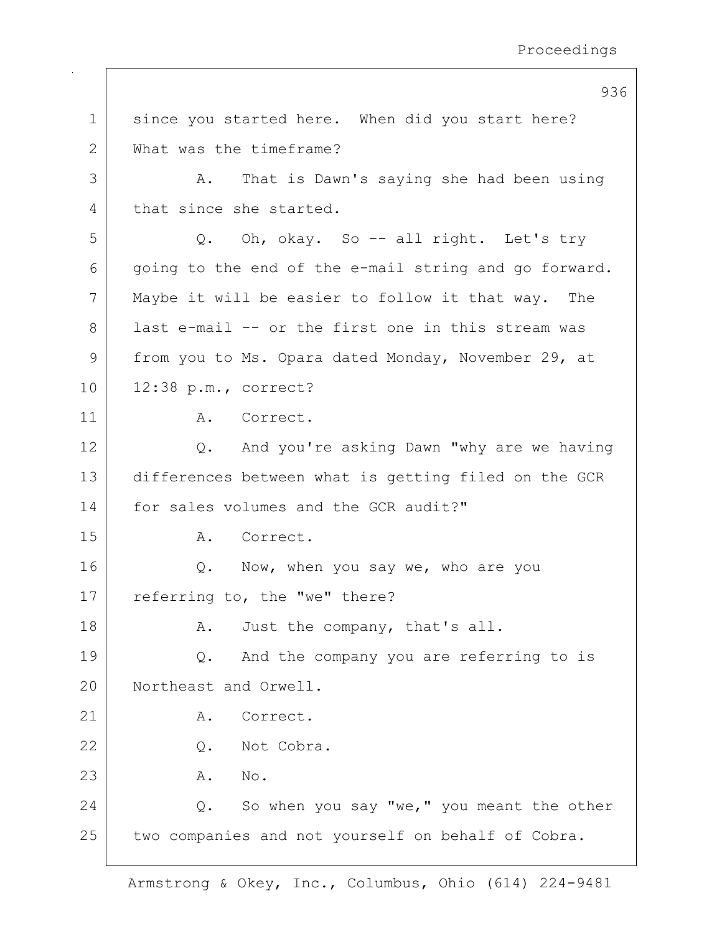| $\mathbf 1$     | since you started here. When did you start here?      |
|-----------------|-------------------------------------------------------|
| $\mathbf{2}$    | What was the timeframe?                               |
| 3               | That is Dawn's saying she had been using<br>Α.        |
| 4               | that since she started.                               |
| 5               | Q. Oh, okay. So -- all right. Let's try               |
| 6               | going to the end of the e-mail string and go forward. |
| 7               | Maybe it will be easier to follow it that way. The    |
| 8               | last e-mail -- or the first one in this stream was    |
| $\mathcal{G}$   | from you to Ms. Opara dated Monday, November 29, at   |
| 10 <sub>o</sub> | $12:38$ p.m., correct?                                |
| 11              | A. Correct.                                           |
| 12              | And you're asking Dawn "why are we having<br>Q.       |
| 13              | differences between what is getting filed on the GCR  |
| 14              | for sales volumes and the GCR audit?"                 |
| 15              | Α.<br>Correct.                                        |
| 16              | Now, when you say we, who are you<br>Q.               |
| 17              | referring to, the "we" there?                         |
| 18              | A. Just the company, that's all.                      |
| 19              | And the company you are referring to is<br>Q.         |
| 20              | Northeast and Orwell.                                 |
| 21              | Α.<br>Correct.                                        |
| 22              | Not Cobra.<br>$Q$ .                                   |
| 23              | Α.<br>No.                                             |
| 24              | So when you say "we," you meant the other<br>Q.       |
| 25              | two companies and not yourself on behalf of Cobra.    |
|                 |                                                       |

936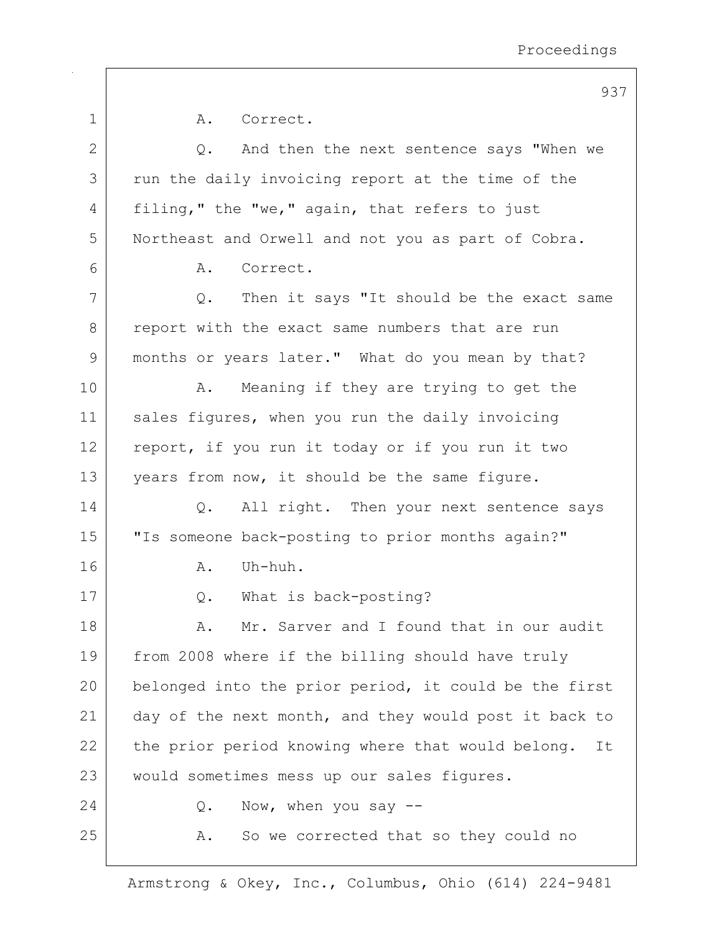|              | 937                                                     |
|--------------|---------------------------------------------------------|
| $\mathbf 1$  | Α.<br>Correct.                                          |
| $\mathbf{2}$ | And then the next sentence says "When we<br>Q.          |
| 3            | run the daily invoicing report at the time of the       |
| 4            | filing," the "we," again, that refers to just           |
| 5            | Northeast and Orwell and not you as part of Cobra.      |
| 6            | Correct.<br>Α.                                          |
| 7            | Then it says "It should be the exact same<br>$Q$ .      |
| 8            | report with the exact same numbers that are run         |
| 9            | months or years later." What do you mean by that?       |
| 10           | Meaning if they are trying to get the<br>Α.             |
| 11           | sales figures, when you run the daily invoicing         |
| 12           | report, if you run it today or if you run it two        |
| 13           | years from now, it should be the same figure.           |
| 14           | All right. Then your next sentence says<br>$Q$ .        |
| 15           | "Is someone back-posting to prior months again?"        |
| 16           | Uh-huh.<br>A.                                           |
| 17           | What is back-posting?<br>Q.                             |
| 18           | Mr. Sarver and I found that in our audit<br>Α.          |
| 19           | from 2008 where if the billing should have truly        |
| 20           | belonged into the prior period, it could be the first   |
| 21           | day of the next month, and they would post it back to   |
| 22           | the prior period knowing where that would belong.<br>It |
| 23           | would sometimes mess up our sales figures.              |
| 24           | Now, when you say $-$ -<br>Q.                           |
| 25           | So we corrected that so they could no<br>Α.             |
|              |                                                         |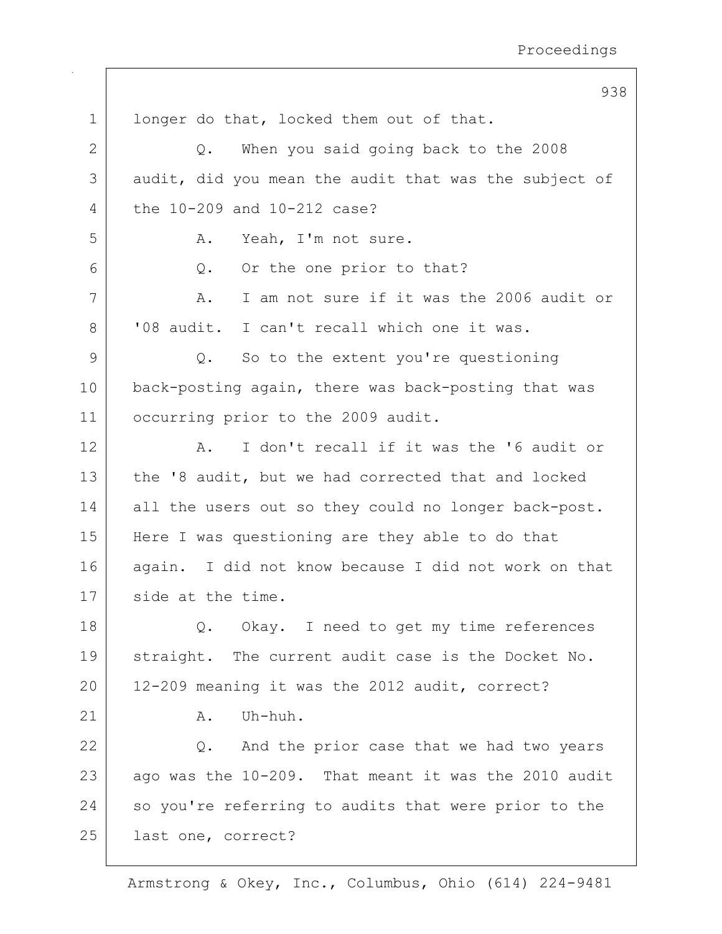|             | 938                                                   |
|-------------|-------------------------------------------------------|
| $\mathbf 1$ | longer do that, locked them out of that.              |
| 2           | When you said going back to the 2008<br>$Q_{\bullet}$ |
| 3           | audit, did you mean the audit that was the subject of |
| 4           | the 10-209 and 10-212 case?                           |
| 5           | Yeah, I'm not sure.<br>Α.                             |
| 6           | Or the one prior to that?<br>Q.                       |
| 7           | I am not sure if it was the 2006 audit or<br>Α.       |
| 8           | '08 audit. I can't recall which one it was.           |
| 9           | So to the extent you're questioning<br>Q.             |
| 10          | back-posting again, there was back-posting that was   |
| 11          | occurring prior to the 2009 audit.                    |
| 12          | I don't recall if it was the '6 audit or<br>Α.        |
| 13          | the '8 audit, but we had corrected that and locked    |
| 14          | all the users out so they could no longer back-post.  |
| 15          | Here I was questioning are they able to do that       |
| 16          | again. I did not know because I did not work on that  |
| 17          | side at the time.                                     |
| 18          | Q. Okay. I need to get my time references             |
| 19          | straight. The current audit case is the Docket No.    |
| 20          | 12-209 meaning it was the 2012 audit, correct?        |
| 21          | Uh-huh.<br>Α.                                         |
| 22          | Q. And the prior case that we had two years           |
| 23          | ago was the 10-209. That meant it was the 2010 audit  |
| 24          | so you're referring to audits that were prior to the  |
| 25          | last one, correct?                                    |
|             |                                                       |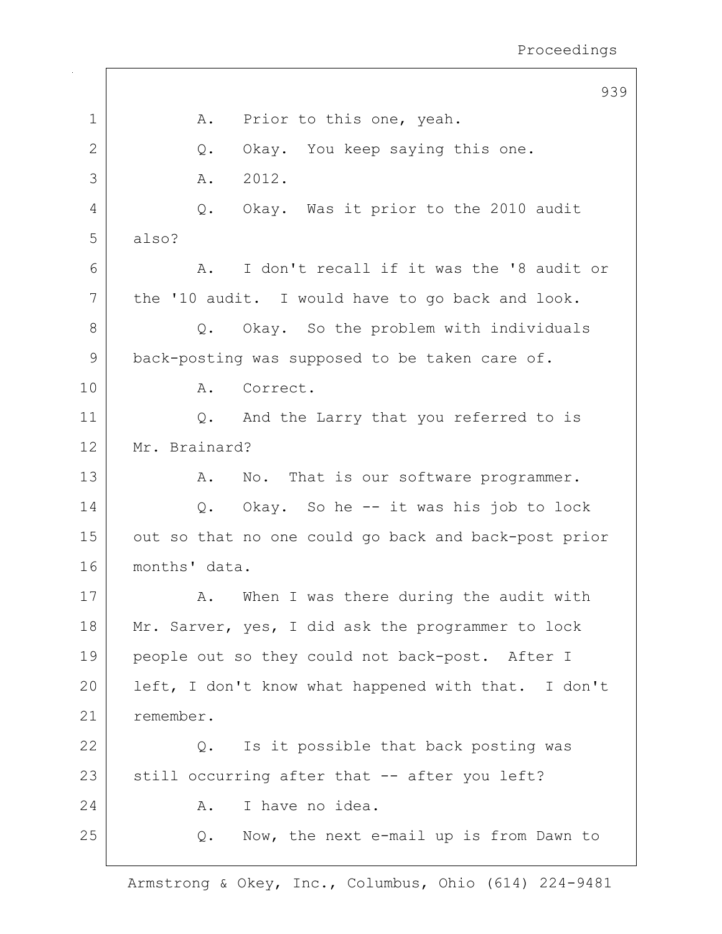939 1 | A. Prior to this one, yeah. 2 Q. Okay. You keep saying this one. 3 A. 2012. 4 Q. Okay. Was it prior to the 2010 audit 5 also? 6 A. I don't recall if it was the '8 audit or 7 | the '10 audit. I would have to go back and look. 8 Q. Okay. So the problem with individuals 9 | back-posting was supposed to be taken care of. 10 A. Correct. 11 | Q. And the Larry that you referred to is 12 Mr. Brainard? 13 | A. No. That is our software programmer. 14 Q. Okay. So he -- it was his job to lock 15 out so that no one could go back and back-post prior 16 months' data. 17 | A. When I was there during the audit with 18 Mr. Sarver, yes, I did ask the programmer to lock 19 people out so they could not back-post. After I 20 | left, I don't know what happened with that. I don't 21 remember. 22 | Q. Is it possible that back posting was  $23$  still occurring after that  $-$ - after you left? 24 A. I have no idea. 25 Q. Now, the next e-mail up is from Dawn to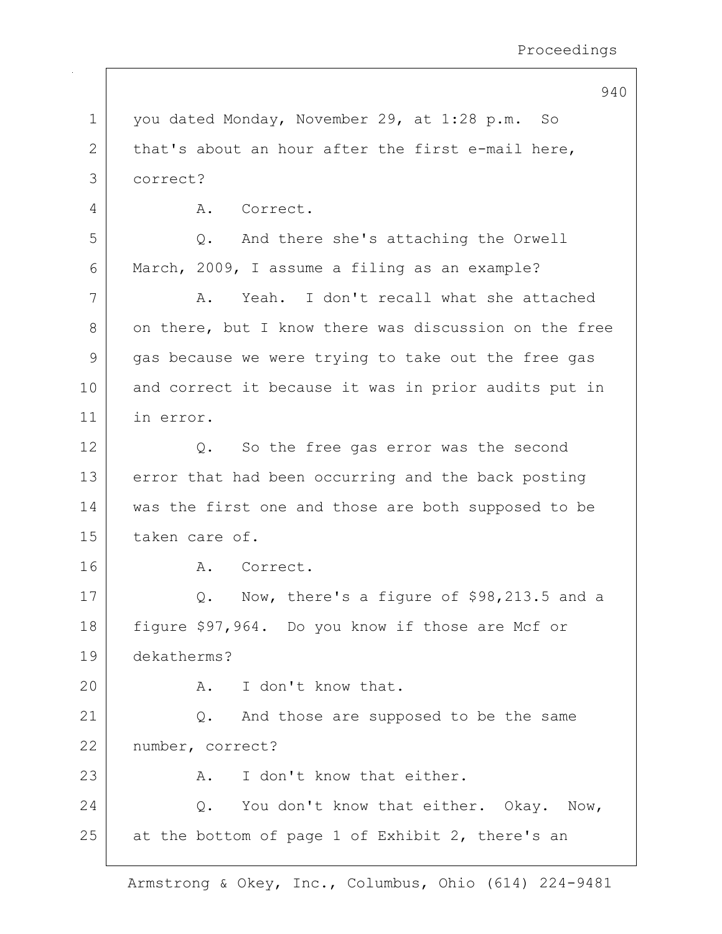940

1 you dated Monday, November 29, at 1:28 p.m. So 2 that's about an hour after the first e-mail here, 3 correct? 4 A. Correct. 5 Q. And there she's attaching the Orwell 6 March, 2009, I assume a filing as an example? 7 A. Yeah. I don't recall what she attached 8 on there, but I know there was discussion on the free 9 gas because we were trying to take out the free gas 10 and correct it because it was in prior audits put in 11 in error. 12 Q. So the free gas error was the second 13 error that had been occurring and the back posting 14 was the first one and those are both supposed to be 15 taken care of. 16 A. Correct. 17 Q. Now, there's a figure of  $$98,213.5$  and a 18 figure \$97,964. Do you know if those are Mcf or 19 dekatherms? 20 A. I don't know that. 21 | Q. And those are supposed to be the same 22 | number, correct?  $23$   $\overline{A}$ . I don't know that either. 24 Q. You don't know that either. Okay. Now,  $25$  at the bottom of page 1 of Exhibit 2, there's an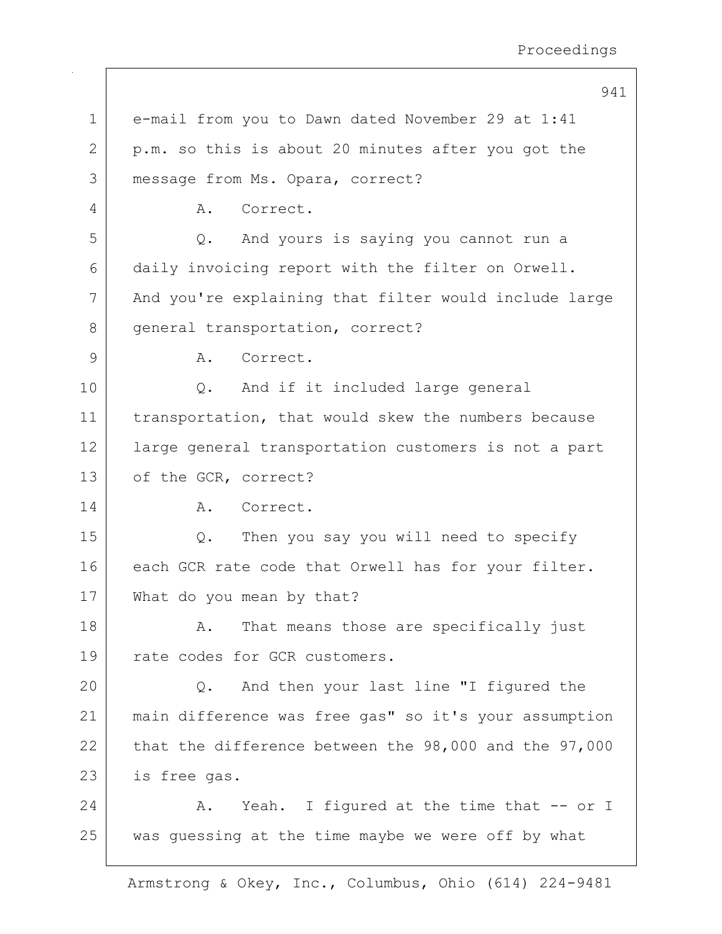941 1 e-mail from you to Dawn dated November 29 at 1:41 2 | p.m. so this is about 20 minutes after you got the 3 message from Ms. Opara, correct? 4 A. Correct. 5 Q. And yours is saying you cannot run a 6 daily invoicing report with the filter on Orwell. 7 | And you're explaining that filter would include large 8 | general transportation, correct? 9 A. Correct. 10 Q. And if it included large general 11 | transportation, that would skew the numbers because 12 large general transportation customers is not a part 13 of the GCR, correct? 14 A. Correct. 15 Q. Then you say you will need to specify 16 each GCR rate code that Orwell has for your filter. 17 What do you mean by that? 18 A. That means those are specifically just 19 rate codes for GCR customers. 20 Q. And then your last line "I figured the 21 main difference was free gas" so it's your assumption 22 that the difference between the  $98,000$  and the  $97,000$ 23 is free gas. 24 A. Yeah. I figured at the time that -- or I 25 was quessing at the time maybe we were off by what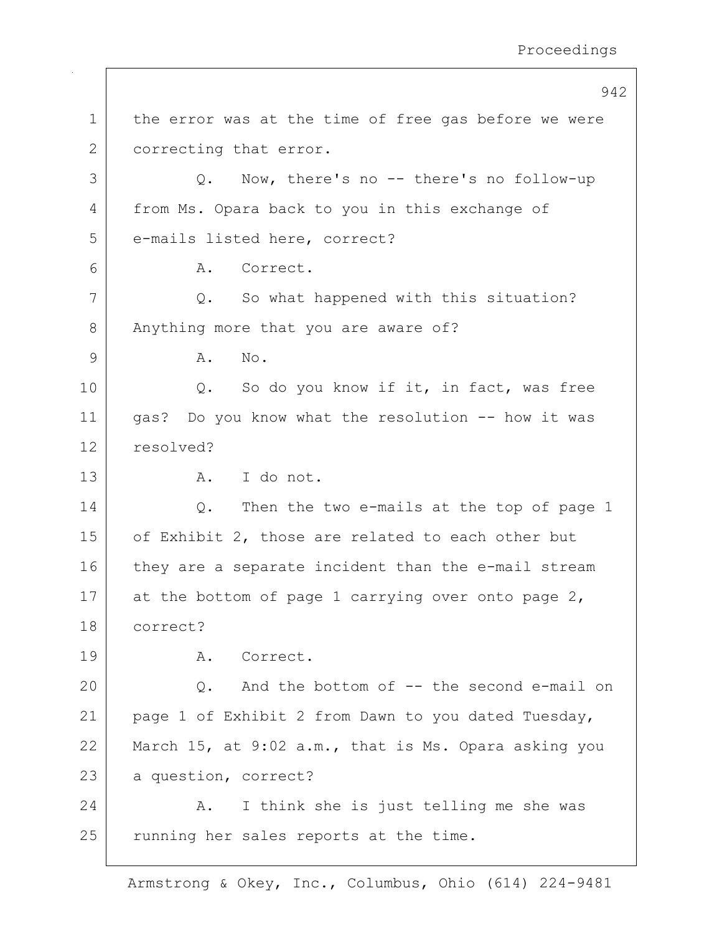|               | 942                                                  |
|---------------|------------------------------------------------------|
| $\mathbf 1$   | the error was at the time of free gas before we were |
| 2             | correcting that error.                               |
| 3             | Now, there's no -- there's no follow-up<br>Q.        |
| 4             | from Ms. Opara back to you in this exchange of       |
| 5             | e-mails listed here, correct?                        |
| 6             | Α.<br>Correct.                                       |
| 7             | Q. So what happened with this situation?             |
| 8             | Anything more that you are aware of?                 |
| $\mathcal{G}$ | No.<br>Α.                                            |
| 10            | So do you know if it, in fact, was free<br>Q.        |
| 11            | gas? Do you know what the resolution -- how it was   |
| 12            | resolved?                                            |
| 13            | I do not.<br>A.                                      |
| 14            | Then the two e-mails at the top of page 1<br>Q.      |
| 15            | of Exhibit 2, those are related to each other but    |
| 16            | they are a separate incident than the e-mail stream  |
| 17            | at the bottom of page 1 carrying over onto page 2,   |
| 18            | correct?                                             |
| 19            | A. Correct.                                          |
| 20            | And the bottom of -- the second e-mail on<br>Q.      |
| 21            | page 1 of Exhibit 2 from Dawn to you dated Tuesday,  |
| 22            | March 15, at 9:02 a.m., that is Ms. Opara asking you |
| 23            | a question, correct?                                 |
| 24            | I think she is just telling me she was<br>Α.         |
| 25            | running her sales reports at the time.               |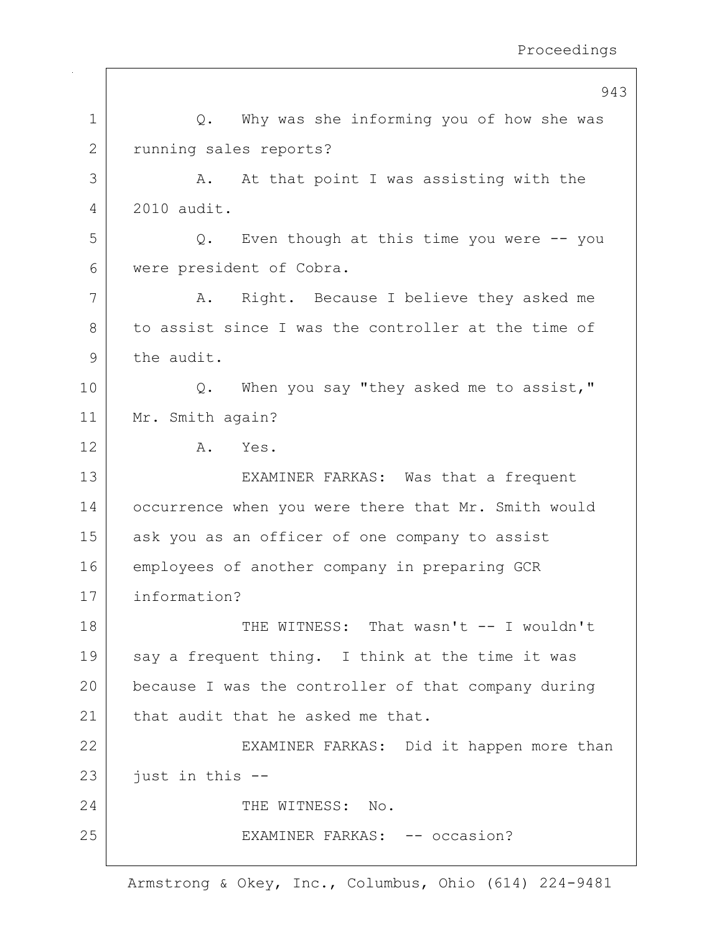|                | 943                                                          |
|----------------|--------------------------------------------------------------|
| 1              | Why was she informing you of how she was<br>Q.               |
| $\overline{2}$ | running sales reports?                                       |
| 3              | At that point I was assisting with the<br>Α.                 |
| 4              | 2010 audit.                                                  |
| 5              | Even though at this time you were $-$ - you<br>$Q_{\bullet}$ |
| 6              | were president of Cobra.                                     |
| 7              | Right. Because I believe they asked me<br>Α.                 |
| 8              | to assist since I was the controller at the time of          |
| 9              | the audit.                                                   |
| 10             | When you say "they asked me to assist,"<br>Q.                |
| 11             | Mr. Smith again?                                             |
| 12             | Yes.<br>Α.                                                   |
| 13             | EXAMINER FARKAS: Was that a frequent                         |
| 14             | occurrence when you were there that Mr. Smith would          |
| 15             | ask you as an officer of one company to assist               |
| 16             | employees of another company in preparing GCR                |
| 17             | information?                                                 |
| 18             | THE WITNESS: That wasn't -- I wouldn't                       |
| 19             | say a frequent thing. I think at the time it was             |
| 20             | because I was the controller of that company during          |
| 21             | that audit that he asked me that.                            |
| 22             | EXAMINER FARKAS: Did it happen more than                     |
| 23             | just in this --                                              |
| 24             | THE WITNESS: No.                                             |
| 25             | EXAMINER FARKAS: -- occasion?                                |
|                |                                                              |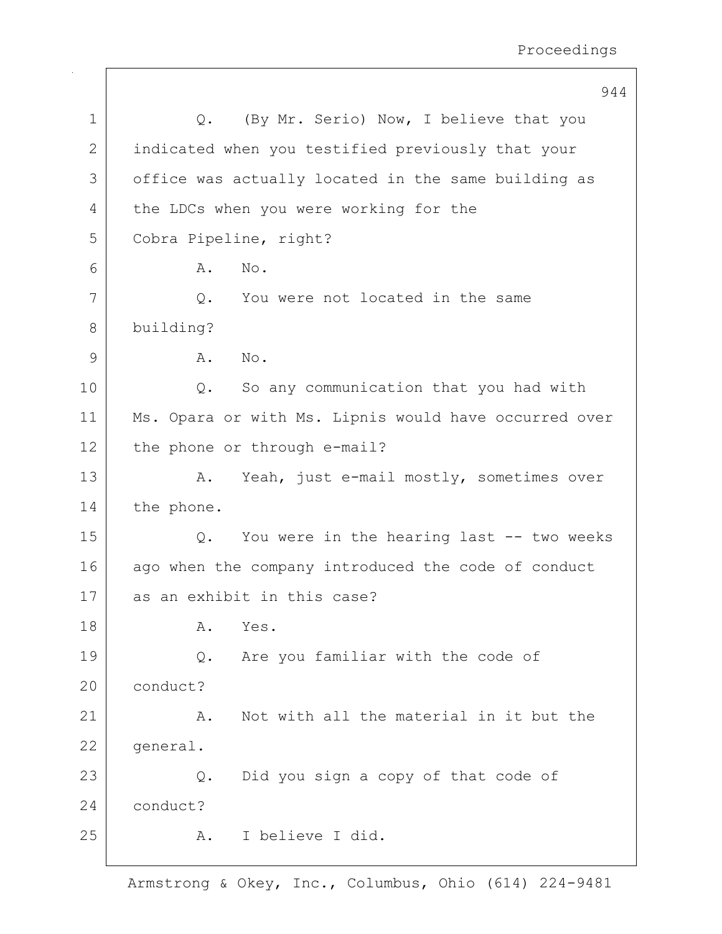|    | 944                                                   |
|----|-------------------------------------------------------|
| 1  | (By Mr. Serio) Now, I believe that you<br>Q.          |
| 2  | indicated when you testified previously that your     |
| 3  | office was actually located in the same building as   |
| 4  | the LDCs when you were working for the                |
| 5  | Cobra Pipeline, right?                                |
| 6  | Α.<br>No.                                             |
| 7  | You were not located in the same<br>Q.                |
| 8  | building?                                             |
| 9  | Α.<br>No.                                             |
| 10 | So any communication that you had with<br>Q.          |
| 11 | Ms. Opara or with Ms. Lipnis would have occurred over |
| 12 | the phone or through e-mail?                          |
| 13 | Yeah, just e-mail mostly, sometimes over<br>Α.        |
| 14 | the phone.                                            |
| 15 | You were in the hearing last -- two weeks<br>Q.       |
| 16 | ago when the company introduced the code of conduct   |
| 17 | as an exhibit in this case?                           |
| 18 | Α.<br>Yes.                                            |
| 19 | Are you familiar with the code of<br>Q.               |
| 20 | conduct?                                              |
| 21 | Not with all the material in it but the<br>Α.         |
| 22 | general.                                              |
| 23 | Did you sign a copy of that code of<br>$Q$ .          |
| 24 | conduct?                                              |
| 25 | I believe I did.<br>Α.                                |
|    |                                                       |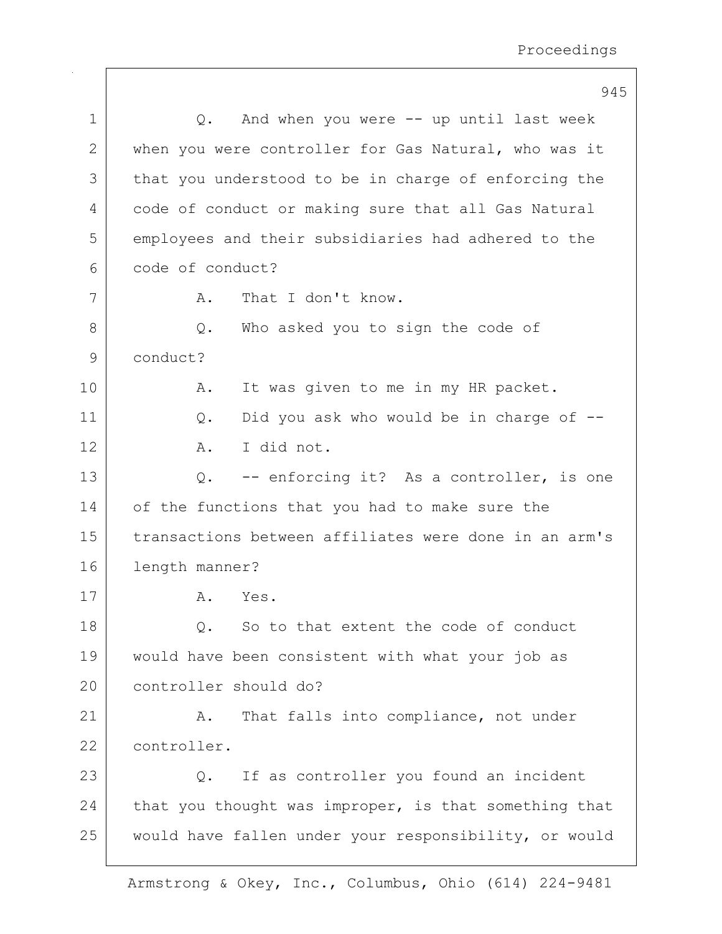|              | 945                                                   |
|--------------|-------------------------------------------------------|
| 1            | And when you were $--$ up until last week<br>Q.       |
| $\mathbf{2}$ | when you were controller for Gas Natural, who was it  |
| 3            | that you understood to be in charge of enforcing the  |
| 4            | code of conduct or making sure that all Gas Natural   |
| 5            | employees and their subsidiaries had adhered to the   |
| 6            | code of conduct?                                      |
| 7            | That I don't know.<br>Α.                              |
| 8            | Who asked you to sign the code of<br>Q.               |
| 9            | conduct?                                              |
| 10           | It was given to me in my HR packet.<br>Α.             |
| 11           | Did you ask who would be in charge of --<br>$Q$ .     |
| 12           | I did not.<br>Α.                                      |
| 13           | -- enforcing it? As a controller, is one<br>Q.        |
| 14           | of the functions that you had to make sure the        |
| 15           | transactions between affiliates were done in an arm's |
| 16           | length manner?                                        |
| 17           | Yes.<br>Α.                                            |
| 18           | So to that extent the code of conduct<br>Q.           |
| 19           | would have been consistent with what your job as      |
| 20           | controller should do?                                 |
| 21           | That falls into compliance, not under<br>Α.           |
| 22           | controller.                                           |
| 23           | If as controller you found an incident<br>Q.          |
| 24           | that you thought was improper, is that something that |
| 25           | would have fallen under your responsibility, or would |
|              |                                                       |

 $\Gamma$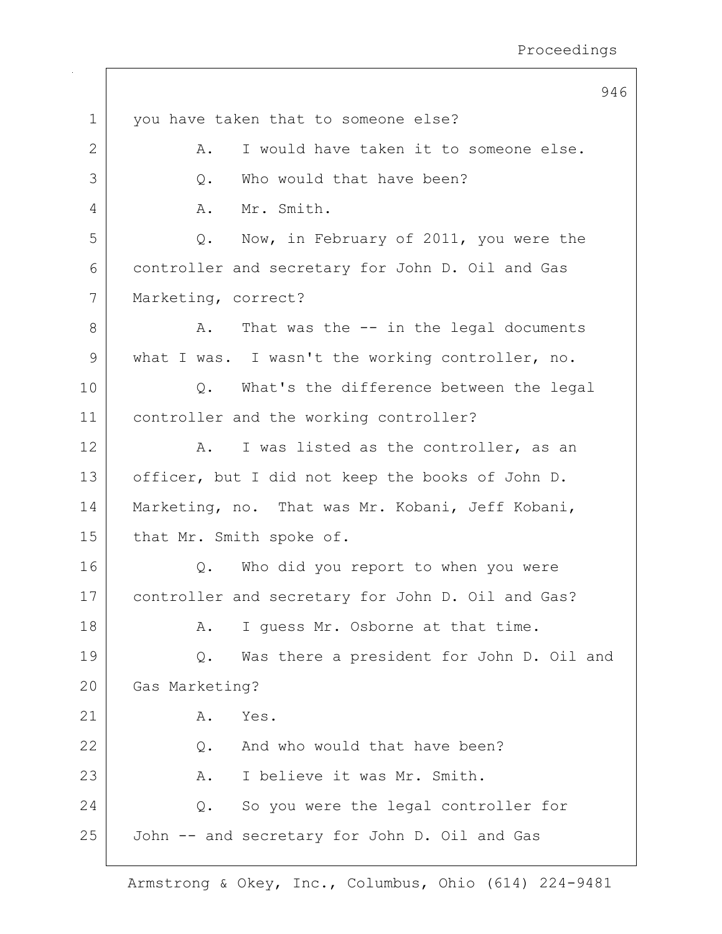|             | 946                                               |
|-------------|---------------------------------------------------|
| $\mathbf 1$ | you have taken that to someone else?              |
| 2           | I would have taken it to someone else.<br>Α.      |
| 3           | Who would that have been?<br>Q.                   |
| 4           | Mr. Smith.<br>Α.                                  |
| 5           | Now, in February of 2011, you were the<br>Q.      |
| 6           | controller and secretary for John D. Oil and Gas  |
| 7           | Marketing, correct?                               |
| 8           | That was the $-$ in the legal documents<br>Α.     |
| 9           | what I was. I wasn't the working controller, no.  |
| 10          | What's the difference between the legal<br>Q.     |
| 11          | controller and the working controller?            |
| 12          | I was listed as the controller, as an<br>Α.       |
| 13          | officer, but I did not keep the books of John D.  |
| 14          | Marketing, no. That was Mr. Kobani, Jeff Kobani,  |
| 15          | that Mr. Smith spoke of.                          |
| 16          | Who did you report to when you were<br>Q.         |
| 17          | controller and secretary for John D. Oil and Gas? |
| 18          | I quess Mr. Osborne at that time.<br>Α.           |
| 19          | Was there a president for John D. Oil and<br>Q.   |
| 20          | Gas Marketing?                                    |
| 21          | Α.<br>Yes.                                        |
| 22          | And who would that have been?<br>$Q$ .            |
| 23          | I believe it was Mr. Smith.<br>Α.                 |
| 24          | So you were the legal controller for<br>Q.        |
| 25          | John -- and secretary for John D. Oil and Gas     |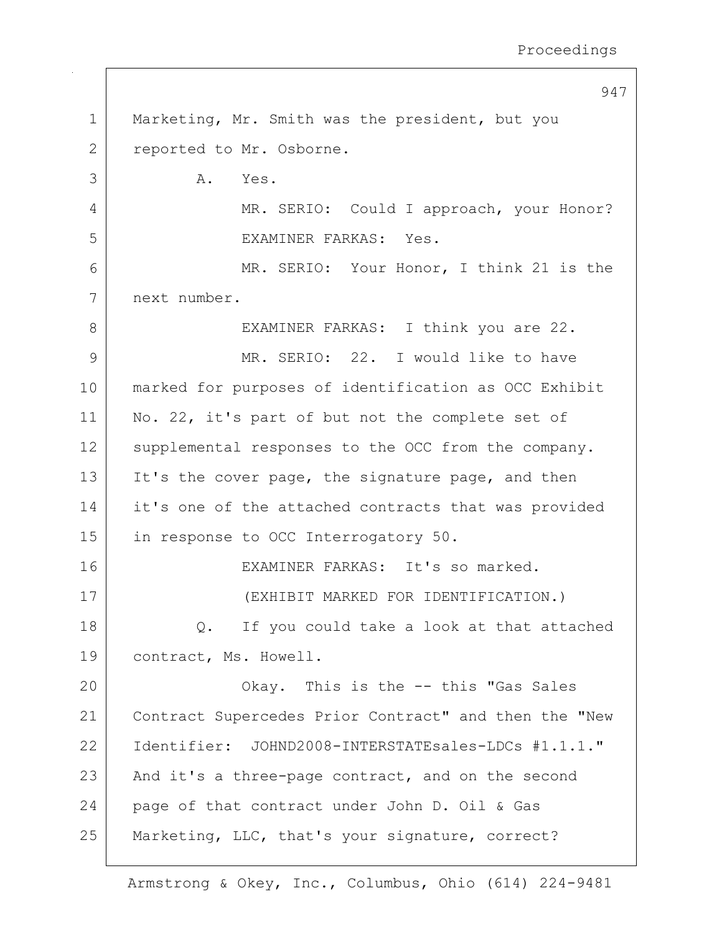947 1 Marketing, Mr. Smith was the president, but you 2 reported to Mr. Osborne.  $3$   $A.$  Yes. 4 | MR. SERIO: Could I approach, your Honor? 5 EXAMINER FARKAS: Yes. 6 MR. SERIO: Your Honor, I think 21 is the 7 next number. 8 | EXAMINER FARKAS: I think you are 22. 9 MR. SERIO: 22. I would like to have 10 marked for purposes of identification as OCC Exhibit 11 | No. 22, it's part of but not the complete set of 12 supplemental responses to the OCC from the company. 13 It's the cover page, the signature page, and then 14 it's one of the attached contracts that was provided 15 in response to OCC Interrogatory 50. 16 EXAMINER FARKAS: It's so marked. 17 (EXHIBIT MARKED FOR IDENTIFICATION.) 18 Q. If you could take a look at that attached 19 | contract, Ms. Howell. 20 | Chay. This is the -- this "Gas Sales 21 | Contract Supercedes Prior Contract" and then the "New 22 Identifier: JOHND2008-INTERSTATEsales-LDCs #1.1.1."  $23$  And it's a three-page contract, and on the second 24 page of that contract under John D. Oil & Gas 25 | Marketing, LLC, that's your signature, correct?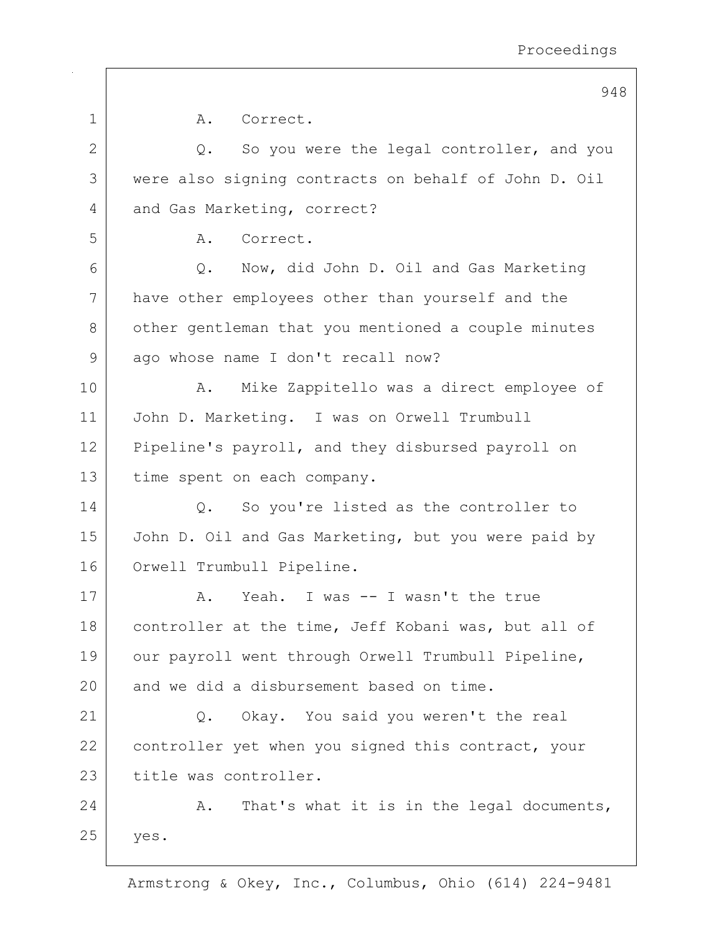|    | 948                                                  |
|----|------------------------------------------------------|
| 1  | A.<br>Correct.                                       |
| 2  | So you were the legal controller, and you<br>Q.      |
| 3  | were also signing contracts on behalf of John D. Oil |
| 4  | and Gas Marketing, correct?                          |
| 5  | Correct.<br>Α.                                       |
| 6  | Q. Now, did John D. Oil and Gas Marketing            |
| 7  | have other employees other than yourself and the     |
| 8  | other gentleman that you mentioned a couple minutes  |
| 9  | ago whose name I don't recall now?                   |
| 10 | Mike Zappitello was a direct employee of<br>Α.       |
| 11 | John D. Marketing. I was on Orwell Trumbull          |
| 12 | Pipeline's payroll, and they disbursed payroll on    |
| 13 | time spent on each company.                          |
| 14 | So you're listed as the controller to<br>Q.          |
| 15 | John D. Oil and Gas Marketing, but you were paid by  |
| 16 | Orwell Trumbull Pipeline.                            |
| 17 | Yeah. I was -- I wasn't the true<br>Α.               |
| 18 | controller at the time, Jeff Kobani was, but all of  |
| 19 | our payroll went through Orwell Trumbull Pipeline,   |
| 20 | and we did a disbursement based on time.             |
| 21 | Okay. You said you weren't the real<br>Q.            |
| 22 | controller yet when you signed this contract, your   |
| 23 | title was controller.                                |
| 24 | That's what it is in the legal documents,<br>Α.      |
| 25 | yes.                                                 |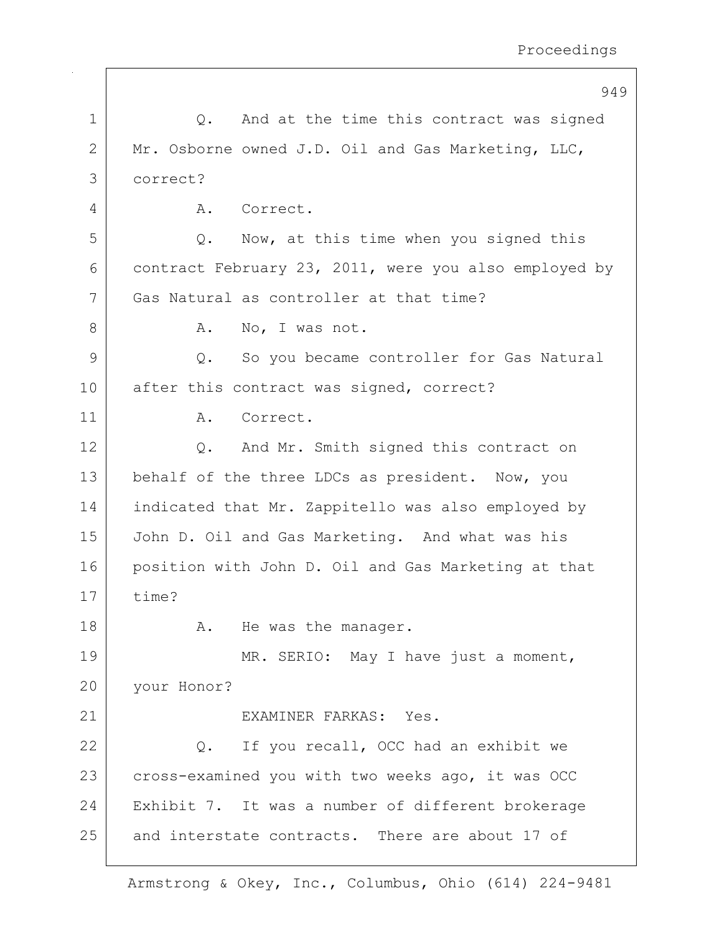|              | 949                                                       |
|--------------|-----------------------------------------------------------|
| $\mathbf 1$  | And at the time this contract was signed<br>$Q_{\bullet}$ |
| $\mathbf{2}$ | Mr. Osborne owned J.D. Oil and Gas Marketing, LLC,        |
| 3            | correct?                                                  |
| 4            | Correct.<br>Α.                                            |
| 5            | Now, at this time when you signed this<br>Q.              |
| 6            | contract February 23, 2011, were you also employed by     |
| 7            | Gas Natural as controller at that time?                   |
| 8            | Α.<br>No, I was not.                                      |
| 9            | So you became controller for Gas Natural<br>Q.            |
| 10           | after this contract was signed, correct?                  |
| 11           | Α.<br>Correct.                                            |
| 12           | And Mr. Smith signed this contract on<br>Q.               |
| 13           | behalf of the three LDCs as president. Now, you           |
| 14           | indicated that Mr. Zappitello was also employed by        |
| 15           | John D. Oil and Gas Marketing. And what was his           |
| 16           | position with John D. Oil and Gas Marketing at that       |
| 17           | time?                                                     |
| 18           | He was the manager.<br>Α.                                 |
| 19           | MR. SERIO: May I have just a moment,                      |
| 20           | your Honor?                                               |
| 21           | EXAMINER FARKAS: Yes.                                     |
| 22           | If you recall, OCC had an exhibit we<br>Q.                |
| 23           | cross-examined you with two weeks ago, it was OCC         |
| 24           | Exhibit 7. It was a number of different brokerage         |
| 25           | and interstate contracts. There are about 17 of           |
|              |                                                           |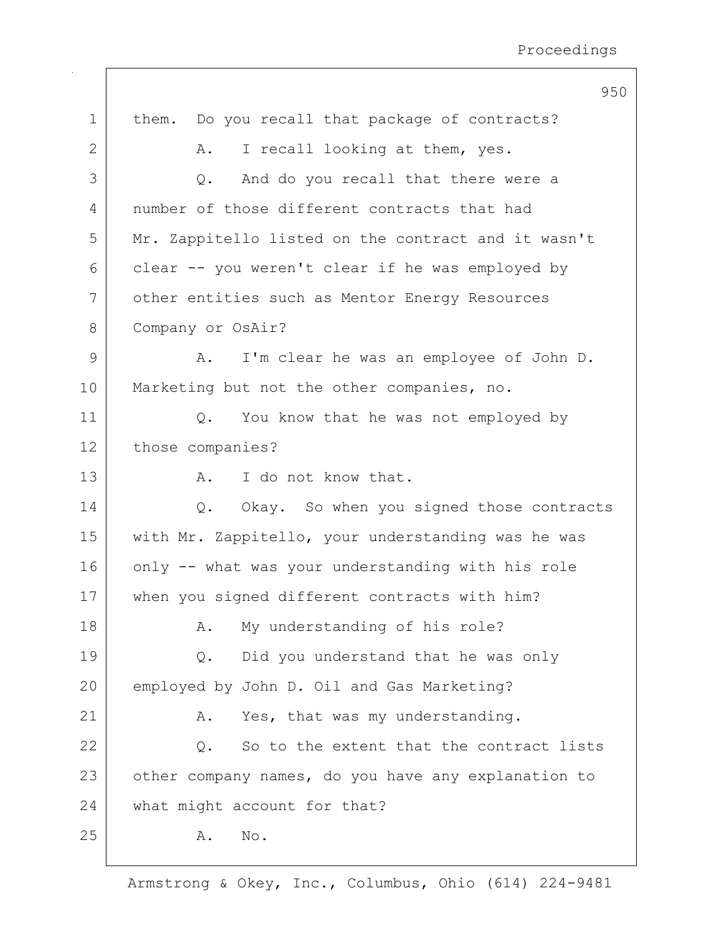|              | 950                                                 |
|--------------|-----------------------------------------------------|
| $\mathbf 1$  | Do you recall that package of contracts?<br>them.   |
| $\mathbf{2}$ | I recall looking at them, yes.<br>Α.                |
| 3            | And do you recall that there were a<br>Q.           |
| 4            | number of those different contracts that had        |
| 5            | Mr. Zappitello listed on the contract and it wasn't |
| 6            | clear -- you weren't clear if he was employed by    |
| 7            | other entities such as Mentor Energy Resources      |
| 8            | Company or OsAir?                                   |
| 9            | I'm clear he was an employee of John D.<br>Α.       |
| 10           | Marketing but not the other companies, no.          |
| 11           | You know that he was not employed by<br>Q.          |
| 12           | those companies?                                    |
| 13           | I do not know that.<br>Α.                           |
| 14           | Okay. So when you signed those contracts<br>Q.      |
| 15           | with Mr. Zappitello, your understanding was he was  |
| 16           | only -- what was your understanding with his role   |
| 17           | when you signed different contracts with him?       |
| 18           | My understanding of his role?<br>Α.                 |
| 19           | Did you understand that he was only<br>Q.           |
| 20           | employed by John D. Oil and Gas Marketing?          |
| 21           | Yes, that was my understanding.<br>Α.               |
| 22           | So to the extent that the contract lists<br>Q.      |
| 23           | other company names, do you have any explanation to |
| 24           | what might account for that?                        |
| 25           | Α.<br>No.                                           |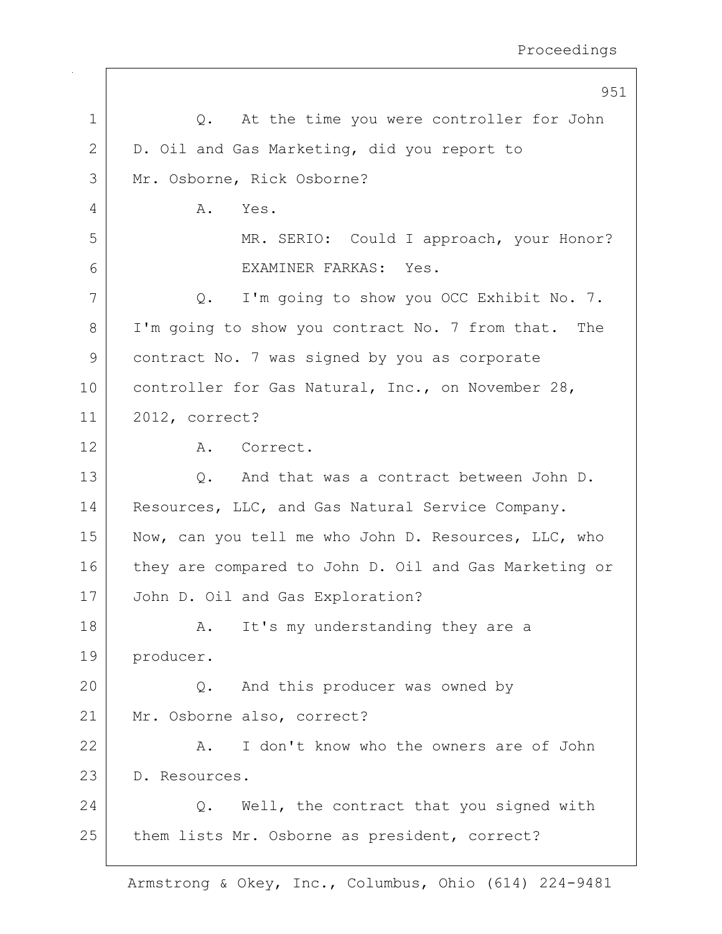|    | 951                                                   |
|----|-------------------------------------------------------|
| 1  | At the time you were controller for John<br>Q.        |
| 2  | D. Oil and Gas Marketing, did you report to           |
| 3  | Mr. Osborne, Rick Osborne?                            |
| 4  | Α.<br>Yes.                                            |
| 5  | MR. SERIO: Could I approach, your Honor?              |
| 6  | EXAMINER FARKAS: Yes.                                 |
| 7  | I'm going to show you OCC Exhibit No. 7.<br>Q.        |
| 8  | I'm going to show you contract No. 7 from that. The   |
| 9  | contract No. 7 was signed by you as corporate         |
| 10 | controller for Gas Natural, Inc., on November 28,     |
| 11 | 2012, correct?                                        |
| 12 | Correct.<br>A.                                        |
| 13 | Q. And that was a contract between John D.            |
| 14 | Resources, LLC, and Gas Natural Service Company.      |
| 15 | Now, can you tell me who John D. Resources, LLC, who  |
| 16 | they are compared to John D. Oil and Gas Marketing or |
| 17 | John D. Oil and Gas Exploration?                      |
| 18 | It's my understanding they are a<br>A.                |
| 19 | producer.                                             |
| 20 | And this producer was owned by<br>$\circ$ .           |
| 21 | Mr. Osborne also, correct?                            |
| 22 | I don't know who the owners are of John<br>Α.         |
| 23 | D. Resources.                                         |
| 24 | Q. Well, the contract that you signed with            |
| 25 | them lists Mr. Osborne as president, correct?         |
|    |                                                       |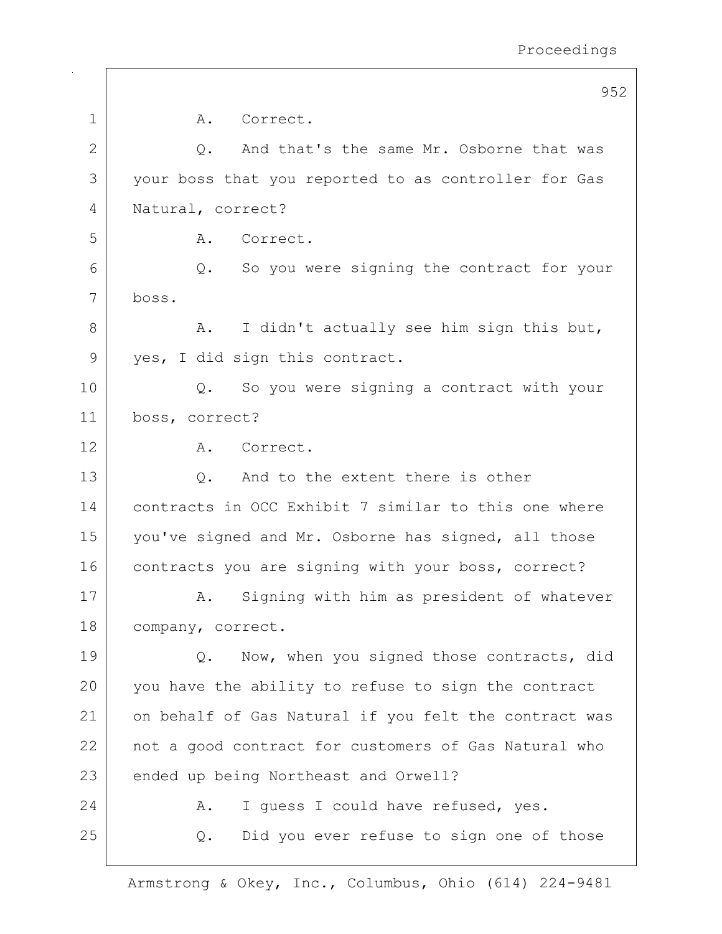|                | 952                                                   |
|----------------|-------------------------------------------------------|
| $\mathbf 1$    | Correct.<br>Α.                                        |
| $\mathbf{2}$   | And that's the same Mr. Osborne that was<br>Q.        |
| 3              | your boss that you reported to as controller for Gas  |
| $\overline{4}$ | Natural, correct?                                     |
| 5              | Α.<br>Correct.                                        |
| 6              | So you were signing the contract for your<br>Q.       |
| 7              | boss.                                                 |
| 8              | I didn't actually see him sign this but,<br>Α.        |
| 9              | yes, I did sign this contract.                        |
| 10             | So you were signing a contract with your<br>$Q$ .     |
| 11             | boss, correct?                                        |
| 12             | Correct.<br>A.                                        |
| 13             | And to the extent there is other<br>$Q$ .             |
| 14             | contracts in OCC Exhibit 7 similar to this one where  |
| 15             | you've signed and Mr. Osborne has signed, all those   |
| 16             | contracts you are signing with your boss, correct?    |
| 17             | Signing with him as president of whatever<br>Α.       |
| 18             | company, correct.                                     |
| 19             | Now, when you signed those contracts, did<br>Q.       |
| 20             | you have the ability to refuse to sign the contract   |
| 21             | on behalf of Gas Natural if you felt the contract was |
| 22             | not a good contract for customers of Gas Natural who  |
| 23             | ended up being Northeast and Orwell?                  |
| 24             | I guess I could have refused, yes.<br>Α.              |
| 25             | Did you ever refuse to sign one of those<br>Q.        |
|                |                                                       |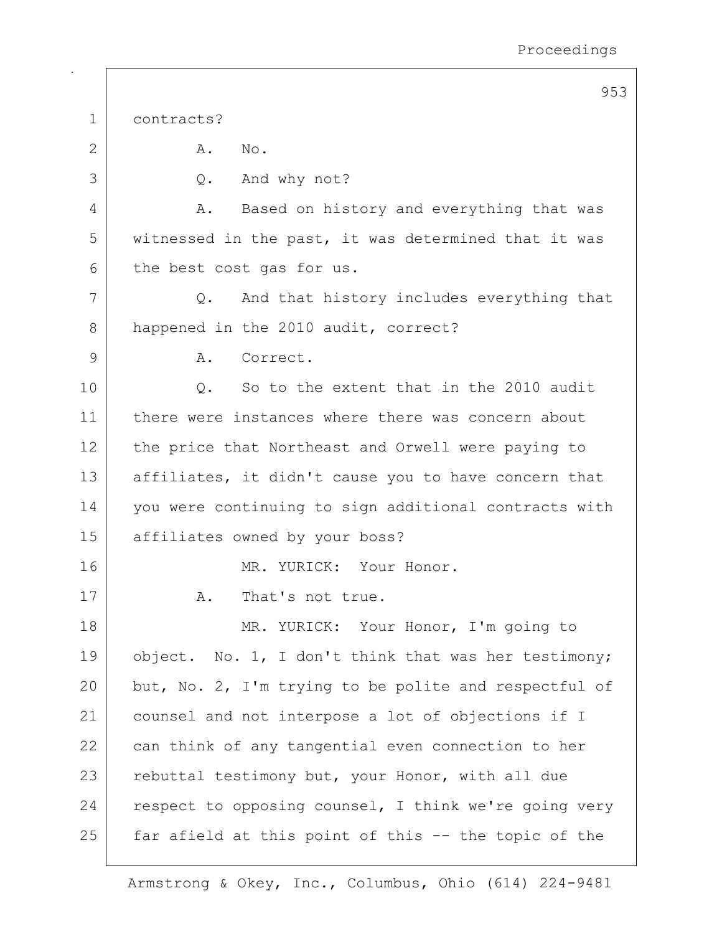|             | 953                                                        |
|-------------|------------------------------------------------------------|
| $\mathbf 1$ | contracts?                                                 |
| 2           | Α.<br>$\mathbb{N} \circ$ .                                 |
| 3           | And why not?<br>Q.                                         |
| 4           | Based on history and everything that was<br>Α.             |
| 5           | witnessed in the past, it was determined that it was       |
| 6           | the best cost gas for us.                                  |
| 7           | And that history includes everything that<br>$Q_{\bullet}$ |
| 8           | happened in the 2010 audit, correct?                       |
| 9           | Correct.<br>Α.                                             |
| 10          | So to the extent that in the 2010 audit<br>Q.              |
| 11          | there were instances where there was concern about         |
| 12          | the price that Northeast and Orwell were paying to         |
| 13          | affiliates, it didn't cause you to have concern that       |
| 14          | you were continuing to sign additional contracts with      |
| 15          | affiliates owned by your boss?                             |
| 16          | MR. YURICK: Your Honor.                                    |
| 17          | That's not true.<br>Α.                                     |
| 18          | MR. YURICK: Your Honor, I'm going to                       |
| 19          | object. No. 1, I don't think that was her testimony;       |
| 20          | but, No. 2, I'm trying to be polite and respectful of      |
| 21          | counsel and not interpose a lot of objections if I         |
| 22          | can think of any tangential even connection to her         |
| 23          | rebuttal testimony but, your Honor, with all due           |
| 24          | respect to opposing counsel, I think we're going very      |
| 25          | far afield at this point of this -- the topic of the       |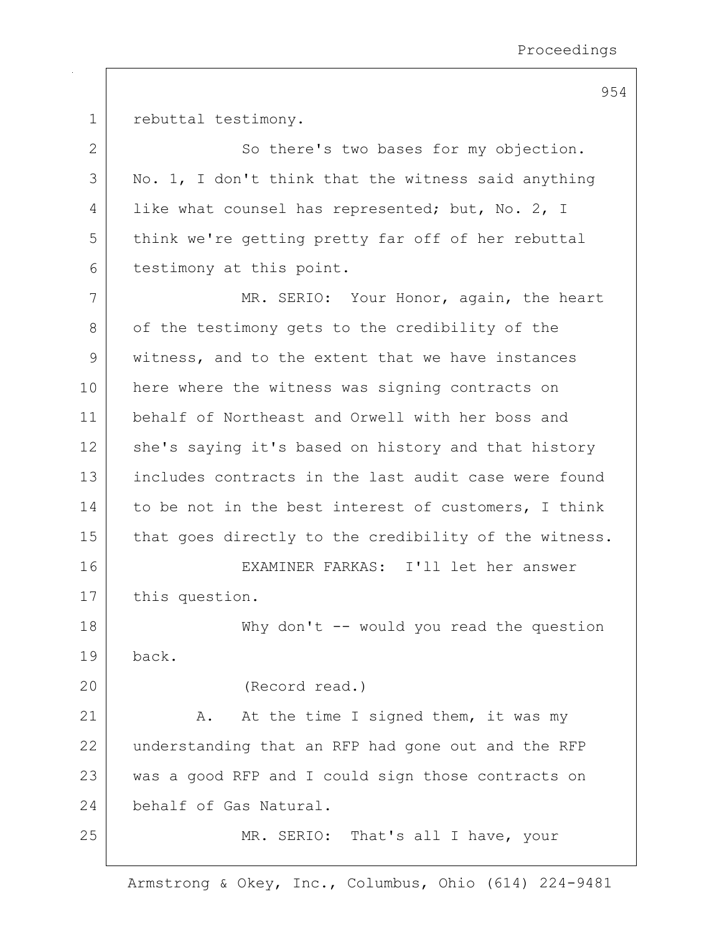1 rebuttal testimony.

2 So there's two bases for my objection.  $3$  No. 1, I don't think that the witness said anything 4 | like what counsel has represented; but, No. 2, I 5 | think we're getting pretty far off of her rebuttal 6 testimony at this point. 7 MR. SERIO: Your Honor, again, the heart 8 of the testimony gets to the credibility of the 9 witness, and to the extent that we have instances 10 here where the witness was signing contracts on 11 behalf of Northeast and Orwell with her boss and 12 she's saying it's based on history and that history 13 includes contracts in the last audit case were found 14 to be not in the best interest of customers, I think 15 | that goes directly to the credibility of the witness. 16 EXAMINER FARKAS: I'll let her answer 17 | this question. 18 Why don't -- would you read the question 19 back. 20 (Record read.) 21 A. At the time I signed them, it was my 22 understanding that an RFP had gone out and the RFP 23 was a good RFP and I could sign those contracts on 24 behalf of Gas Natural. 25 | MR. SERIO: That's all I have, your

Armstrong & Okey, Inc., Columbus, Ohio (614) 224-9481

954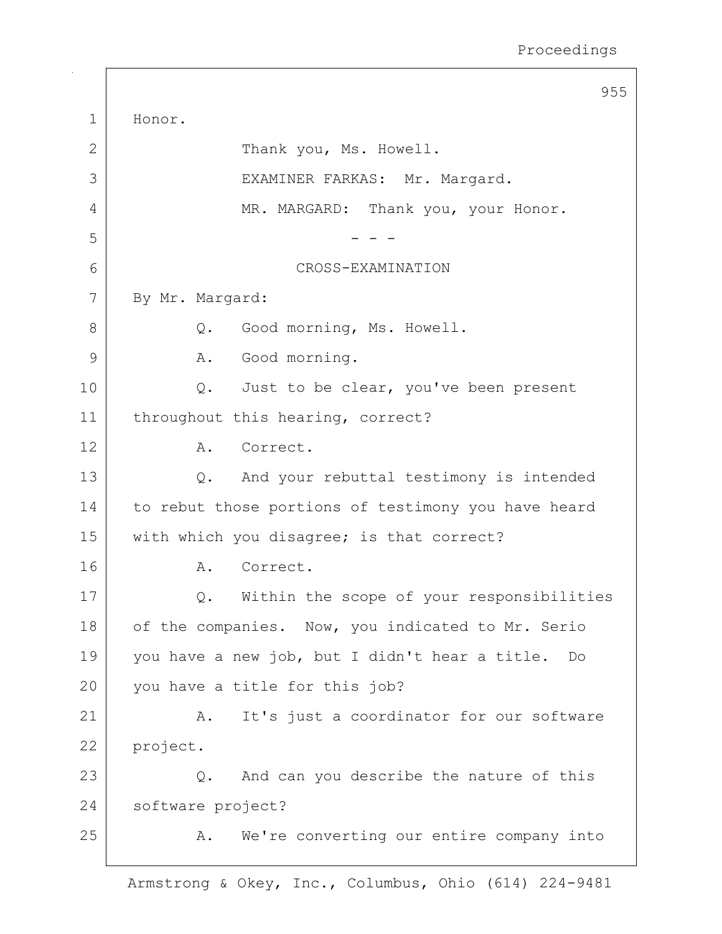|             | 955                                                 |
|-------------|-----------------------------------------------------|
| $\mathbf 1$ | Honor.                                              |
| 2           | Thank you, Ms. Howell.                              |
| 3           | EXAMINER FARKAS: Mr. Margard.                       |
| 4           | MR. MARGARD: Thank you, your Honor.                 |
| 5           |                                                     |
| 6           | CROSS-EXAMINATION                                   |
| 7           | By Mr. Margard:                                     |
| 8           | Good morning, Ms. Howell.<br>$Q_{\bullet}$          |
| 9           | Good morning.<br>Α.                                 |
| 10          | Just to be clear, you've been present<br>$Q$ .      |
| 11          | throughout this hearing, correct?                   |
| 12          | A. Correct.                                         |
| 13          | And your rebuttal testimony is intended<br>$Q$ .    |
| 14          | to rebut those portions of testimony you have heard |
| 15          | with which you disagree; is that correct?           |
| 16          | Correct.<br>Α.                                      |
| 17          | Within the scope of your responsibilities<br>$Q$ .  |
| 18          | of the companies. Now, you indicated to Mr. Serio   |
| 19          | you have a new job, but I didn't hear a title. Do   |
| 20          | you have a title for this job?                      |
| 21          | It's just a coordinator for our software<br>Α.      |
| 22          | project.                                            |
| 23          | And can you describe the nature of this<br>Q.       |
| 24          | software project?                                   |
| 25          | We're converting our entire company into<br>Α.      |
|             |                                                     |

 $\Gamma$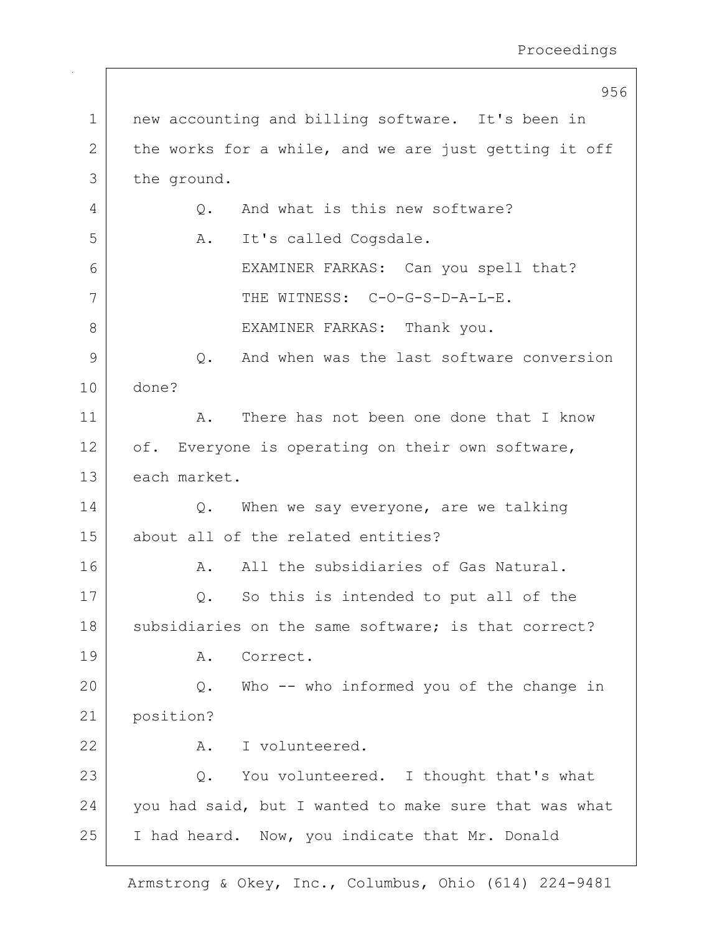956 1 | new accounting and billing software. It's been in 2 the works for a while, and we are just getting it off 3 the ground. 4 Q. And what is this new software? 5 A. It's called Cogsdale. 6 | EXAMINER FARKAS: Can you spell that? 7 | THE WITNESS: C-O-G-S-D-A-L-E. 8 | EXAMINER FARKAS: Thank you. 9 0. And when was the last software conversion 10 done? 11 A. There has not been one done that I know  $12$  of. Everyone is operating on their own software, 13 each market. 14 | C. When we say everyone, are we talking 15 about all of the related entities? 16 A. All the subsidiaries of Gas Natural. 17 | Q. So this is intended to put all of the 18 subsidiaries on the same software; is that correct? 19 A. Correct. 20 Q. Who -- who informed you of the change in 21 position? 22 A. I volunteered.  $23$  Q. You volunteered. I thought that's what 24 you had said, but I wanted to make sure that was what 25 | I had heard. Now, you indicate that Mr. Donald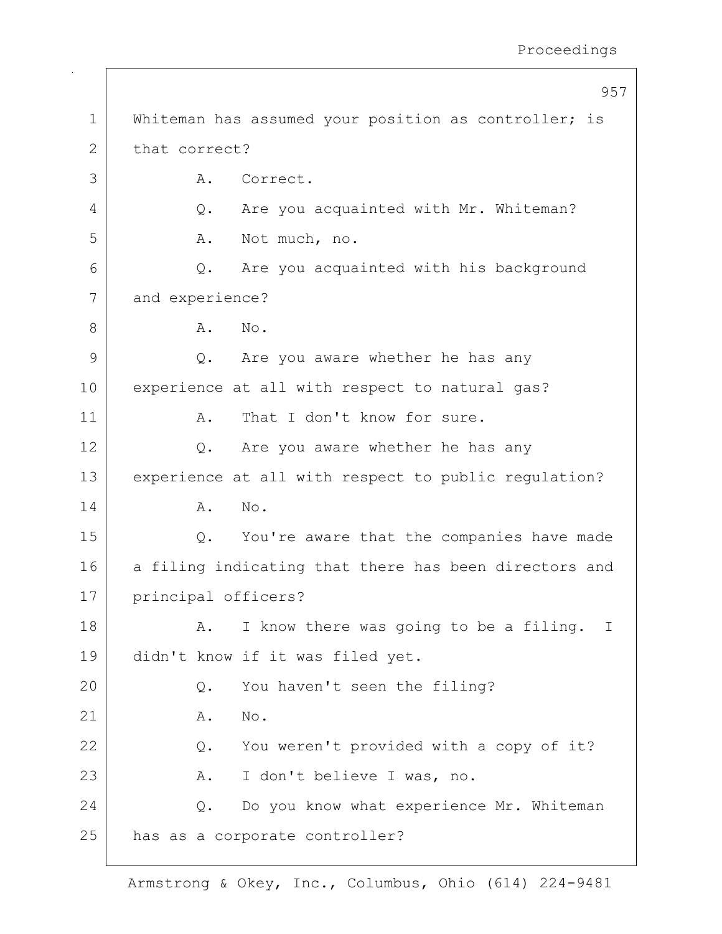957 1 | Whiteman has assumed your position as controller; is 2 that correct? 3 A. Correct. 4 Q. Are you acquainted with Mr. Whiteman? 5 A. Not much, no. 6 | Q. Are you acquainted with his background 7 and experience? 8 A. No. 9 Q. Are you aware whether he has any 10 experience at all with respect to natural gas? 11 | A. That I don't know for sure. 12 Q. Are you aware whether he has any 13 experience at all with respect to public regulation? 14 A. No. 15 Q. You're aware that the companies have made 16 a filing indicating that there has been directors and 17 principal officers? 18 A. I know there was going to be a filing. I 19 didn't know if it was filed yet. 20 Q. You haven't seen the filing?  $21$  A. No. 22 | Q. You weren't provided with a copy of it? 23 A. I don't believe I was, no. 24 Q. Do you know what experience Mr. Whiteman 25 has as a corporate controller?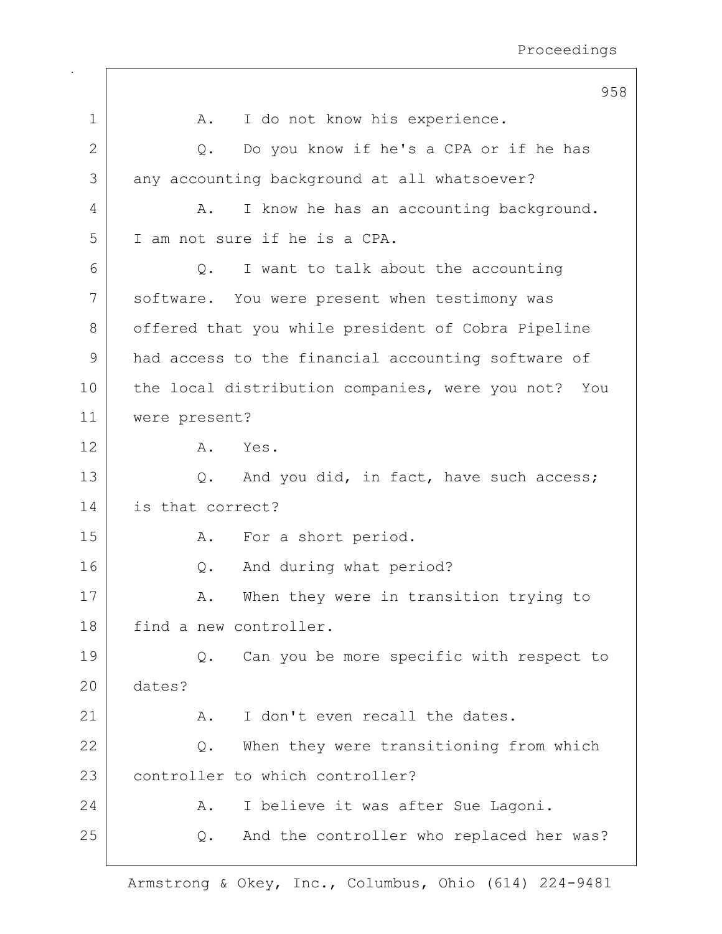|    | 958                                                 |
|----|-----------------------------------------------------|
| 1  | I do not know his experience.<br>Α.                 |
| 2  | Do you know if he's a CPA or if he has<br>Q.        |
| 3  | any accounting background at all whatsoever?        |
| 4  | I know he has an accounting background.<br>Α.       |
| 5  | I am not sure if he is a CPA.                       |
| 6  | I want to talk about the accounting<br>$Q$ .        |
| 7  | software. You were present when testimony was       |
| 8  | offered that you while president of Cobra Pipeline  |
| 9  | had access to the financial accounting software of  |
| 10 | the local distribution companies, were you not? You |
| 11 | were present?                                       |
| 12 | Yes.<br>Α.                                          |
| 13 | And you did, in fact, have such access;<br>Q.       |
| 14 | is that correct?                                    |
| 15 | For a short period.<br>Α.                           |
| 16 | And during what period?<br>$Q$ .                    |
| 17 | When they were in transition trying to<br>Α.        |
| 18 | find a new controller.                              |
| 19 | Can you be more specific with respect to<br>Q.      |
| 20 | dates?                                              |
| 21 | I don't even recall the dates.<br>Α.                |
| 22 | When they were transitioning from which<br>$Q$ .    |
| 23 | controller to which controller?                     |
| 24 | I believe it was after Sue Lagoni.<br>Α.            |
| 25 | And the controller who replaced her was?<br>Q.      |
|    |                                                     |

 $\Gamma$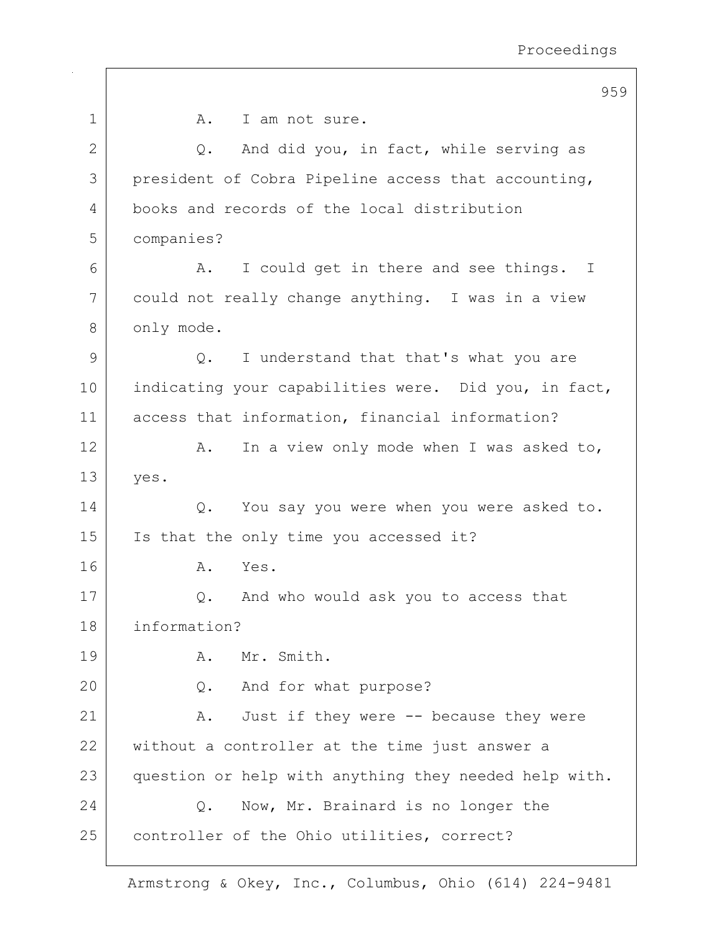|             | 959                                                   |
|-------------|-------------------------------------------------------|
| $\mathbf 1$ | I am not sure.<br>A.                                  |
| 2           | And did you, in fact, while serving as<br>Q.          |
| 3           | president of Cobra Pipeline access that accounting,   |
| 4           | books and records of the local distribution           |
| 5           | companies?                                            |
| 6           | I could get in there and see things. I<br>Α.          |
| 7           | could not really change anything. I was in a view     |
| 8           | only mode.                                            |
| 9           | I understand that that's what you are<br>Q.           |
| 10          | indicating your capabilities were. Did you, in fact,  |
| 11          | access that information, financial information?       |
| 12          | In a view only mode when I was asked to,<br>Α.        |
| 13          | yes.                                                  |
| 14          | You say you were when you were asked to.<br>Q.        |
| 15          | Is that the only time you accessed it?                |
| 16          | Yes.<br>Α.                                            |
| 17          | And who would ask you to access that<br>Q.            |
| 18          | information?                                          |
| 19          | Mr. Smith.<br>Α.                                      |
| 20          | And for what purpose?<br>Q.                           |
| 21          | Just if they were -- because they were<br>Α.          |
| 22          | without a controller at the time just answer a        |
| 23          | question or help with anything they needed help with. |
| 24          | Now, Mr. Brainard is no longer the<br>$Q$ .           |
| 25          | controller of the Ohio utilities, correct?            |
|             |                                                       |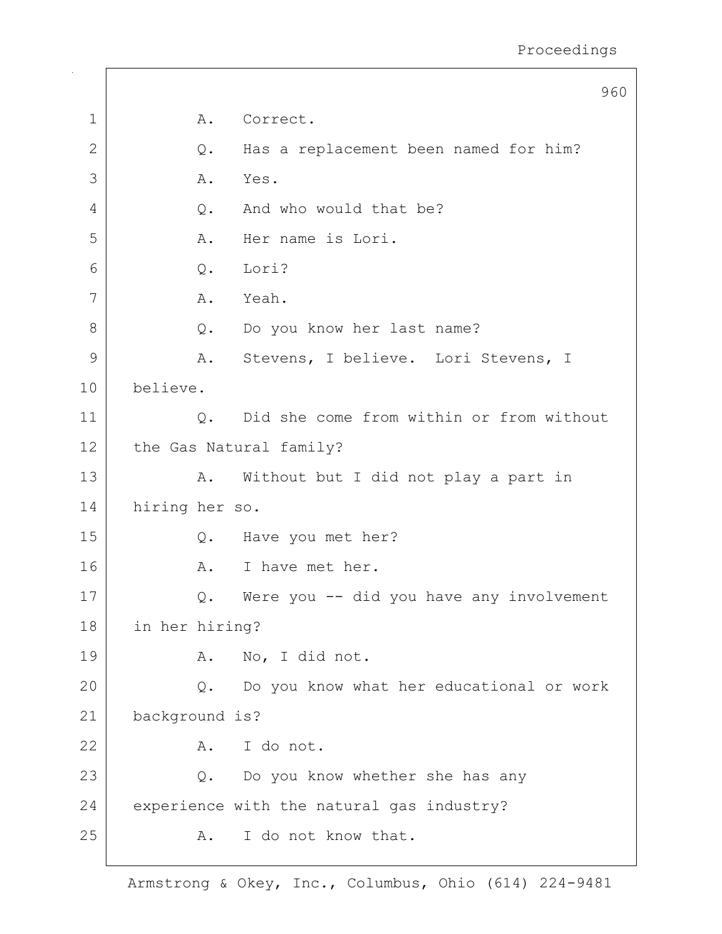|               |                         | 960                                       |
|---------------|-------------------------|-------------------------------------------|
| $\mathbf 1$   | Α.                      | Correct.                                  |
| $\mathbf{2}$  | Q.                      | Has a replacement been named for him?     |
| 3             | Α.                      | Yes.                                      |
| 4             | Q.                      | And who would that be?                    |
| 5             | Α.                      | Her name is Lori.                         |
| 6             | Q.                      | Lori?                                     |
| 7             | Α.                      | Yeah.                                     |
| 8             |                         | Q. Do you know her last name?             |
| $\mathcal{G}$ | Α.                      | Stevens, I believe. Lori Stevens, I       |
| 10            | believe.                |                                           |
| 11            | Q.                      | Did she come from within or from without  |
| 12            | the Gas Natural family? |                                           |
| 13            |                         | A. Without but I did not play a part in   |
| 14            | hiring her so.          |                                           |
| 15            | Q.                      | Have you met her?                         |
| 16            | A.                      | I have met her.                           |
| 17            | Q.                      | Were you -- did you have any involvement  |
| $18\,$        | in her hiring?          |                                           |
| 19            | Α.                      | No, I did not.                            |
| 20            | Q.                      | Do you know what her educational or work  |
| 21            | background is?          |                                           |
| 22            | A.                      | I do not.                                 |
| 23            | Q.                      | Do you know whether she has any           |
| 24            |                         | experience with the natural gas industry? |
| 25            | Α.                      | I do not know that.                       |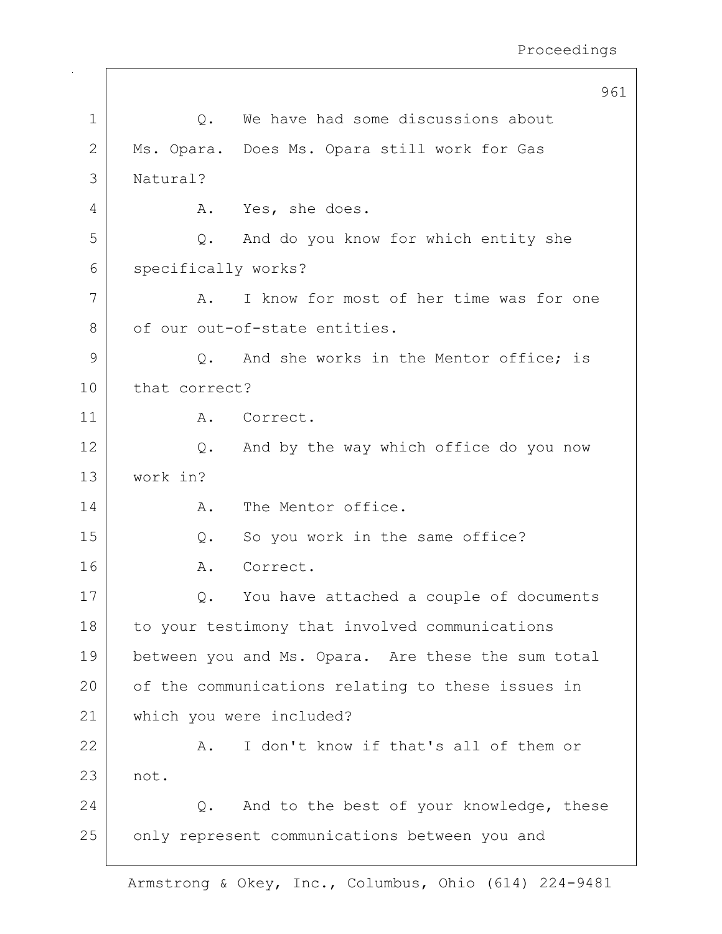|             | 961                                                     |
|-------------|---------------------------------------------------------|
| $\mathbf 1$ | We have had some discussions about<br>Q.                |
| 2           | Ms. Opara. Does Ms. Opara still work for Gas            |
| 3           | Natural?                                                |
| 4           | Yes, she does.<br>Α.                                    |
| 5           | And do you know for which entity she<br>Q.              |
| 6           | specifically works?                                     |
| 7           | I know for most of her time was for one<br>Α.           |
| 8           | of our out-of-state entities.                           |
| 9           | And she works in the Mentor office; is<br>$Q_{\bullet}$ |
| 10          | that correct?                                           |
| 11          | Correct.<br>Α.                                          |
| 12          | And by the way which office do you now<br>Q.            |
| 13          | work in?                                                |
| 14          | The Mentor office.<br>Α.                                |
| 15          | So you work in the same office?<br>Q.                   |
| 16          | Correct.<br>Α.                                          |
| 17          | You have attached a couple of documents<br>Q.           |
| 18          | to your testimony that involved communications          |
| 19          | between you and Ms. Opara. Are these the sum total      |
| 20          | of the communications relating to these issues in       |
| 21          | which you were included?                                |
| 22          | I don't know if that's all of them or<br>Α.             |
| 23          | not.                                                    |
| 24          | And to the best of your knowledge, these<br>Q.          |
| 25          | only represent communications between you and           |
|             |                                                         |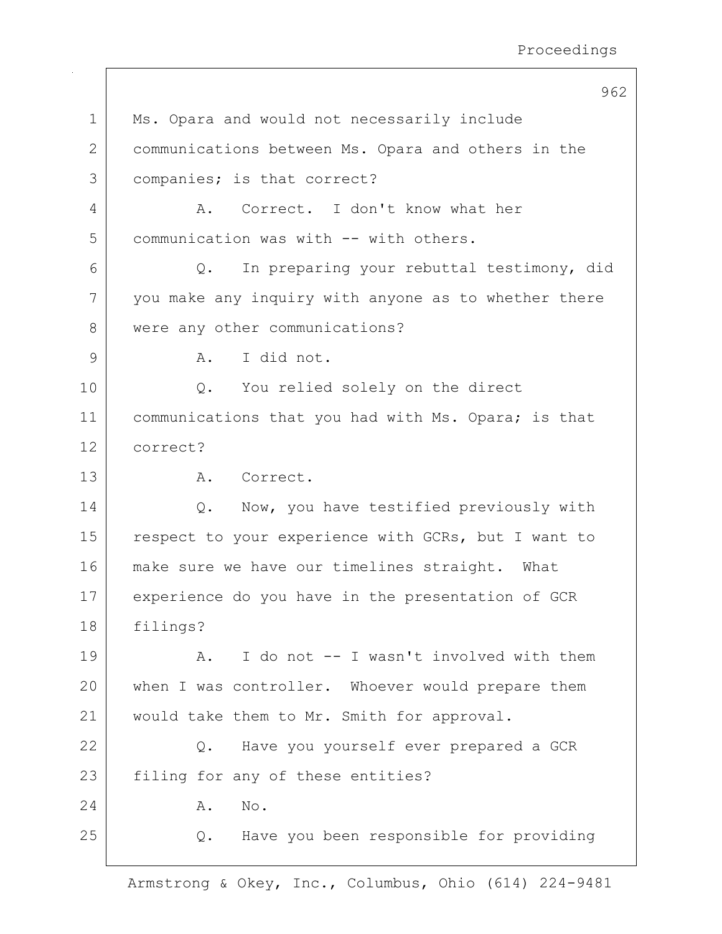962 1 | Ms. Opara and would not necessarily include 2 communications between Ms. Opara and others in the 3 companies; is that correct? 4 A. Correct. I don't know what her 5 communication was with -- with others. 6 Q. In preparing your rebuttal testimony, did 7 you make any inquiry with anyone as to whether there 8 were any other communications? 9 | A. I did not. 10 | Q. You relied solely on the direct 11 | communications that you had with Ms. Opara; is that 12 correct? 13 A. Correct. 14 | Q. Now, you have testified previously with 15 respect to your experience with GCRs, but I want to 16 make sure we have our timelines straight. What 17 experience do you have in the presentation of GCR 18 filings? 19 A. I do not -- I wasn't involved with them 20 when I was controller. Whoever would prepare them 21 | would take them to Mr. Smith for approval. 22 Q. Have you yourself ever prepared a GCR 23 filing for any of these entities? 24 A. No. 25 Q. Have you been responsible for providing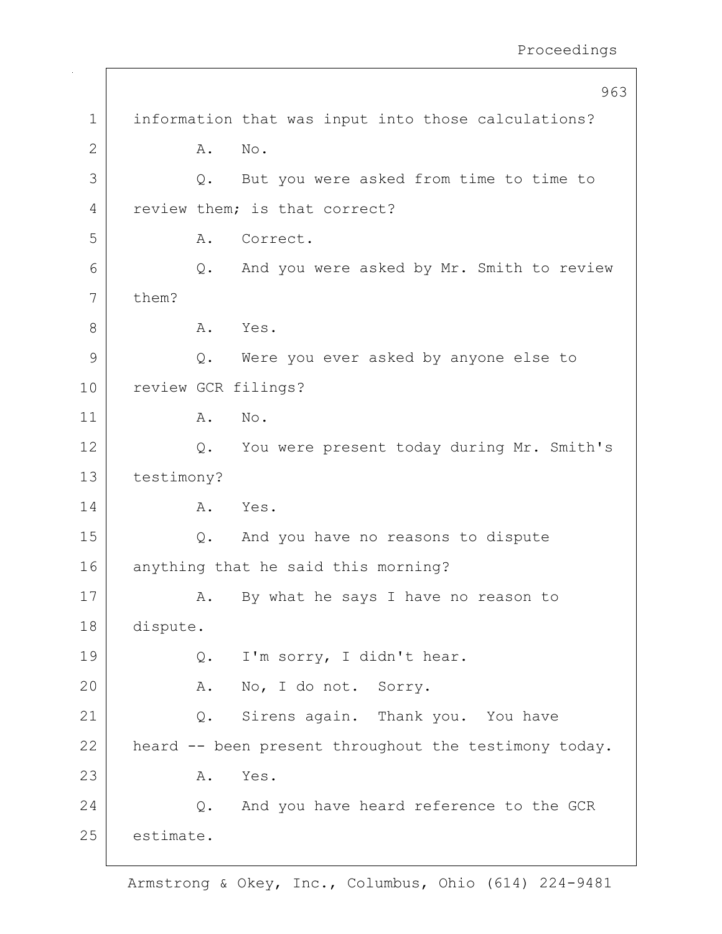|             |            |    | 963                                                   |
|-------------|------------|----|-------------------------------------------------------|
| $\mathbf 1$ |            |    | information that was input into those calculations?   |
| 2           |            | Α. | No.                                                   |
| 3           |            | Q. | But you were asked from time to time to               |
| 4           |            |    | review them; is that correct?                         |
| 5           |            | Α. | Correct.                                              |
| 6           |            | Q. | And you were asked by Mr. Smith to review             |
| 7           | them?      |    |                                                       |
| 8           |            | Α. | Yes.                                                  |
| 9           |            | Q. | Were you ever asked by anyone else to                 |
| 10          |            |    | review GCR filings?                                   |
| 11          |            | Α. | No.                                                   |
| 12          |            | Q. | You were present today during Mr. Smith's             |
| 13          | testimony? |    |                                                       |
| 14          |            | Α. | Yes.                                                  |
| 15          |            | Q. | And you have no reasons to dispute                    |
| 16          |            |    | anything that he said this morning?                   |
| 17          |            | Α. | By what he says I have no reason to                   |
| 18          | dispute.   |    |                                                       |
| 19          |            | Q. | I'm sorry, I didn't hear.                             |
| 20          |            | A. | No, I do not. Sorry.                                  |
| 21          |            | Q. | Sirens again. Thank you. You have                     |
| 22          |            |    | heard -- been present throughout the testimony today. |
| 23          |            | Α. | Yes.                                                  |
| 24          |            |    | Q. And you have heard reference to the GCR            |
| 25          | estimate.  |    |                                                       |
|             |            |    |                                                       |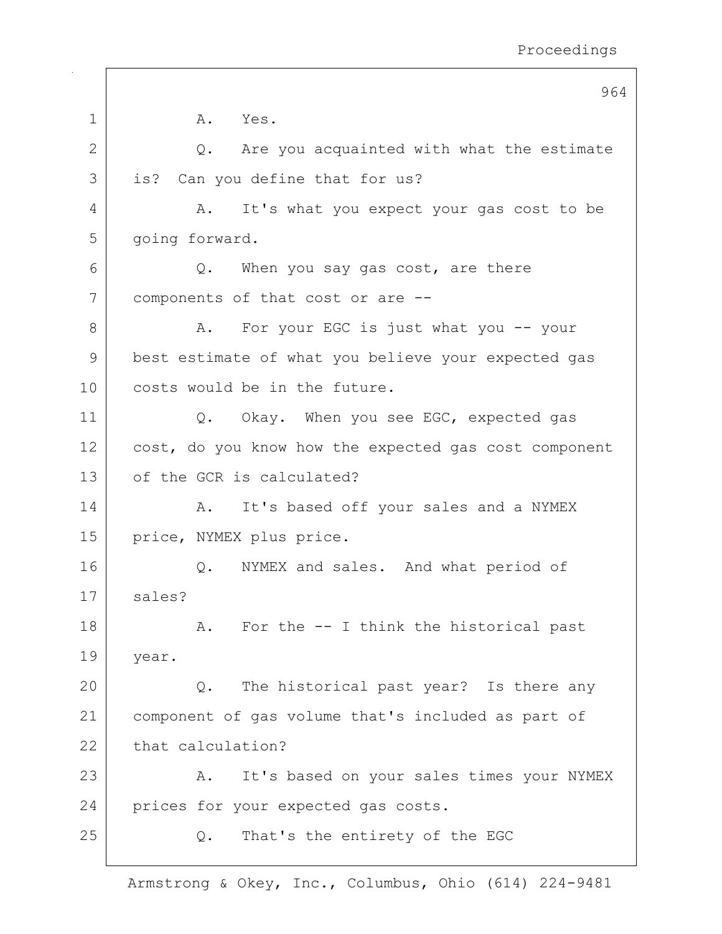|    | 964                                                   |
|----|-------------------------------------------------------|
| 1  | A.<br>Yes.                                            |
| 2  | Q. Are you acquainted with what the estimate          |
| 3  | is? Can you define that for us?                       |
| 4  | It's what you expect your gas cost to be<br>Α.        |
| 5  | going forward.                                        |
| 6  | Q.<br>When you say gas cost, are there                |
| 7  | components of that cost or are --                     |
| 8  | For your EGC is just what you -- your<br>Α.           |
| 9  | best estimate of what you believe your expected gas   |
| 10 | costs would be in the future.                         |
| 11 | Q. Okay. When you see EGC, expected gas               |
| 12 | cost, do you know how the expected gas cost component |
| 13 | of the GCR is calculated?                             |
| 14 | It's based off your sales and a NYMEX<br>Α.           |
| 15 | price, NYMEX plus price.                              |
| 16 | NYMEX and sales. And what period of<br>Q.             |
| 17 | sales?                                                |
| 18 | For the -- I think the historical past<br>A.          |
| 19 | year.                                                 |
| 20 | The historical past year? Is there any<br>Q.          |
| 21 | component of gas volume that's included as part of    |
| 22 | that calculation?                                     |
| 23 | It's based on your sales times your NYMEX<br>Α.       |
| 24 | prices for your expected gas costs.                   |
| 25 | That's the entirety of the EGC<br>Q.                  |
|    |                                                       |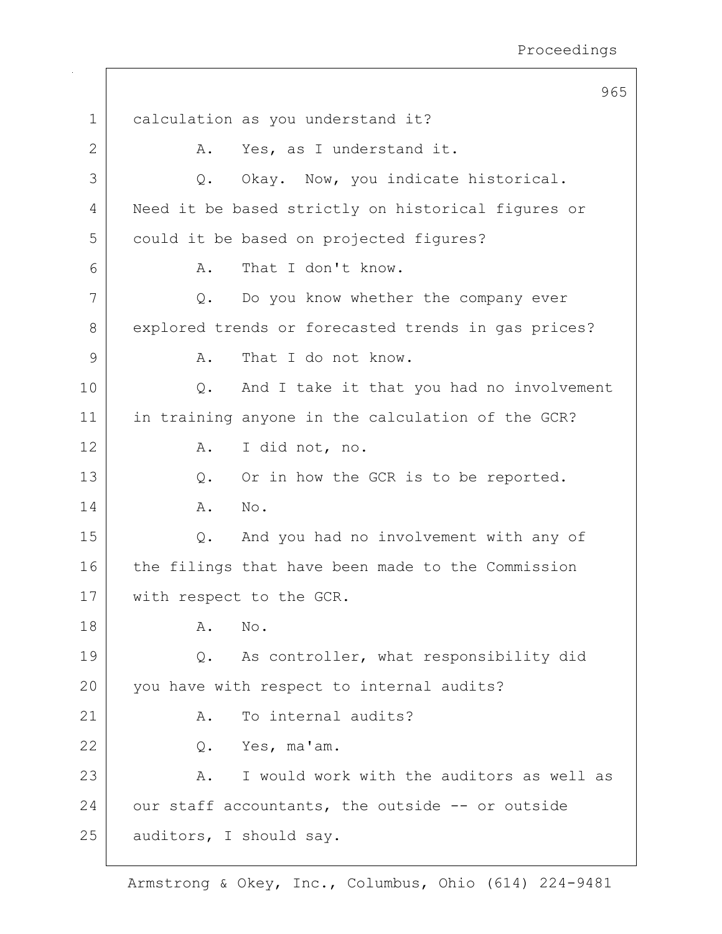|              | 965                                                 |
|--------------|-----------------------------------------------------|
| $\mathbf 1$  | calculation as you understand it?                   |
| $\mathbf{2}$ | Yes, as I understand it.<br>Α.                      |
| 3            | Okay. Now, you indicate historical.<br>Q.           |
| 4            | Need it be based strictly on historical figures or  |
| 5            | could it be based on projected figures?             |
| 6            | That I don't know.<br>Α.                            |
| 7            | $Q$ .<br>Do you know whether the company ever       |
| 8            | explored trends or forecasted trends in gas prices? |
| 9            | That I do not know.<br>Α.                           |
| 10           | And I take it that you had no involvement<br>Q.     |
| 11           | in training anyone in the calculation of the GCR?   |
| 12           | I did not, no.<br>Α.                                |
| 13           | Or in how the GCR is to be reported.<br>Q.          |
| 14           | No.<br>Α.                                           |
| 15           | And you had no involvement with any of<br>Q.        |
| 16           | the filings that have been made to the Commission   |
| 17           | with respect to the GCR.                            |
| 18           | Α.<br>No.                                           |
| 19           | As controller, what responsibility did<br>Q.        |
| 20           | you have with respect to internal audits?           |
| 21           | To internal audits?<br>Α.                           |
| 22           | Yes, ma'am.<br>Q.                                   |
| 23           | I would work with the auditors as well as<br>Α.     |
| 24           | our staff accountants, the outside -- or outside    |
| 25           | auditors, I should say.                             |
|              |                                                     |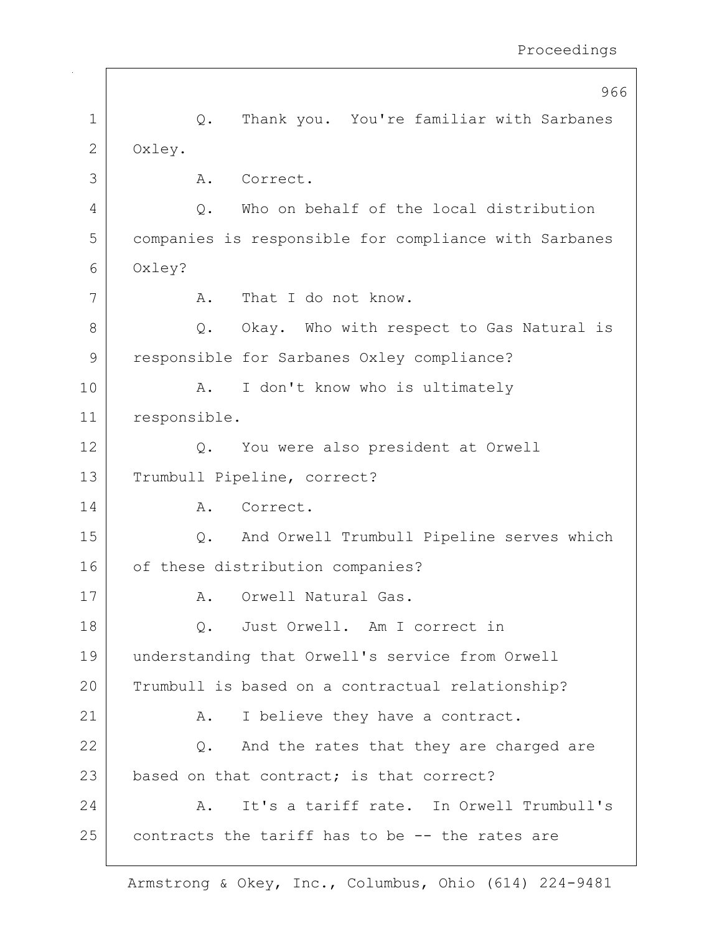|              | 966                                                   |
|--------------|-------------------------------------------------------|
| $\mathbf 1$  | Thank you. You're familiar with Sarbanes<br>$Q$ .     |
| $\mathbf{2}$ | Oxley.                                                |
| 3            | Correct.<br>Α.                                        |
| 4            | Who on behalf of the local distribution<br>Q.         |
| 5            | companies is responsible for compliance with Sarbanes |
| 6            | Oxley?                                                |
| 7            | That I do not know.<br>A.                             |
| 8            | Q. Okay. Who with respect to Gas Natural is           |
| 9            | responsible for Sarbanes Oxley compliance?            |
| 10           | I don't know who is ultimately<br>Α.                  |
| 11           | responsible.                                          |
| 12           | You were also president at Orwell<br>Q.               |
| 13           | Trumbull Pipeline, correct?                           |
| 14           | Correct.<br>A.                                        |
| 15           | And Orwell Trumbull Pipeline serves which<br>Q.       |
| 16           | of these distribution companies?                      |
| 17           | Orwell Natural Gas.<br>Α.                             |
| 18           | Just Orwell. Am I correct in<br>Q.                    |
| 19           | understanding that Orwell's service from Orwell       |
| 20           | Trumbull is based on a contractual relationship?      |
| 21           | I believe they have a contract.<br>Α.                 |
| 22           | And the rates that they are charged are<br>Q.         |
| 23           | based on that contract; is that correct?              |
| 24           | It's a tariff rate. In Orwell Trumbull's<br>Α.        |
| 25           | contracts the tariff has to be -- the rates are       |
|              |                                                       |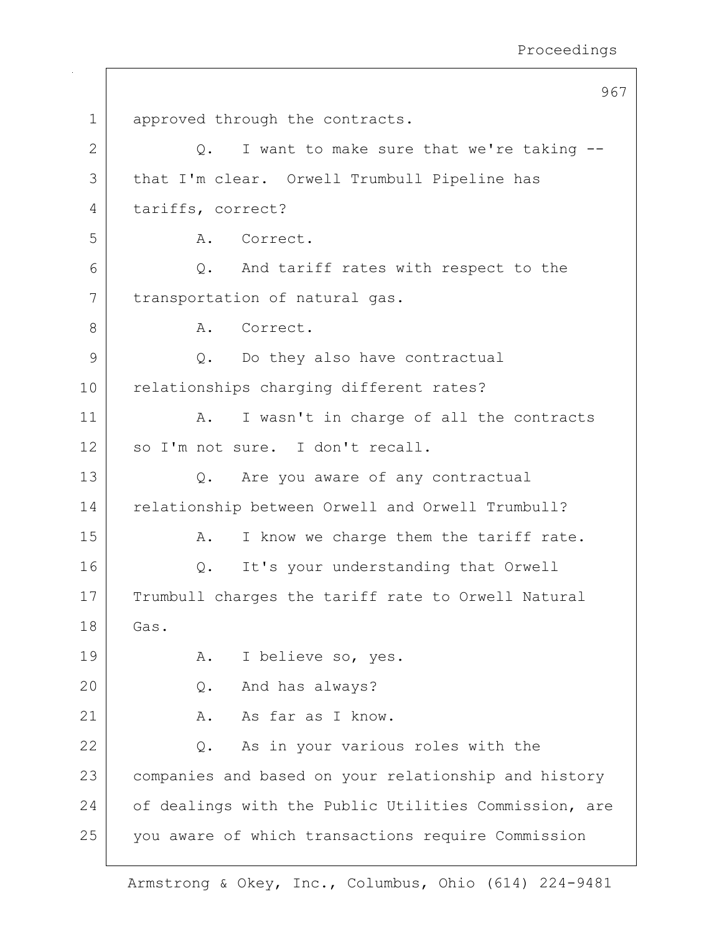967 1 approved through the contracts.  $2$  |  $Q.$  I want to make sure that we're taking  $-$ 3 | that I'm clear. Orwell Trumbull Pipeline has 4 tariffs, correct? 5 A. Correct. 6 Q. And tariff rates with respect to the 7 | transportation of natural gas. 8 A. Correct. 9 Q. Do they also have contractual 10 relationships charging different rates? 11 | A. I wasn't in charge of all the contracts 12 so I'm not sure. I don't recall. 13 Q. Are you aware of any contractual 14 relationship between Orwell and Orwell Trumbull? 15 A. I know we charge them the tariff rate. 16 | Q. It's your understanding that Orwell 17 Trumbull charges the tariff rate to Orwell Natural 18 Gas. 19 | A. I believe so, yes. 20 Q. And has always?  $21$  A. As far as I know. 22 Q. As in your various roles with the 23 companies and based on your relationship and history 24 of dealings with the Public Utilities Commission, are 25 you aware of which transactions require Commission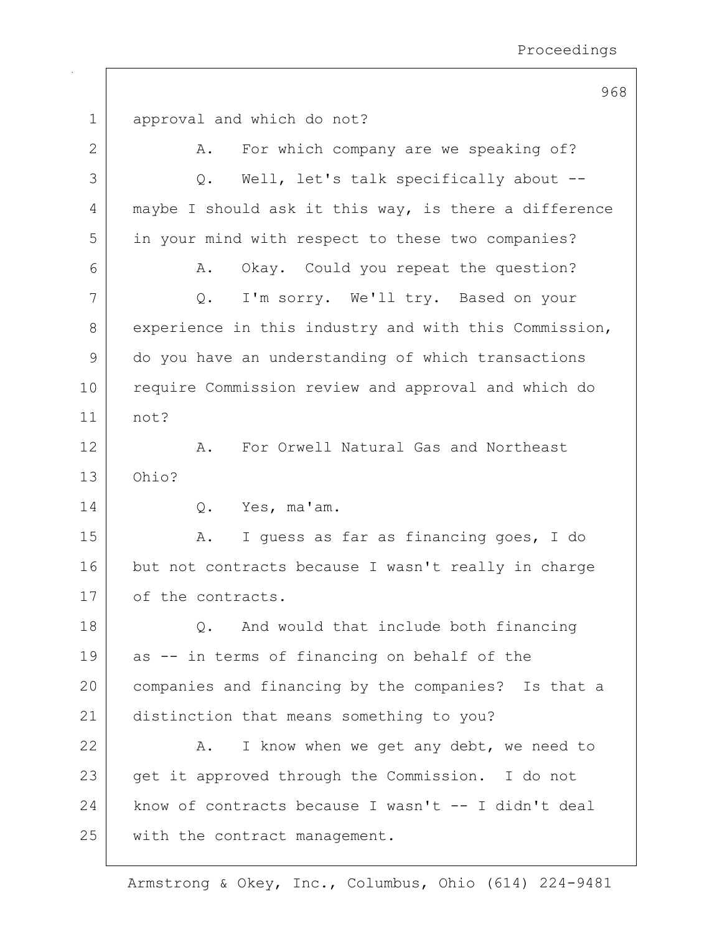|                | 968                                                   |
|----------------|-------------------------------------------------------|
| $\mathbf 1$    | approval and which do not?                            |
| 2              | For which company are we speaking of?<br>Α.           |
| 3              | Well, let's talk specifically about --<br>$Q$ .       |
| $\overline{4}$ | maybe I should ask it this way, is there a difference |
| 5              | in your mind with respect to these two companies?     |
| 6              | Okay. Could you repeat the question?<br>Α.            |
| 7              | I'm sorry. We'll try. Based on your<br>Q.             |
| 8              | experience in this industry and with this Commission, |
| 9              | do you have an understanding of which transactions    |
| 10             | require Commission review and approval and which do   |
| 11             | not?                                                  |
| 12             | For Orwell Natural Gas and Northeast<br>Α.            |
| 13             | Ohio?                                                 |
| 14             | Yes, ma'am.<br>Q.                                     |
| 15             | I guess as far as financing goes, I do<br>Α.          |
| 16             | but not contracts because I wasn't really in charge   |
| 17             | of the contracts.                                     |
| 18             | And would that include both financing<br>Q.           |
| 19             | as -- in terms of financing on behalf of the          |
| 20             | companies and financing by the companies? Is that a   |
| 21             | distinction that means something to you?              |
| 22             | I know when we get any debt, we need to<br>Α.         |
| 23             | get it approved through the Commission. I do not      |
| 24             | know of contracts because I wasn't -- I didn't deal   |
| 25             | with the contract management.                         |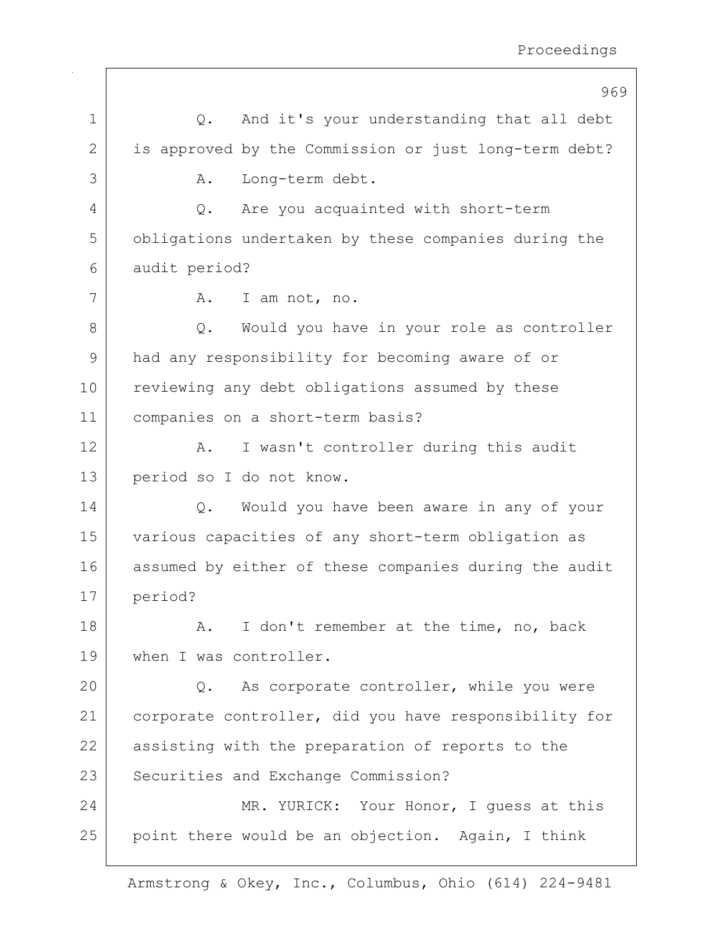|                | 969                                                   |
|----------------|-------------------------------------------------------|
| 1              | And it's your understanding that all debt<br>Q.       |
| 2              | is approved by the Commission or just long-term debt? |
| 3              | Long-term debt.<br>Α.                                 |
| $\overline{4}$ | Are you acquainted with short-term<br>Q.              |
| 5              | obligations undertaken by these companies during the  |
| 6              | audit period?                                         |
| 7              | I am not, no.<br>A.                                   |
| 8              | Would you have in your role as controller<br>Q.       |
| 9              | had any responsibility for becoming aware of or       |
| 10             | reviewing any debt obligations assumed by these       |
| 11             | companies on a short-term basis?                      |
| 12             | I wasn't controller during this audit<br>Α.           |
| 13             | period so I do not know.                              |
| 14             | Would you have been aware in any of your<br>Q.        |
| 15             | various capacities of any short-term obligation as    |
| 16             | assumed by either of these companies during the audit |
| 17             | period?                                               |
| 18             | I don't remember at the time, no, back<br>Α.          |
| 19             | when I was controller.                                |
| 20             | As corporate controller, while you were<br>Q.         |
| 21             | corporate controller, did you have responsibility for |
| 22             | assisting with the preparation of reports to the      |
| 23             | Securities and Exchange Commission?                   |
| 24             | MR. YURICK: Your Honor, I guess at this               |
| 25             | point there would be an objection. Again, I think     |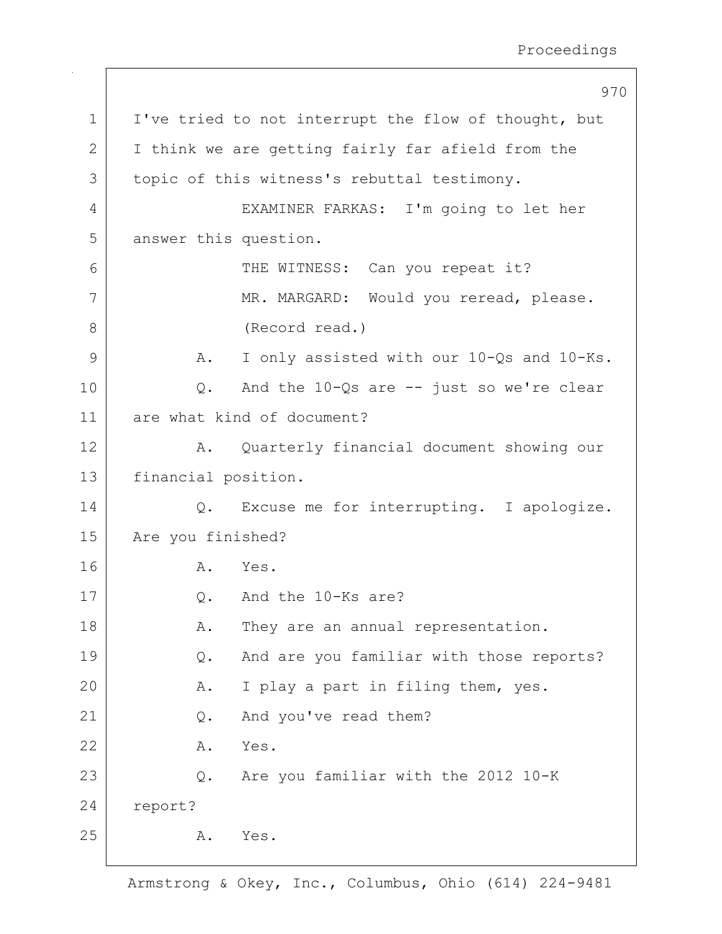|             | 970                                                     |
|-------------|---------------------------------------------------------|
| $\mathbf 1$ | I've tried to not interrupt the flow of thought, but    |
| 2           | I think we are getting fairly far afield from the       |
| 3           | topic of this witness's rebuttal testimony.             |
| 4           | EXAMINER FARKAS: I'm going to let her                   |
| 5           | answer this question.                                   |
| 6           | THE WITNESS: Can you repeat it?                         |
| 7           | MR. MARGARD: Would you reread, please.                  |
| 8           | (Record read.)                                          |
| 9           | I only assisted with our 10-Qs and 10-Ks.<br>Α.         |
| 10          | And the $10-\Omega s$ are $-$ just so we're clear<br>Q. |
| 11          | are what kind of document?                              |
| 12          | Quarterly financial document showing our<br>Α.          |
| 13          | financial position.                                     |
| 14          | Excuse me for interrupting. I apologize.<br>Q.          |
| 15          | Are you finished?                                       |
| 16          | Yes.<br>Α.                                              |
| 17          | Q. And the 10-Ks are?                                   |
| 18          | They are an annual representation.<br>Α.                |
| 19          | And are you familiar with those reports?<br>Q.          |
| 20          | I play a part in filing them, yes.<br>Α.                |
| 21          | And you've read them?<br>$\mathsf{Q}$ .                 |
| 22          | Yes.<br>Α.                                              |
| 23          | Are you familiar with the 2012 10-K<br>Q.               |
| 24          | report?                                                 |
| 25          | Yes.<br>Α.                                              |
|             |                                                         |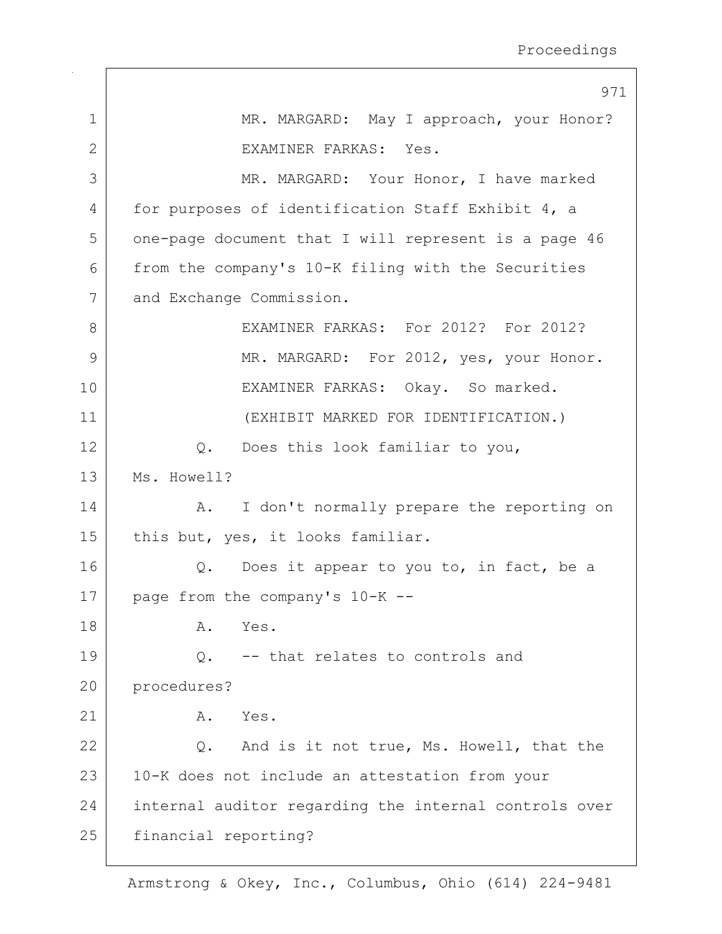|              | 971                                                   |
|--------------|-------------------------------------------------------|
| $\mathbf 1$  | MR. MARGARD: May I approach, your Honor?              |
| $\mathbf{2}$ | EXAMINER FARKAS: Yes.                                 |
| 3            | MR. MARGARD: Your Honor, I have marked                |
| 4            | for purposes of identification Staff Exhibit 4, a     |
| 5            | one-page document that I will represent is a page 46  |
| 6            | from the company's 10-K filing with the Securities    |
| 7            | and Exchange Commission.                              |
| 8            | EXAMINER FARKAS: For 2012? For 2012?                  |
| 9            | MR. MARGARD: For 2012, yes, your Honor.               |
| 10           | EXAMINER FARKAS: Okay. So marked.                     |
| 11           | (EXHIBIT MARKED FOR IDENTIFICATION.)                  |
| 12           | Does this look familiar to you,<br>Q.                 |
| 13           | Ms. Howell?                                           |
| 14           | I don't normally prepare the reporting on<br>Α.       |
| 15           | this but, yes, it looks familiar.                     |
| 16           | Does it appear to you to, in fact, be a<br>Q.         |
| 17           | page from the company's 10-K --                       |
| 18           | Α.<br>Yes.                                            |
| 19           | -- that relates to controls and<br>Q.                 |
| 20           | procedures?                                           |
| 21           | Α.<br>Yes.                                            |
| 22           | And is it not true, Ms. Howell, that the<br>Q.        |
| 23           | 10-K does not include an attestation from your        |
| 24           | internal auditor regarding the internal controls over |
| 25           | financial reporting?                                  |
|              |                                                       |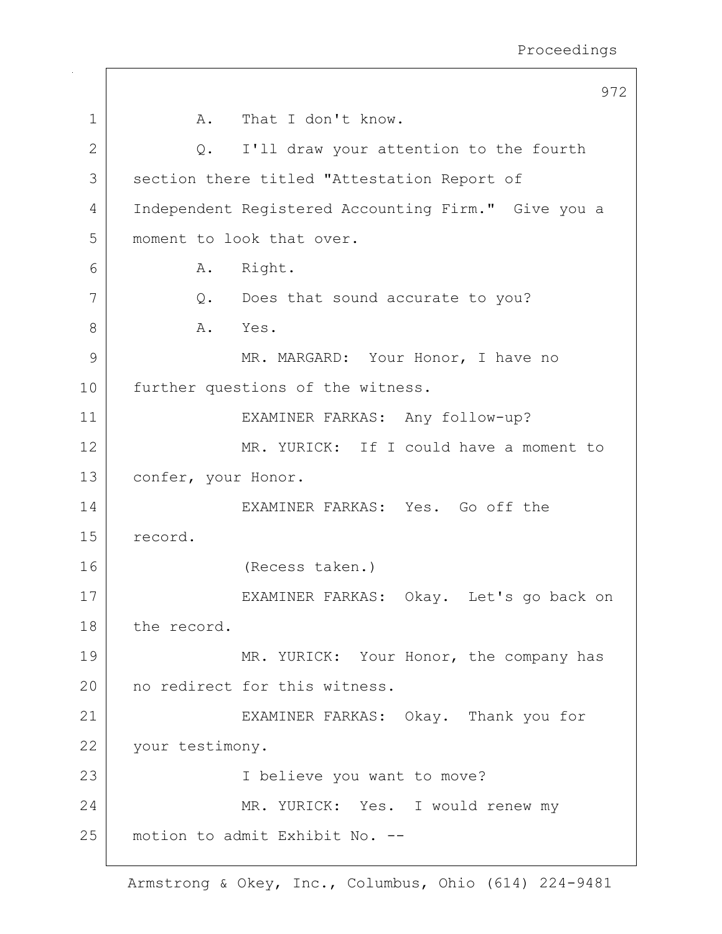|                | 972                                                 |
|----------------|-----------------------------------------------------|
| 1              | That I don't know.<br>A.                            |
| $\mathbf{2}$   | Q. I'll draw your attention to the fourth           |
| 3              | section there titled "Attestation Report of         |
| $\overline{4}$ | Independent Registered Accounting Firm." Give you a |
| 5              | moment to look that over.                           |
| 6              | Right.<br>Α.                                        |
| 7              | Q.<br>Does that sound accurate to you?              |
| 8              | A.<br>Yes.                                          |
| 9              | MR. MARGARD: Your Honor, I have no                  |
| 10             | further questions of the witness.                   |
| 11             | EXAMINER FARKAS: Any follow-up?                     |
| 12             | MR. YURICK: If I could have a moment to             |
| 13             | confer, your Honor.                                 |
| 14             | EXAMINER FARKAS: Yes. Go off the                    |
| 15             | record.                                             |
| 16             | (Recess taken.)                                     |
| 17             | EXAMINER FARKAS: Okay. Let's go back on             |
| 18             | the record.                                         |
| 19             | MR. YURICK: Your Honor, the company has             |
| 20             | no redirect for this witness.                       |
| 21             | EXAMINER FARKAS: Okay. Thank you for                |
| 22             | your testimony.                                     |
| 23             | I believe you want to move?                         |
| 24             | MR. YURICK: Yes. I would renew my                   |
| 25             | motion to admit Exhibit No. --                      |
|                |                                                     |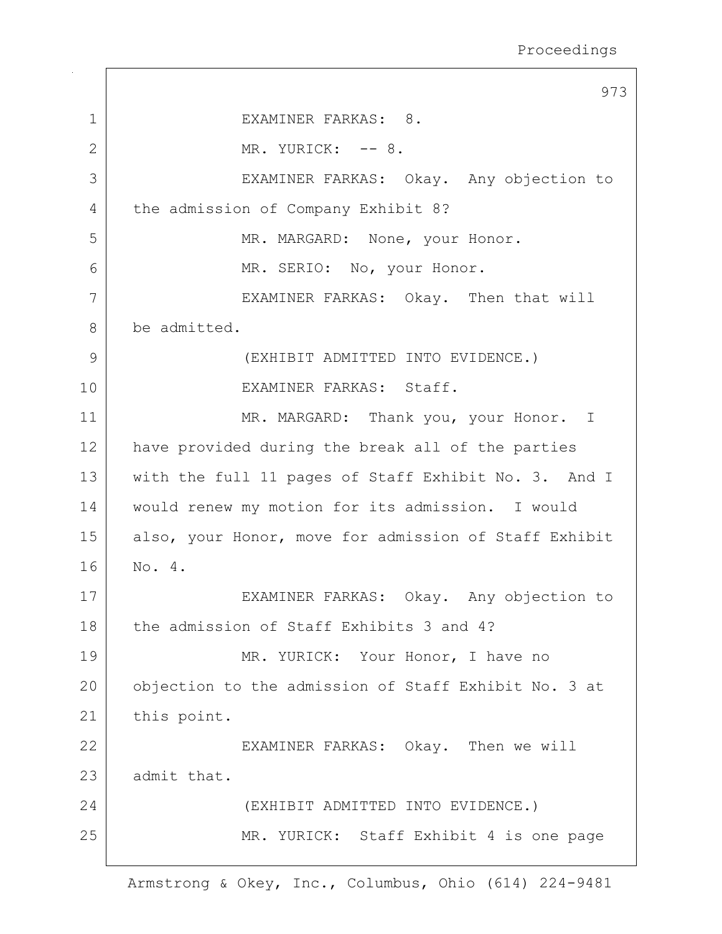|             | 973                                                   |
|-------------|-------------------------------------------------------|
| $\mathbf 1$ | EXAMINER FARKAS: 8.                                   |
| 2           | MR. YURICK: -- 8.                                     |
| 3           | EXAMINER FARKAS: Okay. Any objection to               |
| 4           | the admission of Company Exhibit 8?                   |
| 5           | MR. MARGARD: None, your Honor.                        |
| 6           | MR. SERIO: No, your Honor.                            |
| 7           | EXAMINER FARKAS: Okay. Then that will                 |
| 8           | be admitted.                                          |
| 9           | (EXHIBIT ADMITTED INTO EVIDENCE.)                     |
| 10          | EXAMINER FARKAS: Staff.                               |
| 11          | MR. MARGARD: Thank you, your Honor. I                 |
| 12          | have provided during the break all of the parties     |
| 13          | with the full 11 pages of Staff Exhibit No. 3. And I  |
| 14          | would renew my motion for its admission. I would      |
| 15          | also, your Honor, move for admission of Staff Exhibit |
| 16          | No. 4.                                                |
| 17          | EXAMINER FARKAS: Okay. Any objection to               |
| 18          | the admission of Staff Exhibits 3 and 4?              |
| 19          | MR. YURICK: Your Honor, I have no                     |
| 20          | objection to the admission of Staff Exhibit No. 3 at  |
| 21          | this point.                                           |
| 22          | EXAMINER FARKAS: Okay. Then we will                   |
| 23          | admit that.                                           |
| 24          | (EXHIBIT ADMITTED INTO EVIDENCE.)                     |
| 25          | MR. YURICK: Staff Exhibit 4 is one page               |
|             |                                                       |

 $\Gamma$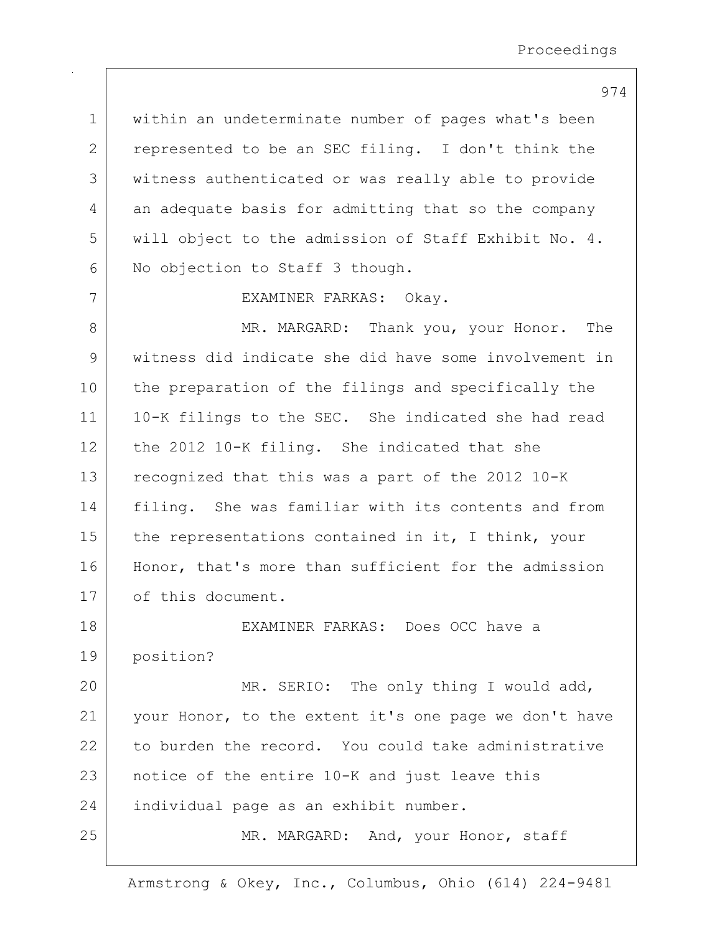1 | within an undeterminate number of pages what's been 2 represented to be an SEC filing. I don't think the 3 | witness authenticated or was really able to provide 4 an adequate basis for admitting that so the company 5 will object to the admission of Staff Exhibit No. 4. 6 No objection to Staff 3 though.

7 EXAMINER FARKAS: Okay.

8 MR. MARGARD: Thank you, your Honor. The 9 witness did indicate she did have some involvement in 10 the preparation of the filings and specifically the 11 10-K filings to the SEC. She indicated she had read 12 the 2012 10-K filing. She indicated that she 13 recognized that this was a part of the 2012 10-K 14 | filing. She was familiar with its contents and from 15 the representations contained in it, I think, your 16 | Honor, that's more than sufficient for the admission 17 of this document.

18 EXAMINER FARKAS: Does OCC have a 19 position? 20 | MR. SERIO: The only thing I would add, 21 | your Honor, to the extent it's one page we don't have 22 to burden the record. You could take administrative 23 notice of the entire 10-K and just leave this

24 individual page as an exhibit number.

25 MR. MARGARD: And, your Honor, staff

Armstrong & Okey, Inc., Columbus, Ohio (614) 224-9481

974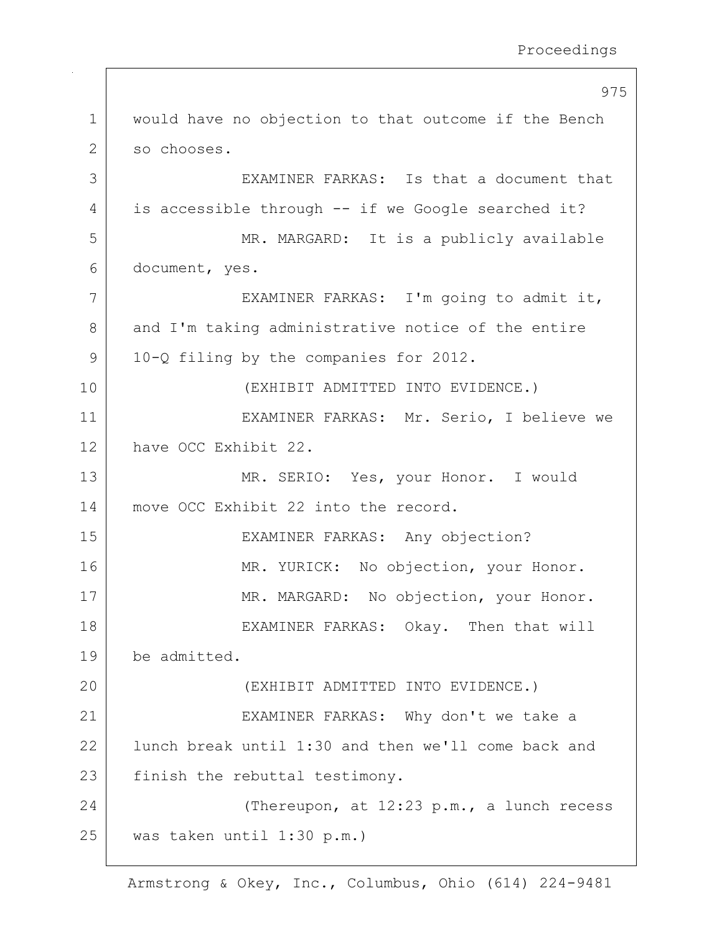|              | 975                                                  |
|--------------|------------------------------------------------------|
| $\mathbf{1}$ | would have no objection to that outcome if the Bench |
| 2            | so chooses.                                          |
| 3            | EXAMINER FARKAS: Is that a document that             |
| 4            | is accessible through -- if we Google searched it?   |
| 5            | MR. MARGARD: It is a publicly available              |
| 6            | document, yes.                                       |
| 7            | EXAMINER FARKAS: I'm going to admit it,              |
| 8            | and I'm taking administrative notice of the entire   |
| 9            | 10-Q filing by the companies for 2012.               |
| 10           | (EXHIBIT ADMITTED INTO EVIDENCE.)                    |
| 11           | EXAMINER FARKAS: Mr. Serio, I believe we             |
| 12           | have OCC Exhibit 22.                                 |
| 13           | MR. SERIO: Yes, your Honor. I would                  |
| 14           | move OCC Exhibit 22 into the record.                 |
| 15           | EXAMINER FARKAS: Any objection?                      |
| 16           | MR. YURICK: No objection, your Honor.                |
| 17           | MR. MARGARD: No objection, your Honor.               |
| 18           | EXAMINER FARKAS: Okay. Then that will                |
| 19           | be admitted.                                         |
| 20           | (EXHIBIT ADMITTED INTO EVIDENCE.)                    |
| 21           | EXAMINER FARKAS: Why don't we take a                 |
| 22           | lunch break until 1:30 and then we'll come back and  |
| 23           | finish the rebuttal testimony.                       |
| 24           | (Thereupon, at 12:23 p.m., a lunch recess            |
| 25           | was taken until 1:30 p.m.)                           |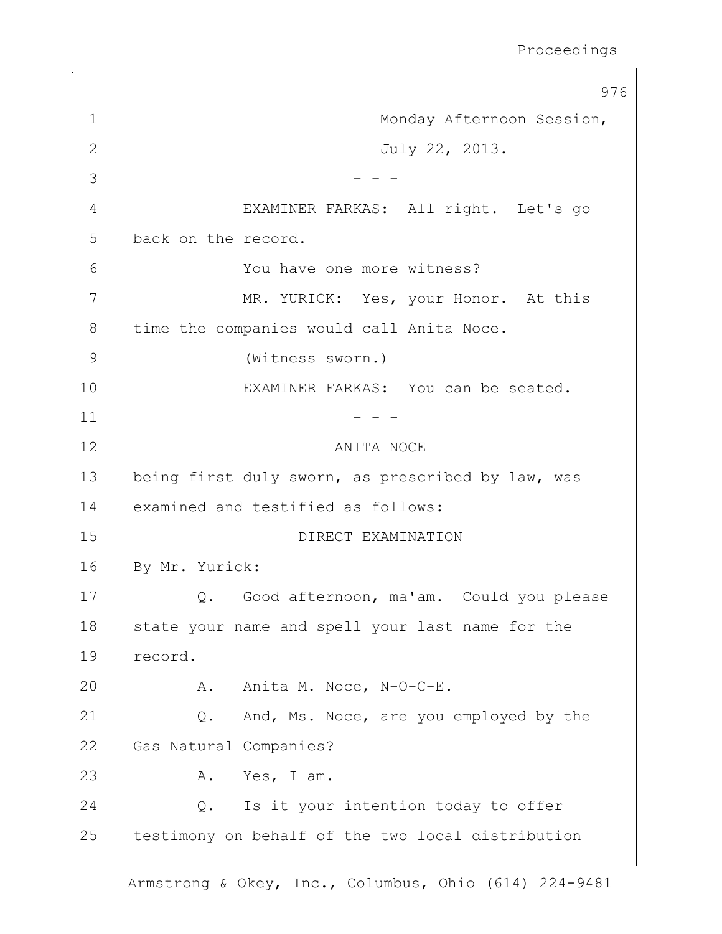976 1 | Monday Afternoon Session, 2 July 22, 2013.  $3 \mid$  - - -4 EXAMINER FARKAS: All right. Let's go 5 back on the record. 6 You have one more witness? 7 MR. YURICK: Yes, your Honor. At this 8 time the companies would call Anita Noce. 9 (Witness sworn.) 10 | EXAMINER FARKAS: You can be seated.  $11$  - - -12 ANITA NOCE 13 being first duly sworn, as prescribed by law, was 14 examined and testified as follows: 15 DIRECT EXAMINATION 16 By Mr. Yurick: 17 | Q. Good afternoon, ma'am. Could you please 18 | state your name and spell your last name for the 19 record. 20 A. Anita M. Noce, N-O-C-E. 21 | Q. And, Ms. Noce, are you employed by the 22 Gas Natural Companies? 23 A. Yes, I am. 24 Q. Is it your intention today to offer 25 | testimony on behalf of the two local distribution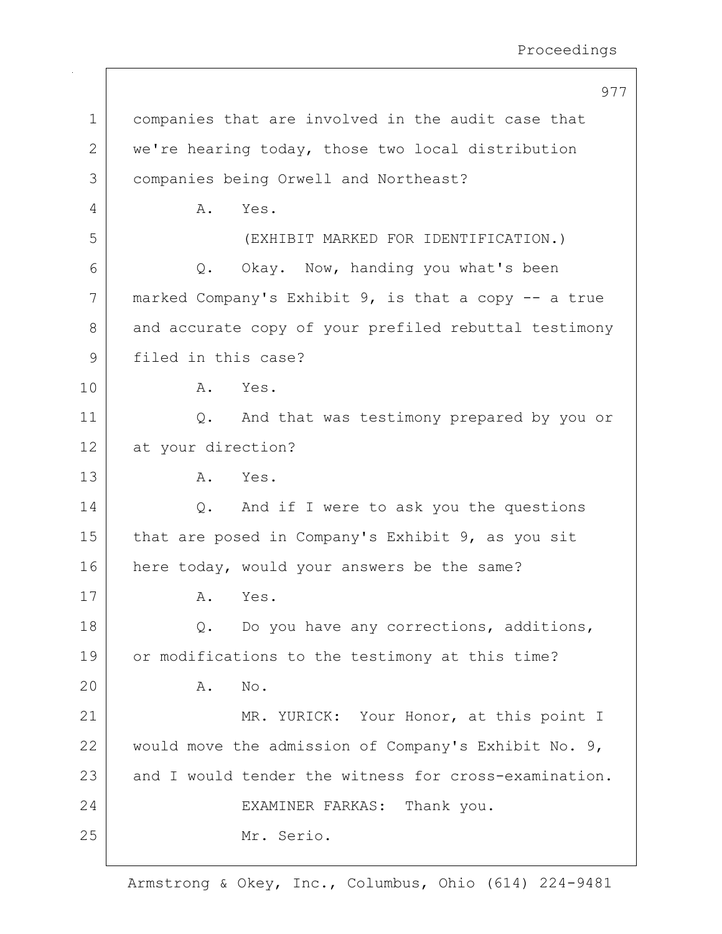|             | 977                                                      |
|-------------|----------------------------------------------------------|
| $\mathbf 1$ | companies that are involved in the audit case that       |
| 2           | we're hearing today, those two local distribution        |
| 3           | companies being Orwell and Northeast?                    |
| 4           | Α.<br>Yes.                                               |
| 5           | (EXHIBIT MARKED FOR IDENTIFICATION.)                     |
| 6           | Q. Okay. Now, handing you what's been                    |
| 7           | marked Company's Exhibit $9$ , is that a copy $-$ a true |
| 8           | and accurate copy of your prefiled rebuttal testimony    |
| 9           | filed in this case?                                      |
| 10          | A. Yes.                                                  |
| 11          | And that was testimony prepared by you or<br>Q.          |
| 12          | at your direction?                                       |
| 13          | A.<br>Yes.                                               |
| 14          | Q. And if I were to ask you the questions                |
| 15          | that are posed in Company's Exhibit 9, as you sit        |
| 16          | here today, would your answers be the same?              |
| 17          | Yes.<br>Α.                                               |
| 18          | Do you have any corrections, additions,<br>Q.            |
| 19          | or modifications to the testimony at this time?          |
| 20          | No.<br>Α.                                                |
| 21          | MR. YURICK: Your Honor, at this point I                  |
| 22          | would move the admission of Company's Exhibit No. 9,     |
| 23          | and I would tender the witness for cross-examination.    |
| 24          | EXAMINER FARKAS: Thank you.                              |
| 25          | Mr. Serio.                                               |
|             |                                                          |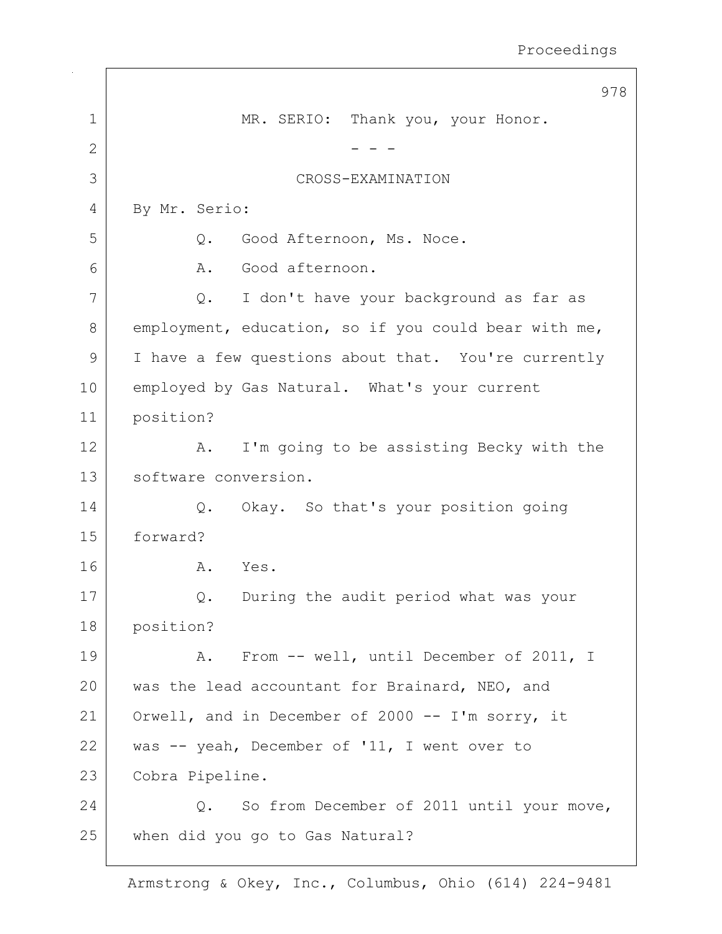|               | 978                                                  |
|---------------|------------------------------------------------------|
| 1             | MR. SERIO: Thank you, your Honor.                    |
| 2             |                                                      |
| 3             | CROSS-EXAMINATION                                    |
| 4             | By Mr. Serio:                                        |
| 5             | Good Afternoon, Ms. Noce.<br>Q.                      |
| 6             | Good afternoon.<br>Α.                                |
| 7             | I don't have your background as far as<br>Q.         |
| 8             | employment, education, so if you could bear with me, |
| $\mathcal{G}$ | I have a few questions about that. You're currently  |
| 10            | employed by Gas Natural. What's your current         |
| 11            | position?                                            |
| 12            | I'm going to be assisting Becky with the<br>Α.       |
| 13            | software conversion.                                 |
| 14            | Okay. So that's your position going<br>Q.            |
| 15            | forward?                                             |
| 16            | Yes.<br>Α.                                           |
| 17            | During the audit period what was your<br>Q.          |
| 18            | position?                                            |
| 19            | A. From -- well, until December of 2011, I           |
| 20            | was the lead accountant for Brainard, NEO, and       |
| 21            | Orwell, and in December of 2000 -- I'm sorry, it     |
| 22            | was -- yeah, December of '11, I went over to         |
| 23            | Cobra Pipeline.                                      |
| 24            | So from December of 2011 until your move,<br>$Q$ .   |
| 25            | when did you go to Gas Natural?                      |
|               |                                                      |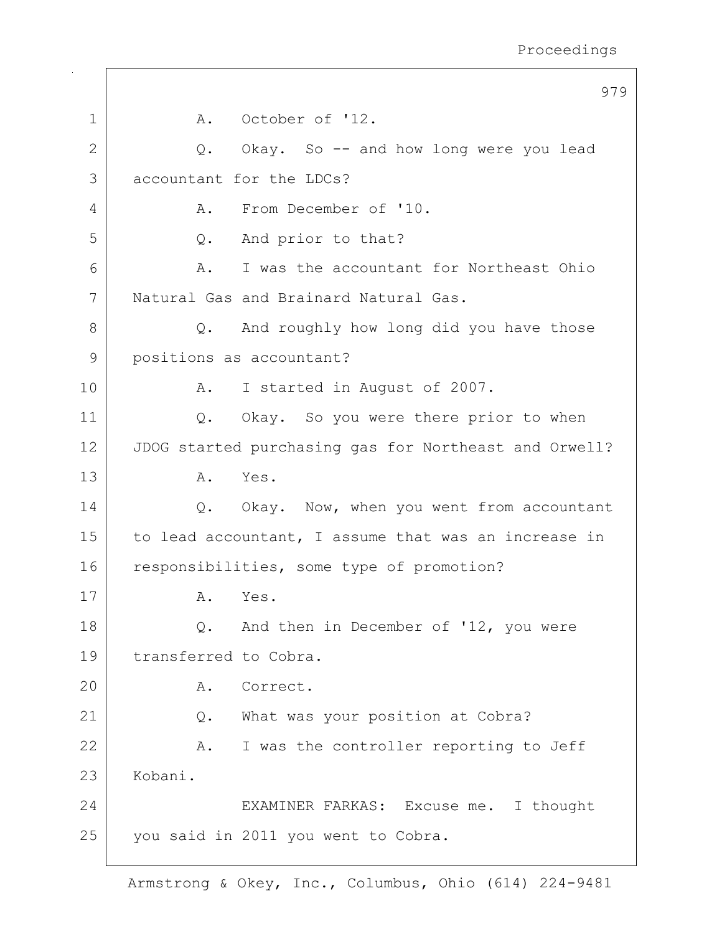|              | 979                                                   |
|--------------|-------------------------------------------------------|
| $\mathbf 1$  | A. October of '12.                                    |
| $\mathbf{2}$ | Q. Okay. So -- and how long were you lead             |
| 3            | accountant for the LDCs?                              |
| 4            | From December of '10.<br>Α.                           |
| 5            | And prior to that?<br>Q.                              |
| 6            | I was the accountant for Northeast Ohio<br>Α.         |
| 7            | Natural Gas and Brainard Natural Gas.                 |
| 8            | And roughly how long did you have those<br>Q.         |
| 9            | positions as accountant?                              |
| 10           | I started in August of 2007.<br>Α.                    |
| 11           | Q. Okay. So you were there prior to when              |
| 12           | JDOG started purchasing gas for Northeast and Orwell? |
| 13           | A. Yes.                                               |
| 14           | Q. Okay. Now, when you went from accountant           |
| 15           | to lead accountant, I assume that was an increase in  |
| 16           | responsibilities, some type of promotion?             |
| 17           | Yes.<br>Α.                                            |
| 18           | And then in December of '12, you were<br>Q.           |
| 19           | transferred to Cobra.                                 |
| 20           | Correct.<br>Α.                                        |
| 21           | What was your position at Cobra?<br>Q.                |
| 22           | I was the controller reporting to Jeff<br>Α.          |
| 23           | Kobani.                                               |
| 24           | EXAMINER FARKAS: Excuse me. I thought                 |
| 25           | you said in 2011 you went to Cobra.                   |
|              |                                                       |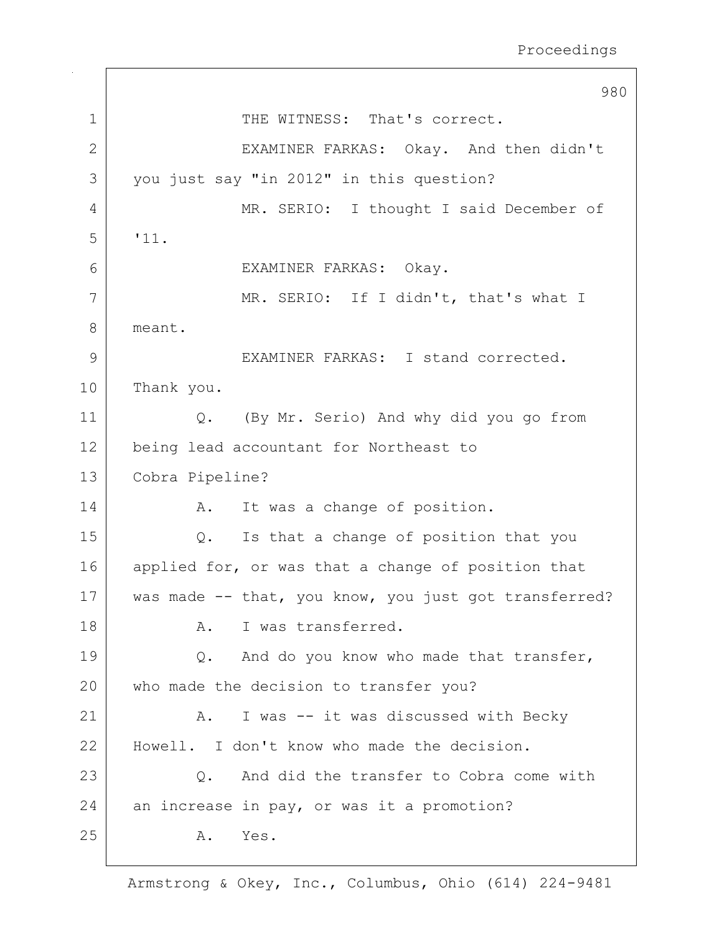980 1 THE WITNESS: That's correct. 2 EXAMINER FARKAS: Okay. And then didn't 3 you just say "in 2012" in this question? 4 MR. SERIO: I thought I said December of 5 '11. 6 EXAMINER FARKAS: Okay. 7 | MR. SERIO: If I didn't, that's what I 8 meant. 9 EXAMINER FARKAS: I stand corrected. 10 Thank you. 11 Q. (By Mr. Serio) And why did you go from 12 being lead accountant for Northeast to 13 Cobra Pipeline? 14 A. It was a change of position. 15 Q. Is that a change of position that you 16 applied for, or was that a change of position that 17 | was made -- that, you know, you just got transferred? 18 A. I was transferred. 19 | Q. And do you know who made that transfer, 20 who made the decision to transfer you? 21 | A. I was -- it was discussed with Becky 22 | Howell. I don't know who made the decision. 23 | C. And did the transfer to Cobra come with 24 an increase in pay, or was it a promotion? 25 A. Yes.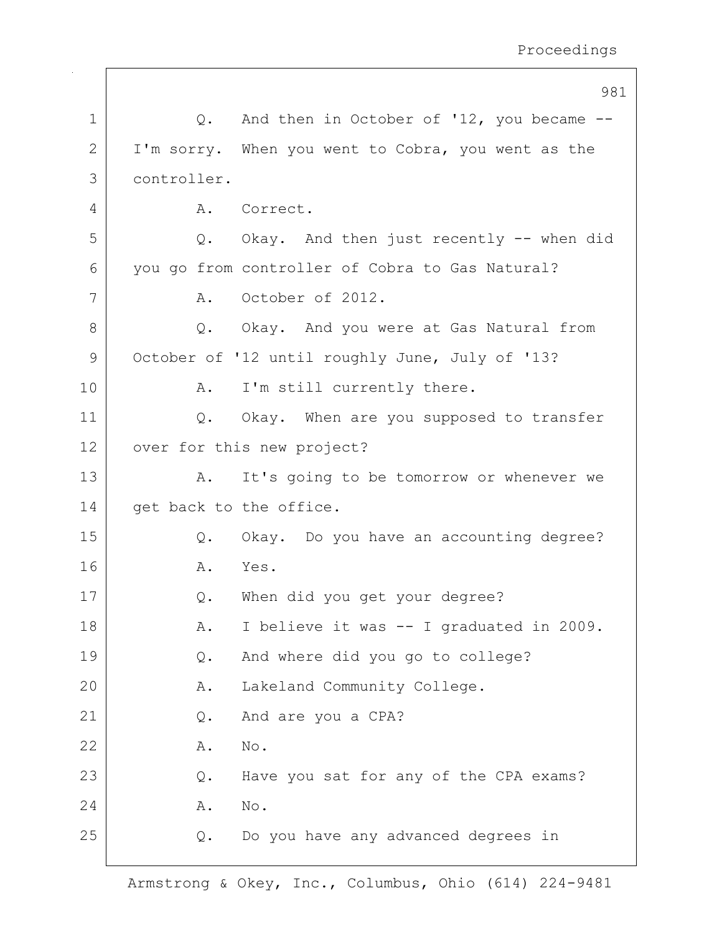|               |             | 981                                                |
|---------------|-------------|----------------------------------------------------|
| $\mathbf 1$   |             | Q. And then in October of '12, you became --       |
| 2             |             | I'm sorry. When you went to Cobra, you went as the |
| 3             | controller. |                                                    |
| 4             |             | A. Correct.                                        |
| 5             |             | Q. Okay. And then just recently -- when did        |
| 6             |             | you go from controller of Cobra to Gas Natural?    |
| 7             | A.          | October of 2012.                                   |
| 8             |             | Q. Okay. And you were at Gas Natural from          |
| $\mathcal{G}$ |             | October of '12 until roughly June, July of '13?    |
| 10            | Α.          | I'm still currently there.                         |
| 11            |             | Q. Okay. When are you supposed to transfer         |
| 12            |             | over for this new project?                         |
| 13            | Α.          | It's going to be tomorrow or whenever we           |
| 14            |             | get back to the office.                            |
| 15            | Q.          | Okay. Do you have an accounting degree?            |
| 16            | Α.          | Yes.                                               |
| 17            | Q.          | When did you get your degree?                      |
| 18            | Α.          | I believe it was -- I graduated in 2009.           |
| 19            | Q.          | And where did you go to college?                   |
| 20            | Α.          | Lakeland Community College.                        |
| 21            | Q.          | And are you a CPA?                                 |
| 22            | Α.          | No.                                                |
| 23            | Q.          | Have you sat for any of the CPA exams?             |
| 24            | Α.          | No.                                                |
| 25            | Q.          | Do you have any advanced degrees in                |
|               |             |                                                    |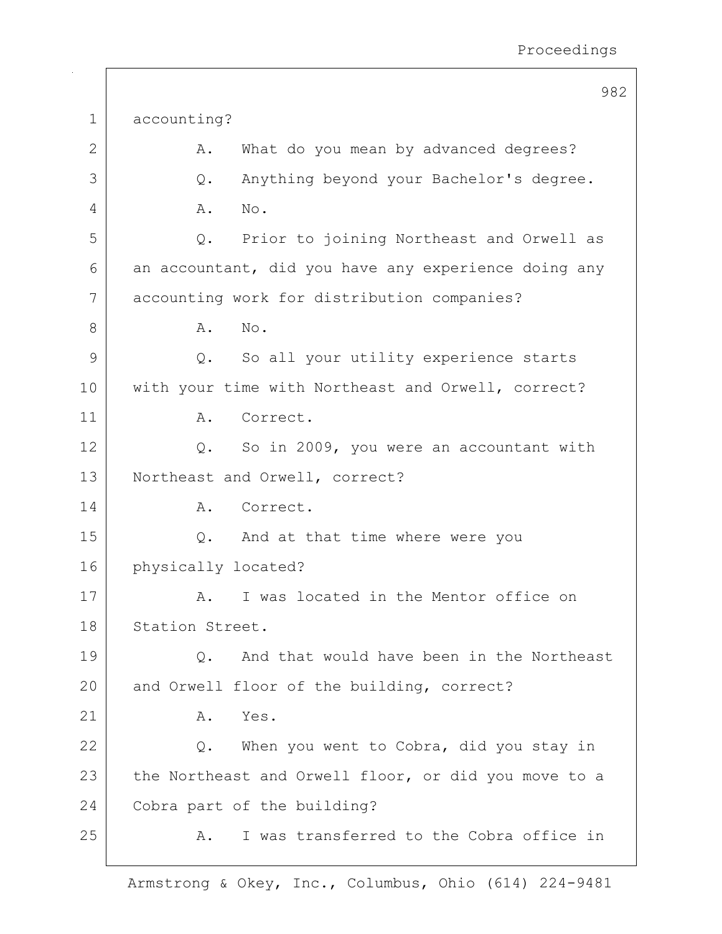982 1 accounting? 2 A. What do you mean by advanced degrees? 3 Q. Anything beyond your Bachelor's degree. 4 A. No. 5 Q. Prior to joining Northeast and Orwell as  $6$  an accountant, did you have any experience doing any 7 accounting work for distribution companies? 8 A. No. 9 Q. So all your utility experience starts 10 | with your time with Northeast and Orwell, correct? 11 A. Correct. 12 | Q. So in 2009, you were an accountant with 13 | Northeast and Orwell, correct? 14 A. Correct. 15 Q. And at that time where were you 16 physically located? 17 | A. I was located in the Mentor office on 18 Station Street. 19 Q. And that would have been in the Northeast 20 and Orwell floor of the building, correct?  $21$  A. Yes. 22 Q. When you went to Cobra, did you stay in 23 the Northeast and Orwell floor, or did you move to a 24 Cobra part of the building? 25 A. I was transferred to the Cobra office in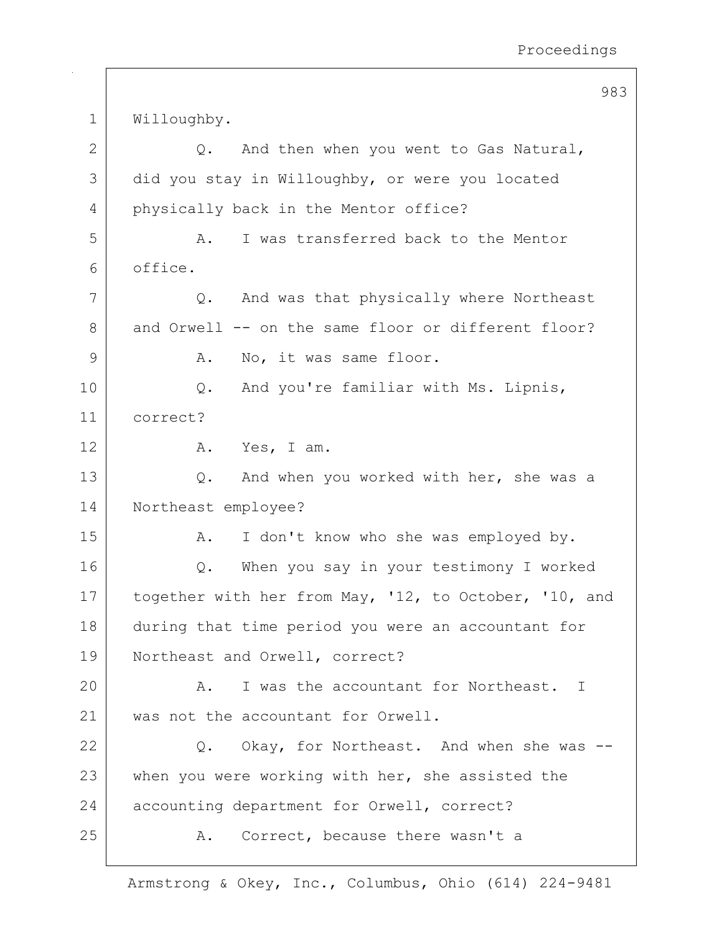983 1 Willoughby.  $2$   $\sqrt{Q}$ . And then when you went to Gas Natural, 3 did you stay in Willoughby, or were you located 4 physically back in the Mentor office? 5 A. I was transferred back to the Mentor 6 office. 7 Q. And was that physically where Northeast 8 and Orwell -- on the same floor or different floor? 9 | A. No, it was same floor. 10 Q. And you're familiar with Ms. Lipnis, 11 correct? 12 A. Yes, I am. 13 Q. And when you worked with her, she was a 14 Northeast employee? 15 | A. I don't know who she was employed by. 16 Q. When you say in your testimony I worked 17 together with her from May, '12, to October, '10, and 18 during that time period you were an accountant for 19 Northeast and Orwell, correct? 20 A. I was the accountant for Northeast. I 21 was not the accountant for Orwell. 22 Q. Okay, for Northeast. And when she was --23 when you were working with her, she assisted the 24 accounting department for Orwell, correct? 25 A. Correct, because there wasn't a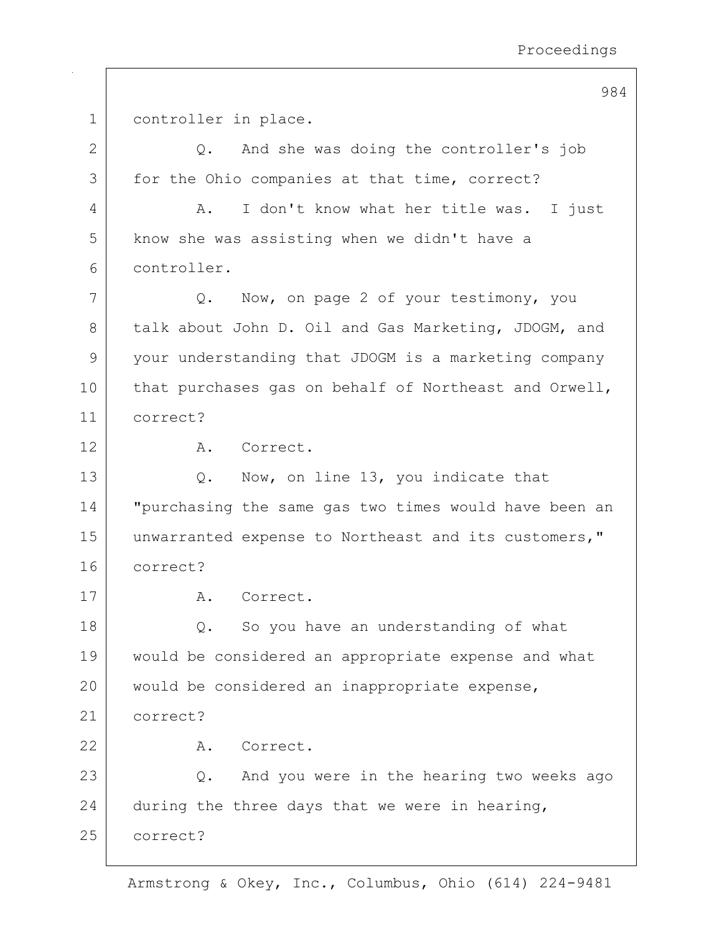| 1             | controller in place.                                  |
|---------------|-------------------------------------------------------|
| $\mathbf{2}$  | And she was doing the controller's job<br>$\circ$ .   |
| 3             | for the Ohio companies at that time, correct?         |
| 4             | I don't know what her title was. I just<br>Α.         |
| 5             | know she was assisting when we didn't have a          |
| 6             | controller.                                           |
| 7             | Now, on page 2 of your testimony, you<br>Q.           |
| 8             | talk about John D. Oil and Gas Marketing, JDOGM, and  |
| $\mathcal{G}$ | your understanding that JDOGM is a marketing company  |
| 10            | that purchases gas on behalf of Northeast and Orwell, |
| 11            | correct?                                              |
| 12            | Correct.<br>Α.                                        |
| 13            | Now, on line 13, you indicate that<br>Q.              |
| 14            | "purchasing the same gas two times would have been an |
| 15            | unwarranted expense to Northeast and its customers,"  |
| 16            | correct?                                              |
| 17            | Correct.<br>Α.                                        |
| 18            | So you have an understanding of what<br>Q.            |
| 19            | would be considered an appropriate expense and what   |
| 20            | would be considered an inappropriate expense,         |
| 21            | correct?                                              |
| 22            | Correct.<br>Α.                                        |
| 23            | And you were in the hearing two weeks ago<br>Q.       |
| 24            | during the three days that we were in hearing,        |
| 25            | correct?                                              |
|               |                                                       |

984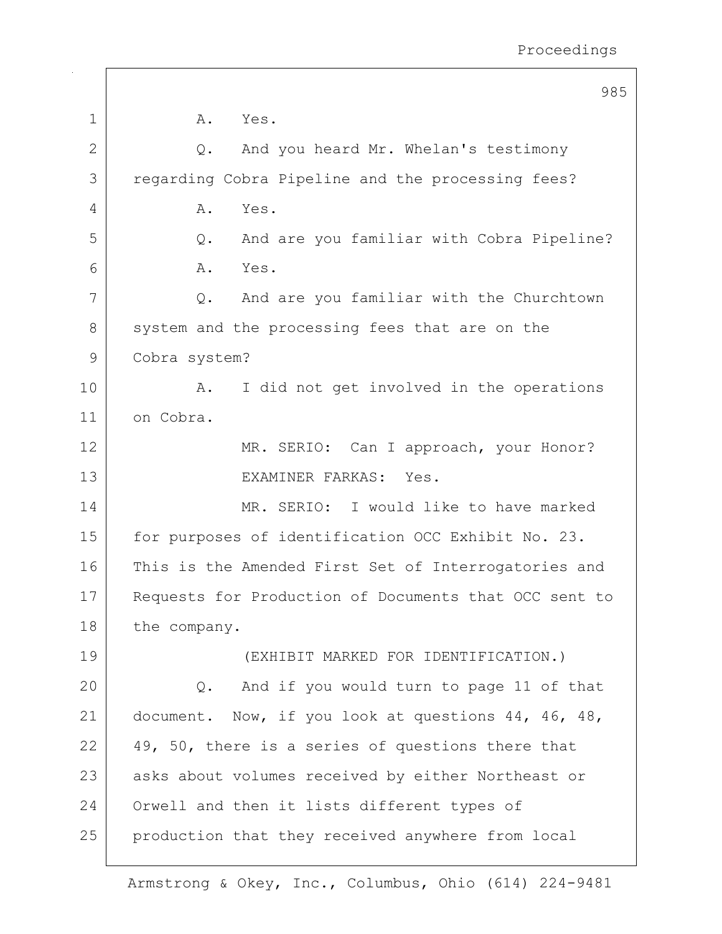|                | 985                                                   |
|----------------|-------------------------------------------------------|
| 1              | A.<br>Yes.                                            |
| $\overline{2}$ | And you heard Mr. Whelan's testimony<br>Q.            |
| 3              | regarding Cobra Pipeline and the processing fees?     |
| 4              | Yes.<br>Α.                                            |
| 5              | And are you familiar with Cobra Pipeline?<br>Q.       |
| 6              | Yes.<br>Α.                                            |
| 7              | And are you familiar with the Churchtown<br>Q.        |
| 8              | system and the processing fees that are on the        |
| 9              | Cobra system?                                         |
| 10             | I did not get involved in the operations<br>Α.        |
| 11             | on Cobra.                                             |
| 12             | MR. SERIO: Can I approach, your Honor?                |
| 13             | EXAMINER FARKAS: Yes.                                 |
| 14             | MR. SERIO: I would like to have marked                |
| 15             | for purposes of identification OCC Exhibit No. 23.    |
| 16             | This is the Amended First Set of Interrogatories and  |
| 17             | Requests for Production of Documents that OCC sent to |
| 18             | the company.                                          |
| 19             | (EXHIBIT MARKED FOR IDENTIFICATION.)                  |
| 20             | And if you would turn to page 11 of that<br>$Q$ .     |
| 21             | document. Now, if you look at questions 44, 46, 48,   |
| 22             | 49, 50, there is a series of questions there that     |
| 23             | asks about volumes received by either Northeast or    |
| 24             | Orwell and then it lists different types of           |
| 25             | production that they received anywhere from local     |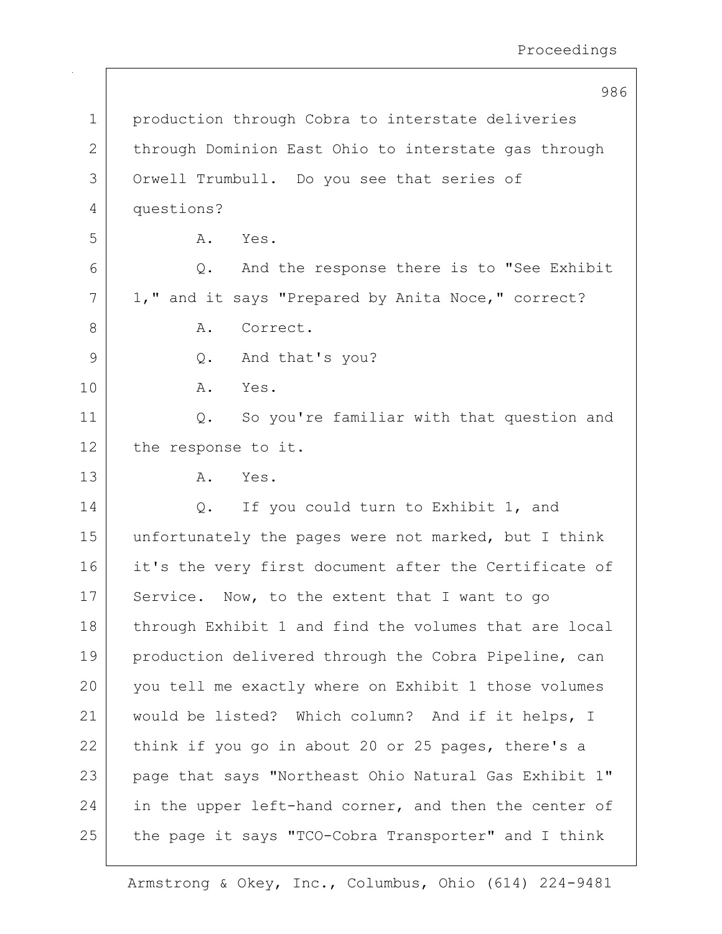986 1 production through Cobra to interstate deliveries 2 through Dominion East Ohio to interstate gas through 3 Orwell Trumbull. Do you see that series of 4 questions? 5 A. Yes. 6 Q. And the response there is to "See Exhibit 7 | 1," and it says "Prepared by Anita Noce," correct? 8 A. Correct. 9 9 Q. And that's you? 10 A. Yes. 11 | Q. So you're familiar with that question and 12 the response to it. 13 A. Yes. 14 | C. If you could turn to Exhibit 1, and 15 unfortunately the pages were not marked, but I think 16 it's the very first document after the Certificate of 17 Service. Now, to the extent that I want to go 18 | through Exhibit 1 and find the volumes that are local 19 production delivered through the Cobra Pipeline, can 20 you tell me exactly where on Exhibit 1 those volumes 21 would be listed? Which column? And if it helps, I 22 think if you go in about 20 or 25 pages, there's a 23 page that says "Northeast Ohio Natural Gas Exhibit 1"  $24$  in the upper left-hand corner, and then the center of 25 the page it says "TCO-Cobra Transporter" and I think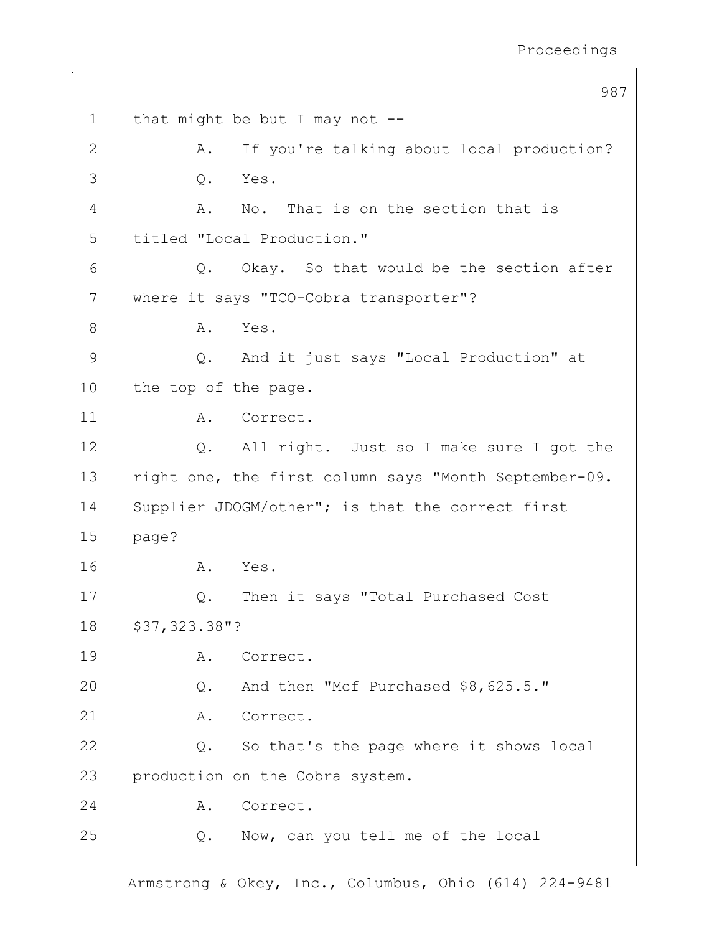|                | 987                                                   |
|----------------|-------------------------------------------------------|
| $\mathbf 1$    | that might be but I may not $-$ -                     |
| $\overline{2}$ | If you're talking about local production?<br>Α.       |
| 3              | Yes.<br>$Q$ .                                         |
| 4              | No. That is on the section that is<br>A.              |
| 5              | titled "Local Production."                            |
| 6              | Q. Okay. So that would be the section after           |
| 7              | where it says "TCO-Cobra transporter"?                |
| 8              | Yes.<br>Α.                                            |
| 9              | Q. And it just says "Local Production" at             |
| 10             | the top of the page.                                  |
| 11             | Α.<br>Correct.                                        |
| 12             | All right. Just so I make sure I got the<br>Q.        |
| 13             | right one, the first column says "Month September-09. |
| 14             | Supplier JDOGM/other"; is that the correct first      |
| 15             | page?                                                 |
| 16             | A.<br>Yes.                                            |
| 17             | Then it says "Total Purchased Cost<br>Q.              |
| 18             | \$37,323.38"?                                         |
| 19             | Correct.<br>Α.                                        |
| 20             | And then "Mcf Purchased \$8,625.5."<br>Q.             |
| 21             | Correct.<br>Α.                                        |
| 22             | So that's the page where it shows local<br>Q.         |
| 23             | production on the Cobra system.                       |
| 24             | Correct.<br>Α.                                        |
| 25             | Now, can you tell me of the local<br>Q.               |
|                |                                                       |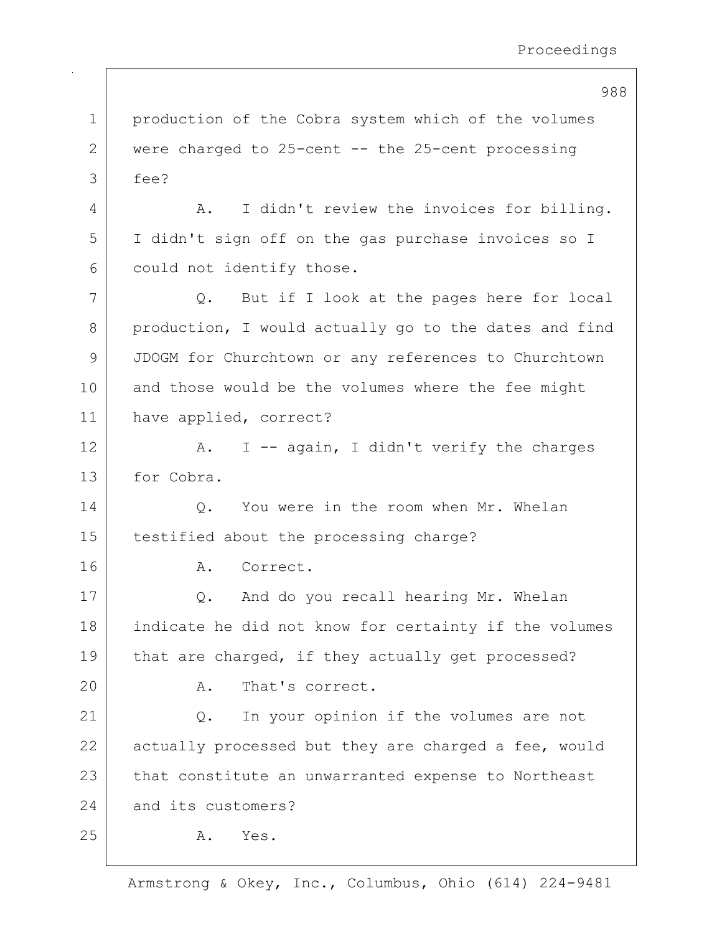|             | 988                                                   |
|-------------|-------------------------------------------------------|
| $\mathbf 1$ | production of the Cobra system which of the volumes   |
| 2           | were charged to 25-cent -- the 25-cent processing     |
| 3           | fee?                                                  |
| 4           | I didn't review the invoices for billing.<br>Α.       |
| 5           | I didn't sign off on the gas purchase invoices so I   |
| 6           | could not identify those.                             |
| 7           | But if I look at the pages here for local<br>Q.       |
| 8           | production, I would actually go to the dates and find |
| 9           | JDOGM for Churchtown or any references to Churchtown  |
| 10          | and those would be the volumes where the fee might    |
| 11          | have applied, correct?                                |
| 12          | I -- again, I didn't verify the charges<br>Α.         |
| 13          | for Cobra.                                            |
| 14          | You were in the room when Mr. Whelan<br>Q.            |
| 15          | testified about the processing charge?                |
| 16          | Correct.<br>Α.                                        |
| 17          | And do you recall hearing Mr. Whelan<br>Q.            |
| 18          | indicate he did not know for certainty if the volumes |
| 19          | that are charged, if they actually get processed?     |
| 20          | That's correct.<br>Α.                                 |
| 21          | In your opinion if the volumes are not<br>Q.          |
| 22          | actually processed but they are charged a fee, would  |
| 23          | that constitute an unwarranted expense to Northeast   |
| 24          | and its customers?                                    |
| 25          | Yes.<br>Α.                                            |
|             |                                                       |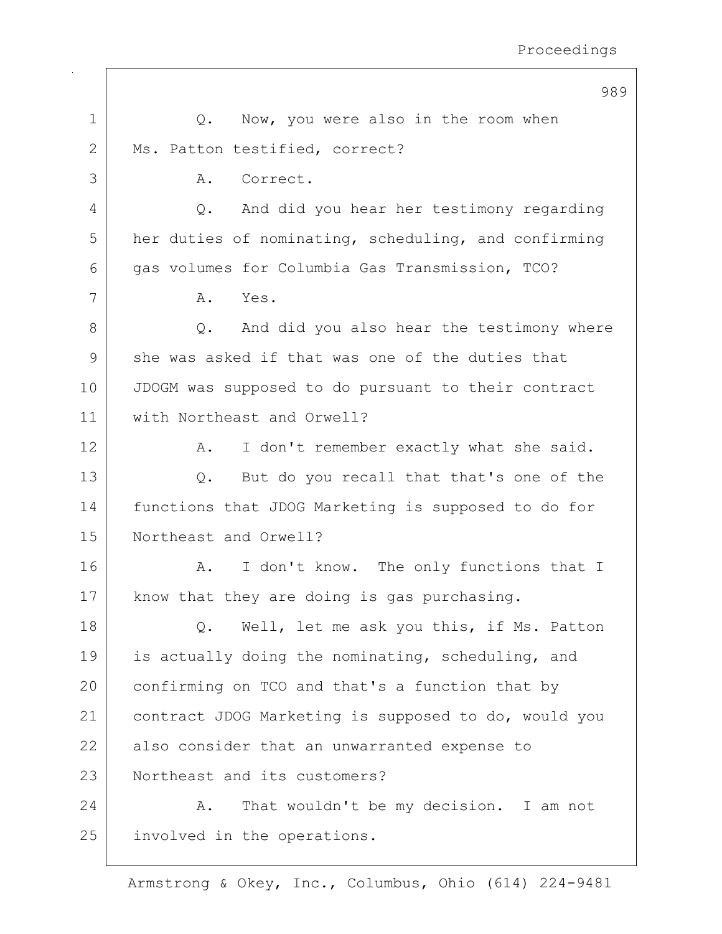|             | 989                                                  |
|-------------|------------------------------------------------------|
| $\mathbf 1$ | Now, you were also in the room when<br>Q.            |
| 2           | Ms. Patton testified, correct?                       |
| 3           | Correct.<br>Α.                                       |
| 4           | And did you hear her testimony regarding<br>$Q$ .    |
| 5           | her duties of nominating, scheduling, and confirming |
| 6           | gas volumes for Columbia Gas Transmission, TCO?      |
| 7           | Yes.<br>Α.                                           |
| 8           | And did you also hear the testimony where<br>$Q$ .   |
| 9           | she was asked if that was one of the duties that     |
| 10          | JDOGM was supposed to do pursuant to their contract  |
| 11          | with Northeast and Orwell?                           |
| 12          | I don't remember exactly what she said.<br>Α.        |
| 13          | But do you recall that that's one of the<br>Q.       |
| 14          | functions that JDOG Marketing is supposed to do for  |
| 15          | Northeast and Orwell?                                |
| 16          | I don't know. The only functions that I<br>Α.        |
| 17          | know that they are doing is gas purchasing.          |
| 18          | Well, let me ask you this, if Ms. Patton<br>$Q$ .    |
| 19          | is actually doing the nominating, scheduling, and    |
| 20          | confirming on TCO and that's a function that by      |
| 21          | contract JDOG Marketing is supposed to do, would you |
| 22          | also consider that an unwarranted expense to         |
| 23          | Northeast and its customers?                         |
| 24          | That wouldn't be my decision. I am not<br>Α.         |
| 25          | involved in the operations.                          |
|             |                                                      |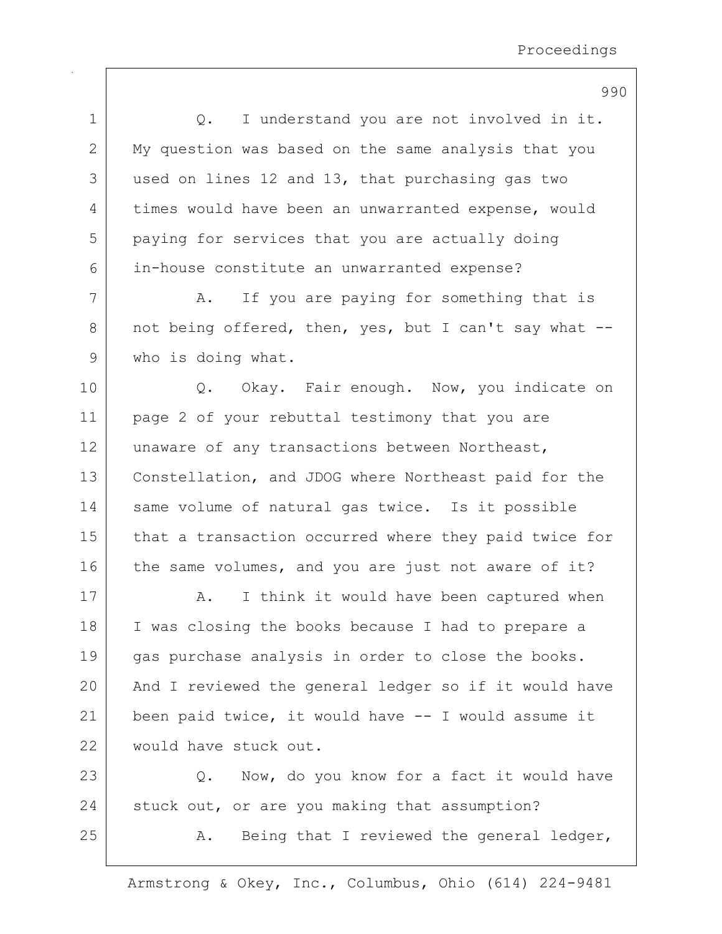|             | 990                                                   |
|-------------|-------------------------------------------------------|
| $\mathbf 1$ | I understand you are not involved in it.<br>Q.        |
| 2           | My question was based on the same analysis that you   |
| 3           | used on lines 12 and 13, that purchasing gas two      |
| 4           | times would have been an unwarranted expense, would   |
| 5           | paying for services that you are actually doing       |
| 6           | in-house constitute an unwarranted expense?           |
| 7           | If you are paying for something that is<br>Α.         |
| 8           | not being offered, then, yes, but I can't say what -- |
| 9           | who is doing what.                                    |
| 10          | Q. Okay. Fair enough. Now, you indicate on            |
| 11          | page 2 of your rebuttal testimony that you are        |
| 12          | unaware of any transactions between Northeast,        |
| 13          | Constellation, and JDOG where Northeast paid for the  |
| 14          | same volume of natural gas twice. Is it possible      |
| 15          | that a transaction occurred where they paid twice for |
| 16          | the same volumes, and you are just not aware of it?   |
| 17          | I think it would have been captured when<br>Α.        |
| 18          | I was closing the books because I had to prepare a    |
| 19          | gas purchase analysis in order to close the books.    |
| 20          | And I reviewed the general ledger so if it would have |
| 21          | been paid twice, it would have -- I would assume it   |
| 22          | would have stuck out.                                 |
| 23          | Now, do you know for a fact it would have<br>Q.       |
| 24          | stuck out, or are you making that assumption?         |
| 25          | Being that I reviewed the general ledger,<br>Α.       |
|             |                                                       |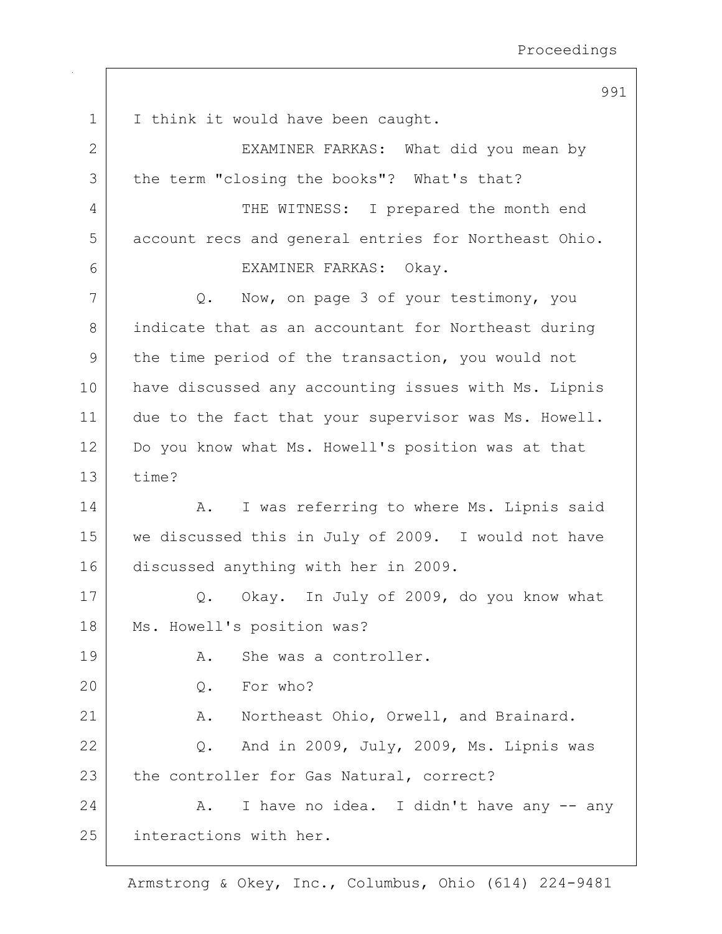991

1 | I think it would have been caught. 2 | EXAMINER FARKAS: What did you mean by 3 the term "closing the books"? What's that? 4 THE WITNESS: I prepared the month end 5 account recs and general entries for Northeast Ohio. 6 EXAMINER FARKAS: Okay. 7 Q. Now, on page 3 of your testimony, you 8 indicate that as an accountant for Northeast during 9 | the time period of the transaction, you would not 10 have discussed any accounting issues with Ms. Lipnis 11 due to the fact that your supervisor was Ms. Howell. 12 Do you know what Ms. Howell's position was at that 13 time? 14 A. I was referring to where Ms. Lipnis said 15 | we discussed this in July of 2009. I would not have 16 discussed anything with her in 2009. 17 Q. Okay. In July of 2009, do you know what 18 | Ms. Howell's position was? 19 A. She was a controller. 20 Q. For who? 21 | A. Northeast Ohio, Orwell, and Brainard. 22  $\vert$  Q. And in 2009, July, 2009, Ms. Lipnis was 23 the controller for Gas Natural, correct? 24  $\vert$  A. I have no idea. I didn't have any  $\vert$ - any 25 interactions with her.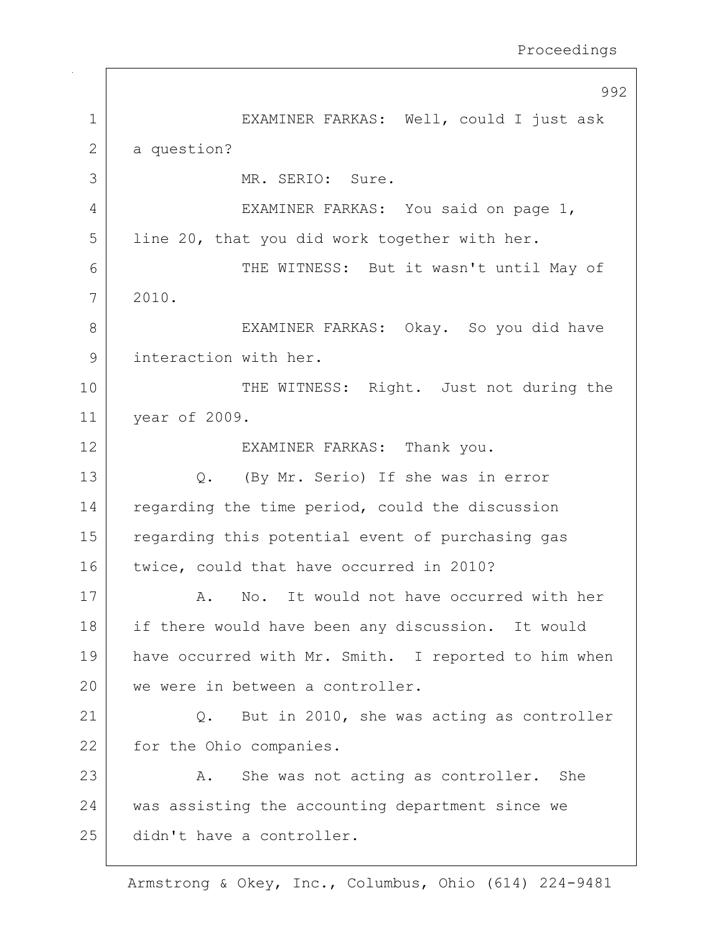|               | 992                                                  |
|---------------|------------------------------------------------------|
| $\mathbf 1$   | EXAMINER FARKAS: Well, could I just ask              |
| $\mathbf{2}$  | a question?                                          |
| 3             | MR. SERIO: Sure.                                     |
| 4             | EXAMINER FARKAS: You said on page 1,                 |
| 5             | line 20, that you did work together with her.        |
| 6             | THE WITNESS: But it wasn't until May of              |
| 7             | 2010.                                                |
| 8             | EXAMINER FARKAS: Okay. So you did have               |
| $\mathcal{G}$ | interaction with her.                                |
| 10            | THE WITNESS: Right. Just not during the              |
| 11            | year of 2009.                                        |
| 12            | EXAMINER FARKAS: Thank you.                          |
| 13            | Q. (By Mr. Serio) If she was in error                |
| 14            | regarding the time period, could the discussion      |
| 15            | regarding this potential event of purchasing gas     |
| 16            | twice, could that have occurred in 2010?             |
| 17            | No. It would not have occurred with her<br>Α.        |
| 18            | if there would have been any discussion. It would    |
| 19            | have occurred with Mr. Smith. I reported to him when |
| 20            | we were in between a controller.                     |
| 21            | But in 2010, she was acting as controller<br>Q.      |
| 22            | for the Ohio companies.                              |
| 23            | She was not acting as controller. She<br>Α.          |
| 24            | was assisting the accounting department since we     |
| 25            | didn't have a controller.                            |
|               |                                                      |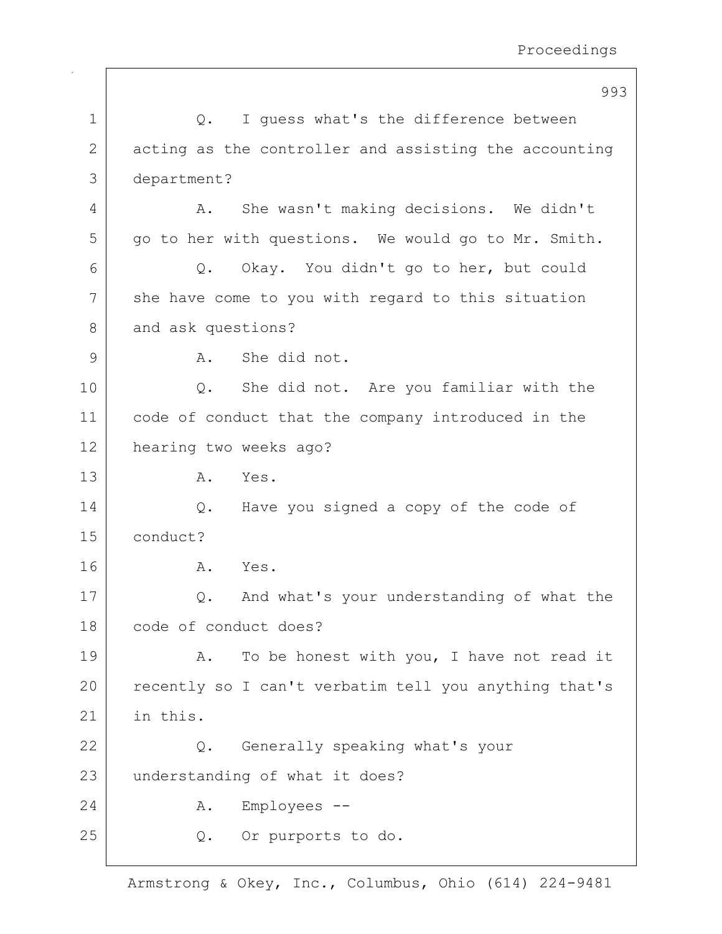|              | 993                                                   |
|--------------|-------------------------------------------------------|
| $\mathbf 1$  | I guess what's the difference between<br>Q.           |
| $\mathbf{2}$ | acting as the controller and assisting the accounting |
| 3            | department?                                           |
| 4            | She wasn't making decisions. We didn't<br>Α.          |
| 5            | go to her with questions. We would go to Mr. Smith.   |
| 6            | Okay. You didn't go to her, but could<br>Q.           |
| 7            | she have come to you with regard to this situation    |
| 8            | and ask questions?                                    |
| 9            | She did not.<br>Α.                                    |
| 10           | She did not. Are you familiar with the<br>Q.          |
| 11           | code of conduct that the company introduced in the    |
| 12           | hearing two weeks ago?                                |
| 13           | Yes.<br>Α.                                            |
| 14           | Have you signed a copy of the code of<br>Q.           |
| 15           | conduct?                                              |
| 16           | Yes.<br>Α.                                            |
| 17           | And what's your understanding of what the<br>Q.       |
| 18           | code of conduct does?                                 |
| 19           | To be honest with you, I have not read it<br>Α.       |
| 20           | recently so I can't verbatim tell you anything that's |
| 21           | in this.                                              |
| 22           | Generally speaking what's your<br>Q.                  |
| 23           | understanding of what it does?                        |
| 24           | Employees --<br>Α.                                    |
| 25           | Or purports to do.<br>Q.                              |
|              |                                                       |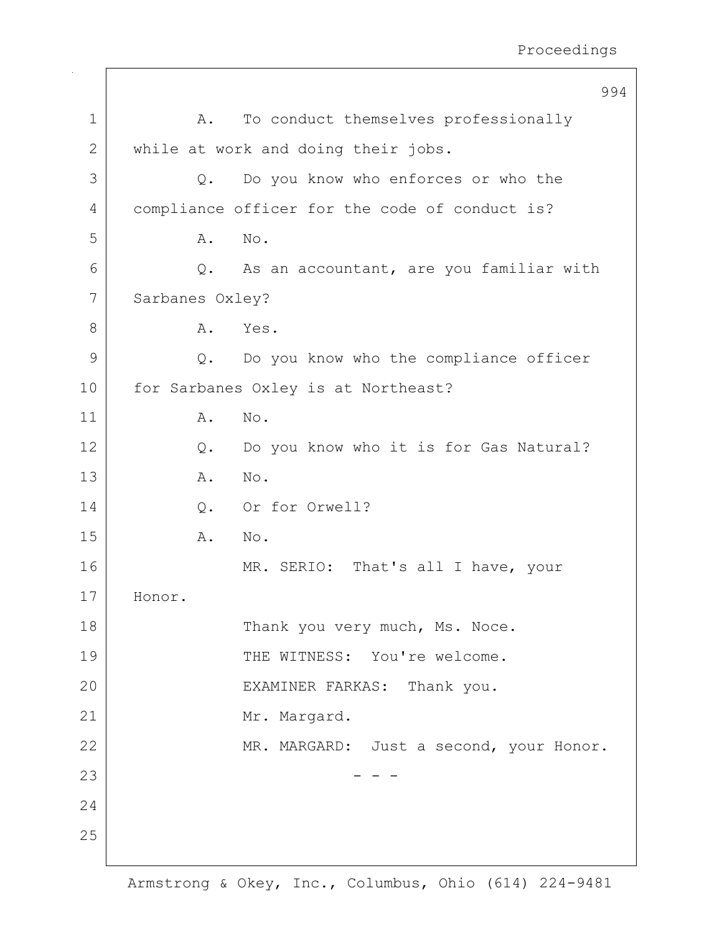|              |                 | 994                                            |
|--------------|-----------------|------------------------------------------------|
| $\mathbf 1$  | Α.              | To conduct themselves professionally           |
| $\mathbf{2}$ |                 | while at work and doing their jobs.            |
| 3            | Q.              | Do you know who enforces or who the            |
| 4            |                 | compliance officer for the code of conduct is? |
| 5            | Α.              | No.                                            |
| 6            | Q.              | As an accountant, are you familiar with        |
| 7            | Sarbanes Oxley? |                                                |
| 8            | Α.              | Yes.                                           |
| 9            | $Q$ .           | Do you know who the compliance officer         |
| 10           |                 | for Sarbanes Oxley is at Northeast?            |
| 11           | Α.              | No.                                            |
| 12           | Q.              | Do you know who it is for Gas Natural?         |
| 13           | Α.              | No.                                            |
| 14           | Q.              | Or for Orwell?                                 |
| 15           | Α.              | No.                                            |
| 16           |                 | MR. SERIO: That's all I have, your             |
| 17           | Honor.          |                                                |
| 18           |                 | Thank you very much, Ms. Noce.                 |
| 19           |                 | THE WITNESS: You're welcome.                   |
| 20           |                 | EXAMINER FARKAS: Thank you.                    |
| 21           |                 | Mr. Margard.                                   |
| 22           |                 | MR. MARGARD: Just a second, your Honor.        |
| 23           |                 |                                                |
| 24           |                 |                                                |
| 25           |                 |                                                |
|              |                 |                                                |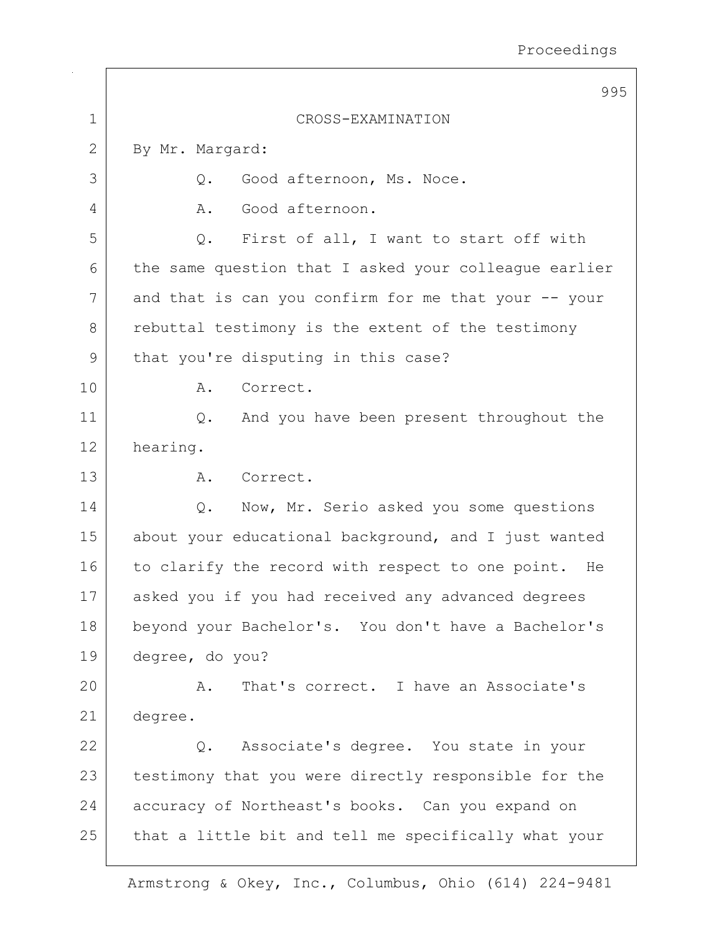|             | 995                                                   |
|-------------|-------------------------------------------------------|
| $\mathbf 1$ | CROSS-EXAMINATION                                     |
| 2           | By Mr. Margard:                                       |
| 3           | Good afternoon, Ms. Noce.<br>$Q$ .                    |
| 4           | Good afternoon.<br>Α.                                 |
| 5           | First of all, I want to start off with<br>Q.          |
| 6           | the same question that I asked your colleague earlier |
| 7           | and that is can you confirm for me that your -- your  |
| 8           | rebuttal testimony is the extent of the testimony     |
| 9           | that you're disputing in this case?                   |
| 10          | Correct.<br>Α.                                        |
| 11          | And you have been present throughout the<br>Q.        |
| 12          | hearing.                                              |
| 13          | Α.<br>Correct.                                        |
| 14          | Now, Mr. Serio asked you some questions<br>$Q$ .      |
| 15          | about your educational background, and I just wanted  |
| 16          | to clarify the record with respect to one point. He   |
| 17          | asked you if you had received any advanced degrees    |
| 18          | beyond your Bachelor's. You don't have a Bachelor's   |
| 19          | degree, do you?                                       |
| 20          | That's correct. I have an Associate's<br>Α.           |
| 21          | degree.                                               |
| 22          | Q. Associate's degree. You state in your              |
| 23          | testimony that you were directly responsible for the  |
| 24          | accuracy of Northeast's books. Can you expand on      |
| 25          | that a little bit and tell me specifically what your  |
|             |                                                       |

 $\top$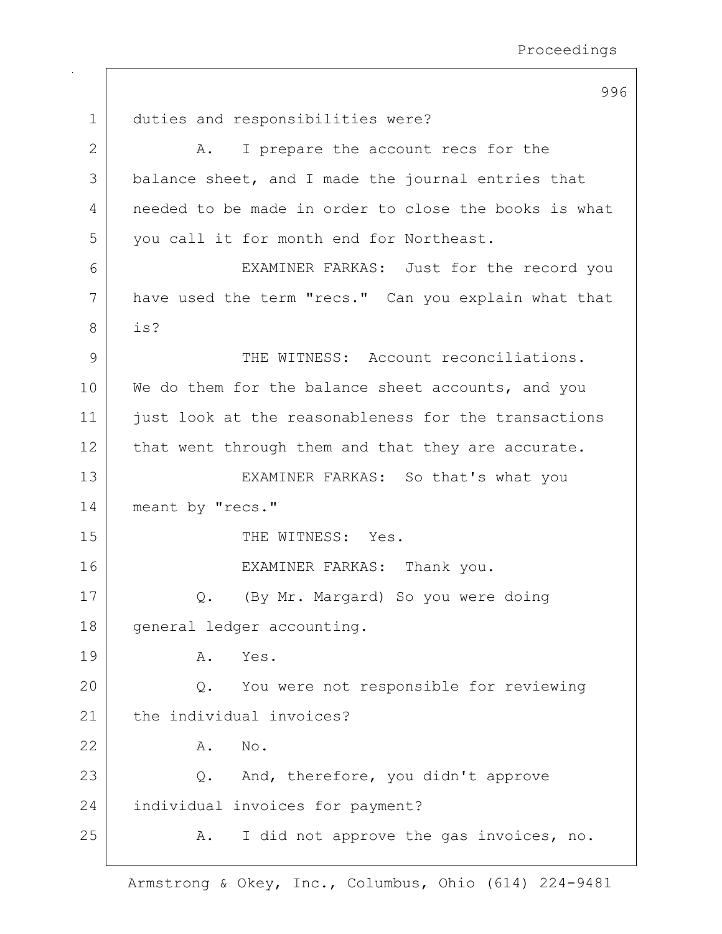| 1            | duties and responsibilities were?                     |
|--------------|-------------------------------------------------------|
| $\mathbf{2}$ | I prepare the account recs for the<br>Α.              |
| 3            | balance sheet, and I made the journal entries that    |
| 4            | needed to be made in order to close the books is what |
| 5            | you call it for month end for Northeast.              |
| 6            | EXAMINER FARKAS: Just for the record you              |
| 7            | have used the term "recs." Can you explain what that  |
| 8            | is?                                                   |
| 9            | THE WITNESS: Account reconciliations.                 |
| 10           | We do them for the balance sheet accounts, and you    |
| 11           | just look at the reasonableness for the transactions  |
| 12           | that went through them and that they are accurate.    |
| 13           | EXAMINER FARKAS: So that's what you                   |
| 14           | meant by "recs."                                      |
| 15           | THE WITNESS: Yes.                                     |
| 16           | EXAMINER FARKAS: Thank you.                           |
| 17           | (By Mr. Margard) So you were doing<br>Q.              |
| $18\,$       | general ledger accounting.                            |
| 19           | Α.<br>Yes.                                            |
| 20           | You were not responsible for reviewing<br>Q.          |
| 21           | the individual invoices?                              |
| 22           | No.<br>Α.                                             |
| 23           | And, therefore, you didn't approve<br>Q.              |
| 24           | individual invoices for payment?                      |
| 25           | I did not approve the gas invoices, no.<br>Α.         |
|              |                                                       |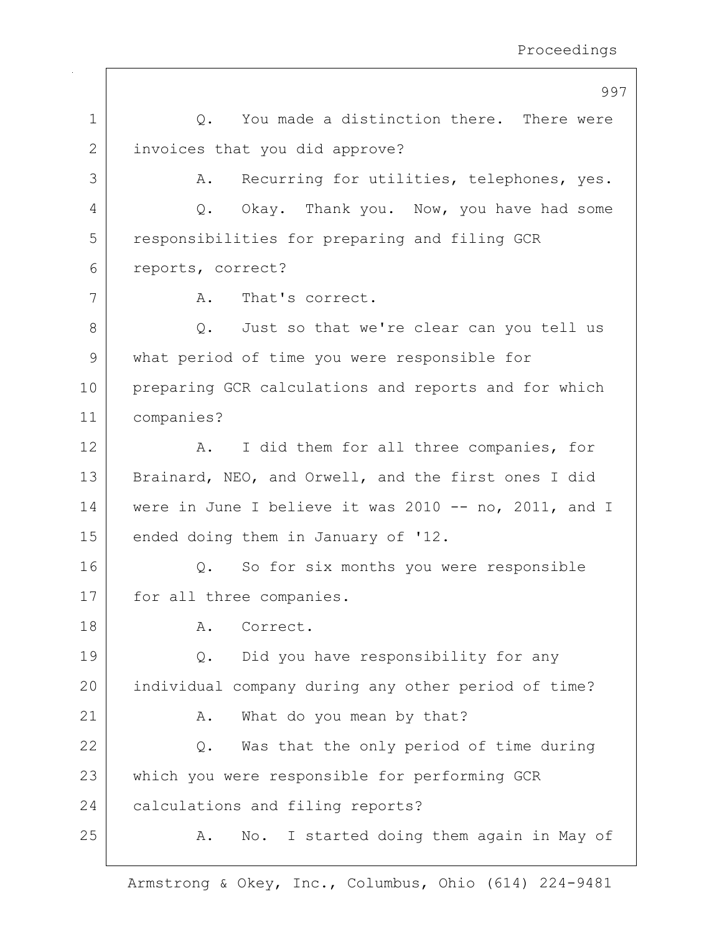|             | 997                                                   |
|-------------|-------------------------------------------------------|
| $\mathbf 1$ | Q. You made a distinction there. There were           |
| 2           | invoices that you did approve?                        |
| 3           | Recurring for utilities, telephones, yes.<br>Α.       |
| 4           | Q. Okay. Thank you. Now, you have had some            |
| 5           | responsibilities for preparing and filing GCR         |
| 6           | reports, correct?                                     |
| 7           | That's correct.<br>A.                                 |
| 8           | Q. Just so that we're clear can you tell us           |
| 9           | what period of time you were responsible for          |
| 10          | preparing GCR calculations and reports and for which  |
| 11          | companies?                                            |
| 12          | I did them for all three companies, for<br>Α.         |
| 13          | Brainard, NEO, and Orwell, and the first ones I did   |
| 14          | were in June I believe it was 2010 -- no, 2011, and I |
| 15          | ended doing them in January of '12.                   |
| 16          | Q. So for six months you were responsible             |
| 17          | for all three companies.                              |
| 18          | Correct.<br>Α.                                        |
| 19          | Did you have responsibility for any<br>Q.             |
| 20          | individual company during any other period of time?   |
| 21          | What do you mean by that?<br>Α.                       |
| 22          | Was that the only period of time during<br>Q.         |
| 23          | which you were responsible for performing GCR         |
| 24          | calculations and filing reports?                      |
| 25          | No. I started doing them again in May of<br>Α.        |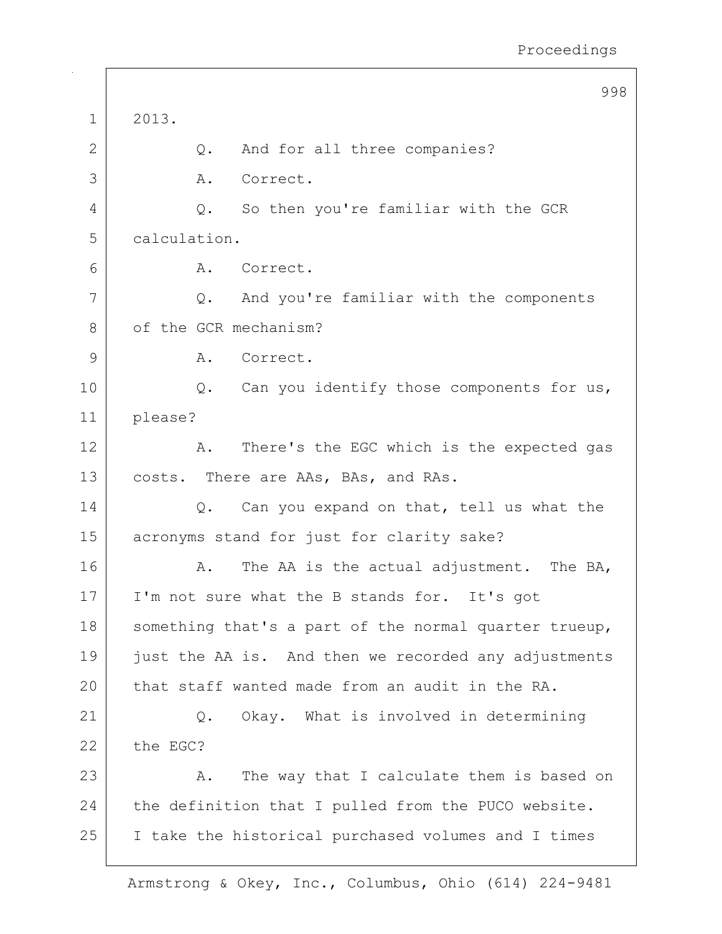|              | 998                                                   |
|--------------|-------------------------------------------------------|
| $\mathbf 1$  | 2013.                                                 |
| 2            | And for all three companies?<br>Q.                    |
| 3            | Correct.<br>Α.                                        |
| 4            | So then you're familiar with the GCR<br>Q.            |
| 5            | calculation.                                          |
| 6            | Α.<br>Correct.                                        |
| 7            | And you're familiar with the components<br>Q.         |
| 8            | of the GCR mechanism?                                 |
| $\mathsf{9}$ | Correct.<br>Α.                                        |
| 10           | Q. Can you identify those components for us,          |
| 11           | please?                                               |
| 12           | There's the EGC which is the expected gas<br>A.       |
| 13           | costs. There are AAs, BAs, and RAs.                   |
| 14           | Can you expand on that, tell us what the<br>Q.        |
| 15           | acronyms stand for just for clarity sake?             |
| 16           | The AA is the actual adjustment. The BA,<br>Α.        |
| 17           | I'm not sure what the B stands for. It's got          |
| 18           | something that's a part of the normal quarter trueup, |
| 19           | just the AA is. And then we recorded any adjustments  |
| 20           | that staff wanted made from an audit in the RA.       |
| 21           | Okay. What is involved in determining<br>$Q$ .        |
| 22           | the EGC?                                              |
| 23           | The way that I calculate them is based on<br>Α.       |
| 24           | the definition that I pulled from the PUCO website.   |
| 25           | I take the historical purchased volumes and I times   |
|              |                                                       |

 $\sqrt{ }$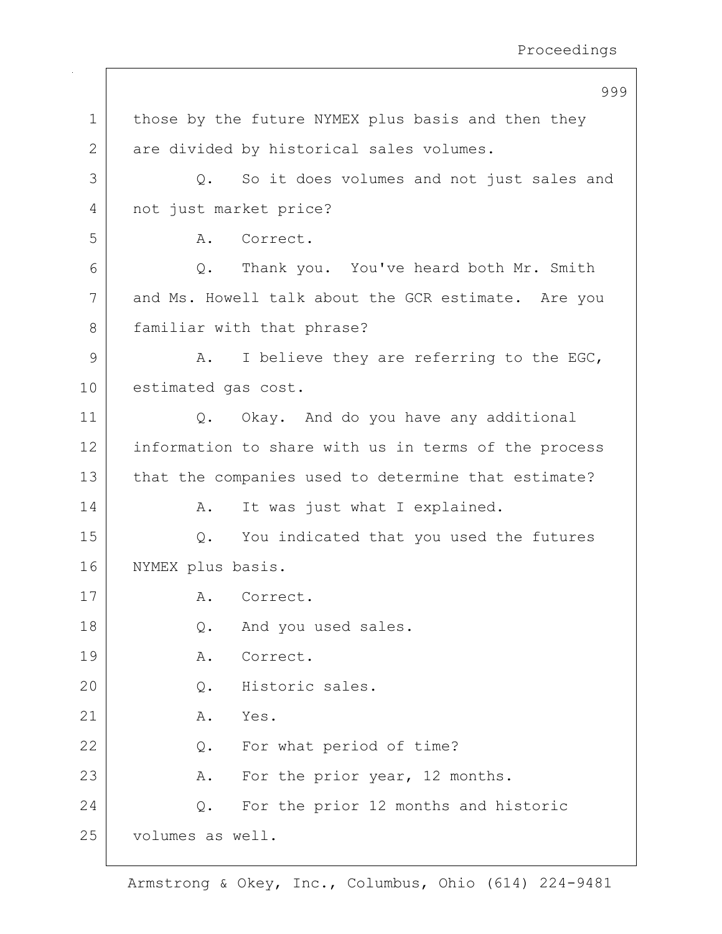|             | 999                                                        |
|-------------|------------------------------------------------------------|
| $\mathbf 1$ | those by the future NYMEX plus basis and then they         |
| 2           | are divided by historical sales volumes.                   |
| 3           | So it does volumes and not just sales and<br>$Q_{\bullet}$ |
| 4           | not just market price?                                     |
| 5           | Correct.<br>Α.                                             |
| 6           | Q. Thank you. You've heard both Mr. Smith                  |
| 7           | and Ms. Howell talk about the GCR estimate. Are you        |
| 8           | familiar with that phrase?                                 |
| 9           | I believe they are referring to the EGC,<br>Α.             |
| 10          | estimated gas cost.                                        |
| 11          | Q. Okay. And do you have any additional                    |
| 12          | information to share with us in terms of the process       |
| 13          | that the companies used to determine that estimate?        |
| 14          | It was just what I explained.<br>Α.                        |
| 15          | You indicated that you used the futures<br>$Q$ .           |
| 16          | NYMEX plus basis.                                          |
| 17          | A. Correct.                                                |
| 18          | And you used sales.<br>$Q$ .                               |
| 19          | Correct.<br>Α.                                             |
| 20          | Historic sales.<br>Q.                                      |
| 21          | Yes.<br>Α.                                                 |
| 22          | For what period of time?<br>Q.                             |
| 23          | For the prior year, 12 months.<br>Α.                       |
| 24          | For the prior 12 months and historic<br>Q.                 |
| 25          | volumes as well.                                           |
|             |                                                            |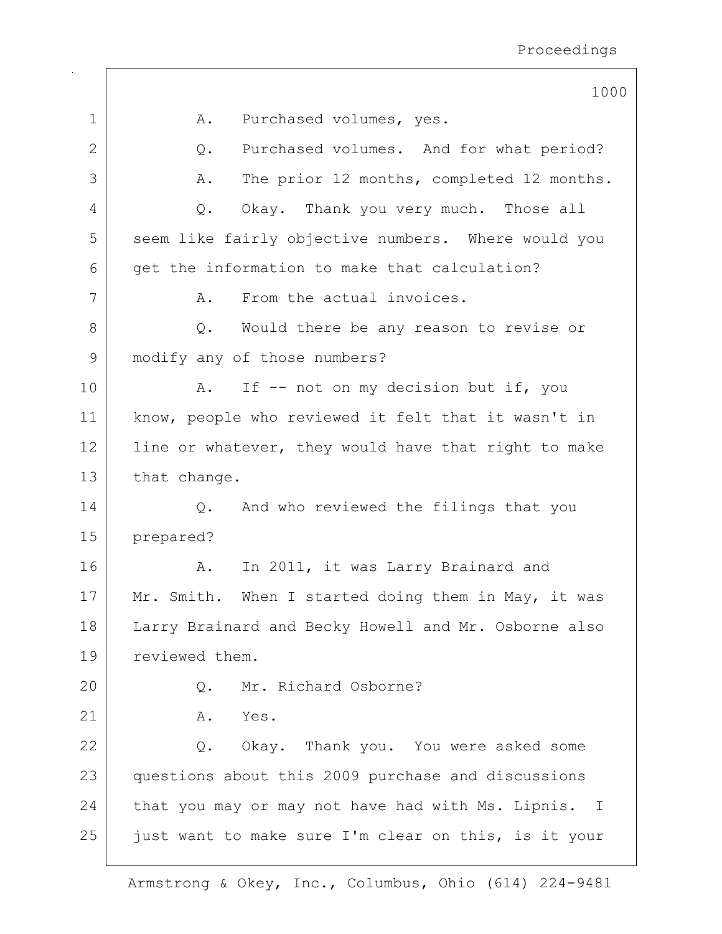1000 1 | A. Purchased volumes, yes. 2 Q. Purchased volumes. And for what period? 3 A. The prior 12 months, completed 12 months. 4 Q. Okay. Thank you very much. Those all 5 seem like fairly objective numbers. Where would you 6 get the information to make that calculation? 7 A. From the actual invoices. 8 Q. Would there be any reason to revise or 9 modify any of those numbers? 10 | A. If -- not on my decision but if, you 11 | know, people who reviewed it felt that it wasn't in 12 | line or whatever, they would have that right to make 13 that change. 14 Q. And who reviewed the filings that you 15 prepared? 16 | A. In 2011, it was Larry Brainard and 17 | Mr. Smith. When I started doing them in May, it was 18 | Larry Brainard and Becky Howell and Mr. Osborne also 19 reviewed them. 20 Q. Mr. Richard Osborne? 21 A. Yes. 22 Q. Okay. Thank you. You were asked some 23 questions about this 2009 purchase and discussions 24 that you may or may not have had with Ms. Lipnis. I  $25$  just want to make sure I'm clear on this, is it your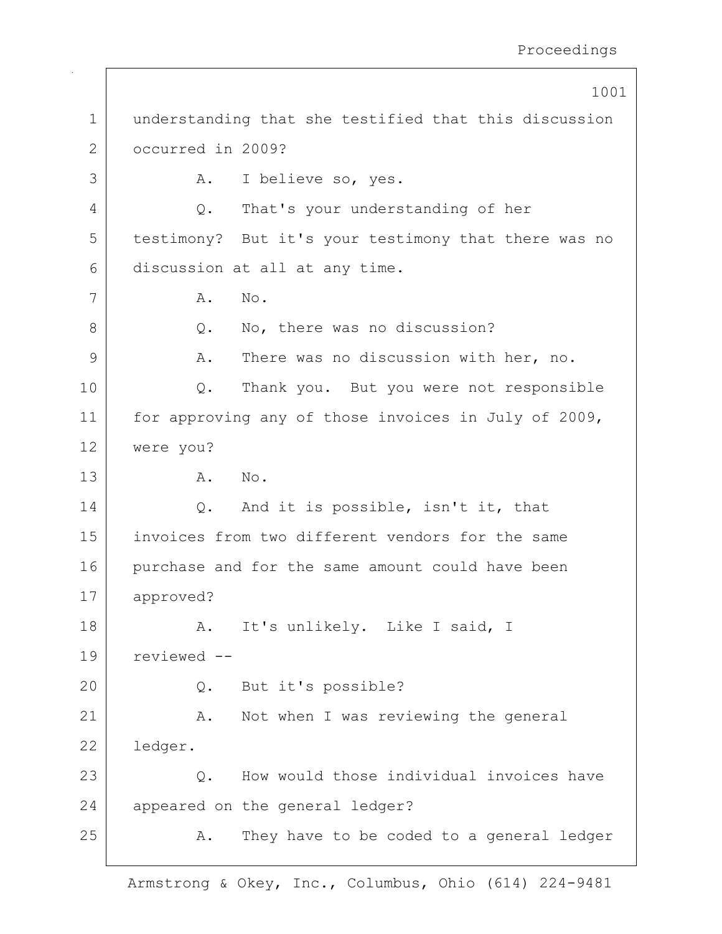|             | 1001                                                  |
|-------------|-------------------------------------------------------|
| $\mathbf 1$ | understanding that she testified that this discussion |
| 2           | occurred in 2009?                                     |
| 3           | I believe so, yes.<br>Α.                              |
| 4           | That's your understanding of her<br>Q.                |
| 5           | testimony? But it's your testimony that there was no  |
| 6           | discussion at all at any time.                        |
| 7           | No.<br>Α.                                             |
| 8           | No, there was no discussion?<br>Q.                    |
| 9           | There was no discussion with her, no.<br>Α.           |
| 10          | Thank you. But you were not responsible<br>Q.         |
| 11          | for approving any of those invoices in July of 2009,  |
| 12          | were you?                                             |
| 13          | No.<br>Α.                                             |
| 14          | And it is possible, isn't it, that<br>Q.              |
| 15          | invoices from two different vendors for the same      |
| 16          | purchase and for the same amount could have been      |
| 17          | approved?                                             |
| 18          | It's unlikely. Like I said, I<br>A.                   |
| 19          | reviewed --                                           |
| 20          | But it's possible?<br>$Q$ .                           |
| 21          | Not when I was reviewing the general<br>Α.            |
| 22          | ledger.                                               |
| 23          | How would those individual invoices have<br>Q.        |
| 24          | appeared on the general ledger?                       |
| 25          | They have to be coded to a general ledger<br>Α.       |
|             |                                                       |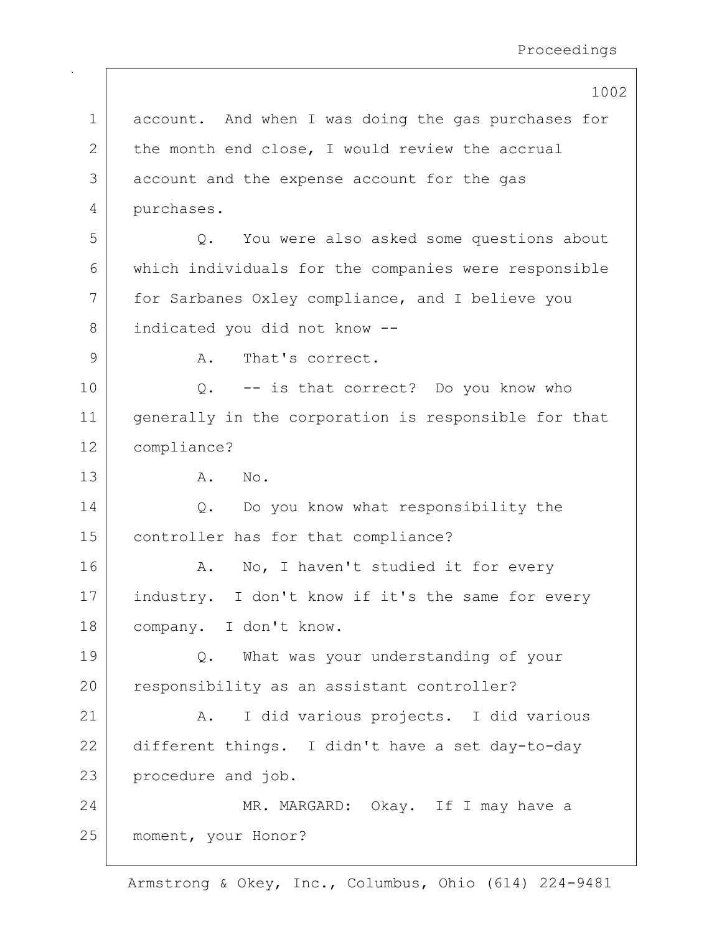|             | 1002                                                 |
|-------------|------------------------------------------------------|
| $\mathbf 1$ | account. And when I was doing the gas purchases for  |
| 2           | the month end close, I would review the accrual      |
| 3           | account and the expense account for the gas          |
| 4           | purchases.                                           |
| 5           | You were also asked some questions about<br>Q.       |
| 6           | which individuals for the companies were responsible |
| 7           | for Sarbanes Oxley compliance, and I believe you     |
| 8           | indicated you did not know --                        |
| 9           | That's correct.<br>Α.                                |
| 10          | Q. -- is that correct? Do you know who               |
| 11          | generally in the corporation is responsible for that |
| 12          | compliance?                                          |
| 13          | Α.<br>No.                                            |
| 14          | Q. Do you know what responsibility the               |
| 15          | controller has for that compliance?                  |
| 16          | No, I haven't studied it for every<br>Α.             |
| 17          | industry. I don't know if it's the same for every    |
| 18          | company. I don't know.                               |
| 19          | What was your understanding of your<br>$Q$ .         |
| 20          | responsibility as an assistant controller?           |
| 21          | I did various projects. I did various<br>Α.          |
| 22          | different things. I didn't have a set day-to-day     |
| 23          | procedure and job.                                   |
| 24          | MR. MARGARD: Okay. If I may have a                   |
| 25          | moment, your Honor?                                  |
|             |                                                      |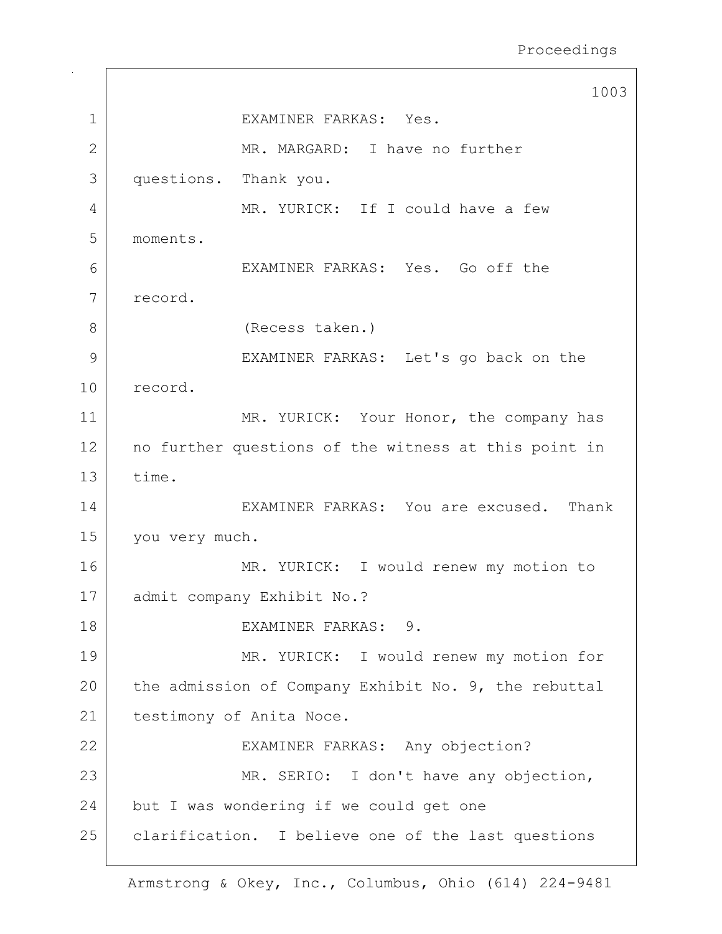1003 1 EXAMINER FARKAS: Yes. 2 MR. MARGARD: I have no further 3 questions. Thank you. 4 MR. YURICK: If I could have a few 5 moments. 6 EXAMINER FARKAS: Yes. Go off the 7 record. 8 (Recess taken.) 9 EXAMINER FARKAS: Let's go back on the 10 record. 11 MR. YURICK: Your Honor, the company has 12 no further questions of the witness at this point in 13 time. 14 EXAMINER FARKAS: You are excused. Thank 15 you very much. 16 MR. YURICK: I would renew my motion to 17 | admit company Exhibit No.? 18 EXAMINER FARKAS: 9. 19 MR. YURICK: I would renew my motion for 20 the admission of Company Exhibit No. 9, the rebuttal 21 testimony of Anita Noce. 22 | EXAMINER FARKAS: Any objection? 23 MR. SERIO: I don't have any objection, 24 but I was wondering if we could get one 25 | clarification. I believe one of the last questions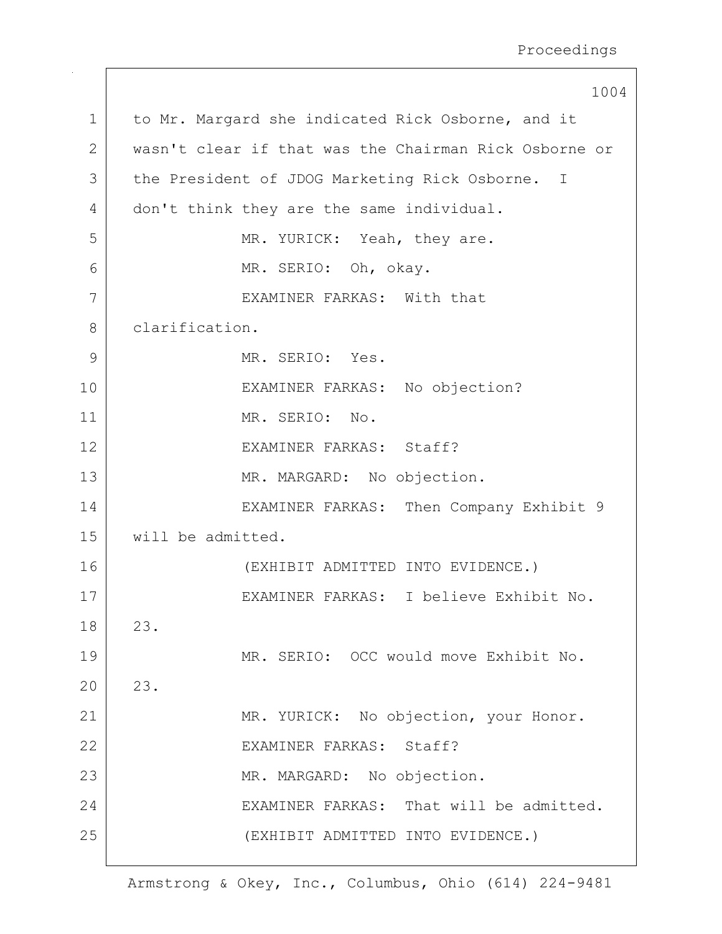|              | 1004                                                  |
|--------------|-------------------------------------------------------|
| $\mathbf 1$  | to Mr. Margard she indicated Rick Osborne, and it     |
| $\mathbf{2}$ | wasn't clear if that was the Chairman Rick Osborne or |
| 3            | the President of JDOG Marketing Rick Osborne. I       |
| 4            | don't think they are the same individual.             |
| 5            | MR. YURICK: Yeah, they are.                           |
| 6            | MR. SERIO: Oh, okay.                                  |
| 7            | EXAMINER FARKAS: With that                            |
| 8            | clarification.                                        |
| 9            | MR. SERIO: Yes.                                       |
| 10           | EXAMINER FARKAS: No objection?                        |
| 11           | MR. SERIO: No.                                        |
| 12           | EXAMINER FARKAS: Staff?                               |
| 13           | MR. MARGARD: No objection.                            |
| 14           | EXAMINER FARKAS: Then Company Exhibit 9               |
| 15           | will be admitted.                                     |
| 16           | (EXHIBIT ADMITTED INTO EVIDENCE.)                     |
| 17           | EXAMINER FARKAS: I believe Exhibit No.                |
| 18           | 23.                                                   |
| 19           | MR. SERIO: OCC would move Exhibit No.                 |
| 20           | 23.                                                   |
| 21           | MR. YURICK: No objection, your Honor.                 |
| 22           | EXAMINER FARKAS: Staff?                               |
| 23           | MR. MARGARD: No objection.                            |
| 24           | EXAMINER FARKAS: That will be admitted.               |
| 25           | (EXHIBIT ADMITTED INTO EVIDENCE.)                     |
|              |                                                       |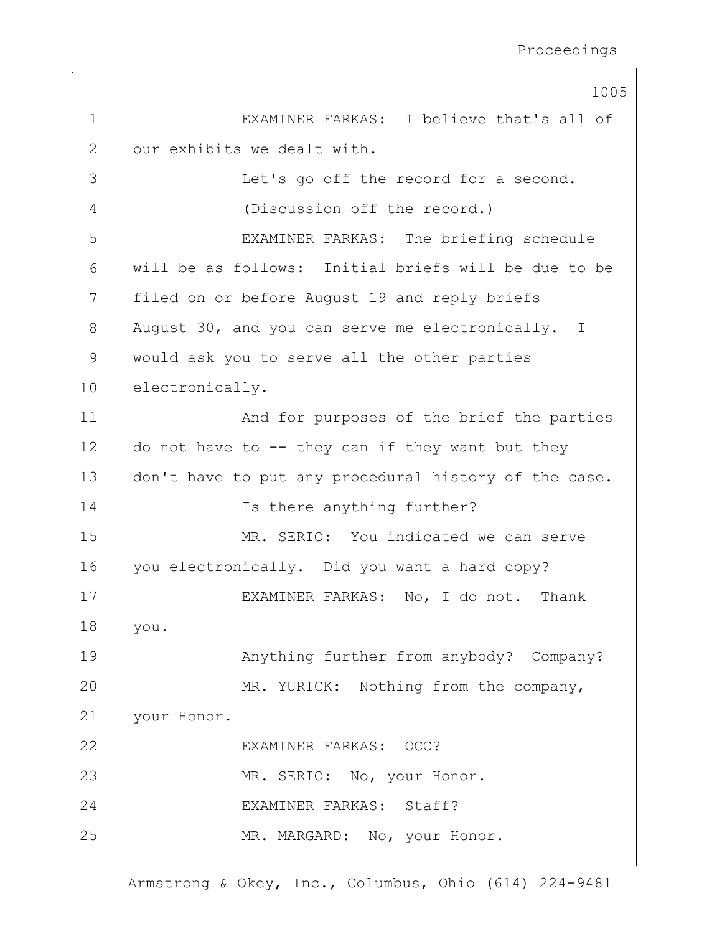|                | 1005                                                  |
|----------------|-------------------------------------------------------|
| $\mathbf 1$    | EXAMINER FARKAS: I believe that's all of              |
| $\overline{2}$ | our exhibits we dealt with.                           |
| 3              | Let's go off the record for a second.                 |
| 4              | (Discussion off the record.)                          |
| 5              | EXAMINER FARKAS: The briefing schedule                |
| 6              | will be as follows: Initial briefs will be due to be  |
| 7              | filed on or before August 19 and reply briefs         |
| 8              | August 30, and you can serve me electronically. I     |
| 9              | would ask you to serve all the other parties          |
| 10             | electronically.                                       |
| 11             | And for purposes of the brief the parties             |
| 12             | do not have to $-$ - they can if they want but they   |
| 13             | don't have to put any procedural history of the case. |
| 14             | Is there anything further?                            |
| 15             | MR. SERIO: You indicated we can serve                 |
| 16             | you electronically. Did you want a hard copy?         |
| 17             | EXAMINER FARKAS: No, I do not. Thank                  |
| 18             | you.                                                  |
| 19             | Anything further from anybody? Company?               |
| 20             | MR. YURICK: Nothing from the company,                 |
| 21             | your Honor.                                           |
| 22             | EXAMINER FARKAS: OCC?                                 |
| 23             | MR. SERIO: No, your Honor.                            |
| 24             | EXAMINER FARKAS: Staff?                               |
| 25             | MR. MARGARD: No, your Honor.                          |
|                |                                                       |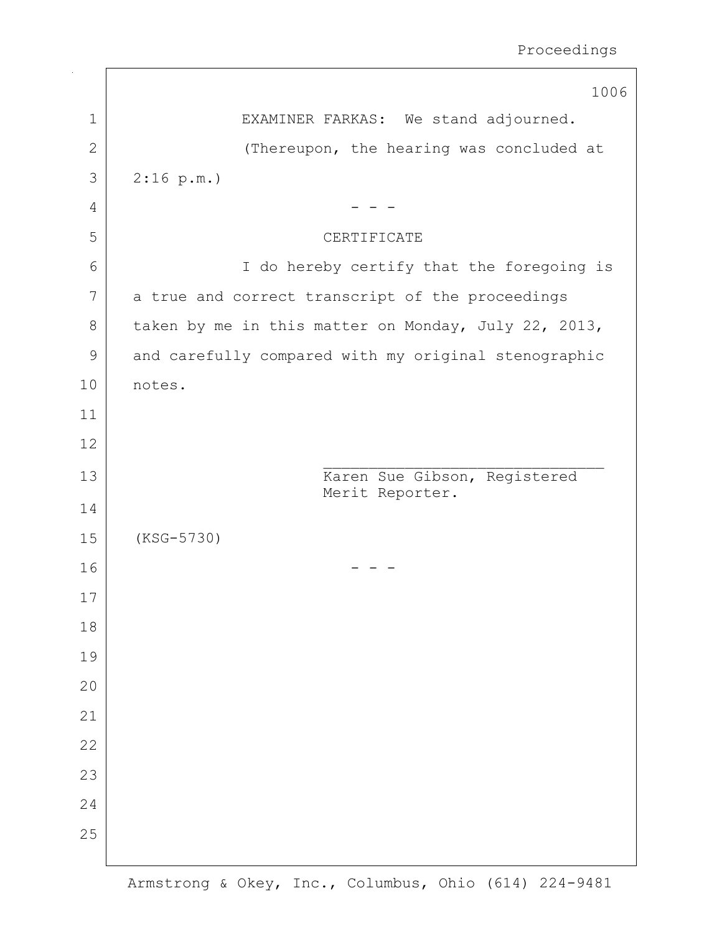|              | 1006                                                 |
|--------------|------------------------------------------------------|
| $\mathbf 1$  | EXAMINER FARKAS: We stand adjourned.                 |
| $\mathbf{2}$ | (Thereupon, the hearing was concluded at             |
| 3            | 2:16 p.m.                                            |
| 4            |                                                      |
| 5            | CERTIFICATE                                          |
| 6            | I do hereby certify that the foregoing is            |
| 7            | a true and correct transcript of the proceedings     |
| 8            | taken by me in this matter on Monday, July 22, 2013, |
| 9            | and carefully compared with my original stenographic |
| 10           | notes.                                               |
| 11           |                                                      |
| 12           |                                                      |
| 13           | Karen Sue Gibson, Registered<br>Merit Reporter.      |
| 14           |                                                      |
| 15           | $(KSG-5730)$                                         |
| 16           |                                                      |
| 17           |                                                      |
| 18           |                                                      |
| 19           |                                                      |
| 20           |                                                      |
| 21           |                                                      |
| 22           |                                                      |
| 23           |                                                      |
| 24           |                                                      |
| 25           |                                                      |
|              |                                                      |

 $\sqrt{2}$